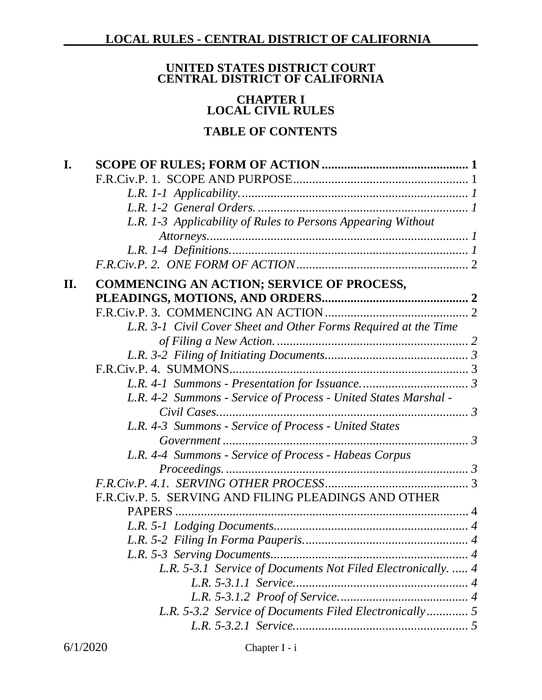#### **UNITED STATES DISTRICT COURT CENTRAL DISTRICT OF CALIFORNIA**

#### **CHAPTER I LOCAL CIVIL RULES**

#### **TABLE OF CONTENTS**

| I.  |                                                                 |  |
|-----|-----------------------------------------------------------------|--|
|     |                                                                 |  |
|     |                                                                 |  |
|     |                                                                 |  |
|     | L.R. 1-3 Applicability of Rules to Persons Appearing Without    |  |
|     |                                                                 |  |
|     |                                                                 |  |
|     |                                                                 |  |
| II. | <b>COMMENCING AN ACTION; SERVICE OF PROCESS,</b>                |  |
|     |                                                                 |  |
|     |                                                                 |  |
|     | L.R. 3-1 Civil Cover Sheet and Other Forms Required at the Time |  |
|     |                                                                 |  |
|     |                                                                 |  |
|     |                                                                 |  |
|     |                                                                 |  |
|     | L.R. 4-2 Summons - Service of Process - United States Marshal - |  |
|     |                                                                 |  |
|     | L.R. 4-3 Summons - Service of Process - United States           |  |
|     | Government                                                      |  |
|     | L.R. 4-4 Summons - Service of Process - Habeas Corpus           |  |
|     |                                                                 |  |
|     |                                                                 |  |
|     | F.R.Civ.P. 5. SERVING AND FILING PLEADINGS AND OTHER            |  |
|     |                                                                 |  |
|     |                                                                 |  |
|     |                                                                 |  |
|     |                                                                 |  |
|     | L.R. 5-3.1 Service of Documents Not Filed Electronically.  4    |  |
|     |                                                                 |  |
|     |                                                                 |  |
|     |                                                                 |  |
|     |                                                                 |  |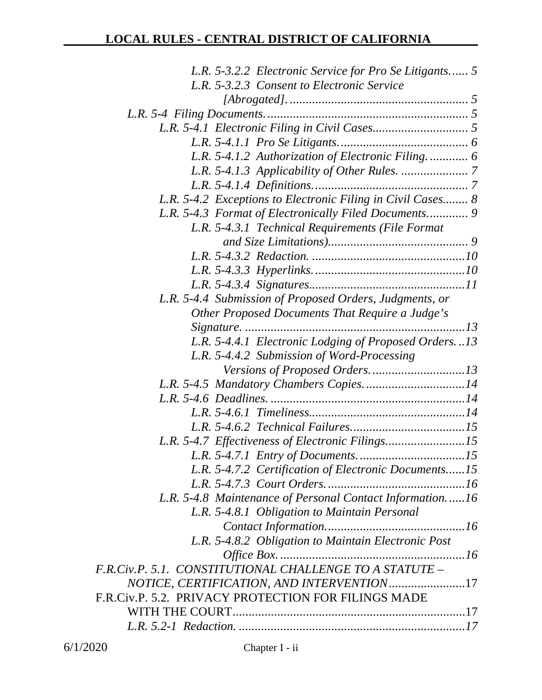| L.R. 5-3.2.2 Electronic Service for Pro Se Litigants 5      |
|-------------------------------------------------------------|
| L.R. 5-3.2.3 Consent to Electronic Service                  |
|                                                             |
|                                                             |
|                                                             |
|                                                             |
|                                                             |
|                                                             |
|                                                             |
| L.R. 5-4.2 Exceptions to Electronic Filing in Civil Cases 8 |
|                                                             |
| L.R. 5-4.3.1 Technical Requirements (File Format            |
|                                                             |
|                                                             |
|                                                             |
|                                                             |
| L.R. 5-4.4 Submission of Proposed Orders, Judgments, or     |
| Other Proposed Documents That Require a Judge's             |
|                                                             |
| L.R. 5-4.4.1 Electronic Lodging of Proposed Orders13        |
| L.R. 5-4.4.2 Submission of Word-Processing                  |
|                                                             |
|                                                             |
|                                                             |
|                                                             |
|                                                             |
|                                                             |
|                                                             |
| L.R. 5-4.7.2 Certification of Electronic Documents15        |
|                                                             |
| L.R. 5-4.8 Maintenance of Personal Contact Information16    |
| L.R. 5-4.8.1 Obligation to Maintain Personal                |
|                                                             |
| L.R. 5-4.8.2 Obligation to Maintain Electronic Post         |
|                                                             |
| F.R.Civ.P. 5.1. CONSTITUTIONAL CHALLENGE TO A STATUTE -     |
| NOTICE, CERTIFICATION, AND INTERVENTION17                   |
| F.R.Civ.P. 5.2. PRIVACY PROTECTION FOR FILINGS MADE         |
|                                                             |
|                                                             |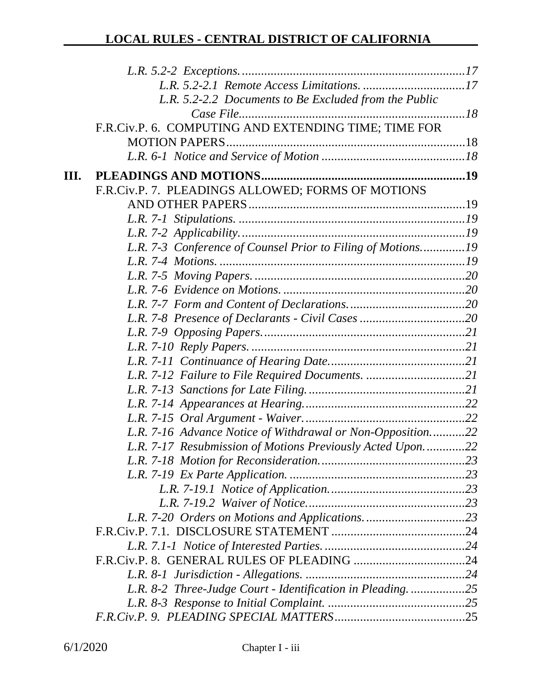|    | L.R. 5.2-2.2 Documents to Be Excluded from the Public       |  |
|----|-------------------------------------------------------------|--|
|    |                                                             |  |
|    | F.R.Civ.P. 6. COMPUTING AND EXTENDING TIME; TIME FOR        |  |
|    |                                                             |  |
|    |                                                             |  |
| Ш. |                                                             |  |
|    | F.R.Civ.P. 7. PLEADINGS ALLOWED; FORMS OF MOTIONS           |  |
|    |                                                             |  |
|    |                                                             |  |
|    |                                                             |  |
|    | L.R. 7-3 Conference of Counsel Prior to Filing of Motions19 |  |
|    |                                                             |  |
|    |                                                             |  |
|    |                                                             |  |
|    |                                                             |  |
|    |                                                             |  |
|    |                                                             |  |
|    |                                                             |  |
|    |                                                             |  |
|    |                                                             |  |
|    |                                                             |  |
|    |                                                             |  |
|    |                                                             |  |
|    | L.R. 7-16 Advance Notice of Withdrawal or Non-Opposition22  |  |
|    | L.R. 7-17 Resubmission of Motions Previously Acted Upon22   |  |
|    |                                                             |  |
|    |                                                             |  |
|    |                                                             |  |
|    |                                                             |  |
|    |                                                             |  |
|    |                                                             |  |
|    |                                                             |  |
|    |                                                             |  |
|    |                                                             |  |
|    | L.R. 8-2 Three-Judge Court - Identification in Pleading25   |  |
|    |                                                             |  |
|    |                                                             |  |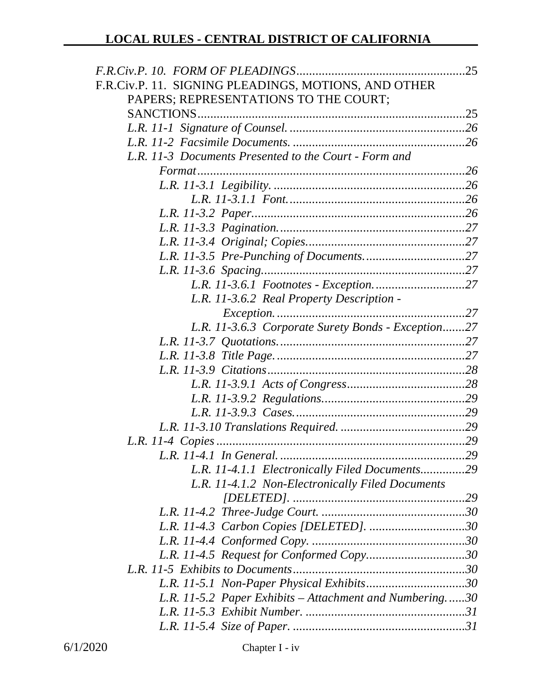|                                                         | 25 |
|---------------------------------------------------------|----|
| F.R.Civ.P. 11. SIGNING PLEADINGS, MOTIONS, AND OTHER    |    |
| PAPERS; REPRESENTATIONS TO THE COURT;                   |    |
|                                                         |    |
|                                                         |    |
|                                                         |    |
| L.R. 11-3 Documents Presented to the Court - Form and   |    |
|                                                         |    |
|                                                         |    |
|                                                         |    |
|                                                         |    |
|                                                         |    |
|                                                         |    |
|                                                         |    |
|                                                         |    |
|                                                         |    |
| L.R. 11-3.6.2 Real Property Description -               |    |
|                                                         |    |
| L.R. 11-3.6.3 Corporate Surety Bonds - Exception27      |    |
|                                                         |    |
|                                                         |    |
|                                                         |    |
|                                                         |    |
|                                                         |    |
|                                                         |    |
|                                                         |    |
|                                                         |    |
|                                                         |    |
| L.R. 11-4.1.1 Electronically Filed Documents29          |    |
| L.R. 11-4.1.2 Non-Electronically Filed Documents        |    |
|                                                         |    |
|                                                         |    |
|                                                         |    |
|                                                         |    |
|                                                         |    |
|                                                         |    |
|                                                         |    |
| L.R. 11-5.2 Paper Exhibits – Attachment and Numbering30 |    |
|                                                         |    |
|                                                         |    |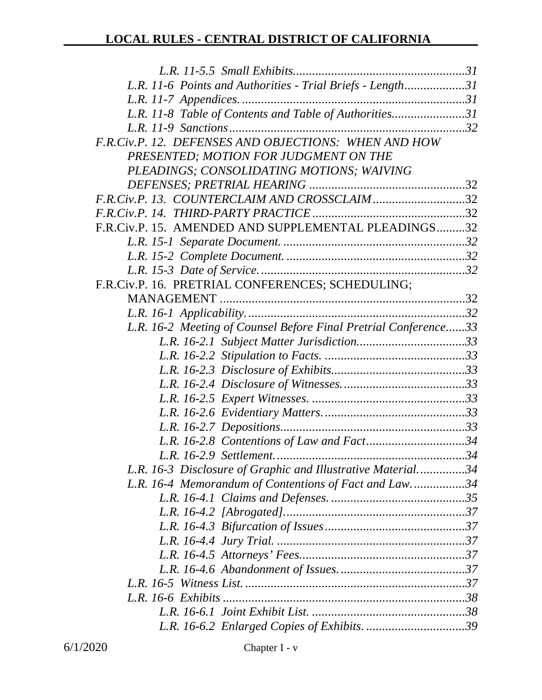| L.R. 11-6 Points and Authorities - Trial Briefs - Length31      |  |
|-----------------------------------------------------------------|--|
|                                                                 |  |
| L.R. 11-8 Table of Contents and Table of Authorities31          |  |
|                                                                 |  |
| F.R.Civ.P. 12. DEFENSES AND OBJECTIONS: WHEN AND HOW            |  |
| PRESENTED; MOTION FOR JUDGMENT ON THE                           |  |
| PLEADINGS; CONSOLIDATING MOTIONS; WAIVING                       |  |
|                                                                 |  |
| F.R.Civ.P. 13. COUNTERCLAIM AND CROSSCLAIM 32                   |  |
|                                                                 |  |
| F.R.Civ.P. 15. AMENDED AND SUPPLEMENTAL PLEADINGS32             |  |
|                                                                 |  |
|                                                                 |  |
|                                                                 |  |
| F.R.Civ.P. 16. PRETRIAL CONFERENCES; SCHEDULING;                |  |
|                                                                 |  |
|                                                                 |  |
| L.R. 16-2 Meeting of Counsel Before Final Pretrial Conference33 |  |
|                                                                 |  |
|                                                                 |  |
|                                                                 |  |
|                                                                 |  |
|                                                                 |  |
|                                                                 |  |
|                                                                 |  |
|                                                                 |  |
|                                                                 |  |
| L.R. 16-3 Disclosure of Graphic and Illustrative Material34     |  |
| L.R. 16-4 Memorandum of Contentions of Fact and Law34           |  |
|                                                                 |  |
|                                                                 |  |
|                                                                 |  |
|                                                                 |  |
|                                                                 |  |
|                                                                 |  |
|                                                                 |  |
|                                                                 |  |
|                                                                 |  |
|                                                                 |  |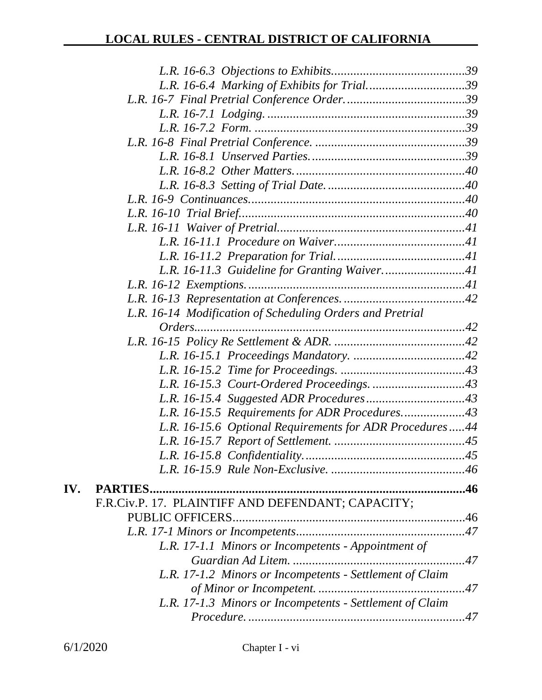|     | L.R. 16-14 Modification of Scheduling Orders and Pretrial |  |
|-----|-----------------------------------------------------------|--|
|     |                                                           |  |
|     |                                                           |  |
|     |                                                           |  |
|     |                                                           |  |
|     |                                                           |  |
|     |                                                           |  |
|     | L.R. 16-15.5 Requirements for ADR Procedures43            |  |
|     | L.R. 16-15.6 Optional Requirements for ADR Procedures44   |  |
|     |                                                           |  |
|     |                                                           |  |
|     |                                                           |  |
| IV. | PARTIES                                                   |  |
|     | F.R.Civ.P. 17. PLAINTIFF AND DEFENDANT; CAPACITY;         |  |
|     |                                                           |  |
|     |                                                           |  |
|     | L.R. 17-1.1 Minors or Incompetents - Appointment of       |  |
|     | 47                                                        |  |
|     | L.R. 17-1.2 Minors or Incompetents - Settlement of Claim  |  |
|     |                                                           |  |
|     | L.R. 17-1.3 Minors or Incompetents - Settlement of Claim  |  |
|     |                                                           |  |
|     |                                                           |  |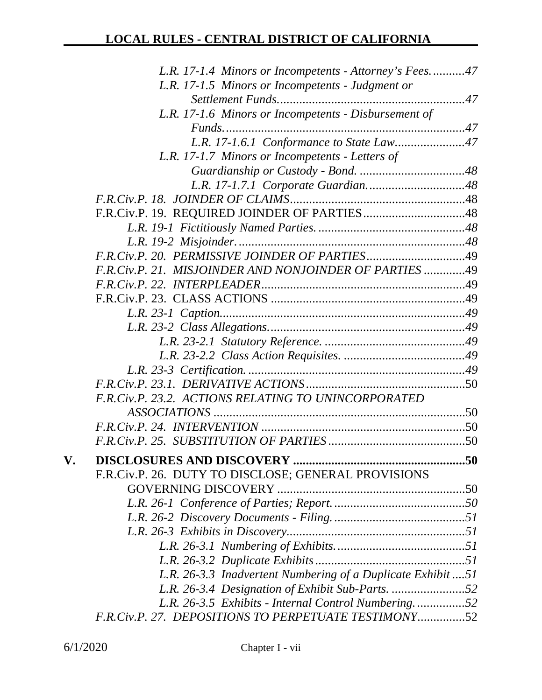|    | L.R. 17-1.4 Minors or Incompetents - Attorney's Fees47       |  |
|----|--------------------------------------------------------------|--|
|    | L.R. 17-1.5 Minors or Incompetents - Judgment or             |  |
|    |                                                              |  |
|    | L.R. 17-1.6 Minors or Incompetents - Disbursement of         |  |
|    |                                                              |  |
|    |                                                              |  |
|    | L.R. 17-1.7 Minors or Incompetents - Letters of              |  |
|    |                                                              |  |
|    |                                                              |  |
|    |                                                              |  |
|    |                                                              |  |
|    |                                                              |  |
|    |                                                              |  |
|    |                                                              |  |
|    | F.R.Civ.P. 21. MISJOINDER AND NONJOINDER OF PARTIES49        |  |
|    |                                                              |  |
|    |                                                              |  |
|    |                                                              |  |
|    |                                                              |  |
|    |                                                              |  |
|    |                                                              |  |
|    |                                                              |  |
|    |                                                              |  |
|    | F.R.Civ.P. 23.2. ACTIONS RELATING TO UNINCORPORATED          |  |
|    |                                                              |  |
|    |                                                              |  |
|    |                                                              |  |
|    |                                                              |  |
| V. | 50                                                           |  |
|    | F.R.Civ.P. 26. DUTY TO DISCLOSE; GENERAL PROVISIONS          |  |
|    |                                                              |  |
|    |                                                              |  |
|    |                                                              |  |
|    |                                                              |  |
|    |                                                              |  |
|    |                                                              |  |
|    | L.R. 26-3.3 Inadvertent Numbering of a Duplicate Exhibit  51 |  |
|    |                                                              |  |
|    | L.R. 26-3.5 Exhibits - Internal Control Numbering52          |  |
|    | F.R.Civ.P. 27. DEPOSITIONS TO PERPETUATE TESTIMONY52         |  |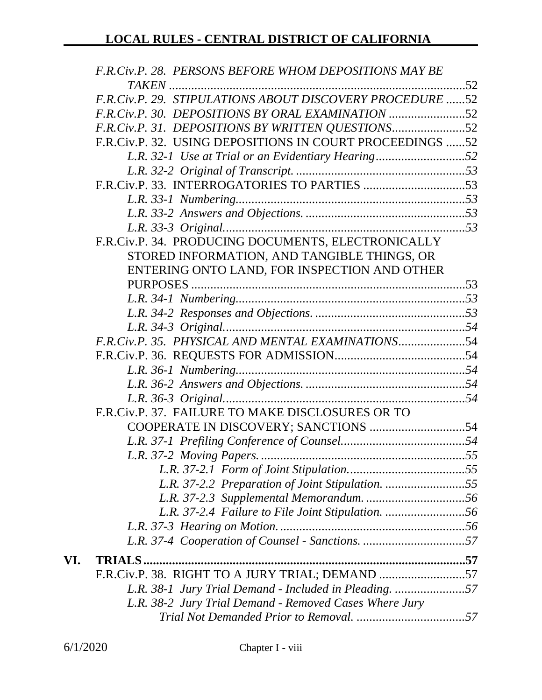|     | F.R.Civ.P. 28. PERSONS BEFORE WHOM DEPOSITIONS MAY BE    |  |
|-----|----------------------------------------------------------|--|
|     |                                                          |  |
|     | F.R.Civ.P. 29. STIPULATIONS ABOUT DISCOVERY PROCEDURE 52 |  |
|     | F.R.Civ.P. 30. DEPOSITIONS BY ORAL EXAMINATION 52        |  |
|     |                                                          |  |
|     | F.R.Civ.P. 32. USING DEPOSITIONS IN COURT PROCEEDINGS 52 |  |
|     | L.R. 32-1 Use at Trial or an Evidentiary Hearing52       |  |
|     |                                                          |  |
|     |                                                          |  |
|     |                                                          |  |
|     |                                                          |  |
|     |                                                          |  |
|     | F.R.Civ.P. 34. PRODUCING DOCUMENTS, ELECTRONICALLY       |  |
|     | STORED INFORMATION, AND TANGIBLE THINGS, OR              |  |
|     | ENTERING ONTO LAND, FOR INSPECTION AND OTHER             |  |
|     |                                                          |  |
|     |                                                          |  |
|     |                                                          |  |
|     |                                                          |  |
|     |                                                          |  |
|     |                                                          |  |
|     |                                                          |  |
|     |                                                          |  |
|     |                                                          |  |
|     | F.R.Civ.P. 37. FAILURE TO MAKE DISCLOSURES OR TO         |  |
|     |                                                          |  |
|     |                                                          |  |
|     |                                                          |  |
|     |                                                          |  |
|     |                                                          |  |
|     |                                                          |  |
|     |                                                          |  |
|     |                                                          |  |
|     |                                                          |  |
| VI. | <b>TRIALS.</b>                                           |  |
|     |                                                          |  |
|     | L.R. 38-1 Jury Trial Demand - Included in Pleading. 57   |  |
|     | L.R. 38-2 Jury Trial Demand - Removed Cases Where Jury   |  |
|     |                                                          |  |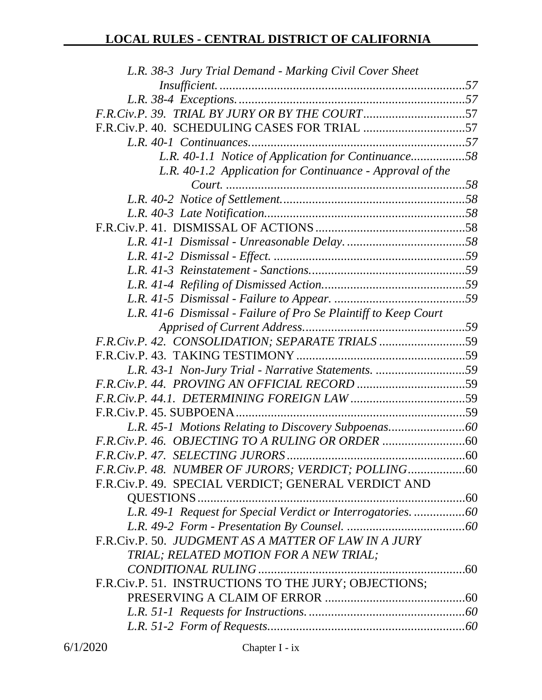| L.R. 38-3 Jury Trial Demand - Marking Civil Cover Sheet         |  |
|-----------------------------------------------------------------|--|
|                                                                 |  |
|                                                                 |  |
|                                                                 |  |
|                                                                 |  |
|                                                                 |  |
| L.R. 40-1.1 Notice of Application for Continuance58             |  |
| L.R. 40-1.2 Application for Continuance - Approval of the       |  |
|                                                                 |  |
|                                                                 |  |
|                                                                 |  |
|                                                                 |  |
|                                                                 |  |
|                                                                 |  |
|                                                                 |  |
|                                                                 |  |
|                                                                 |  |
| L.R. 41-6 Dismissal - Failure of Pro Se Plaintiff to Keep Court |  |
|                                                                 |  |
| F.R.Civ.P. 42. CONSOLIDATION; SEPARATE TRIALS 59                |  |
|                                                                 |  |
| L.R. 43-1 Non-Jury Trial - Narrative Statements. 59             |  |
|                                                                 |  |
|                                                                 |  |
|                                                                 |  |
|                                                                 |  |
|                                                                 |  |
|                                                                 |  |
|                                                                 |  |
| F.R.Civ.P. 49. SPECIAL VERDICT; GENERAL VERDICT AND             |  |
|                                                                 |  |
|                                                                 |  |
|                                                                 |  |
| F.R.Civ.P. 50. JUDGMENT AS A MATTER OF LAW IN A JURY            |  |
| TRIAL; RELATED MOTION FOR A NEW TRIAL;                          |  |
|                                                                 |  |
| F.R.Civ.P. 51. INSTRUCTIONS TO THE JURY; OBJECTIONS;            |  |
|                                                                 |  |
|                                                                 |  |
|                                                                 |  |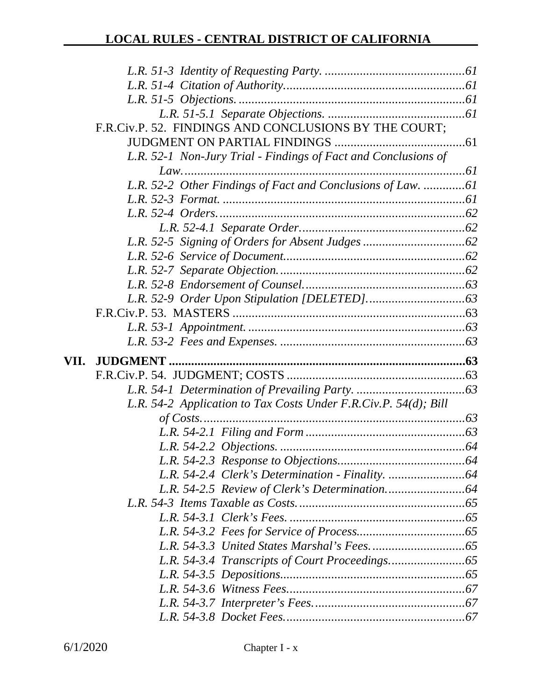|      | F.R.Civ.P. 52. FINDINGS AND CONCLUSIONS BY THE COURT;           |  |
|------|-----------------------------------------------------------------|--|
|      |                                                                 |  |
|      | L.R. 52-1 Non-Jury Trial - Findings of Fact and Conclusions of  |  |
|      |                                                                 |  |
|      |                                                                 |  |
|      |                                                                 |  |
|      |                                                                 |  |
|      |                                                                 |  |
|      |                                                                 |  |
|      |                                                                 |  |
|      |                                                                 |  |
|      |                                                                 |  |
|      |                                                                 |  |
|      |                                                                 |  |
|      |                                                                 |  |
|      |                                                                 |  |
|      |                                                                 |  |
| VII. |                                                                 |  |
|      |                                                                 |  |
|      |                                                                 |  |
|      |                                                                 |  |
|      | L.R. 54-2 Application to Tax Costs Under F.R.Civ.P. 54(d); Bill |  |
|      |                                                                 |  |
|      |                                                                 |  |
|      |                                                                 |  |
|      |                                                                 |  |
|      |                                                                 |  |
|      |                                                                 |  |
|      |                                                                 |  |
|      |                                                                 |  |
|      |                                                                 |  |
|      |                                                                 |  |
|      |                                                                 |  |
|      |                                                                 |  |
|      |                                                                 |  |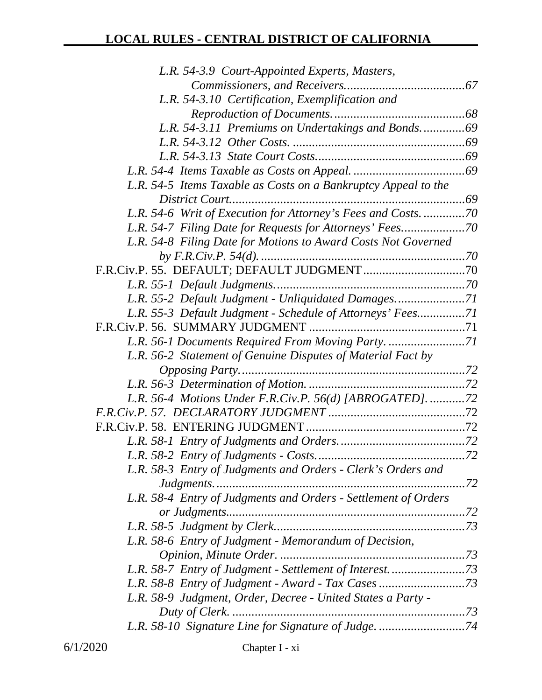| L.R. 54-3.9 Court-Appointed Experts, Masters,                  |  |
|----------------------------------------------------------------|--|
|                                                                |  |
| L.R. 54-3.10 Certification, Exemplification and                |  |
|                                                                |  |
| L.R. 54-3.11 Premiums on Undertakings and Bonds69              |  |
|                                                                |  |
|                                                                |  |
|                                                                |  |
| L.R. 54-5 Items Taxable as Costs on a Bankruptcy Appeal to the |  |
|                                                                |  |
| L.R. 54-6 Writ of Execution for Attorney's Fees and Costs. 70  |  |
|                                                                |  |
| L.R. 54-8 Filing Date for Motions to Award Costs Not Governed  |  |
|                                                                |  |
|                                                                |  |
|                                                                |  |
| L.R. 55-2 Default Judgment - Unliquidated Damages              |  |
| L.R. 55-3 Default Judgment - Schedule of Attorneys' Fees71     |  |
|                                                                |  |
|                                                                |  |
| L.R. 56-2 Statement of Genuine Disputes of Material Fact by    |  |
|                                                                |  |
|                                                                |  |
| L.R. 56-4 Motions Under F.R.Civ.P. 56(d) [ABROGATED]. 72       |  |
|                                                                |  |
|                                                                |  |
|                                                                |  |
|                                                                |  |
| L.R. 58-3 Entry of Judgments and Orders - Clerk's Orders and   |  |
|                                                                |  |
| L.R. 58-4 Entry of Judgments and Orders - Settlement of Orders |  |
|                                                                |  |
|                                                                |  |
| L.R. 58-6 Entry of Judgment - Memorandum of Decision,          |  |
|                                                                |  |
|                                                                |  |
|                                                                |  |
| L.R. 58-9 Judgment, Order, Decree - United States a Party -    |  |
|                                                                |  |
|                                                                |  |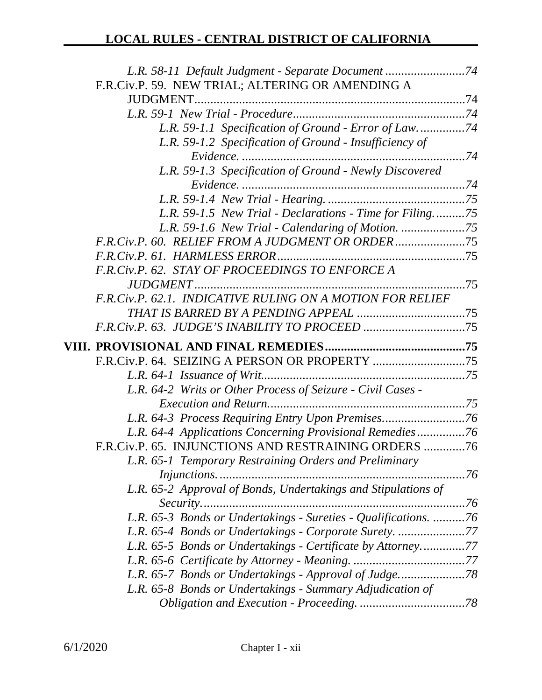| L.R. 58-11 Default Judgment - Separate Document 74                                                               |  |
|------------------------------------------------------------------------------------------------------------------|--|
| F.R.Civ.P. 59. NEW TRIAL; ALTERING OR AMENDING A                                                                 |  |
|                                                                                                                  |  |
|                                                                                                                  |  |
| L.R. 59-1.1 Specification of Ground - Error of Law74                                                             |  |
| L.R. 59-1.2 Specification of Ground - Insufficiency of                                                           |  |
|                                                                                                                  |  |
| L.R. 59-1.3 Specification of Ground - Newly Discovered                                                           |  |
|                                                                                                                  |  |
|                                                                                                                  |  |
| L.R. 59-1.5 New Trial - Declarations - Time for Filing75                                                         |  |
|                                                                                                                  |  |
|                                                                                                                  |  |
|                                                                                                                  |  |
| F.R.Civ.P. 62. STAY OF PROCEEDINGS TO ENFORCE A                                                                  |  |
|                                                                                                                  |  |
| F.R.Civ.P. 62.1. INDICATIVE RULING ON A MOTION FOR RELIEF                                                        |  |
|                                                                                                                  |  |
|                                                                                                                  |  |
|                                                                                                                  |  |
|                                                                                                                  |  |
|                                                                                                                  |  |
|                                                                                                                  |  |
|                                                                                                                  |  |
| L.R. 64-2 Writs or Other Process of Seizure - Civil Cases -                                                      |  |
|                                                                                                                  |  |
|                                                                                                                  |  |
| L.R. 64-4 Applications Concerning Provisional Remedies76<br>F.R.Civ.P. 65. INJUNCTIONS AND RESTRAINING ORDERS 76 |  |
|                                                                                                                  |  |
| L.R. 65-1 Temporary Restraining Orders and Preliminary                                                           |  |
| L.R. 65-2 Approval of Bonds, Undertakings and Stipulations of                                                    |  |
|                                                                                                                  |  |
| L.R. 65-3 Bonds or Undertakings - Sureties - Qualifications. 76                                                  |  |
| L.R. 65-4 Bonds or Undertakings - Corporate Surety. 77                                                           |  |
| L.R. 65-5 Bonds or Undertakings - Certificate by Attorney77                                                      |  |
|                                                                                                                  |  |
|                                                                                                                  |  |
| L.R. 65-8 Bonds or Undertakings - Summary Adjudication of                                                        |  |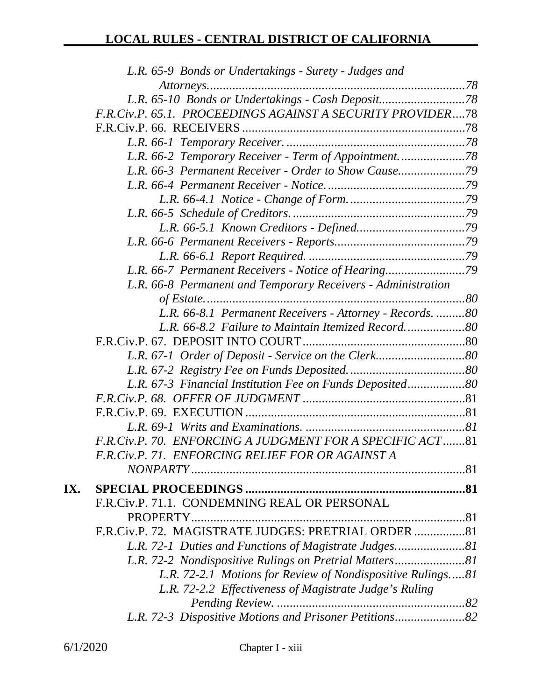|     | L.R. 65-9 Bonds or Undertakings - Surety - Judges and        |  |
|-----|--------------------------------------------------------------|--|
|     |                                                              |  |
|     |                                                              |  |
|     | F.R.Civ.P. 65.1. PROCEEDINGS AGAINST A SECURITY PROVIDER78   |  |
|     |                                                              |  |
|     |                                                              |  |
|     |                                                              |  |
|     |                                                              |  |
|     |                                                              |  |
|     |                                                              |  |
|     |                                                              |  |
|     |                                                              |  |
|     |                                                              |  |
|     |                                                              |  |
|     | L.R. 66-7 Permanent Receivers - Notice of Hearing79          |  |
|     | L.R. 66-8 Permanent and Temporary Receivers - Administration |  |
|     |                                                              |  |
|     | L.R. 66-8.1 Permanent Receivers - Attorney - Records. 80     |  |
|     | L.R. 66-8.2 Failure to Maintain Itemized Record80            |  |
|     |                                                              |  |
|     |                                                              |  |
|     |                                                              |  |
|     | L.R. 67-3 Financial Institution Fee on Funds Deposited80     |  |
|     |                                                              |  |
|     |                                                              |  |
|     |                                                              |  |
|     | F.R.Civ.P. 70. ENFORCING A JUDGMENT FOR A SPECIFIC ACT81     |  |
|     | F.R.Civ.P. 71. ENFORCING RELIEF FOR OR AGAINST A             |  |
|     |                                                              |  |
| IX. |                                                              |  |
|     | F.R.Civ.P. 71.1. CONDEMNING REAL OR PERSONAL                 |  |
|     |                                                              |  |
|     | F.R.Civ.P. 72. MAGISTRATE JUDGES: PRETRIAL ORDER             |  |
|     | L.R. 72-1 Duties and Functions of Magistrate Judges81        |  |
|     | L.R. 72-2 Nondispositive Rulings on Pretrial Matters81       |  |
|     | L.R. 72-2.1 Motions for Review of Nondispositive Rulings81   |  |
|     | L.R. 72-2.2 Effectiveness of Magistrate Judge's Ruling       |  |
|     |                                                              |  |
|     |                                                              |  |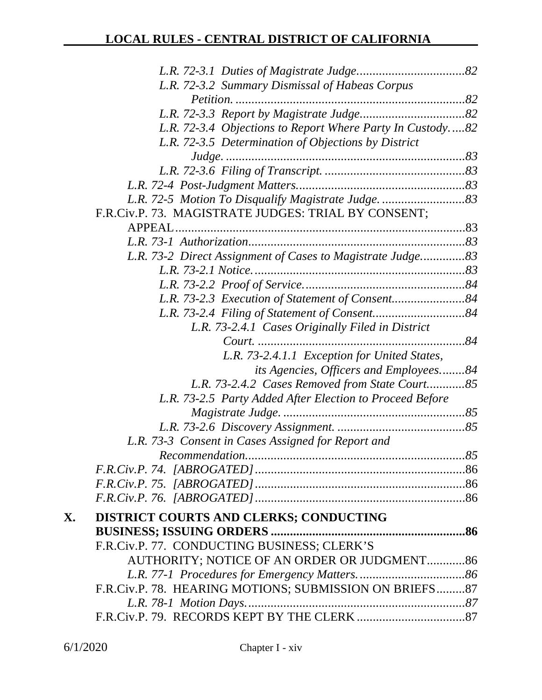|    | L.R. 72-3.2 Summary Dismissal of Habeas Corpus             |     |
|----|------------------------------------------------------------|-----|
|    |                                                            |     |
|    |                                                            |     |
|    | L.R. 72-3.4 Objections to Report Where Party In Custody82  |     |
|    | L.R. 72-3.5 Determination of Objections by District        |     |
|    |                                                            |     |
|    |                                                            |     |
|    |                                                            |     |
|    |                                                            |     |
|    | F.R.Civ.P. 73. MAGISTRATE JUDGES: TRIAL BY CONSENT;        |     |
|    |                                                            |     |
|    |                                                            |     |
|    | L.R. 73-2 Direct Assignment of Cases to Magistrate Judge83 |     |
|    |                                                            |     |
|    |                                                            |     |
|    |                                                            |     |
|    |                                                            |     |
|    | L.R. 73-2.4.1 Cases Originally Filed in District           |     |
|    |                                                            |     |
|    | L.R. 73-2.4.1.1 Exception for United States,               |     |
|    | its Agencies, Officers and Employees84                     |     |
|    | L.R. 73-2.4.2 Cases Removed from State Court85             |     |
|    | L.R. 73-2.5 Party Added After Election to Proceed Before   |     |
|    |                                                            |     |
|    |                                                            |     |
|    | L.R. 73-3 Consent in Cases Assigned for Report and         |     |
|    |                                                            | .85 |
|    |                                                            |     |
|    |                                                            |     |
|    |                                                            |     |
| Х. | DISTRICT COURTS AND CLERKS; CONDUCTING                     |     |
|    |                                                            |     |
|    | F.R.Civ.P. 77. CONDUCTING BUSINESS; CLERK'S                |     |
|    | AUTHORITY; NOTICE OF AN ORDER OR JUDGMENT86                |     |
|    |                                                            |     |
|    | F.R.Civ.P. 78. HEARING MOTIONS; SUBMISSION ON BRIEFS87     |     |
|    |                                                            |     |
|    |                                                            |     |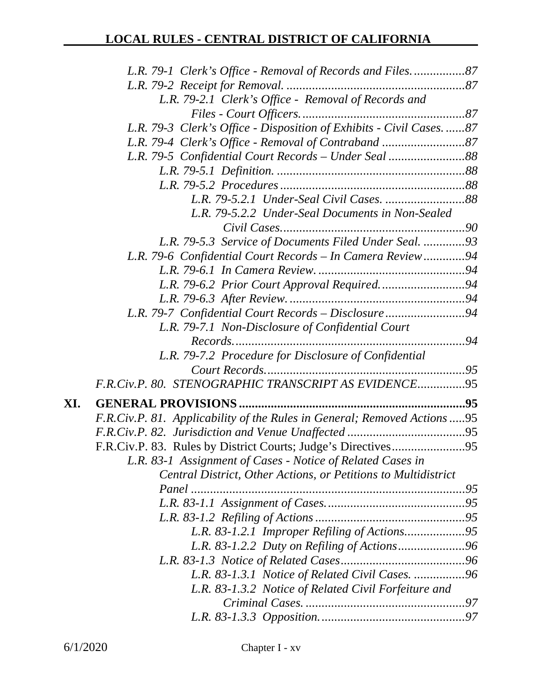|     | L.R. 79-2.1 Clerk's Office - Removal of Records and                      |  |
|-----|--------------------------------------------------------------------------|--|
|     |                                                                          |  |
|     | L.R. 79-3 Clerk's Office - Disposition of Exhibits - Civil Cases.  87    |  |
|     |                                                                          |  |
|     |                                                                          |  |
|     |                                                                          |  |
|     |                                                                          |  |
|     | L.R. 79-5.2.2 Under-Seal Documents in Non-Sealed                         |  |
|     |                                                                          |  |
|     | L.R. 79-5.3 Service of Documents Filed Under Seal. 93                    |  |
|     | L.R. 79-6 Confidential Court Records - In Camera Review94                |  |
|     |                                                                          |  |
|     |                                                                          |  |
|     |                                                                          |  |
|     | L.R. 79-7 Confidential Court Records - Disclosure94                      |  |
|     | L.R. 79-7.1 Non-Disclosure of Confidential Court                         |  |
|     |                                                                          |  |
|     | L.R. 79-7.2 Procedure for Disclosure of Confidential                     |  |
|     |                                                                          |  |
|     | F.R.Civ.P. 80. STENOGRAPHIC TRANSCRIPT AS EVIDENCE95                     |  |
| XI. | <b>GENERAL PROVISIONS </b>                                               |  |
|     | F.R.Civ.P. 81. Applicability of the Rules in General; Removed Actions 95 |  |
|     |                                                                          |  |
|     |                                                                          |  |
|     | L.R. 83-1 Assignment of Cases - Notice of Related Cases in               |  |
|     | Central District, Other Actions, or Petitions to Multidistrict           |  |
|     | $Panel$                                                                  |  |
|     |                                                                          |  |
|     |                                                                          |  |
|     | L.R. 83-1.2.1 Improper Refiling of Actions95                             |  |
|     |                                                                          |  |
|     |                                                                          |  |
|     | L.R. 83-1.3.1 Notice of Related Civil Cases. 96                          |  |
|     | L.R. 83-1.3.2 Notice of Related Civil Forfeiture and                     |  |
|     |                                                                          |  |
|     |                                                                          |  |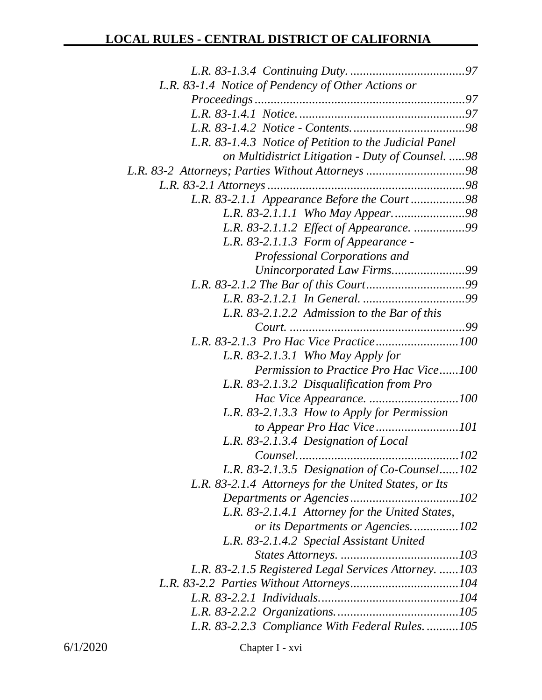| L.R. 83-1.4 Notice of Pendency of Other Actions or     |  |
|--------------------------------------------------------|--|
|                                                        |  |
|                                                        |  |
|                                                        |  |
| L.R. 83-1.4.3 Notice of Petition to the Judicial Panel |  |
| on Multidistrict Litigation - Duty of Counsel. 98      |  |
|                                                        |  |
|                                                        |  |
|                                                        |  |
|                                                        |  |
|                                                        |  |
| L.R. $83-2.1.1.3$ Form of Appearance -                 |  |
| Professional Corporations and                          |  |
| Unincorporated Law Firms99                             |  |
|                                                        |  |
|                                                        |  |
| L.R. 83-2.1.2.2 Admission to the Bar of this           |  |
|                                                        |  |
|                                                        |  |
| L.R. 83-2.1.3.1 Who May Apply for                      |  |
| Permission to Practice Pro Hac Vice100                 |  |
| L.R. 83-2.1.3.2 Disqualification from Pro              |  |
|                                                        |  |
| L.R. 83-2.1.3.3 How to Apply for Permission            |  |
|                                                        |  |
| L.R. 83-2.1.3.4 Designation of Local                   |  |
|                                                        |  |
| L.R. 83-2.1.3.5 Designation of Co-Counsel102           |  |
| L.R. 83-2.1.4 Attorneys for the United States, or Its  |  |
|                                                        |  |
| L.R. 83-2.1.4.1 Attorney for the United States,        |  |
| or its Departments or Agencies102                      |  |
| L.R. 83-2.1.4.2 Special Assistant United               |  |
|                                                        |  |
| L.R. 83-2.1.5 Registered Legal Services Attorney. 103  |  |
|                                                        |  |
|                                                        |  |
|                                                        |  |
| L.R. 83-2.2.3 Compliance With Federal Rules. 105       |  |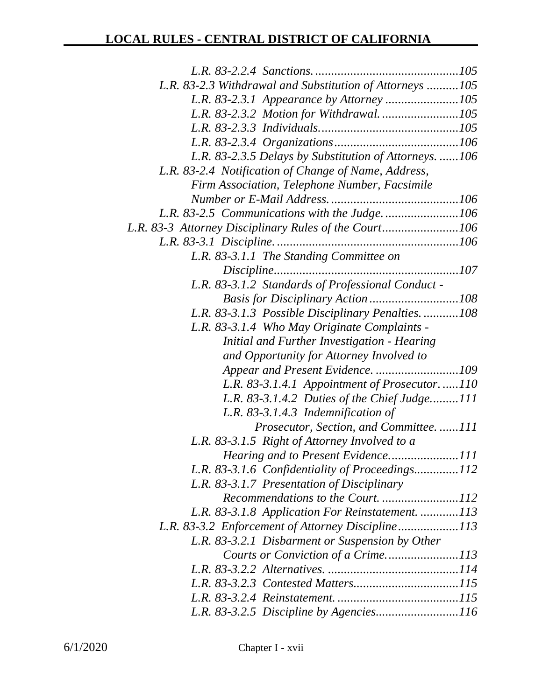| L.R. 83-2.3 Withdrawal and Substitution of Attorneys 105 |
|----------------------------------------------------------|
|                                                          |
|                                                          |
|                                                          |
|                                                          |
| L.R. 83-2.3.5 Delays by Substitution of Attorneys. 106   |
| L.R. 83-2.4 Notification of Change of Name, Address,     |
| Firm Association, Telephone Number, Facsimile            |
|                                                          |
| L.R. 83-2.5 Communications with the Judge106             |
|                                                          |
|                                                          |
| L.R. 83-3.1.1 The Standing Committee on                  |
|                                                          |
| L.R. 83-3.1.2 Standards of Professional Conduct -        |
|                                                          |
| L.R. 83-3.1.3 Possible Disciplinary Penalties. 108       |
| L.R. 83-3.1.4 Who May Originate Complaints -             |
| Initial and Further Investigation - Hearing              |
| and Opportunity for Attorney Involved to                 |
|                                                          |
| L.R. 83-3.1.4.1 Appointment of Prosecutor110             |
| L.R. 83-3.1.4.2 Duties of the Chief Judge111             |
| L.R. 83-3.1.4.3 Indemnification of                       |
| Prosecutor, Section, and Committee111                    |
| L.R. 83-3.1.5 Right of Attorney Involved to a            |
| Hearing and to Present Evidence111                       |
| L.R. 83-3.1.6 Confidentiality of Proceedings112          |
| L.R. 83-3.1.7 Presentation of Disciplinary               |
|                                                          |
| L.R. 83-3.1.8 Application For Reinstatement. 113         |
| L.R. 83-3.2 Enforcement of Attorney Discipline113        |
| L.R. 83-3.2.1 Disbarment or Suspension by Other          |
| Courts or Conviction of a Crime113                       |
|                                                          |
|                                                          |
|                                                          |
|                                                          |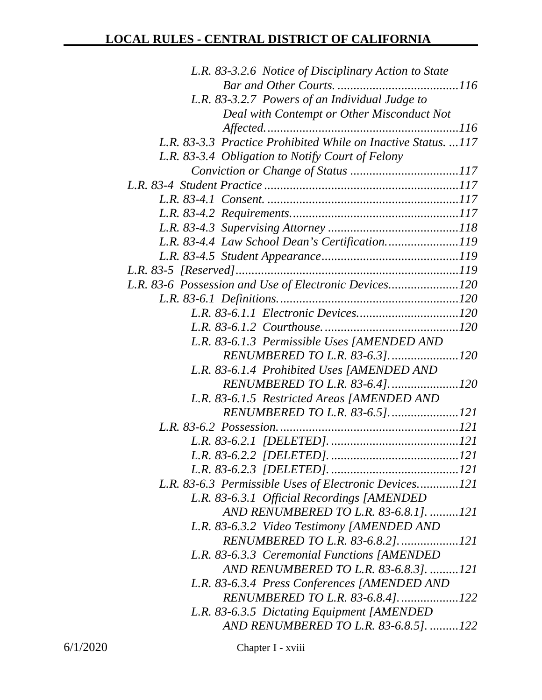| L.R. 83-3.2.6 Notice of Disciplinary Action to State        |
|-------------------------------------------------------------|
|                                                             |
| L.R. 83-3.2.7 Powers of an Individual Judge to              |
| Deal with Contempt or Other Misconduct Not                  |
|                                                             |
| L.R. 83-3.3 Practice Prohibited While on Inactive Status117 |
| L.R. 83-3.4 Obligation to Notify Court of Felony            |
|                                                             |
|                                                             |
|                                                             |
|                                                             |
|                                                             |
|                                                             |
|                                                             |
|                                                             |
| L.R. 83-6 Possession and Use of Electronic Devices120       |
|                                                             |
|                                                             |
|                                                             |
| L.R. 83-6.1.3 Permissible Uses [AMENDED AND                 |
|                                                             |
| L.R. 83-6.1.4 Prohibited Uses [AMENDED AND                  |
|                                                             |
| L.R. 83-6.1.5 Restricted Areas [AMENDED AND                 |
|                                                             |
|                                                             |
|                                                             |
|                                                             |
|                                                             |
| L.R. 83-6.3 Permissible Uses of Electronic Devices121       |
| L.R. 83-6.3.1 Official Recordings [AMENDED                  |
| AND RENUMBERED TO L.R. 83-6.8.1]. 121                       |
| L.R. 83-6.3.2 Video Testimony [AMENDED AND                  |
|                                                             |
| L.R. 83-6.3.3 Ceremonial Functions [AMENDED]                |
| AND RENUMBERED TO L.R. 83-6.8.3]. 121                       |
| L.R. 83-6.3.4 Press Conferences [AMENDED AND                |
| RENUMBERED TO L.R. 83-6.8.4]122                             |
| L.R. 83-6.3.5 Dictating Equipment [AMENDED                  |
| AND RENUMBERED TO L.R. 83-6.8.5]. 122                       |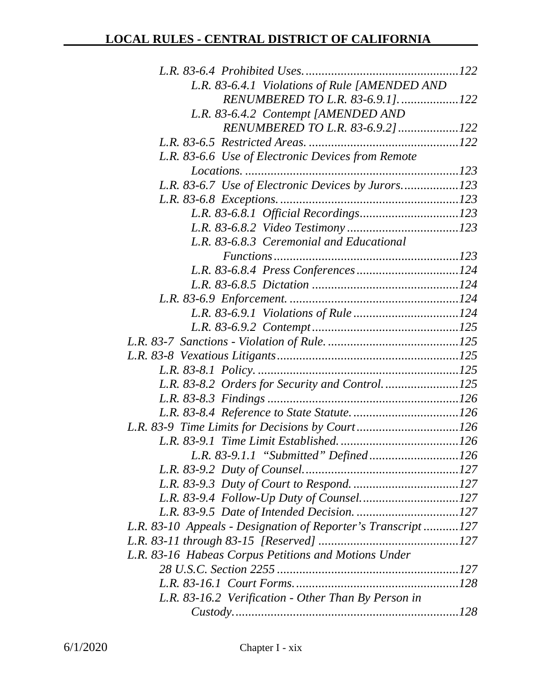|                                                              | $\ldots \ldots \ldots 122$ |
|--------------------------------------------------------------|----------------------------|
| L.R. 83-6.4.1 Violations of Rule [AMENDED AND                |                            |
|                                                              |                            |
| L.R. 83-6.4.2 Contempt [AMENDED AND                          |                            |
|                                                              |                            |
|                                                              |                            |
| L.R. 83-6.6 Use of Electronic Devices from Remote            |                            |
|                                                              |                            |
| L.R. 83-6.7 Use of Electronic Devices by Jurors123           |                            |
|                                                              |                            |
|                                                              |                            |
|                                                              |                            |
| L.R. 83-6.8.3 Ceremonial and Educational                     |                            |
|                                                              |                            |
|                                                              |                            |
|                                                              |                            |
|                                                              |                            |
|                                                              |                            |
|                                                              |                            |
|                                                              |                            |
|                                                              |                            |
|                                                              |                            |
|                                                              |                            |
|                                                              |                            |
|                                                              |                            |
|                                                              |                            |
|                                                              |                            |
|                                                              |                            |
|                                                              |                            |
|                                                              |                            |
|                                                              |                            |
|                                                              |                            |
| L.R. 83-10 Appeals - Designation of Reporter's Transcript127 |                            |
|                                                              |                            |
| L.R. 83-16 Habeas Corpus Petitions and Motions Under         |                            |
|                                                              |                            |
|                                                              |                            |
| L.R. 83-16.2 Verification - Other Than By Person in          |                            |
|                                                              |                            |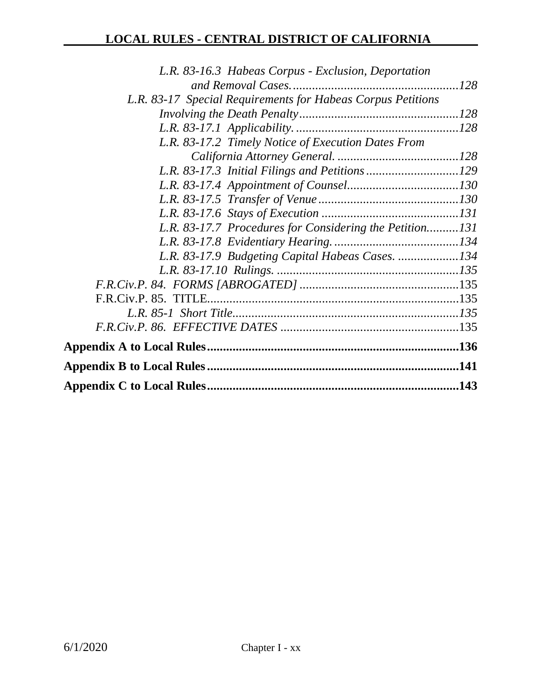| L.R. 83-16.3 Habeas Corpus - Exclusion, Deportation         |      |
|-------------------------------------------------------------|------|
|                                                             |      |
| L.R. 83-17 Special Requirements for Habeas Corpus Petitions |      |
|                                                             |      |
|                                                             |      |
| L.R. 83-17.2 Timely Notice of Execution Dates From          |      |
|                                                             |      |
|                                                             |      |
|                                                             |      |
|                                                             |      |
|                                                             |      |
| L.R. 83-17.7 Procedures for Considering the Petition131     |      |
|                                                             |      |
| L.R. 83-17.9 Budgeting Capital Habeas Cases. 134            |      |
|                                                             |      |
|                                                             |      |
|                                                             |      |
|                                                             |      |
|                                                             |      |
|                                                             |      |
|                                                             |      |
|                                                             | .143 |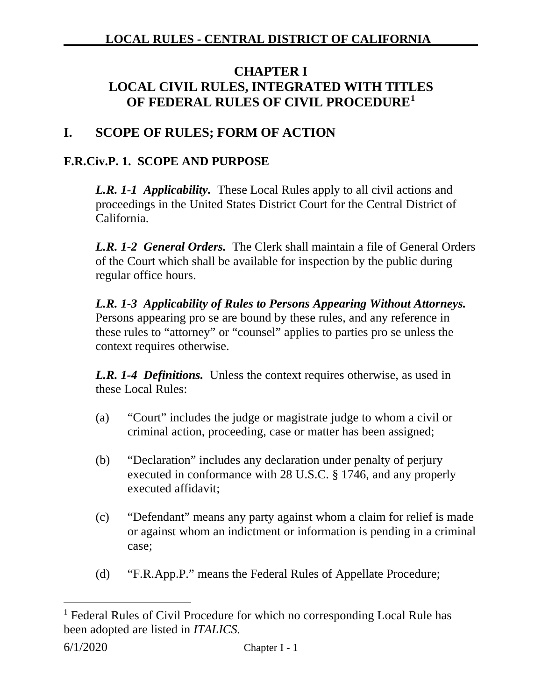### **CHAPTER I LOCAL CIVIL RULES, INTEGRATED WITH TITLES OF FEDERAL RULES OF CIVIL PROCEDURE[1](#page-20-6)**

# <span id="page-20-0"></span>**I. SCOPE OF RULES; FORM OF ACTION**

### <span id="page-20-2"></span><span id="page-20-1"></span>**F.R.Civ.P. 1. SCOPE AND PURPOSE**

*L.R. 1-1 Applicability.* These Local Rules apply to all civil actions and proceedings in the United States District Court for the Central District of California.

<span id="page-20-3"></span>*L.R. 1-2 General Orders.* The Clerk shall maintain a file of General Orders of the Court which shall be available for inspection by the public during regular office hours.

<span id="page-20-4"></span>*L.R. 1-3 Applicability of Rules to Persons Appearing Without Attorneys.* Persons appearing pro se are bound by these rules, and any reference in these rules to "attorney" or "counsel" applies to parties pro se unless the context requires otherwise.

<span id="page-20-5"></span>*L.R. 1-4 Definitions.* Unless the context requires otherwise, as used in these Local Rules:

- (a) "Court" includes the judge or magistrate judge to whom a civil or criminal action, proceeding, case or matter has been assigned;
- (b) "Declaration" includes any declaration under penalty of perjury executed in conformance with 28 U.S.C. § 1746, and any properly executed affidavit;
- (c) "Defendant" means any party against whom a claim for relief is made or against whom an indictment or information is pending in a criminal case;
- (d) "F.R.App.P." means the Federal Rules of Appellate Procedure;

<span id="page-20-6"></span><sup>&</sup>lt;sup>1</sup> Federal Rules of Civil Procedure for which no corresponding Local Rule has been adopted are listed in *ITALICS.*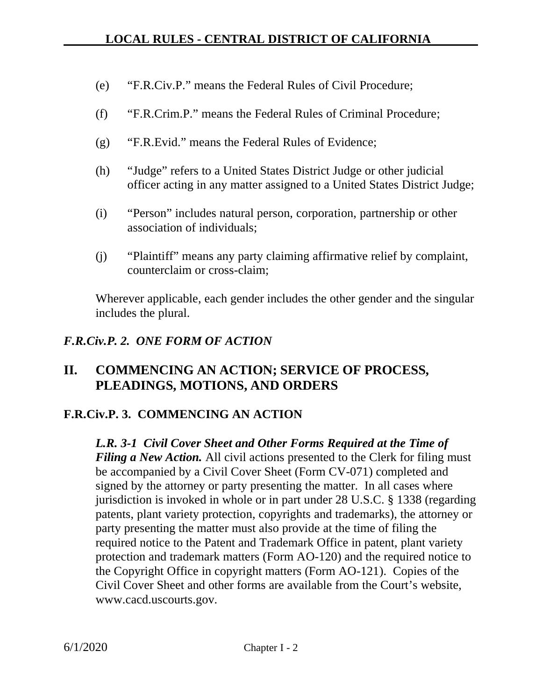- (e) "F.R.Civ.P." means the Federal Rules of Civil Procedure;
- (f) "F.R.Crim.P." means the Federal Rules of Criminal Procedure;
- (g) "F.R.Evid." means the Federal Rules of Evidence;
- (h) "Judge" refers to a United States District Judge or other judicial officer acting in any matter assigned to a United States District Judge;
- (i) "Person" includes natural person, corporation, partnership or other association of individuals;
- (j) "Plaintiff" means any party claiming affirmative relief by complaint, counterclaim or cross-claim;

Wherever applicable, each gender includes the other gender and the singular includes the plural.

### <span id="page-21-0"></span>*F.R.Civ.P. 2. ONE FORM OF ACTION*

### <span id="page-21-1"></span>**II. COMMENCING AN ACTION; SERVICE OF PROCESS, PLEADINGS, MOTIONS, AND ORDERS**

### <span id="page-21-3"></span><span id="page-21-2"></span>**F.R.Civ.P. 3. COMMENCING AN ACTION**

*L.R. 3-1 Civil Cover Sheet and Other Forms Required at the Time of Filing a New Action.* All civil actions presented to the Clerk for filing must be accompanied by a Civil Cover Sheet (Form CV-071) completed and signed by the attorney or party presenting the matter. In all cases where jurisdiction is invoked in whole or in part under 28 U.S.C. § 1338 (regarding patents, plant variety protection, copyrights and trademarks), the attorney or party presenting the matter must also provide at the time of filing the required notice to the Patent and Trademark Office in patent, plant variety protection and trademark matters (Form AO-120) and the required notice to the Copyright Office in copyright matters (Form AO-121). Copies of the Civil Cover Sheet and other forms are available from the Court's website, www.cacd.uscourts.gov.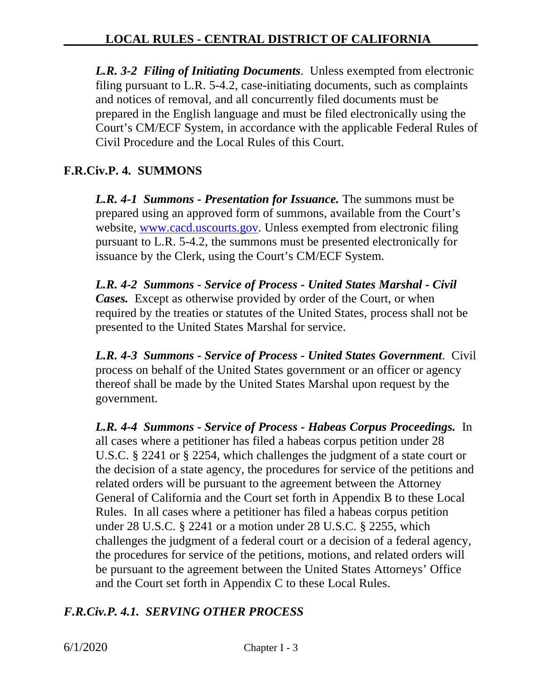<span id="page-22-0"></span>*L.R. 3-2 Filing of Initiating Documents*. Unless exempted from electronic filing pursuant to L.R. 5-4.2, case-initiating documents, such as complaints and notices of removal, and all concurrently filed documents must be prepared in the English language and must be filed electronically using the Court's CM/ECF System, in accordance with the applicable Federal Rules of Civil Procedure and the Local Rules of this Court.

## <span id="page-22-2"></span><span id="page-22-1"></span>**F.R.Civ.P. 4. SUMMONS**

*L.R. 4-1 Summons - Presentation for Issuance.* The summons must be prepared using an approved form of summons, available from the Court's website, [www.cacd.uscourts.gov.](http://www.cacd.uscourts.gov/) Unless exempted from electronic filing pursuant to L.R. 5-4.2, the summons must be presented electronically for issuance by the Clerk, using the Court's CM/ECF System.

<span id="page-22-3"></span>*L.R. 4-2 Summons - Service of Process - United States Marshal - Civil Cases.* Except as otherwise provided by order of the Court, or when required by the treaties or statutes of the United States, process shall not be presented to the United States Marshal for service.

<span id="page-22-4"></span>*L.R. 4-3 Summons - Service of Process - United States Government*. Civil process on behalf of the United States government or an officer or agency thereof shall be made by the United States Marshal upon request by the government.

<span id="page-22-5"></span>*L.R. 4-4 Summons - Service of Process - Habeas Corpus Proceedings.* In all cases where a petitioner has filed a habeas corpus petition under 28 U.S.C. § 2241 or § 2254, which challenges the judgment of a state court or the decision of a state agency, the procedures for service of the petitions and related orders will be pursuant to the agreement between the Attorney General of California and the Court set forth in Appendix B to these Local Rules. In all cases where a petitioner has filed a habeas corpus petition under 28 U.S.C. § 2241 or a motion under 28 U.S.C. § 2255, which challenges the judgment of a federal court or a decision of a federal agency, the procedures for service of the petitions, motions, and related orders will be pursuant to the agreement between the United States Attorneys' Office and the Court set forth in Appendix C to these Local Rules.

# <span id="page-22-6"></span>*F.R.Civ.P. 4.1. SERVING OTHER PROCESS*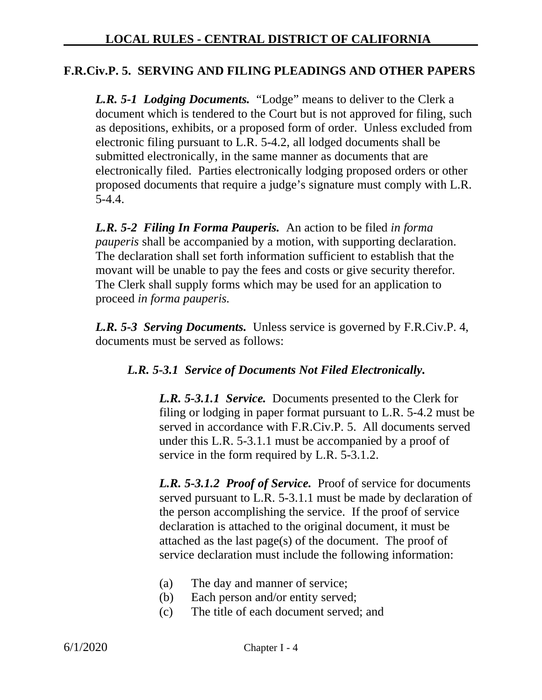### <span id="page-23-1"></span><span id="page-23-0"></span>**F.R.Civ.P. 5. SERVING AND FILING PLEADINGS AND OTHER PAPERS**

*L.R. 5-1 Lodging Documents.* "Lodge" means to deliver to the Clerk a document which is tendered to the Court but is not approved for filing, such as depositions, exhibits, or a proposed form of order. Unless excluded from electronic filing pursuant to L.R. 5-4.2, all lodged documents shall be submitted electronically, in the same manner as documents that are electronically filed. Parties electronically lodging proposed orders or other proposed documents that require a judge's signature must comply with L.R. 5-4.4.

<span id="page-23-2"></span>*L.R. 5-2 Filing In Forma Pauperis.* An action to be filed *in forma pauperis* shall be accompanied by a motion, with supporting declaration. The declaration shall set forth information sufficient to establish that the movant will be unable to pay the fees and costs or give security therefor. The Clerk shall supply forms which may be used for an application to proceed *in forma pauperis.*

<span id="page-23-3"></span>*L.R. 5-3 Serving Documents.* Unless service is governed by F.R.Civ.P. 4, documents must be served as follows:

### <span id="page-23-5"></span><span id="page-23-4"></span>*L.R. 5-3.1 Service of Documents Not Filed Electronically.*

*L.R. 5-3.1.1 Service.* Documents presented to the Clerk for filing or lodging in paper format pursuant to L.R. 5-4.2 must be served in accordance with F.R.Civ.P. 5. All documents served under this L.R. 5-3.1.1 must be accompanied by a proof of service in the form required by L.R. 5-3.1.2.

<span id="page-23-6"></span>*L.R. 5-3.1.2 Proof of Service.* Proof of service for documents served pursuant to L.R. 5-3.1.1 must be made by declaration of the person accomplishing the service. If the proof of service declaration is attached to the original document, it must be attached as the last page(s) of the document. The proof of service declaration must include the following information:

- (a) The day and manner of service;
- (b) Each person and/or entity served;
- (c) The title of each document served; and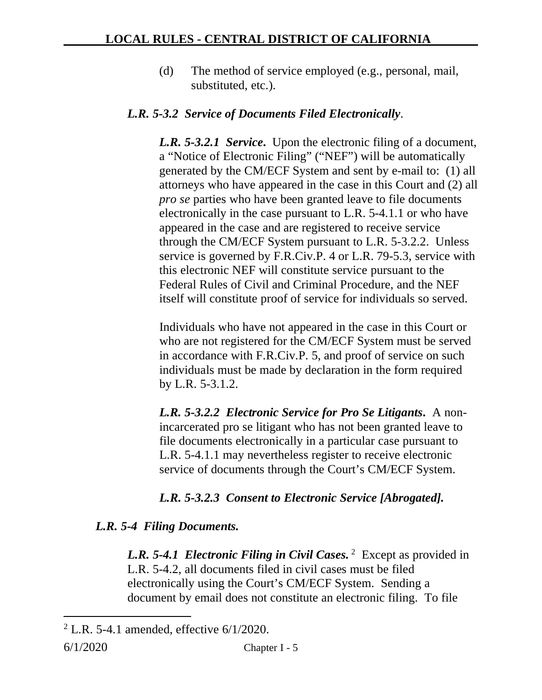(d) The method of service employed (e.g., personal, mail, substituted, etc.).

### <span id="page-24-1"></span><span id="page-24-0"></span>*L.R. 5-3.2 Service of Documents Filed Electronically*.

*L.R. 5-3.2.1 Service***.** Upon the electronic filing of a document, a "Notice of Electronic Filing" ("NEF") will be automatically generated by the CM/ECF System and sent by e-mail to: (1) all attorneys who have appeared in the case in this Court and (2) all *pro se* parties who have been granted leave to file documents electronically in the case pursuant to L.R. 5-4.1.1 or who have appeared in the case and are registered to receive service through the CM/ECF System pursuant to L.R. 5-3.2.2. Unless service is governed by F.R.Civ.P. 4 or L.R. 79-5.3, service with this electronic NEF will constitute service pursuant to the Federal Rules of Civil and Criminal Procedure, and the NEF itself will constitute proof of service for individuals so served.

Individuals who have not appeared in the case in this Court or who are not registered for the CM/ECF System must be served in accordance with F.R.Civ.P. 5, and proof of service on such individuals must be made by declaration in the form required by L.R. 5-3.1.2.

<span id="page-24-2"></span>*L.R. 5-3.2.2 Electronic Service for Pro Se Litigants***.** A nonincarcerated pro se litigant who has not been granted leave to file documents electronically in a particular case pursuant to L.R. 5-4.1.1 may nevertheless register to receive electronic service of documents through the Court's CM/ECF System.

# *L.R. 5-3.2.3 Consent to Electronic Service [Abrogated].*

### <span id="page-24-5"></span><span id="page-24-4"></span><span id="page-24-3"></span>*L.R. 5-4 Filing Documents.*

*L.R. 5-4.1 Electronic Filing in Civil Cases.* [2](#page-24-6) Except as provided in L.R. 5-4.2, all documents filed in civil cases must be filed electronically using the Court's CM/ECF System. Sending a document by email does not constitute an electronic filing. To file

<span id="page-24-6"></span> $^{2}$  L.R. 5-4.1 amended, effective 6/1/2020.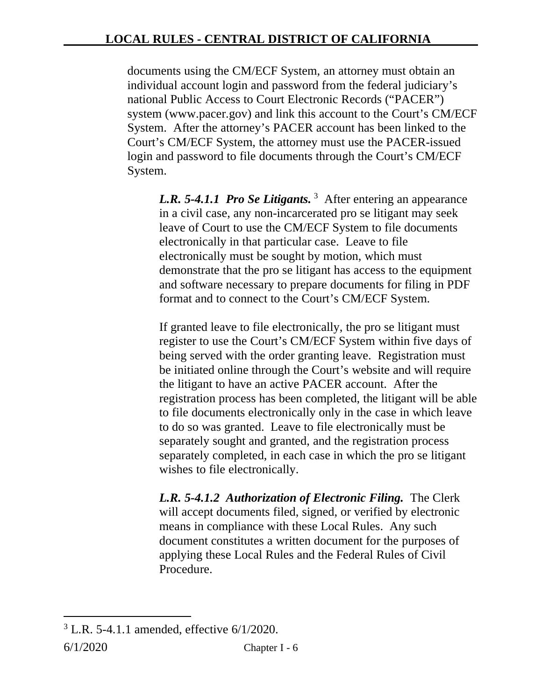documents using the CM/ECF System, an attorney must obtain an individual account login and password from the federal judiciary's national Public Access to Court Electronic Records ("PACER") system (www.pacer.gov) and link this account to the Court's CM/ECF System. After the attorney's PACER account has been linked to the Court's CM/ECF System, the attorney must use the PACER-issued login and password to file documents through the Court's CM/ECF System.

<span id="page-25-0"></span>L.R. 5-4.1.1 Pro Se Litigants.<sup>[3](#page-25-2)</sup> After entering an appearance in a civil case, any non-incarcerated pro se litigant may seek leave of Court to use the CM/ECF System to file documents electronically in that particular case. Leave to file electronically must be sought by motion, which must demonstrate that the pro se litigant has access to the equipment and software necessary to prepare documents for filing in PDF format and to connect to the Court's CM/ECF System.

If granted leave to file electronically, the pro se litigant must register to use the Court's CM/ECF System within five days of being served with the order granting leave. Registration must be initiated online through the Court's website and will require the litigant to have an active PACER account. After the registration process has been completed, the litigant will be able to file documents electronically only in the case in which leave to do so was granted. Leave to file electronically must be separately sought and granted, and the registration process separately completed, in each case in which the pro se litigant wishes to file electronically.

<span id="page-25-1"></span>*L.R. 5-4.1.2 Authorization of Electronic Filing.* The Clerk will accept documents filed, signed, or verified by electronic means in compliance with these Local Rules. Any such document constitutes a written document for the purposes of applying these Local Rules and the Federal Rules of Civil Procedure.

<span id="page-25-2"></span> $3$  L.R. 5-4.1.1 amended, effective  $6/1/2020$ .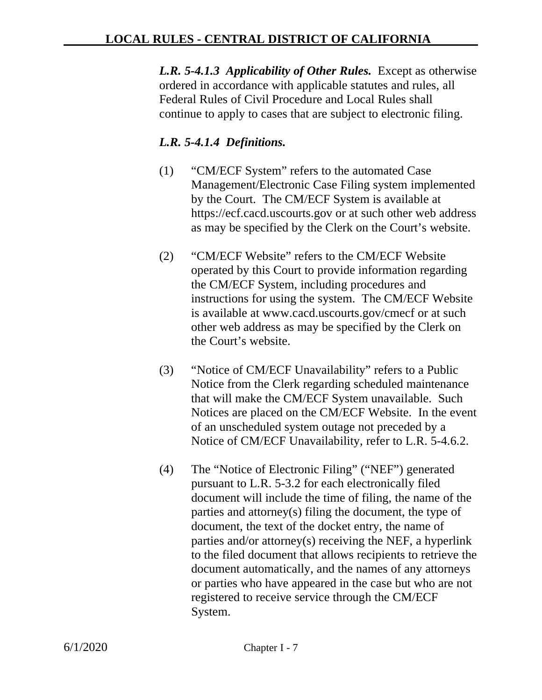<span id="page-26-0"></span>*L.R. 5-4.1.3 Applicability of Other Rules.* Except as otherwise ordered in accordance with applicable statutes and rules, all Federal Rules of Civil Procedure and Local Rules shall continue to apply to cases that are subject to electronic filing.

## <span id="page-26-1"></span>*L.R. 5-4.1.4 Definitions.*

- (1) "CM/ECF System" refers to the automated Case Management/Electronic Case Filing system implemented by the Court. The CM/ECF System is available at https://ecf.cacd.uscourts.gov or at such other web address as may be specified by the Clerk on the Court's website.
- (2) "CM/ECF Website" refers to the CM/ECF Website operated by this Court to provide information regarding the CM/ECF System, including procedures and instructions for using the system. The CM/ECF Website is available at www.cacd.uscourts.gov/cmecf or at such other web address as may be specified by the Clerk on the Court's website.
- (3) "Notice of CM/ECF Unavailability" refers to a Public Notice from the Clerk regarding scheduled maintenance that will make the CM/ECF System unavailable. Such Notices are placed on the CM/ECF Website. In the event of an unscheduled system outage not preceded by a Notice of CM/ECF Unavailability, refer to L.R. 5-4.6.2.
- (4) The "Notice of Electronic Filing" ("NEF") generated pursuant to L.R. 5-3.2 for each electronically filed document will include the time of filing, the name of the parties and attorney(s) filing the document, the type of document, the text of the docket entry, the name of parties and/or attorney(s) receiving the NEF, a hyperlink to the filed document that allows recipients to retrieve the document automatically, and the names of any attorneys or parties who have appeared in the case but who are not registered to receive service through the CM/ECF System.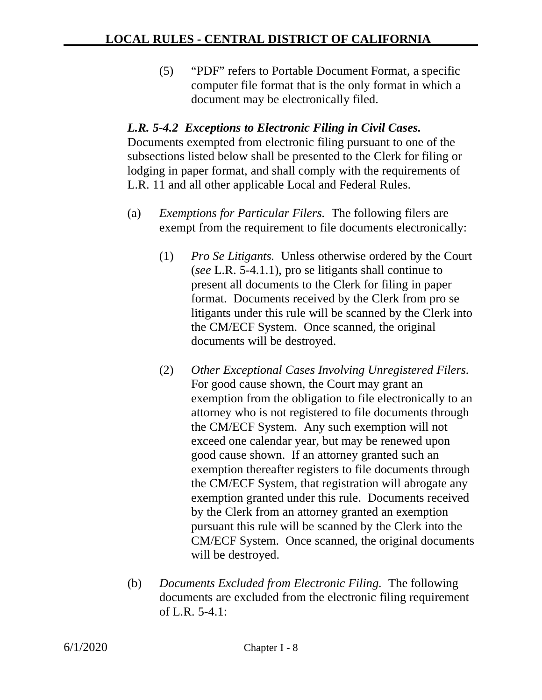(5) "PDF" refers to Portable Document Format, a specific computer file format that is the only format in which a document may be electronically filed.

### <span id="page-27-0"></span>*L.R. 5-4.2 Exceptions to Electronic Filing in Civil Cases.*

Documents exempted from electronic filing pursuant to one of the subsections listed below shall be presented to the Clerk for filing or lodging in paper format, and shall comply with the requirements of L.R. 11 and all other applicable Local and Federal Rules.

- (a) *Exemptions for Particular Filers.* The following filers are exempt from the requirement to file documents electronically:
	- (1) *Pro Se Litigants.* Unless otherwise ordered by the Court (*see* L.R. 5-4.1.1), pro se litigants shall continue to present all documents to the Clerk for filing in paper format. Documents received by the Clerk from pro se litigants under this rule will be scanned by the Clerk into the CM/ECF System. Once scanned, the original documents will be destroyed.
	- (2) *Other Exceptional Cases Involving Unregistered Filers.* For good cause shown, the Court may grant an exemption from the obligation to file electronically to an attorney who is not registered to file documents through the CM/ECF System. Any such exemption will not exceed one calendar year, but may be renewed upon good cause shown. If an attorney granted such an exemption thereafter registers to file documents through the CM/ECF System, that registration will abrogate any exemption granted under this rule. Documents received by the Clerk from an attorney granted an exemption pursuant this rule will be scanned by the Clerk into the CM/ECF System. Once scanned, the original documents will be destroyed.
- (b) *Documents Excluded from Electronic Filing.* The following documents are excluded from the electronic filing requirement of L.R. 5-4.1: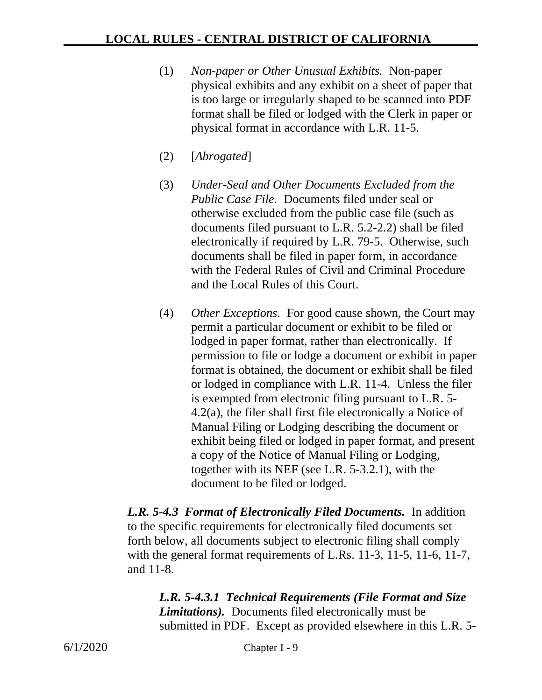- (1) *Non-paper or Other Unusual Exhibits.* Non-paper physical exhibits and any exhibit on a sheet of paper that is too large or irregularly shaped to be scanned into PDF format shall be filed or lodged with the Clerk in paper or physical format in accordance with L.R. 11-5.
- (2) [*Abrogated*]
- (3) *Under-Seal and Other Documents Excluded from the Public Case File.* Documents filed under seal or otherwise excluded from the public case file (such as documents filed pursuant to L.R. 5.2-2.2) shall be filed electronically if required by L.R. 79-5. Otherwise, such documents shall be filed in paper form, in accordance with the Federal Rules of Civil and Criminal Procedure and the Local Rules of this Court.
- (4) *Other Exceptions.* For good cause shown, the Court may permit a particular document or exhibit to be filed or lodged in paper format, rather than electronically. If permission to file or lodge a document or exhibit in paper format is obtained, the document or exhibit shall be filed or lodged in compliance with L.R. 11-4. Unless the filer is exempted from electronic filing pursuant to L.R. 5- 4.2(a), the filer shall first file electronically a Notice of Manual Filing or Lodging describing the document or exhibit being filed or lodged in paper format, and present a copy of the Notice of Manual Filing or Lodging, together with its NEF (see L.R. 5-3.2.1), with the document to be filed or lodged.

<span id="page-28-0"></span>*L.R. 5-4.3 Format of Electronically Filed Documents.* In addition to the specific requirements for electronically filed documents set forth below, all documents subject to electronic filing shall comply with the general format requirements of L.Rs. 11-3, 11-5, 11-6, 11-7, and 11-8.

<span id="page-28-1"></span>*L.R. 5-4.3.1 Technical Requirements (File Format and Size Limitations).* Documents filed electronically must be submitted in PDF. Except as provided elsewhere in this L.R. 5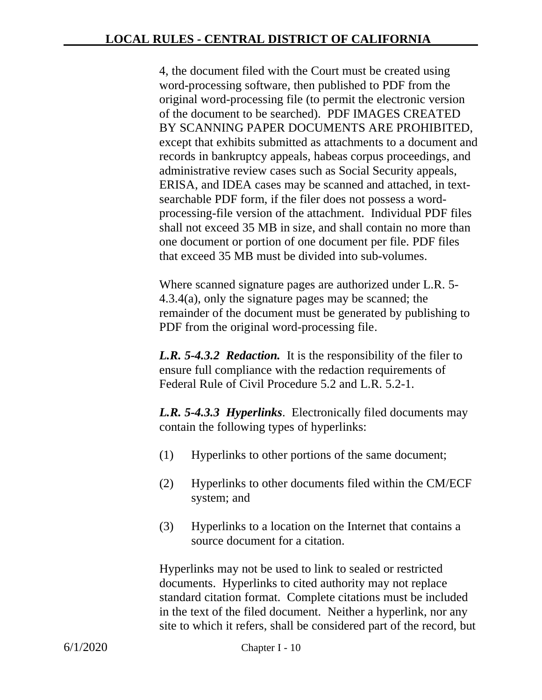4, the document filed with the Court must be created using word-processing software, then published to PDF from the original word-processing file (to permit the electronic version of the document to be searched). PDF IMAGES CREATED BY SCANNING PAPER DOCUMENTS ARE PROHIBITED, except that exhibits submitted as attachments to a document and records in bankruptcy appeals, habeas corpus proceedings, and administrative review cases such as Social Security appeals, ERISA, and IDEA cases may be scanned and attached, in textsearchable PDF form, if the filer does not possess a wordprocessing-file version of the attachment. Individual PDF files shall not exceed 35 MB in size, and shall contain no more than one document or portion of one document per file. PDF files that exceed 35 MB must be divided into sub-volumes.

Where scanned signature pages are authorized under L.R. 5- 4.3.4(a), only the signature pages may be scanned; the remainder of the document must be generated by publishing to PDF from the original word-processing file.

<span id="page-29-0"></span>*L.R. 5-4.3.2 Redaction.* It is the responsibility of the filer to ensure full compliance with the redaction requirements of Federal Rule of Civil Procedure 5.2 and L.R. 5.2-1.

<span id="page-29-1"></span>*L.R. 5-4.3.3 Hyperlinks*. Electronically filed documents may contain the following types of hyperlinks:

- (1) Hyperlinks to other portions of the same document;
- (2) Hyperlinks to other documents filed within the CM/ECF system; and
- (3) Hyperlinks to a location on the Internet that contains a source document for a citation.

Hyperlinks may not be used to link to sealed or restricted documents. Hyperlinks to cited authority may not replace standard citation format. Complete citations must be included in the text of the filed document. Neither a hyperlink, nor any site to which it refers, shall be considered part of the record, but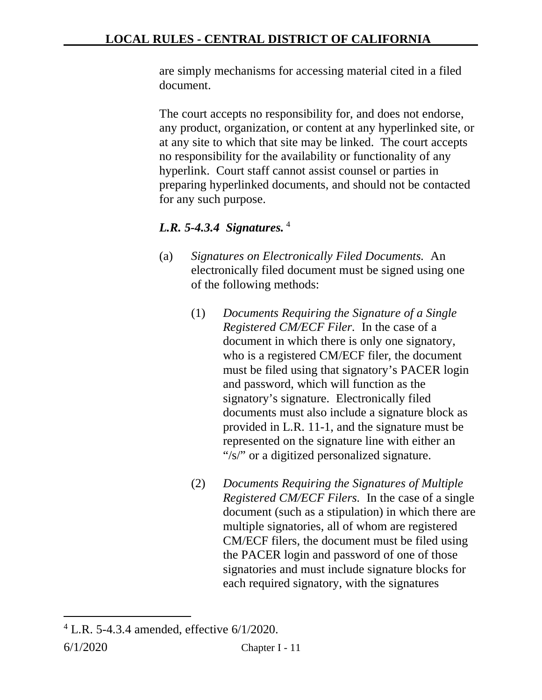are simply mechanisms for accessing material cited in a filed document.

The court accepts no responsibility for, and does not endorse, any product, organization, or content at any hyperlinked site, or at any site to which that site may be linked. The court accepts no responsibility for the availability or functionality of any hyperlink. Court staff cannot assist counsel or parties in preparing hyperlinked documents, and should not be contacted for any such purpose.

### <span id="page-30-0"></span>*L.R. 5-4.3.4 Signatures.* [4](#page-30-1)

- (a) *Signatures on Electronically Filed Documents.* An electronically filed document must be signed using one of the following methods:
	- (1) *Documents Requiring the Signature of a Single Registered CM/ECF Filer.* In the case of a document in which there is only one signatory, who is a registered CM/ECF filer, the document must be filed using that signatory's PACER login and password, which will function as the signatory's signature. Electronically filed documents must also include a signature block as provided in L.R. 11-1, and the signature must be represented on the signature line with either an "/s/" or a digitized personalized signature.
	- (2) *Documents Requiring the Signatures of Multiple Registered CM/ECF Filers.* In the case of a single document (such as a stipulation) in which there are multiple signatories, all of whom are registered CM/ECF filers, the document must be filed using the PACER login and password of one of those signatories and must include signature blocks for each required signatory, with the signatures

<span id="page-30-1"></span> $^{4}$  L.R. 5-4.3.4 amended, effective 6/1/2020.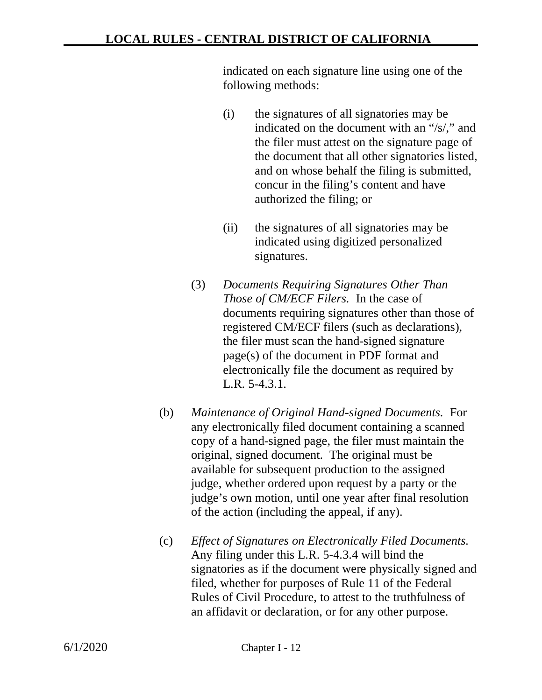indicated on each signature line using one of the following methods:

- (i) the signatures of all signatories may be indicated on the document with an "/s/," and the filer must attest on the signature page of the document that all other signatories listed, and on whose behalf the filing is submitted, concur in the filing's content and have authorized the filing; or
- (ii) the signatures of all signatories may be indicated using digitized personalized signatures.
- (3) *Documents Requiring Signatures Other Than Those of CM/ECF Filers.* In the case of documents requiring signatures other than those of registered CM/ECF filers (such as declarations), the filer must scan the hand-signed signature page(s) of the document in PDF format and electronically file the document as required by L.R. 5-4.3.1.
- (b) *Maintenance of Original Hand-signed Documents.* For any electronically filed document containing a scanned copy of a hand-signed page, the filer must maintain the original, signed document. The original must be available for subsequent production to the assigned judge, whether ordered upon request by a party or the judge's own motion, until one year after final resolution of the action (including the appeal, if any).
- (c) *Effect of Signatures on Electronically Filed Documents.* Any filing under this L.R. 5-4.3.4 will bind the signatories as if the document were physically signed and filed, whether for purposes of Rule 11 of the Federal Rules of Civil Procedure, to attest to the truthfulness of an affidavit or declaration, or for any other purpose.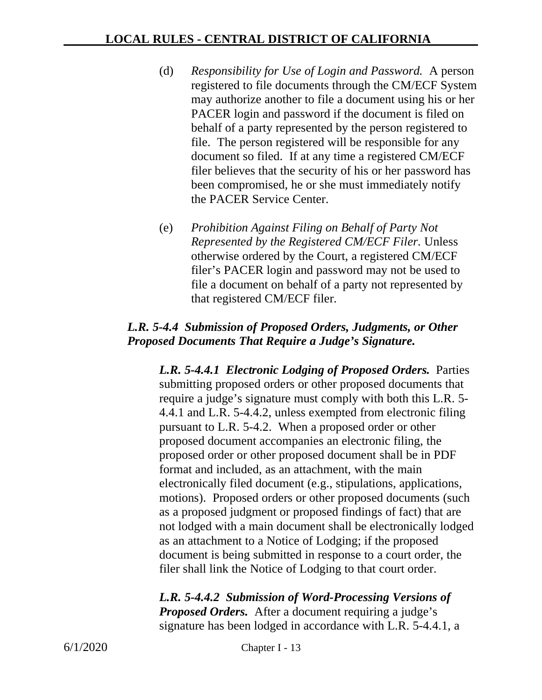- (d) *Responsibility for Use of Login and Password.* A person registered to file documents through the CM/ECF System may authorize another to file a document using his or her PACER login and password if the document is filed on behalf of a party represented by the person registered to file. The person registered will be responsible for any document so filed. If at any time a registered CM/ECF filer believes that the security of his or her password has been compromised, he or she must immediately notify the PACER Service Center.
- (e) *Prohibition Against Filing on Behalf of Party Not Represented by the Registered CM/ECF Filer.* Unless otherwise ordered by the Court, a registered CM/ECF filer's PACER login and password may not be used to file a document on behalf of a party not represented by that registered CM/ECF filer.

### <span id="page-32-1"></span><span id="page-32-0"></span>*L.R. 5-4.4 Submission of Proposed Orders, Judgments, or Other Proposed Documents That Require a Judge's Signature.*

*L.R. 5-4.4.1 Electronic Lodging of Proposed Orders.* Parties submitting proposed orders or other proposed documents that require a judge's signature must comply with both this L.R. 5- 4.4.1 and L.R. 5-4.4.2, unless exempted from electronic filing pursuant to L.R. 5-4.2. When a proposed order or other proposed document accompanies an electronic filing, the proposed order or other proposed document shall be in PDF format and included, as an attachment, with the main electronically filed document (e.g., stipulations, applications, motions). Proposed orders or other proposed documents (such as a proposed judgment or proposed findings of fact) that are not lodged with a main document shall be electronically lodged as an attachment to a Notice of Lodging; if the proposed document is being submitted in response to a court order, the filer shall link the Notice of Lodging to that court order.

<span id="page-32-2"></span>*L.R. 5-4.4.2 Submission of Word-Processing Versions of Proposed Orders.* After a document requiring a judge's signature has been lodged in accordance with L.R. 5-4.4.1, a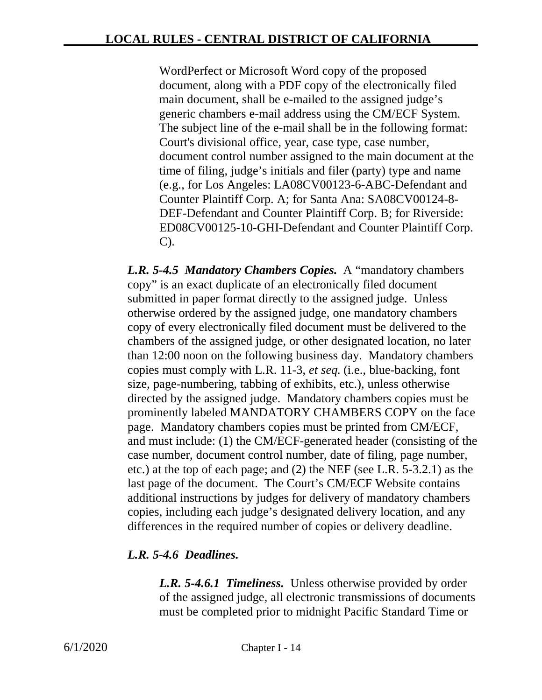WordPerfect or Microsoft Word copy of the proposed document, along with a PDF copy of the electronically filed main document, shall be e-mailed to the assigned judge's generic chambers e-mail address using the CM/ECF System. The subject line of the e-mail shall be in the following format: Court's divisional office, year, case type, case number, document control number assigned to the main document at the time of filing, judge's initials and filer (party) type and name (e.g., for Los Angeles: LA08CV00123-6-ABC-Defendant and Counter Plaintiff Corp. A; for Santa Ana: SA08CV00124-8- DEF-Defendant and Counter Plaintiff Corp. B; for Riverside: ED08CV00125-10-GHI-Defendant and Counter Plaintiff Corp. C).

<span id="page-33-0"></span>*L.R. 5-4.5 Mandatory Chambers Copies.* A "mandatory chambers copy" is an exact duplicate of an electronically filed document submitted in paper format directly to the assigned judge. Unless otherwise ordered by the assigned judge, one mandatory chambers copy of every electronically filed document must be delivered to the chambers of the assigned judge, or other designated location, no later than 12:00 noon on the following business day. Mandatory chambers copies must comply with L.R. 11-3, *et seq.* (i.e., blue-backing, font size, page-numbering, tabbing of exhibits, etc.), unless otherwise directed by the assigned judge. Mandatory chambers copies must be prominently labeled MANDATORY CHAMBERS COPY on the face page. Mandatory chambers copies must be printed from CM/ECF, and must include: (1) the CM/ECF-generated header (consisting of the case number, document control number, date of filing, page number, etc.) at the top of each page; and (2) the NEF (see L.R. 5-3.2.1) as the last page of the document. The Court's CM/ECF Website contains additional instructions by judges for delivery of mandatory chambers copies, including each judge's designated delivery location, and any differences in the required number of copies or delivery deadline.

### <span id="page-33-2"></span><span id="page-33-1"></span>*L.R. 5-4.6 Deadlines.*

*L.R. 5-4.6.1 Timeliness.* Unless otherwise provided by order of the assigned judge, all electronic transmissions of documents must be completed prior to midnight Pacific Standard Time or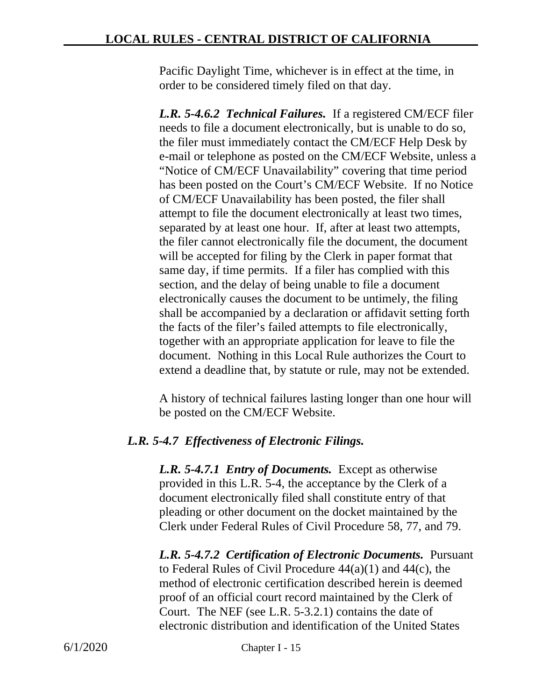Pacific Daylight Time, whichever is in effect at the time, in order to be considered timely filed on that day.

<span id="page-34-0"></span>*L.R. 5-4.6.2 Technical Failures.* If a registered CM/ECF filer needs to file a document electronically, but is unable to do so, the filer must immediately contact the CM/ECF Help Desk by e-mail or telephone as posted on the CM/ECF Website, unless a "Notice of CM/ECF Unavailability" covering that time period has been posted on the Court's CM/ECF Website. If no Notice of CM/ECF Unavailability has been posted, the filer shall attempt to file the document electronically at least two times, separated by at least one hour. If, after at least two attempts, the filer cannot electronically file the document, the document will be accepted for filing by the Clerk in paper format that same day, if time permits. If a filer has complied with this section, and the delay of being unable to file a document electronically causes the document to be untimely, the filing shall be accompanied by a declaration or affidavit setting forth the facts of the filer's failed attempts to file electronically, together with an appropriate application for leave to file the document. Nothing in this Local Rule authorizes the Court to extend a deadline that, by statute or rule, may not be extended.

A history of technical failures lasting longer than one hour will be posted on the CM/ECF Website.

### <span id="page-34-2"></span><span id="page-34-1"></span>*L.R. 5-4.7 Effectiveness of Electronic Filings.*

*L.R. 5-4.7.1 Entry of Documents.* Except as otherwise provided in this L.R. 5-4, the acceptance by the Clerk of a document electronically filed shall constitute entry of that pleading or other document on the docket maintained by the Clerk under Federal Rules of Civil Procedure 58, 77, and 79.

<span id="page-34-3"></span>*L.R. 5-4.7.2 Certification of Electronic Documents.* Pursuant to Federal Rules of Civil Procedure 44(a)(1) and 44(c), the method of electronic certification described herein is deemed proof of an official court record maintained by the Clerk of Court. The NEF (see L.R. 5-3.2.1) contains the date of electronic distribution and identification of the United States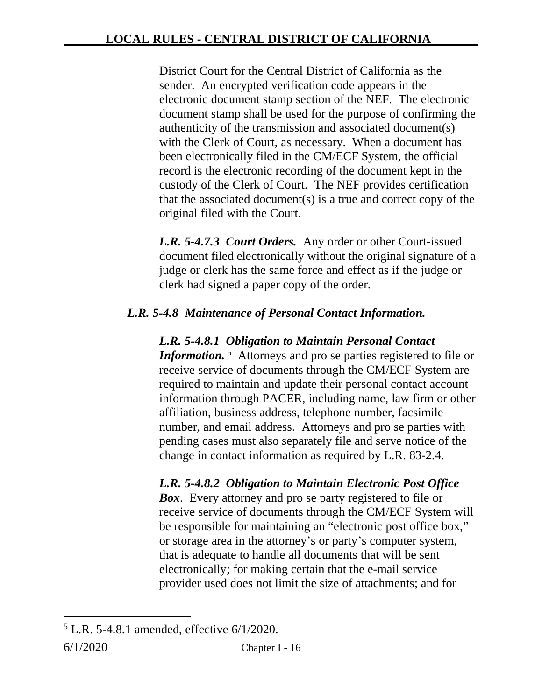District Court for the Central District of California as the sender. An encrypted verification code appears in the electronic document stamp section of the NEF. The electronic document stamp shall be used for the purpose of confirming the authenticity of the transmission and associated document(s) with the Clerk of Court, as necessary. When a document has been electronically filed in the CM/ECF System, the official record is the electronic recording of the document kept in the custody of the Clerk of Court. The NEF provides certification that the associated document(s) is a true and correct copy of the original filed with the Court.

*L.R. 5-4.7.3 Court Orders.* Any order or other Court-issued document filed electronically without the original signature of a judge or clerk has the same force and effect as if the judge or clerk had signed a paper copy of the order.

## <span id="page-35-2"></span><span id="page-35-1"></span><span id="page-35-0"></span>*L.R. 5-4.8 Maintenance of Personal Contact Information.*

*L.R. 5-4.8.1 Obligation to Maintain Personal Contact Information.*<sup>[5](#page-35-4)</sup> Attorneys and pro se parties registered to file or receive service of documents through the CM/ECF System are required to maintain and update their personal contact account information through PACER, including name, law firm or other affiliation, business address, telephone number, facsimile number, and email address. Attorneys and pro se parties with pending cases must also separately file and serve notice of the change in contact information as required by L.R. 83-2.4.

<span id="page-35-3"></span>*L.R. 5-4.8.2 Obligation to Maintain Electronic Post Office Box*. Every attorney and pro se party registered to file or receive service of documents through the CM/ECF System will be responsible for maintaining an "electronic post office box," or storage area in the attorney's or party's computer system, that is adequate to handle all documents that will be sent electronically; for making certain that the e-mail service provider used does not limit the size of attachments; and for

<span id="page-35-4"></span> $5$  L.R. 5-4.8.1 amended, effective  $6/1/2020$ .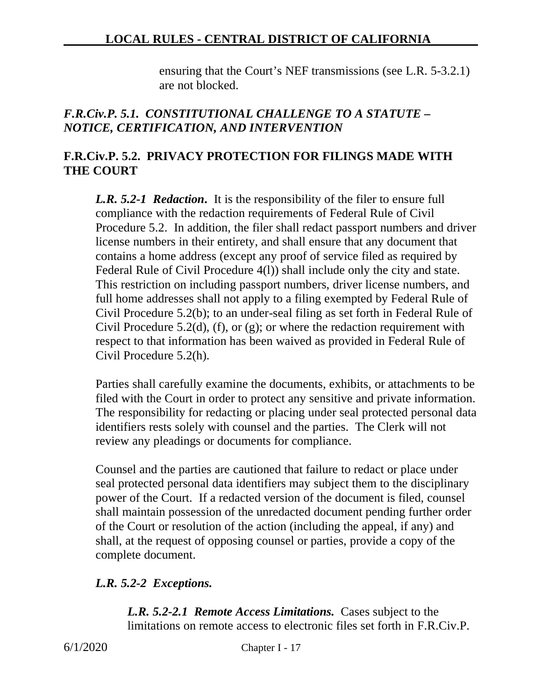ensuring that the Court's NEF transmissions (see L.R. 5-3.2.1) are not blocked.

#### *F.R.Civ.P. 5.1. CONSTITUTIONAL CHALLENGE TO A STATUTE – NOTICE, CERTIFICATION, AND INTERVENTION*

#### **F.R.Civ.P. 5.2. PRIVACY PROTECTION FOR FILINGS MADE WITH THE COURT**

*L.R. 5.2-1 Redaction***.** It is the responsibility of the filer to ensure full compliance with the redaction requirements of Federal Rule of Civil Procedure 5.2. In addition, the filer shall redact passport numbers and driver license numbers in their entirety, and shall ensure that any document that contains a home address (except any proof of service filed as required by Federal Rule of Civil Procedure 4(l)) shall include only the city and state. This restriction on including passport numbers, driver license numbers, and full home addresses shall not apply to a filing exempted by Federal Rule of Civil Procedure 5.2(b); to an under-seal filing as set forth in Federal Rule of Civil Procedure 5.2(d), (f), or (g); or where the redaction requirement with respect to that information has been waived as provided in Federal Rule of Civil Procedure 5.2(h).

Parties shall carefully examine the documents, exhibits, or attachments to be filed with the Court in order to protect any sensitive and private information. The responsibility for redacting or placing under seal protected personal data identifiers rests solely with counsel and the parties. The Clerk will not review any pleadings or documents for compliance.

Counsel and the parties are cautioned that failure to redact or place under seal protected personal data identifiers may subject them to the disciplinary power of the Court. If a redacted version of the document is filed, counsel shall maintain possession of the unredacted document pending further order of the Court or resolution of the action (including the appeal, if any) and shall, at the request of opposing counsel or parties, provide a copy of the complete document.

### *L.R. 5.2-2 Exceptions.*

*L.R. 5.2-2.1 Remote Access Limitations.* Cases subject to the limitations on remote access to electronic files set forth in F.R.Civ.P.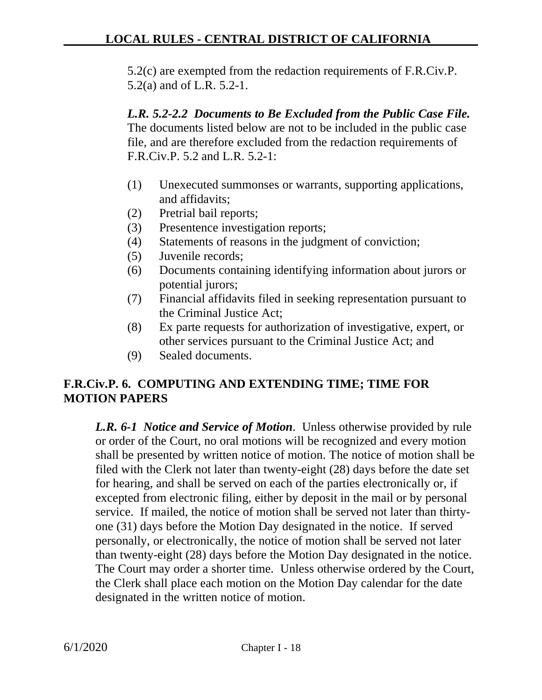5.2(c) are exempted from the redaction requirements of F.R.Civ.P. 5.2(a) and of L.R. 5.2-1.

*L.R. 5.2-2.2 Documents to Be Excluded from the Public Case File.* The documents listed below are not to be included in the public case file, and are therefore excluded from the redaction requirements of F.R.Civ.P. 5.2 and L.R. 5.2-1:

- (1) Unexecuted summonses or warrants, supporting applications, and affidavits;
- (2) Pretrial bail reports;
- (3) Presentence investigation reports;
- (4) Statements of reasons in the judgment of conviction;
- (5) Juvenile records;
- (6) Documents containing identifying information about jurors or potential jurors;
- (7) Financial affidavits filed in seeking representation pursuant to the Criminal Justice Act;
- (8) Ex parte requests for authorization of investigative, expert, or other services pursuant to the Criminal Justice Act; and
- (9) Sealed documents.

### **F.R.Civ.P. 6. COMPUTING AND EXTENDING TIME; TIME FOR MOTION PAPERS**

*L.R. 6-1 Notice and Service of Motion*. Unless otherwise provided by rule or order of the Court, no oral motions will be recognized and every motion shall be presented by written notice of motion. The notice of motion shall be filed with the Clerk not later than twenty-eight (28) days before the date set for hearing, and shall be served on each of the parties electronically or, if excepted from electronic filing, either by deposit in the mail or by personal service. If mailed, the notice of motion shall be served not later than thirtyone (31) days before the Motion Day designated in the notice. If served personally, or electronically, the notice of motion shall be served not later than twenty-eight (28) days before the Motion Day designated in the notice. The Court may order a shorter time. Unless otherwise ordered by the Court, the Clerk shall place each motion on the Motion Day calendar for the date designated in the written notice of motion.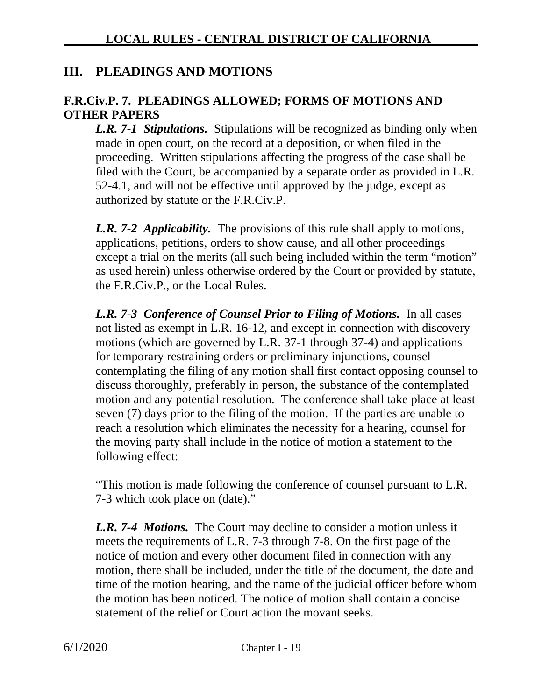# **III. PLEADINGS AND MOTIONS**

### **F.R.Civ.P. 7. PLEADINGS ALLOWED; FORMS OF MOTIONS AND OTHER PAPERS**

*L.R. 7-1 Stipulations.* Stipulations will be recognized as binding only when made in open court, on the record at a deposition, or when filed in the proceeding. Written stipulations affecting the progress of the case shall be filed with the Court, be accompanied by a separate order as provided in L.R. 52-4.1, and will not be effective until approved by the judge, except as authorized by statute or the F.R.Civ.P.

*L.R. 7-2 Applicability.* The provisions of this rule shall apply to motions, applications, petitions, orders to show cause, and all other proceedings except a trial on the merits (all such being included within the term "motion" as used herein) unless otherwise ordered by the Court or provided by statute, the F.R.Civ.P., or the Local Rules.

*L.R. 7-3 Conference of Counsel Prior to Filing of Motions.* In all cases not listed as exempt in L.R. 16-12, and except in connection with discovery motions (which are governed by L.R. 37-1 through 37-4) and applications for temporary restraining orders or preliminary injunctions, counsel contemplating the filing of any motion shall first contact opposing counsel to discuss thoroughly, preferably in person, the substance of the contemplated motion and any potential resolution. The conference shall take place at least seven (7) days prior to the filing of the motion. If the parties are unable to reach a resolution which eliminates the necessity for a hearing, counsel for the moving party shall include in the notice of motion a statement to the following effect:

"This motion is made following the conference of counsel pursuant to L.R. 7-3 which took place on (date)."

*L.R. 7-4 Motions.* The Court may decline to consider a motion unless it meets the requirements of L.R. 7-3 through 7-8. On the first page of the notice of motion and every other document filed in connection with any motion, there shall be included, under the title of the document, the date and time of the motion hearing, and the name of the judicial officer before whom the motion has been noticed. The notice of motion shall contain a concise statement of the relief or Court action the movant seeks.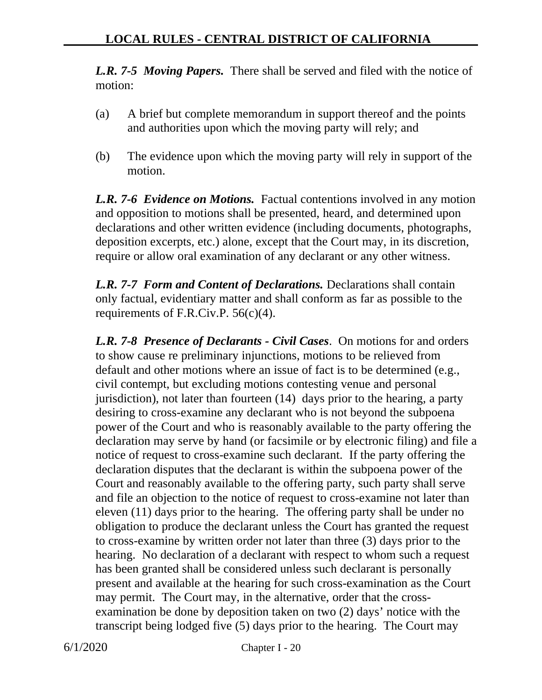*L.R. 7-5 Moving Papers.* There shall be served and filed with the notice of motion:

- (a) A brief but complete memorandum in support thereof and the points and authorities upon which the moving party will rely; and
- (b) The evidence upon which the moving party will rely in support of the motion.

*L.R. 7-6 Evidence on Motions.* Factual contentions involved in any motion and opposition to motions shall be presented, heard, and determined upon declarations and other written evidence (including documents, photographs, deposition excerpts, etc.) alone, except that the Court may, in its discretion, require or allow oral examination of any declarant or any other witness.

*L.R. 7-7 Form and Content of Declarations.* Declarations shall contain only factual, evidentiary matter and shall conform as far as possible to the requirements of F.R.Civ.P.  $56(c)(4)$ .

*L.R. 7-8 Presence of Declarants - Civil Cases*. On motions for and orders to show cause re preliminary injunctions, motions to be relieved from default and other motions where an issue of fact is to be determined (e.g., civil contempt, but excluding motions contesting venue and personal jurisdiction), not later than fourteen (14) days prior to the hearing, a party desiring to cross-examine any declarant who is not beyond the subpoena power of the Court and who is reasonably available to the party offering the declaration may serve by hand (or facsimile or by electronic filing) and file a notice of request to cross-examine such declarant. If the party offering the declaration disputes that the declarant is within the subpoena power of the Court and reasonably available to the offering party, such party shall serve and file an objection to the notice of request to cross-examine not later than eleven (11) days prior to the hearing. The offering party shall be under no obligation to produce the declarant unless the Court has granted the request to cross-examine by written order not later than three (3) days prior to the hearing. No declaration of a declarant with respect to whom such a request has been granted shall be considered unless such declarant is personally present and available at the hearing for such cross-examination as the Court may permit. The Court may, in the alternative, order that the crossexamination be done by deposition taken on two (2) days' notice with the transcript being lodged five (5) days prior to the hearing. The Court may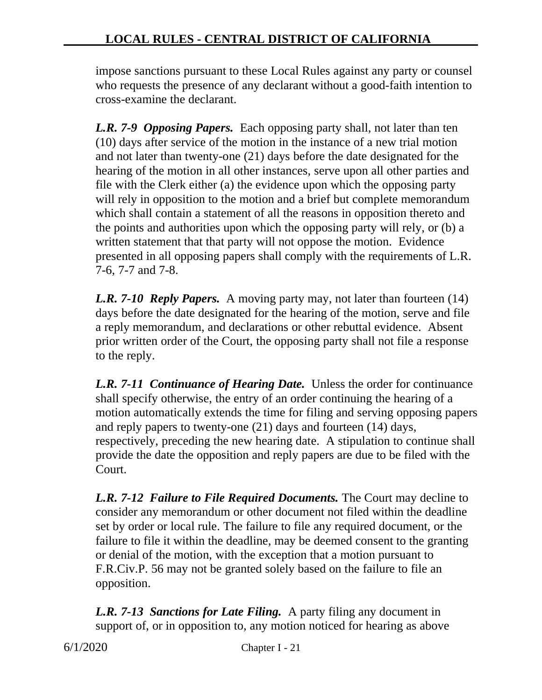impose sanctions pursuant to these Local Rules against any party or counsel who requests the presence of any declarant without a good-faith intention to cross-examine the declarant.

*L.R. 7-9 Opposing Papers.* Each opposing party shall, not later than ten (10) days after service of the motion in the instance of a new trial motion and not later than twenty-one (21) days before the date designated for the hearing of the motion in all other instances, serve upon all other parties and file with the Clerk either (a) the evidence upon which the opposing party will rely in opposition to the motion and a brief but complete memorandum which shall contain a statement of all the reasons in opposition thereto and the points and authorities upon which the opposing party will rely, or (b) a written statement that that party will not oppose the motion. Evidence presented in all opposing papers shall comply with the requirements of L.R. 7-6, 7-7 and 7-8.

*L.R. 7-10 Reply Papers.* A moving party may, not later than fourteen (14) days before the date designated for the hearing of the motion, serve and file a reply memorandum, and declarations or other rebuttal evidence. Absent prior written order of the Court, the opposing party shall not file a response to the reply.

*L.R. 7-11 Continuance of Hearing Date.* Unless the order for continuance shall specify otherwise, the entry of an order continuing the hearing of a motion automatically extends the time for filing and serving opposing papers and reply papers to twenty-one (21) days and fourteen (14) days, respectively, preceding the new hearing date. A stipulation to continue shall provide the date the opposition and reply papers are due to be filed with the Court.

*L.R. 7-12 Failure to File Required Documents.* The Court may decline to consider any memorandum or other document not filed within the deadline set by order or local rule. The failure to file any required document, or the failure to file it within the deadline, may be deemed consent to the granting or denial of the motion, with the exception that a motion pursuant to F.R.Civ.P. 56 may not be granted solely based on the failure to file an opposition.

*L.R. 7-13 Sanctions for Late Filing.* A party filing any document in support of, or in opposition to, any motion noticed for hearing as above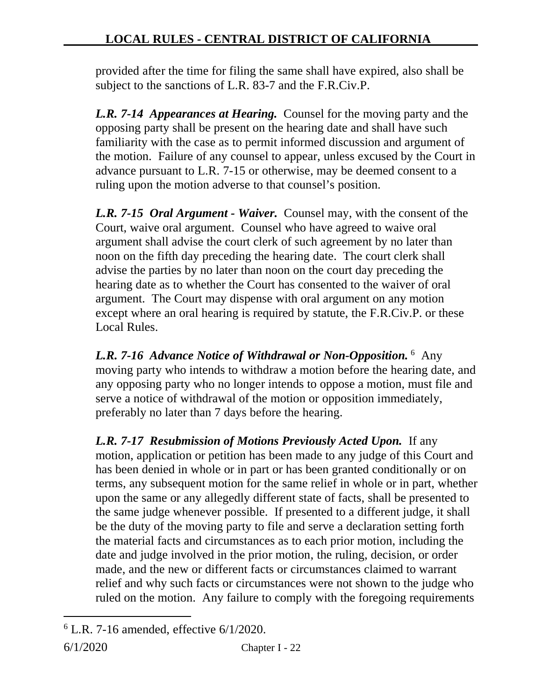provided after the time for filing the same shall have expired, also shall be subject to the sanctions of L.R. 83-7 and the F.R.Civ.P.

*L.R. 7-14 Appearances at Hearing.* Counsel for the moving party and the opposing party shall be present on the hearing date and shall have such familiarity with the case as to permit informed discussion and argument of the motion. Failure of any counsel to appear, unless excused by the Court in advance pursuant to L.R. 7-15 or otherwise, may be deemed consent to a ruling upon the motion adverse to that counsel's position.

*L.R. 7-15 Oral Argument - Waiver.* Counsel may, with the consent of the Court, waive oral argument. Counsel who have agreed to waive oral argument shall advise the court clerk of such agreement by no later than noon on the fifth day preceding the hearing date. The court clerk shall advise the parties by no later than noon on the court day preceding the hearing date as to whether the Court has consented to the waiver of oral argument. The Court may dispense with oral argument on any motion except where an oral hearing is required by statute, the F.R.Civ.P. or these Local Rules.

L.R. 7-1[6](#page-41-0) Advance Notice of Withdrawal or Non-Opposition. <sup>6</sup> Any moving party who intends to withdraw a motion before the hearing date, and any opposing party who no longer intends to oppose a motion, must file and serve a notice of withdrawal of the motion or opposition immediately, preferably no later than 7 days before the hearing.

*L.R. 7-17 Resubmission of Motions Previously Acted Upon.* If any motion, application or petition has been made to any judge of this Court and has been denied in whole or in part or has been granted conditionally or on terms, any subsequent motion for the same relief in whole or in part, whether upon the same or any allegedly different state of facts, shall be presented to the same judge whenever possible. If presented to a different judge, it shall be the duty of the moving party to file and serve a declaration setting forth the material facts and circumstances as to each prior motion, including the date and judge involved in the prior motion, the ruling, decision, or order made, and the new or different facts or circumstances claimed to warrant relief and why such facts or circumstances were not shown to the judge who ruled on the motion. Any failure to comply with the foregoing requirements

<span id="page-41-0"></span> $6$  L.R. 7-16 amended, effective  $6/1/2020$ .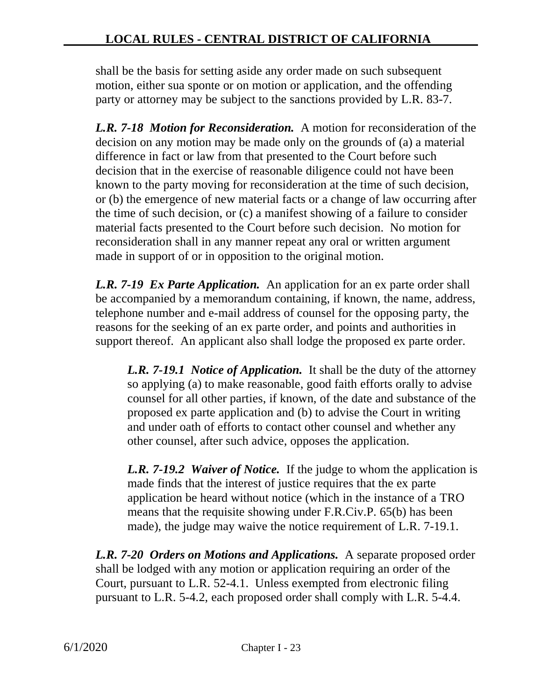shall be the basis for setting aside any order made on such subsequent motion, either sua sponte or on motion or application, and the offending party or attorney may be subject to the sanctions provided by L.R. 83-7.

*L.R. 7-18 Motion for Reconsideration.* A motion for reconsideration of the decision on any motion may be made only on the grounds of (a) a material difference in fact or law from that presented to the Court before such decision that in the exercise of reasonable diligence could not have been known to the party moving for reconsideration at the time of such decision, or (b) the emergence of new material facts or a change of law occurring after the time of such decision, or (c) a manifest showing of a failure to consider material facts presented to the Court before such decision. No motion for reconsideration shall in any manner repeat any oral or written argument made in support of or in opposition to the original motion.

*L.R. 7-19 Ex Parte Application.* An application for an ex parte order shall be accompanied by a memorandum containing, if known, the name, address, telephone number and e-mail address of counsel for the opposing party, the reasons for the seeking of an ex parte order, and points and authorities in support thereof. An applicant also shall lodge the proposed ex parte order.

*L.R. 7-19.1 Notice of Application.* It shall be the duty of the attorney so applying (a) to make reasonable, good faith efforts orally to advise counsel for all other parties, if known, of the date and substance of the proposed ex parte application and (b) to advise the Court in writing and under oath of efforts to contact other counsel and whether any other counsel, after such advice, opposes the application.

*L.R. 7-19.2 Waiver of Notice.* If the judge to whom the application is made finds that the interest of justice requires that the ex parte application be heard without notice (which in the instance of a TRO means that the requisite showing under F.R.Civ.P. 65(b) has been made), the judge may waive the notice requirement of L.R. 7-19.1.

*L.R. 7-20 Orders on Motions and Applications.* A separate proposed order shall be lodged with any motion or application requiring an order of the Court, pursuant to L.R. 52-4.1. Unless exempted from electronic filing pursuant to L.R. 5-4.2, each proposed order shall comply with L.R. 5-4.4.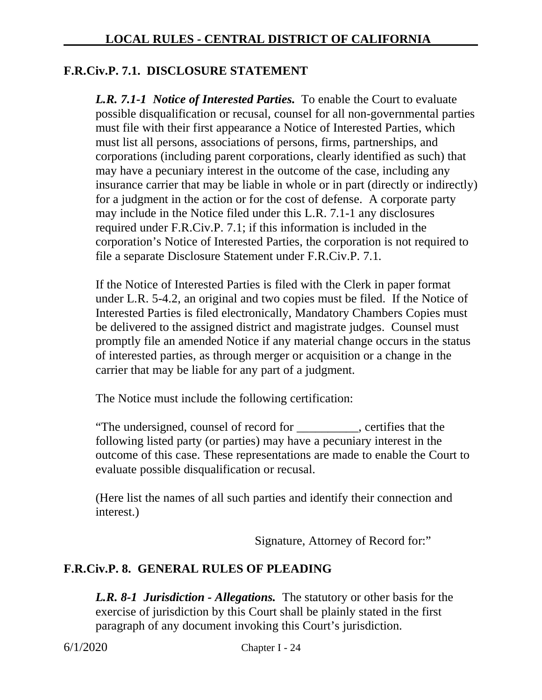### **F.R.Civ.P. 7.1. DISCLOSURE STATEMENT**

*L.R. 7.1-1 Notice of Interested Parties.* To enable the Court to evaluate possible disqualification or recusal, counsel for all non-governmental parties must file with their first appearance a Notice of Interested Parties, which must list all persons, associations of persons, firms, partnerships, and corporations (including parent corporations, clearly identified as such) that may have a pecuniary interest in the outcome of the case, including any insurance carrier that may be liable in whole or in part (directly or indirectly) for a judgment in the action or for the cost of defense. A corporate party may include in the Notice filed under this L.R. 7.1-1 any disclosures required under F.R.Civ.P. 7.1; if this information is included in the corporation's Notice of Interested Parties, the corporation is not required to file a separate Disclosure Statement under F.R.Civ.P. 7.1.

If the Notice of Interested Parties is filed with the Clerk in paper format under L.R. 5-4.2, an original and two copies must be filed. If the Notice of Interested Parties is filed electronically, Mandatory Chambers Copies must be delivered to the assigned district and magistrate judges. Counsel must promptly file an amended Notice if any material change occurs in the status of interested parties, as through merger or acquisition or a change in the carrier that may be liable for any part of a judgment.

The Notice must include the following certification:

"The undersigned, counsel of record for \_\_\_\_\_\_\_\_\_\_, certifies that the following listed party (or parties) may have a pecuniary interest in the outcome of this case. These representations are made to enable the Court to evaluate possible disqualification or recusal.

(Here list the names of all such parties and identify their connection and interest.)

Signature, Attorney of Record for:"

# **F.R.Civ.P. 8. GENERAL RULES OF PLEADING**

*L.R. 8-1 Jurisdiction - Allegations.* The statutory or other basis for the exercise of jurisdiction by this Court shall be plainly stated in the first paragraph of any document invoking this Court's jurisdiction.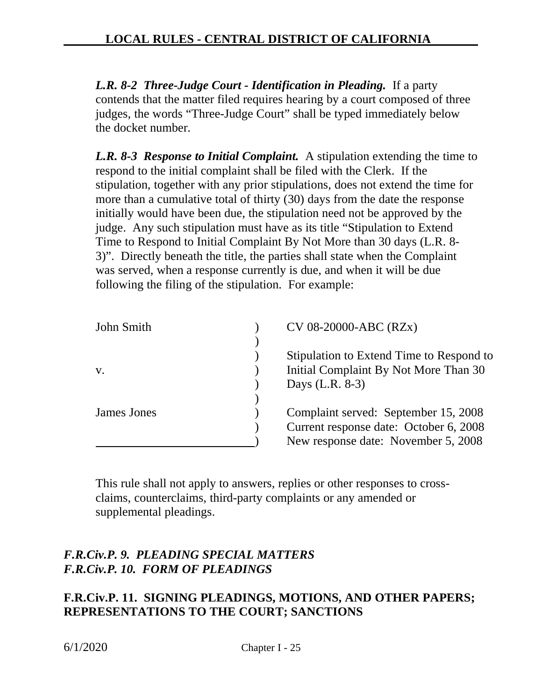*L.R. 8-2 Three-Judge Court - Identification in Pleading.* If a party contends that the matter filed requires hearing by a court composed of three judges, the words "Three-Judge Court" shall be typed immediately below the docket number.

*L.R. 8-3 Response to Initial Complaint.* A stipulation extending the time to respond to the initial complaint shall be filed with the Clerk. If the stipulation, together with any prior stipulations, does not extend the time for more than a cumulative total of thirty (30) days from the date the response initially would have been due, the stipulation need not be approved by the judge. Any such stipulation must have as its title "Stipulation to Extend Time to Respond to Initial Complaint By Not More than 30 days (L.R. 8- 3)". Directly beneath the title, the parties shall state when the Complaint was served, when a response currently is due, and when it will be due following the filing of the stipulation. For example:

| John Smith  | $CV 08-20000-ABC (RZx)$                  |  |
|-------------|------------------------------------------|--|
|             |                                          |  |
|             | Stipulation to Extend Time to Respond to |  |
| $V_{\cdot}$ | Initial Complaint By Not More Than 30    |  |
|             | Days $(L.R. 8-3)$                        |  |
|             |                                          |  |
| James Jones | Complaint served: September 15, 2008     |  |
|             | Current response date: October 6, 2008   |  |
|             | New response date: November 5, 2008      |  |

This rule shall not apply to answers, replies or other responses to crossclaims, counterclaims, third-party complaints or any amended or supplemental pleadings.

### *F.R.Civ.P. 9. PLEADING SPECIAL MATTERS F.R.Civ.P. 10. FORM OF PLEADINGS*

### **F.R.Civ.P. 11. SIGNING PLEADINGS, MOTIONS, AND OTHER PAPERS; REPRESENTATIONS TO THE COURT; SANCTIONS**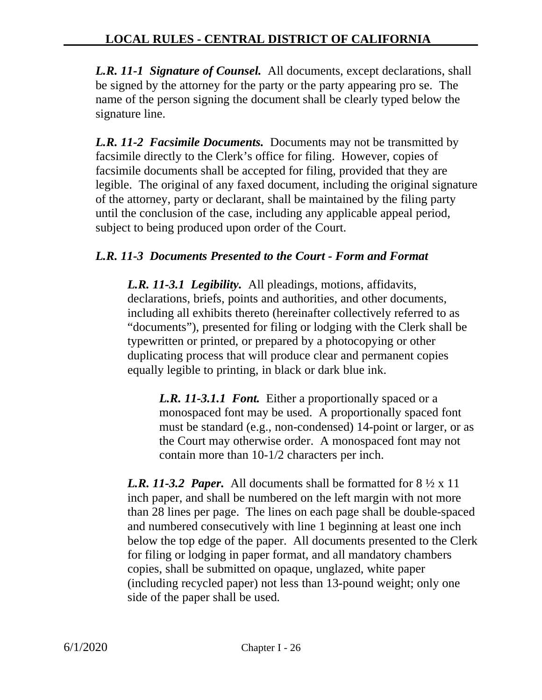*L.R. 11-1 Signature of Counsel.* All documents, except declarations, shall be signed by the attorney for the party or the party appearing pro se. The name of the person signing the document shall be clearly typed below the signature line.

*L.R. 11-2 Facsimile Documents.* Documents may not be transmitted by facsimile directly to the Clerk's office for filing. However, copies of facsimile documents shall be accepted for filing, provided that they are legible. The original of any faxed document, including the original signature of the attorney, party or declarant, shall be maintained by the filing party until the conclusion of the case, including any applicable appeal period, subject to being produced upon order of the Court.

### *L.R. 11-3 Documents Presented to the Court - Form and Format*

*L.R. 11-3.1 Legibility.* All pleadings, motions, affidavits, declarations, briefs, points and authorities, and other documents, including all exhibits thereto (hereinafter collectively referred to as "documents"), presented for filing or lodging with the Clerk shall be typewritten or printed, or prepared by a photocopying or other duplicating process that will produce clear and permanent copies equally legible to printing, in black or dark blue ink.

*L.R. 11-3.1.1 Font.* Either a proportionally spaced or a monospaced font may be used. A proportionally spaced font must be standard (e.g., non-condensed) 14-point or larger, or as the Court may otherwise order. A monospaced font may not contain more than 10-1/2 characters per inch.

*L.R. 11-3.2 Paper.* All documents shall be formatted for 8 ½ x 11 inch paper, and shall be numbered on the left margin with not more than 28 lines per page. The lines on each page shall be double-spaced and numbered consecutively with line 1 beginning at least one inch below the top edge of the paper. All documents presented to the Clerk for filing or lodging in paper format, and all mandatory chambers copies, shall be submitted on opaque, unglazed, white paper (including recycled paper) not less than 13-pound weight; only one side of the paper shall be used.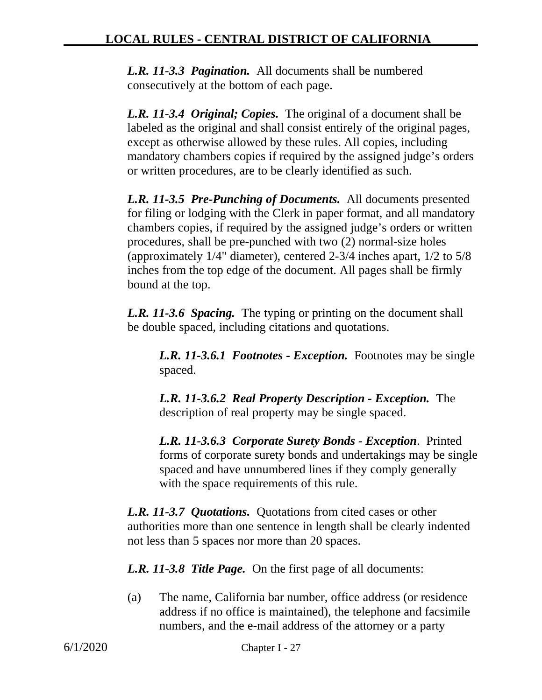*L.R. 11-3.3 Pagination.* All documents shall be numbered consecutively at the bottom of each page.

*L.R. 11-3.4 Original; Copies.* The original of a document shall be labeled as the original and shall consist entirely of the original pages, except as otherwise allowed by these rules. All copies, including mandatory chambers copies if required by the assigned judge's orders or written procedures, are to be clearly identified as such.

*L.R. 11-3.5 Pre-Punching of Documents.* All documents presented for filing or lodging with the Clerk in paper format, and all mandatory chambers copies, if required by the assigned judge's orders or written procedures, shall be pre-punched with two (2) normal-size holes (approximately 1/4" diameter), centered 2-3/4 inches apart, 1/2 to 5/8 inches from the top edge of the document. All pages shall be firmly bound at the top.

*L.R. 11-3.6 Spacing.* The typing or printing on the document shall be double spaced, including citations and quotations.

*L.R. 11-3.6.1 Footnotes - Exception.* Footnotes may be single spaced.

*L.R. 11-3.6.2 Real Property Description - Exception.* The description of real property may be single spaced.

*L.R. 11-3.6.3 Corporate Surety Bonds - Exception*. Printed forms of corporate surety bonds and undertakings may be single spaced and have unnumbered lines if they comply generally with the space requirements of this rule.

*L.R. 11-3.7 Quotations.* Quotations from cited cases or other authorities more than one sentence in length shall be clearly indented not less than 5 spaces nor more than 20 spaces.

*L.R. 11-3.8 Title Page.* On the first page of all documents:

(a) The name, California bar number, office address (or residence address if no office is maintained), the telephone and facsimile numbers, and the e-mail address of the attorney or a party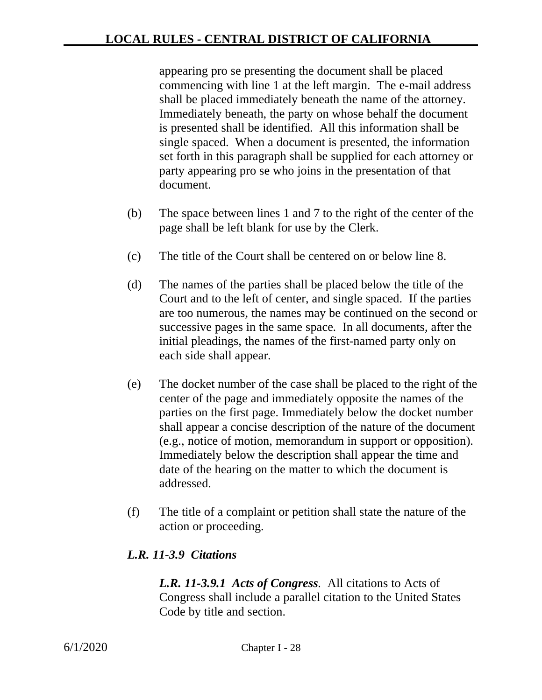appearing pro se presenting the document shall be placed commencing with line 1 at the left margin. The e-mail address shall be placed immediately beneath the name of the attorney. Immediately beneath, the party on whose behalf the document is presented shall be identified. All this information shall be single spaced. When a document is presented, the information set forth in this paragraph shall be supplied for each attorney or party appearing pro se who joins in the presentation of that document.

- (b) The space between lines 1 and 7 to the right of the center of the page shall be left blank for use by the Clerk.
- (c) The title of the Court shall be centered on or below line 8.
- (d) The names of the parties shall be placed below the title of the Court and to the left of center, and single spaced. If the parties are too numerous, the names may be continued on the second or successive pages in the same space. In all documents, after the initial pleadings, the names of the first-named party only on each side shall appear.
- (e) The docket number of the case shall be placed to the right of the center of the page and immediately opposite the names of the parties on the first page. Immediately below the docket number shall appear a concise description of the nature of the document (e.g., notice of motion, memorandum in support or opposition). Immediately below the description shall appear the time and date of the hearing on the matter to which the document is addressed.
- (f) The title of a complaint or petition shall state the nature of the action or proceeding.

# *L.R. 11-3.9 Citations*

*L.R. 11-3.9.1 Acts of Congress*. All citations to Acts of Congress shall include a parallel citation to the United States Code by title and section.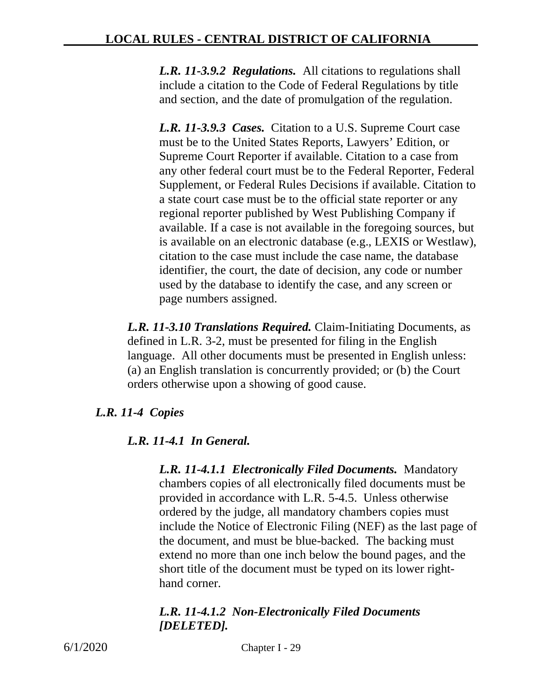*L.R. 11-3.9.2 Regulations.* All citations to regulations shall include a citation to the Code of Federal Regulations by title and section, and the date of promulgation of the regulation.

*L.R. 11-3.9.3 Cases.* Citation to a U.S. Supreme Court case must be to the United States Reports, Lawyers' Edition, or Supreme Court Reporter if available. Citation to a case from any other federal court must be to the Federal Reporter, Federal Supplement, or Federal Rules Decisions if available. Citation to a state court case must be to the official state reporter or any regional reporter published by West Publishing Company if available. If a case is not available in the foregoing sources, but is available on an electronic database (e.g., LEXIS or Westlaw), citation to the case must include the case name, the database identifier, the court, the date of decision, any code or number used by the database to identify the case, and any screen or page numbers assigned.

*L.R. 11-3.10 Translations Required.* Claim-Initiating Documents, as defined in L.R. 3-2, must be presented for filing in the English language. All other documents must be presented in English unless: (a) an English translation is concurrently provided; or (b) the Court orders otherwise upon a showing of good cause.

# *L.R. 11-4 Copies*

# *L.R. 11-4.1 In General.*

*L.R. 11-4.1.1 Electronically Filed Documents.* Mandatory chambers copies of all electronically filed documents must be provided in accordance with L.R. 5-4.5. Unless otherwise ordered by the judge, all mandatory chambers copies must include the Notice of Electronic Filing (NEF) as the last page of the document, and must be blue-backed. The backing must extend no more than one inch below the bound pages, and the short title of the document must be typed on its lower righthand corner.

#### *L.R. 11-4.1.2 Non-Electronically Filed Documents [DELETED].*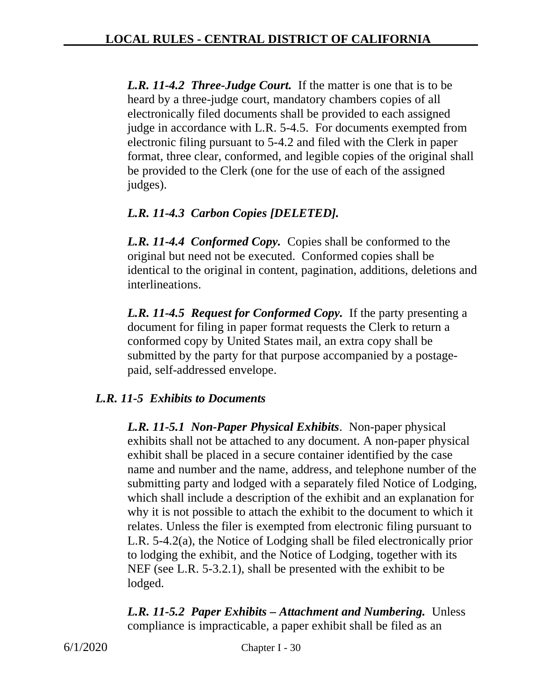*L.R. 11-4.2 Three-Judge Court.* If the matter is one that is to be heard by a three-judge court, mandatory chambers copies of all electronically filed documents shall be provided to each assigned judge in accordance with L.R. 5-4.5. For documents exempted from electronic filing pursuant to 5-4.2 and filed with the Clerk in paper format, three clear, conformed, and legible copies of the original shall be provided to the Clerk (one for the use of each of the assigned judges).

# *L.R. 11-4.3 Carbon Copies [DELETED].*

*L.R. 11-4.4 Conformed Copy.* Copies shall be conformed to the original but need not be executed. Conformed copies shall be identical to the original in content, pagination, additions, deletions and interlineations.

*L.R. 11-4.5 Request for Conformed Copy.* If the party presenting a document for filing in paper format requests the Clerk to return a conformed copy by United States mail, an extra copy shall be submitted by the party for that purpose accompanied by a postagepaid, self-addressed envelope.

# *L.R. 11-5 Exhibits to Documents*

*L.R. 11-5.1 Non-Paper Physical Exhibits*. Non-paper physical exhibits shall not be attached to any document. A non-paper physical exhibit shall be placed in a secure container identified by the case name and number and the name, address, and telephone number of the submitting party and lodged with a separately filed Notice of Lodging, which shall include a description of the exhibit and an explanation for why it is not possible to attach the exhibit to the document to which it relates. Unless the filer is exempted from electronic filing pursuant to L.R. 5-4.2(a), the Notice of Lodging shall be filed electronically prior to lodging the exhibit, and the Notice of Lodging, together with its NEF (see L.R. 5-3.2.1), shall be presented with the exhibit to be lodged.

*L.R. 11-5.2 Paper Exhibits – Attachment and Numbering.* Unless compliance is impracticable, a paper exhibit shall be filed as an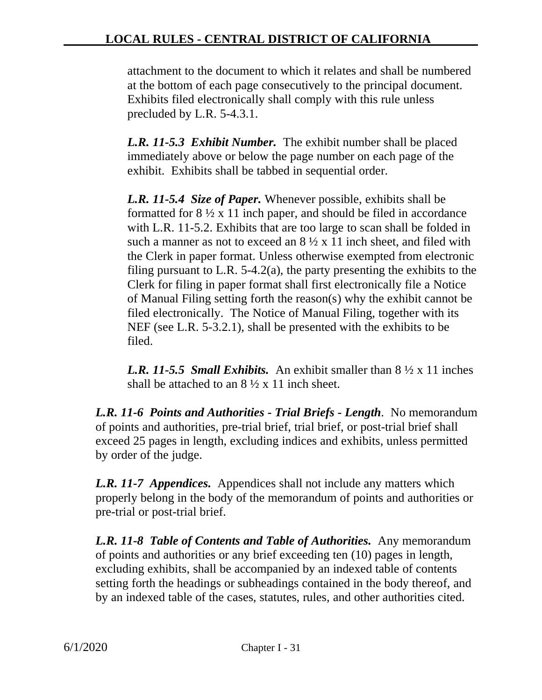attachment to the document to which it relates and shall be numbered at the bottom of each page consecutively to the principal document. Exhibits filed electronically shall comply with this rule unless precluded by L.R. 5-4.3.1.

*L.R. 11-5.3 Exhibit Number.* The exhibit number shall be placed immediately above or below the page number on each page of the exhibit. Exhibits shall be tabbed in sequential order.

*L.R. 11-5.4 Size of Paper.* Whenever possible, exhibits shall be formatted for  $8\frac{1}{2}$  x 11 inch paper, and should be filed in accordance with L.R. 11-5.2. Exhibits that are too large to scan shall be folded in such a manner as not to exceed an  $8\frac{1}{2} \times 11$  inch sheet, and filed with the Clerk in paper format. Unless otherwise exempted from electronic filing pursuant to L.R. 5-4.2(a), the party presenting the exhibits to the Clerk for filing in paper format shall first electronically file a Notice of Manual Filing setting forth the reason(s) why the exhibit cannot be filed electronically. The Notice of Manual Filing, together with its NEF (see L.R. 5-3.2.1), shall be presented with the exhibits to be filed.

*L.R. 11-5.5 Small Exhibits.* An exhibit smaller than 8 ½ x 11 inches shall be attached to an  $8\frac{1}{2} \times 11$  inch sheet.

*L.R. 11-6 Points and Authorities - Trial Briefs - Length*. No memorandum of points and authorities, pre-trial brief, trial brief, or post-trial brief shall exceed 25 pages in length, excluding indices and exhibits, unless permitted by order of the judge.

*L.R. 11-7 Appendices.* Appendices shall not include any matters which properly belong in the body of the memorandum of points and authorities or pre-trial or post-trial brief.

*L.R. 11-8 Table of Contents and Table of Authorities.* Any memorandum of points and authorities or any brief exceeding ten (10) pages in length, excluding exhibits, shall be accompanied by an indexed table of contents setting forth the headings or subheadings contained in the body thereof, and by an indexed table of the cases, statutes, rules, and other authorities cited.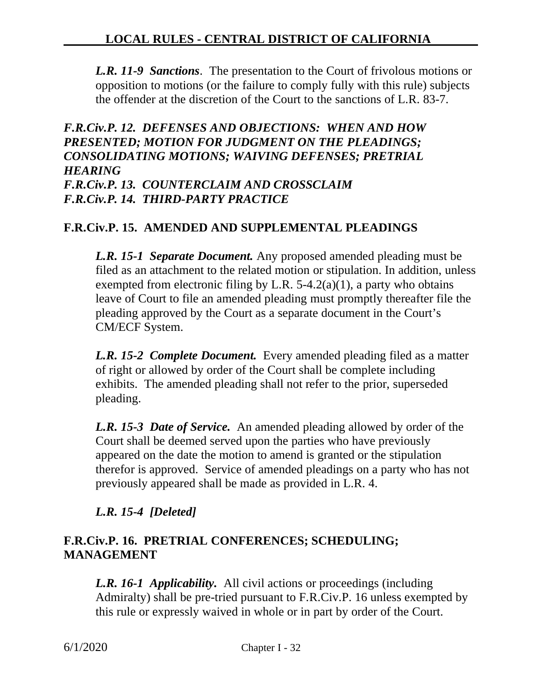*L.R. 11-9 Sanctions*. The presentation to the Court of frivolous motions or opposition to motions (or the failure to comply fully with this rule) subjects the offender at the discretion of the Court to the sanctions of L.R. 83-7.

#### *F.R.Civ.P. 12. DEFENSES AND OBJECTIONS: WHEN AND HOW PRESENTED; MOTION FOR JUDGMENT ON THE PLEADINGS; CONSOLIDATING MOTIONS; WAIVING DEFENSES; PRETRIAL HEARING F.R.Civ.P. 13. COUNTERCLAIM AND CROSSCLAIM F.R.Civ.P. 14. THIRD-PARTY PRACTICE*

# **F.R.Civ.P. 15. AMENDED AND SUPPLEMENTAL PLEADINGS**

*L.R. 15-1 Separate Document.* Any proposed amended pleading must be filed as an attachment to the related motion or stipulation. In addition, unless exempted from electronic filing by L.R.  $5-4.2(a)(1)$ , a party who obtains leave of Court to file an amended pleading must promptly thereafter file the pleading approved by the Court as a separate document in the Court's CM/ECF System.

*L.R. 15-2 Complete Document.* Every amended pleading filed as a matter of right or allowed by order of the Court shall be complete including exhibits. The amended pleading shall not refer to the prior, superseded pleading.

*L.R. 15-3 Date of Service.* An amended pleading allowed by order of the Court shall be deemed served upon the parties who have previously appeared on the date the motion to amend is granted or the stipulation therefor is approved. Service of amended pleadings on a party who has not previously appeared shall be made as provided in L.R. 4.

# *L.R. 15-4 [Deleted]*

### **F.R.Civ.P. 16. PRETRIAL CONFERENCES; SCHEDULING; MANAGEMENT**

*L.R. 16-1 Applicability.* All civil actions or proceedings (including Admiralty) shall be pre-tried pursuant to F.R.Civ.P. 16 unless exempted by this rule or expressly waived in whole or in part by order of the Court.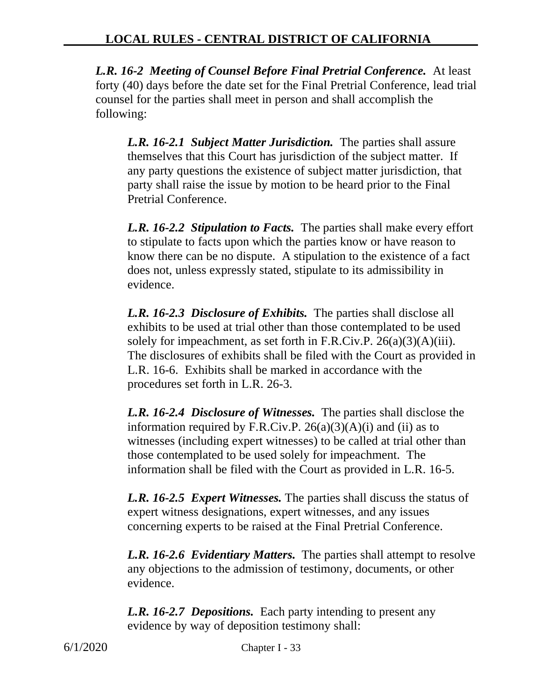*L.R. 16-2 Meeting of Counsel Before Final Pretrial Conference.* At least forty (40) days before the date set for the Final Pretrial Conference, lead trial counsel for the parties shall meet in person and shall accomplish the following:

*L.R. 16-2.1 Subject Matter Jurisdiction.* The parties shall assure themselves that this Court has jurisdiction of the subject matter. If any party questions the existence of subject matter jurisdiction, that party shall raise the issue by motion to be heard prior to the Final Pretrial Conference.

*L.R. 16-2.2 Stipulation to Facts.* The parties shall make every effort to stipulate to facts upon which the parties know or have reason to know there can be no dispute. A stipulation to the existence of a fact does not, unless expressly stated, stipulate to its admissibility in evidence.

*L.R. 16-2.3 Disclosure of Exhibits.* The parties shall disclose all exhibits to be used at trial other than those contemplated to be used solely for impeachment, as set forth in F.R.Civ.P. 26(a)(3)(A)(iii). The disclosures of exhibits shall be filed with the Court as provided in L.R. 16-6. Exhibits shall be marked in accordance with the procedures set forth in L.R. 26-3.

*L.R. 16-2.4 Disclosure of Witnesses.* The parties shall disclose the information required by F.R.Civ.P.  $26(a)(3)(A)(i)$  and (ii) as to witnesses (including expert witnesses) to be called at trial other than those contemplated to be used solely for impeachment. The information shall be filed with the Court as provided in L.R. 16-5.

*L.R. 16-2.5 Expert Witnesses.* The parties shall discuss the status of expert witness designations, expert witnesses, and any issues concerning experts to be raised at the Final Pretrial Conference.

*L.R. 16-2.6 Evidentiary Matters.* The parties shall attempt to resolve any objections to the admission of testimony, documents, or other evidence.

*L.R. 16-2.7 Depositions.* Each party intending to present any evidence by way of deposition testimony shall: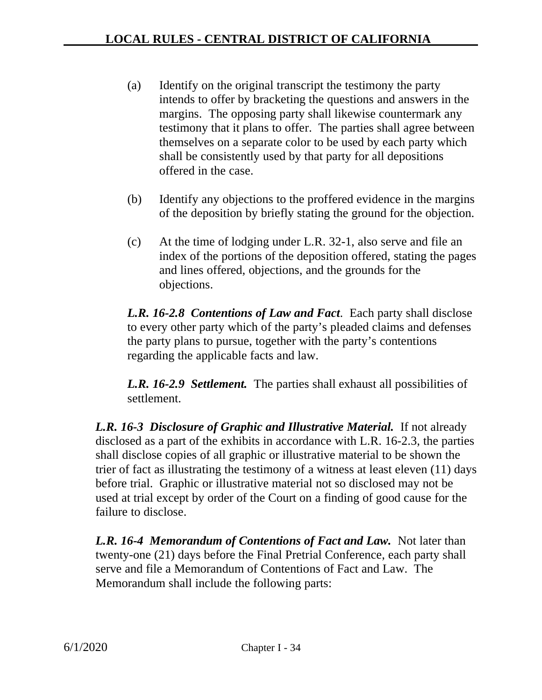- (a) Identify on the original transcript the testimony the party intends to offer by bracketing the questions and answers in the margins. The opposing party shall likewise countermark any testimony that it plans to offer. The parties shall agree between themselves on a separate color to be used by each party which shall be consistently used by that party for all depositions offered in the case.
- (b) Identify any objections to the proffered evidence in the margins of the deposition by briefly stating the ground for the objection.
- (c) At the time of lodging under L.R. 32-1, also serve and file an index of the portions of the deposition offered, stating the pages and lines offered, objections, and the grounds for the objections.

*L.R. 16-2.8 Contentions of Law and Fact*. Each party shall disclose to every other party which of the party's pleaded claims and defenses the party plans to pursue, together with the party's contentions regarding the applicable facts and law.

*L.R. 16-2.9 Settlement.* The parties shall exhaust all possibilities of settlement.

*L.R. 16-3 Disclosure of Graphic and Illustrative Material.* If not already disclosed as a part of the exhibits in accordance with L.R. 16-2.3, the parties shall disclose copies of all graphic or illustrative material to be shown the trier of fact as illustrating the testimony of a witness at least eleven (11) days before trial. Graphic or illustrative material not so disclosed may not be used at trial except by order of the Court on a finding of good cause for the failure to disclose.

*L.R. 16-4 Memorandum of Contentions of Fact and Law.* Not later than twenty-one (21) days before the Final Pretrial Conference, each party shall serve and file a Memorandum of Contentions of Fact and Law. The Memorandum shall include the following parts: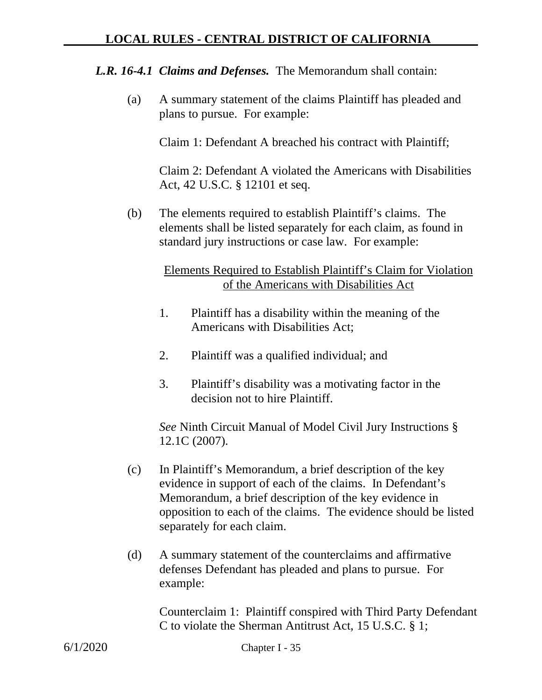#### *L.R. 16-4.1 Claims and Defenses.* The Memorandum shall contain:

(a) A summary statement of the claims Plaintiff has pleaded and plans to pursue. For example:

Claim 1: Defendant A breached his contract with Plaintiff;

Claim 2: Defendant A violated the Americans with Disabilities Act, 42 U.S.C. § 12101 et seq.

(b) The elements required to establish Plaintiff's claims. The elements shall be listed separately for each claim, as found in standard jury instructions or case law. For example:

#### Elements Required to Establish Plaintiff's Claim for Violation of the Americans with Disabilities Act

- 1. Plaintiff has a disability within the meaning of the Americans with Disabilities Act;
- 2. Plaintiff was a qualified individual; and
- 3. Plaintiff's disability was a motivating factor in the decision not to hire Plaintiff.

*See* Ninth Circuit Manual of Model Civil Jury Instructions § 12.1C (2007).

- (c) In Plaintiff's Memorandum, a brief description of the key evidence in support of each of the claims. In Defendant's Memorandum, a brief description of the key evidence in opposition to each of the claims. The evidence should be listed separately for each claim.
- (d) A summary statement of the counterclaims and affirmative defenses Defendant has pleaded and plans to pursue. For example:

Counterclaim 1: Plaintiff conspired with Third Party Defendant C to violate the Sherman Antitrust Act, 15 U.S.C. § 1;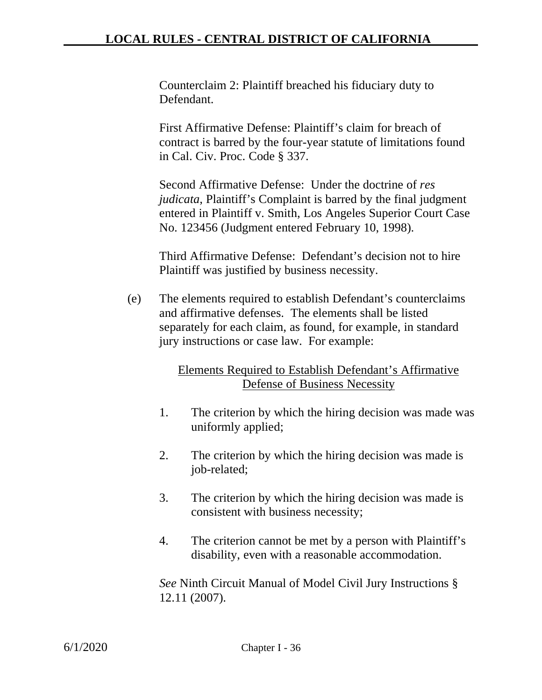Counterclaim 2: Plaintiff breached his fiduciary duty to Defendant.

First Affirmative Defense: Plaintiff's claim for breach of contract is barred by the four-year statute of limitations found in Cal. Civ. Proc. Code § 337.

Second Affirmative Defense: Under the doctrine of *res judicata*, Plaintiff's Complaint is barred by the final judgment entered in Plaintiff v. Smith, Los Angeles Superior Court Case No. 123456 (Judgment entered February 10, 1998).

Third Affirmative Defense: Defendant's decision not to hire Plaintiff was justified by business necessity.

(e) The elements required to establish Defendant's counterclaims and affirmative defenses. The elements shall be listed separately for each claim, as found, for example, in standard jury instructions or case law. For example:

#### Elements Required to Establish Defendant's Affirmative Defense of Business Necessity

- 1. The criterion by which the hiring decision was made was uniformly applied;
- 2. The criterion by which the hiring decision was made is job-related;
- 3. The criterion by which the hiring decision was made is consistent with business necessity;
- 4. The criterion cannot be met by a person with Plaintiff's disability, even with a reasonable accommodation.

*See* Ninth Circuit Manual of Model Civil Jury Instructions § 12.11 (2007).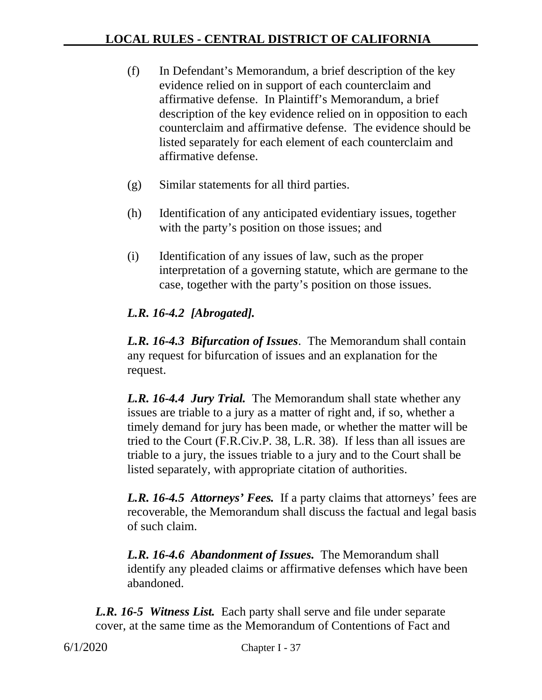- (f) In Defendant's Memorandum, a brief description of the key evidence relied on in support of each counterclaim and affirmative defense. In Plaintiff's Memorandum, a brief description of the key evidence relied on in opposition to each counterclaim and affirmative defense. The evidence should be listed separately for each element of each counterclaim and affirmative defense.
- (g) Similar statements for all third parties.
- (h) Identification of any anticipated evidentiary issues, together with the party's position on those issues; and
- (i) Identification of any issues of law, such as the proper interpretation of a governing statute, which are germane to the case, together with the party's position on those issues.

# *L.R. 16-4.2 [Abrogated].*

*L.R. 16-4.3 Bifurcation of Issues*. The Memorandum shall contain any request for bifurcation of issues and an explanation for the request.

*L.R. 16-4.4 Jury Trial.* The Memorandum shall state whether any issues are triable to a jury as a matter of right and, if so, whether a timely demand for jury has been made, or whether the matter will be tried to the Court (F.R.Civ.P. 38, L.R. 38). If less than all issues are triable to a jury, the issues triable to a jury and to the Court shall be listed separately, with appropriate citation of authorities.

*L.R. 16-4.5 Attorneys' Fees.* If a party claims that attorneys' fees are recoverable, the Memorandum shall discuss the factual and legal basis of such claim.

*L.R. 16-4.6 Abandonment of Issues.* The Memorandum shall identify any pleaded claims or affirmative defenses which have been abandoned.

*L.R. 16-5 Witness List.* Each party shall serve and file under separate cover, at the same time as the Memorandum of Contentions of Fact and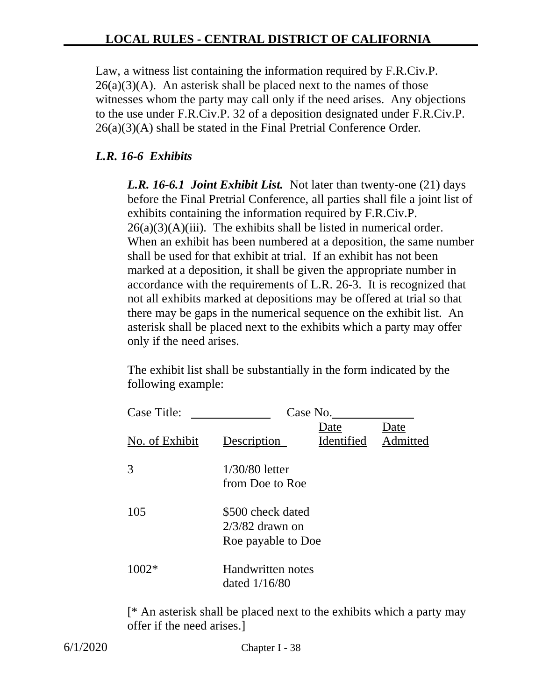Law, a witness list containing the information required by F.R.Civ.P.  $26(a)(3)(A)$ . An asterisk shall be placed next to the names of those witnesses whom the party may call only if the need arises. Any objections to the use under F.R.Civ.P. 32 of a deposition designated under F.R.Civ.P. 26(a)(3)(A) shall be stated in the Final Pretrial Conference Order.

# *L.R. 16-6 Exhibits*

*L.R. 16-6.1 Joint Exhibit List.* Not later than twenty-one (21) days before the Final Pretrial Conference, all parties shall file a joint list of exhibits containing the information required by F.R.Civ.P.  $26(a)(3)(A)(iii)$ . The exhibits shall be listed in numerical order. When an exhibit has been numbered at a deposition, the same number shall be used for that exhibit at trial. If an exhibit has not been marked at a deposition, it shall be given the appropriate number in accordance with the requirements of L.R. 26-3. It is recognized that not all exhibits marked at depositions may be offered at trial so that there may be gaps in the numerical sequence on the exhibit list. An asterisk shall be placed next to the exhibits which a party may offer only if the need arises.

The exhibit list shall be substantially in the form indicated by the following example:

| Case Title:    | Case No.                                                     |            |          |  |
|----------------|--------------------------------------------------------------|------------|----------|--|
|                |                                                              | Date       | Date     |  |
| No. of Exhibit | Description                                                  | Identified | Admitted |  |
| 3              | $1/30/80$ letter<br>from Doe to Roe                          |            |          |  |
| 105            | \$500 check dated<br>$2/3/82$ drawn on<br>Roe payable to Doe |            |          |  |
| $1002*$        | Handwritten notes<br>dated $1/16/80$                         |            |          |  |

[\* An asterisk shall be placed next to the exhibits which a party may offer if the need arises.]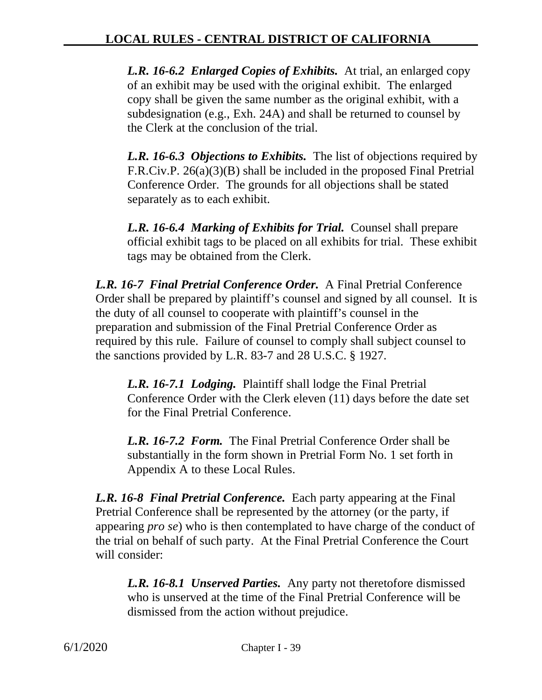*L.R. 16-6.2 Enlarged Copies of Exhibits.* At trial, an enlarged copy of an exhibit may be used with the original exhibit. The enlarged copy shall be given the same number as the original exhibit, with a subdesignation (e.g., Exh. 24A) and shall be returned to counsel by the Clerk at the conclusion of the trial.

*L.R. 16-6.3 Objections to Exhibits.* The list of objections required by F.R.Civ.P. 26(a)(3)(B) shall be included in the proposed Final Pretrial Conference Order. The grounds for all objections shall be stated separately as to each exhibit.

*L.R. 16-6.4 Marking of Exhibits for Trial.* Counsel shall prepare official exhibit tags to be placed on all exhibits for trial. These exhibit tags may be obtained from the Clerk.

*L.R. 16-7 Final Pretrial Conference Order.* A Final Pretrial Conference Order shall be prepared by plaintiff's counsel and signed by all counsel. It is the duty of all counsel to cooperate with plaintiff's counsel in the preparation and submission of the Final Pretrial Conference Order as required by this rule. Failure of counsel to comply shall subject counsel to the sanctions provided by L.R. 83-7 and 28 U.S.C. § 1927.

*L.R. 16-7.1 Lodging.* Plaintiff shall lodge the Final Pretrial Conference Order with the Clerk eleven (11) days before the date set for the Final Pretrial Conference.

*L.R. 16-7.2 Form.* The Final Pretrial Conference Order shall be substantially in the form shown in Pretrial Form No. 1 set forth in Appendix A to these Local Rules.

*L.R. 16-8 Final Pretrial Conference.* Each party appearing at the Final Pretrial Conference shall be represented by the attorney (or the party, if appearing *pro se*) who is then contemplated to have charge of the conduct of the trial on behalf of such party. At the Final Pretrial Conference the Court will consider:

*L.R. 16-8.1 Unserved Parties.* Any party not theretofore dismissed who is unserved at the time of the Final Pretrial Conference will be dismissed from the action without prejudice.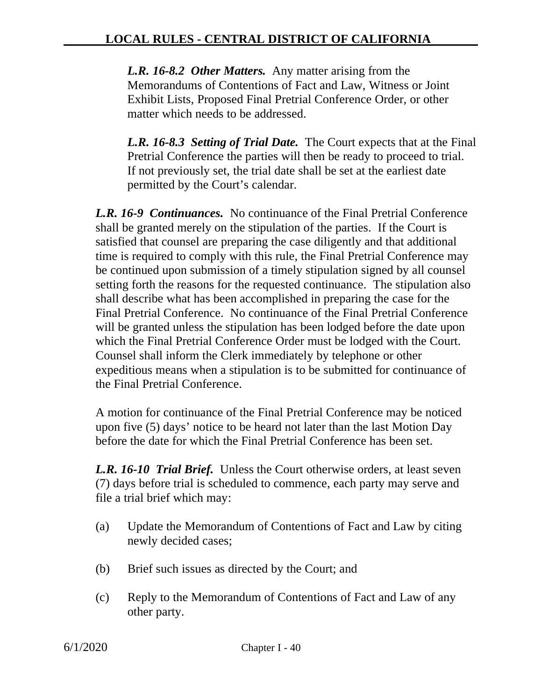*L.R. 16-8.2 Other Matters.* Any matter arising from the Memorandums of Contentions of Fact and Law, Witness or Joint Exhibit Lists, Proposed Final Pretrial Conference Order, or other matter which needs to be addressed.

*L.R. 16-8.3 Setting of Trial Date.* The Court expects that at the Final Pretrial Conference the parties will then be ready to proceed to trial. If not previously set, the trial date shall be set at the earliest date permitted by the Court's calendar.

*L.R. 16-9 Continuances.* No continuance of the Final Pretrial Conference shall be granted merely on the stipulation of the parties. If the Court is satisfied that counsel are preparing the case diligently and that additional time is required to comply with this rule, the Final Pretrial Conference may be continued upon submission of a timely stipulation signed by all counsel setting forth the reasons for the requested continuance. The stipulation also shall describe what has been accomplished in preparing the case for the Final Pretrial Conference. No continuance of the Final Pretrial Conference will be granted unless the stipulation has been lodged before the date upon which the Final Pretrial Conference Order must be lodged with the Court. Counsel shall inform the Clerk immediately by telephone or other expeditious means when a stipulation is to be submitted for continuance of the Final Pretrial Conference.

A motion for continuance of the Final Pretrial Conference may be noticed upon five (5) days' notice to be heard not later than the last Motion Day before the date for which the Final Pretrial Conference has been set.

*L.R. 16-10 Trial Brief.* Unless the Court otherwise orders, at least seven (7) days before trial is scheduled to commence, each party may serve and file a trial brief which may:

- (a) Update the Memorandum of Contentions of Fact and Law by citing newly decided cases;
- (b) Brief such issues as directed by the Court; and
- (c) Reply to the Memorandum of Contentions of Fact and Law of any other party.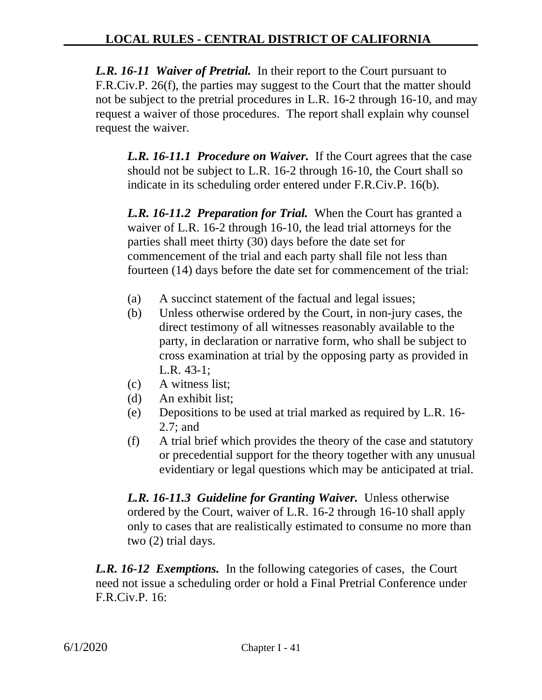*L.R. 16-11 Waiver of Pretrial.* In their report to the Court pursuant to F.R.Civ.P. 26(f), the parties may suggest to the Court that the matter should not be subject to the pretrial procedures in L.R. 16-2 through 16-10, and may request a waiver of those procedures. The report shall explain why counsel request the waiver.

*L.R. 16-11.1 Procedure on Waiver.* If the Court agrees that the case should not be subject to L.R. 16-2 through 16-10, the Court shall so indicate in its scheduling order entered under F.R.Civ.P. 16(b).

*L.R. 16-11.2 Preparation for Trial.* When the Court has granted a waiver of L.R. 16-2 through 16-10, the lead trial attorneys for the parties shall meet thirty (30) days before the date set for commencement of the trial and each party shall file not less than fourteen (14) days before the date set for commencement of the trial:

- (a) A succinct statement of the factual and legal issues;
- (b) Unless otherwise ordered by the Court, in non-jury cases, the direct testimony of all witnesses reasonably available to the party, in declaration or narrative form, who shall be subject to cross examination at trial by the opposing party as provided in L.R. 43-1;
- (c) A witness list;
- (d) An exhibit list;
- (e) Depositions to be used at trial marked as required by L.R. 16- 2.7; and
- (f) A trial brief which provides the theory of the case and statutory or precedential support for the theory together with any unusual evidentiary or legal questions which may be anticipated at trial.

L.R. 16-11.3 Guideline for Granting Waiver. Unless otherwise ordered by the Court, waiver of L.R. 16-2 through 16-10 shall apply only to cases that are realistically estimated to consume no more than two (2) trial days.

*L.R. 16-12 Exemptions.* In the following categories of cases, the Court need not issue a scheduling order or hold a Final Pretrial Conference under F.R.Civ.P. 16: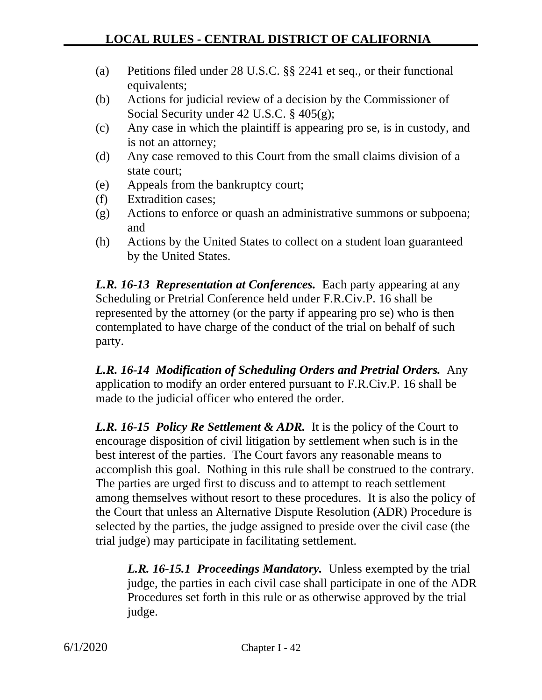- (a) Petitions filed under 28 U.S.C. §§ 2241 et seq., or their functional equivalents;
- (b) Actions for judicial review of a decision by the Commissioner of Social Security under 42 U.S.C. § 405(g);
- (c) Any case in which the plaintiff is appearing pro se, is in custody, and is not an attorney;
- (d) Any case removed to this Court from the small claims division of a state court;
- (e) Appeals from the bankruptcy court;
- (f) Extradition cases;
- (g) Actions to enforce or quash an administrative summons or subpoena; and
- (h) Actions by the United States to collect on a student loan guaranteed by the United States.

*L.R. 16-13 Representation at Conferences.* Each party appearing at any Scheduling or Pretrial Conference held under F.R.Civ.P. 16 shall be represented by the attorney (or the party if appearing pro se) who is then contemplated to have charge of the conduct of the trial on behalf of such party.

*L.R. 16-14 Modification of Scheduling Orders and Pretrial Orders.* Any application to modify an order entered pursuant to F.R.Civ.P. 16 shall be made to the judicial officer who entered the order.

*L.R. 16-15 Policy Re Settlement & ADR.* It is the policy of the Court to encourage disposition of civil litigation by settlement when such is in the best interest of the parties. The Court favors any reasonable means to accomplish this goal. Nothing in this rule shall be construed to the contrary. The parties are urged first to discuss and to attempt to reach settlement among themselves without resort to these procedures. It is also the policy of the Court that unless an Alternative Dispute Resolution (ADR) Procedure is selected by the parties, the judge assigned to preside over the civil case (the trial judge) may participate in facilitating settlement.

*L.R. 16-15.1 Proceedings Mandatory.* Unless exempted by the trial judge, the parties in each civil case shall participate in one of the ADR Procedures set forth in this rule or as otherwise approved by the trial judge.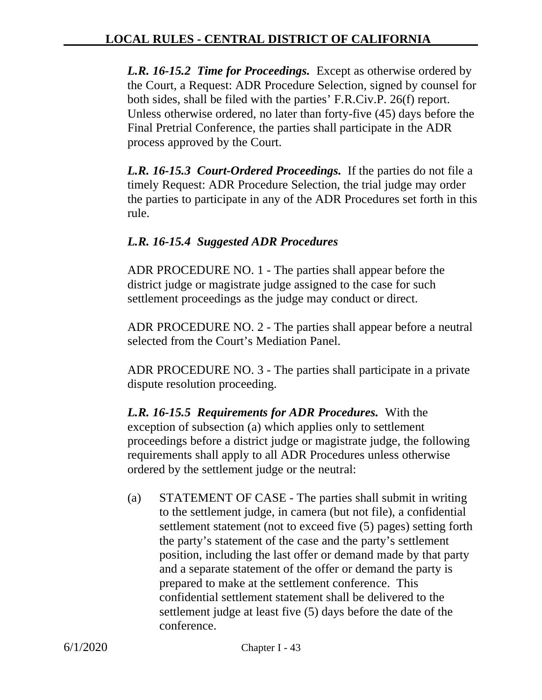*L.R. 16-15.2 Time for Proceedings.* Except as otherwise ordered by the Court, a Request: ADR Procedure Selection, signed by counsel for both sides, shall be filed with the parties' F.R.Civ.P. 26(f) report. Unless otherwise ordered, no later than forty-five (45) days before the Final Pretrial Conference, the parties shall participate in the ADR process approved by the Court.

*L.R. 16-15.3 Court-Ordered Proceedings.* If the parties do not file a timely Request: ADR Procedure Selection, the trial judge may order the parties to participate in any of the ADR Procedures set forth in this rule.

### *L.R. 16-15.4 Suggested ADR Procedures*

ADR PROCEDURE NO. 1 - The parties shall appear before the district judge or magistrate judge assigned to the case for such settlement proceedings as the judge may conduct or direct.

ADR PROCEDURE NO. 2 - The parties shall appear before a neutral selected from the Court's Mediation Panel.

ADR PROCEDURE NO. 3 - The parties shall participate in a private dispute resolution proceeding.

*L.R. 16-15.5 Requirements for ADR Procedures.* With the exception of subsection (a) which applies only to settlement proceedings before a district judge or magistrate judge, the following requirements shall apply to all ADR Procedures unless otherwise ordered by the settlement judge or the neutral:

(a) STATEMENT OF CASE - The parties shall submit in writing to the settlement judge, in camera (but not file), a confidential settlement statement (not to exceed five (5) pages) setting forth the party's statement of the case and the party's settlement position, including the last offer or demand made by that party and a separate statement of the offer or demand the party is prepared to make at the settlement conference. This confidential settlement statement shall be delivered to the settlement judge at least five (5) days before the date of the conference.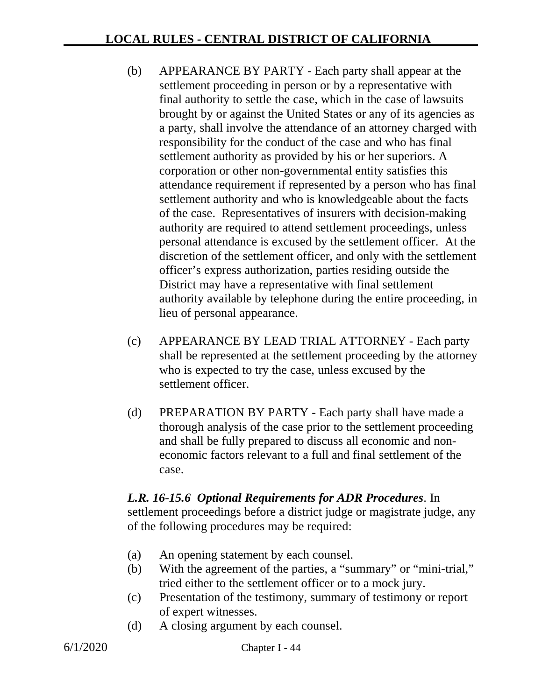- (b) APPEARANCE BY PARTY Each party shall appear at the settlement proceeding in person or by a representative with final authority to settle the case, which in the case of lawsuits brought by or against the United States or any of its agencies as a party, shall involve the attendance of an attorney charged with responsibility for the conduct of the case and who has final settlement authority as provided by his or her superiors. A corporation or other non-governmental entity satisfies this attendance requirement if represented by a person who has final settlement authority and who is knowledgeable about the facts of the case. Representatives of insurers with decision-making authority are required to attend settlement proceedings, unless personal attendance is excused by the settlement officer. At the discretion of the settlement officer, and only with the settlement officer's express authorization, parties residing outside the District may have a representative with final settlement authority available by telephone during the entire proceeding, in lieu of personal appearance.
- (c) APPEARANCE BY LEAD TRIAL ATTORNEY Each party shall be represented at the settlement proceeding by the attorney who is expected to try the case, unless excused by the settlement officer.
- (d) PREPARATION BY PARTY Each party shall have made a thorough analysis of the case prior to the settlement proceeding and shall be fully prepared to discuss all economic and noneconomic factors relevant to a full and final settlement of the case.

*L.R. 16-15.6 Optional Requirements for ADR Procedures*. In settlement proceedings before a district judge or magistrate judge, any of the following procedures may be required:

- (a) An opening statement by each counsel.
- (b) With the agreement of the parties, a "summary" or "mini-trial," tried either to the settlement officer or to a mock jury.
- (c) Presentation of the testimony, summary of testimony or report of expert witnesses.
- (d) A closing argument by each counsel.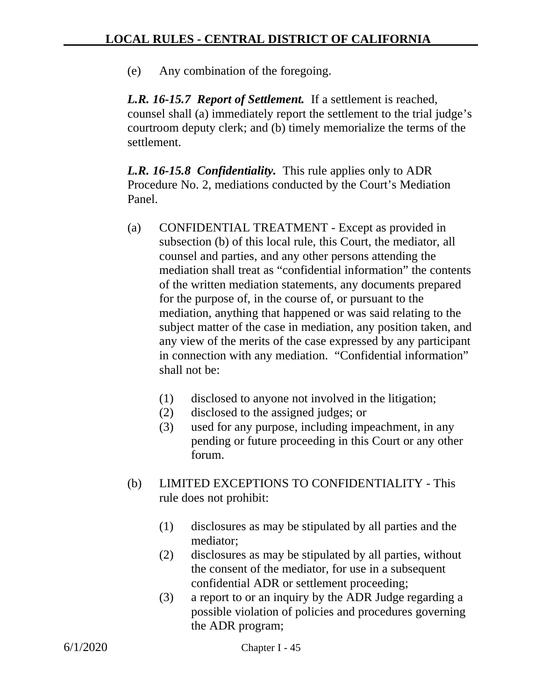(e) Any combination of the foregoing.

*L.R. 16-15.7 Report of Settlement.* If a settlement is reached, counsel shall (a) immediately report the settlement to the trial judge's courtroom deputy clerk; and (b) timely memorialize the terms of the settlement.

*L.R. 16-15.8 Confidentiality.* This rule applies only to ADR Procedure No. 2, mediations conducted by the Court's Mediation Panel.

- (a) CONFIDENTIAL TREATMENT Except as provided in subsection (b) of this local rule, this Court, the mediator, all counsel and parties, and any other persons attending the mediation shall treat as "confidential information" the contents of the written mediation statements, any documents prepared for the purpose of, in the course of, or pursuant to the mediation, anything that happened or was said relating to the subject matter of the case in mediation, any position taken, and any view of the merits of the case expressed by any participant in connection with any mediation. "Confidential information" shall not be:
	- (1) disclosed to anyone not involved in the litigation;
	- (2) disclosed to the assigned judges; or
	- (3) used for any purpose, including impeachment, in any pending or future proceeding in this Court or any other forum.
- (b) LIMITED EXCEPTIONS TO CONFIDENTIALITY This rule does not prohibit:
	- (1) disclosures as may be stipulated by all parties and the mediator;
	- (2) disclosures as may be stipulated by all parties, without the consent of the mediator, for use in a subsequent confidential ADR or settlement proceeding;
	- (3) a report to or an inquiry by the ADR Judge regarding a possible violation of policies and procedures governing the ADR program;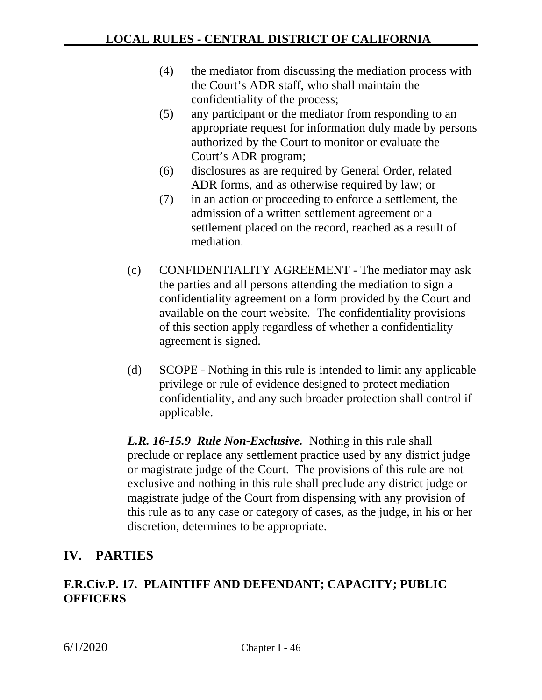- (4) the mediator from discussing the mediation process with the Court's ADR staff, who shall maintain the confidentiality of the process;
- (5) any participant or the mediator from responding to an appropriate request for information duly made by persons authorized by the Court to monitor or evaluate the Court's ADR program;
- (6) disclosures as are required by General Order, related ADR forms, and as otherwise required by law; or
- (7) in an action or proceeding to enforce a settlement, the admission of a written settlement agreement or a settlement placed on the record, reached as a result of mediation.
- (c) CONFIDENTIALITY AGREEMENT The mediator may ask the parties and all persons attending the mediation to sign a confidentiality agreement on a form provided by the Court and available on the court website. The confidentiality provisions of this section apply regardless of whether a confidentiality agreement is signed.
- (d) SCOPE Nothing in this rule is intended to limit any applicable privilege or rule of evidence designed to protect mediation confidentiality, and any such broader protection shall control if applicable.

*L.R. 16-15.9 Rule Non-Exclusive.* Nothing in this rule shall preclude or replace any settlement practice used by any district judge or magistrate judge of the Court. The provisions of this rule are not exclusive and nothing in this rule shall preclude any district judge or magistrate judge of the Court from dispensing with any provision of this rule as to any case or category of cases, as the judge, in his or her discretion, determines to be appropriate.

# **IV. PARTIES**

### **F.R.Civ.P. 17. PLAINTIFF AND DEFENDANT; CAPACITY; PUBLIC OFFICERS**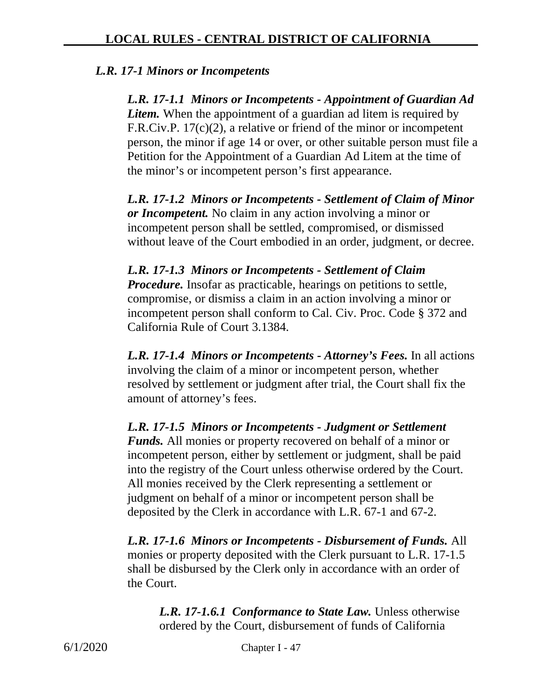#### *L.R. 17-1 Minors or Incompetents*

*L.R. 17-1.1 Minors or Incompetents - Appointment of Guardian Ad Litem.* When the appointment of a guardian ad litem is required by F.R.Civ.P. 17(c)(2), a relative or friend of the minor or incompetent person, the minor if age 14 or over, or other suitable person must file a Petition for the Appointment of a Guardian Ad Litem at the time of the minor's or incompetent person's first appearance.

*L.R. 17-1.2 Minors or Incompetents - Settlement of Claim of Minor or Incompetent.* No claim in any action involving a minor or incompetent person shall be settled, compromised, or dismissed without leave of the Court embodied in an order, judgment, or decree.

#### *L.R. 17-1.3 Minors or Incompetents - Settlement of Claim*

*Procedure.* Insofar as practicable, hearings on petitions to settle, compromise, or dismiss a claim in an action involving a minor or incompetent person shall conform to Cal. Civ. Proc. Code § 372 and California Rule of Court 3.1384.

*L.R. 17-1.4 Minors or Incompetents - Attorney's Fees.* In all actions involving the claim of a minor or incompetent person, whether resolved by settlement or judgment after trial, the Court shall fix the amount of attorney's fees.

*L.R. 17-1.5 Minors or Incompetents - Judgment or Settlement Funds.* All monies or property recovered on behalf of a minor or incompetent person, either by settlement or judgment, shall be paid into the registry of the Court unless otherwise ordered by the Court. All monies received by the Clerk representing a settlement or judgment on behalf of a minor or incompetent person shall be deposited by the Clerk in accordance with L.R. 67-1 and 67-2.

*L.R. 17-1.6 Minors or Incompetents - Disbursement of Funds.* All monies or property deposited with the Clerk pursuant to L.R. 17-1.5 shall be disbursed by the Clerk only in accordance with an order of the Court.

*L.R. 17-1.6.1 Conformance to State Law.* Unless otherwise ordered by the Court, disbursement of funds of California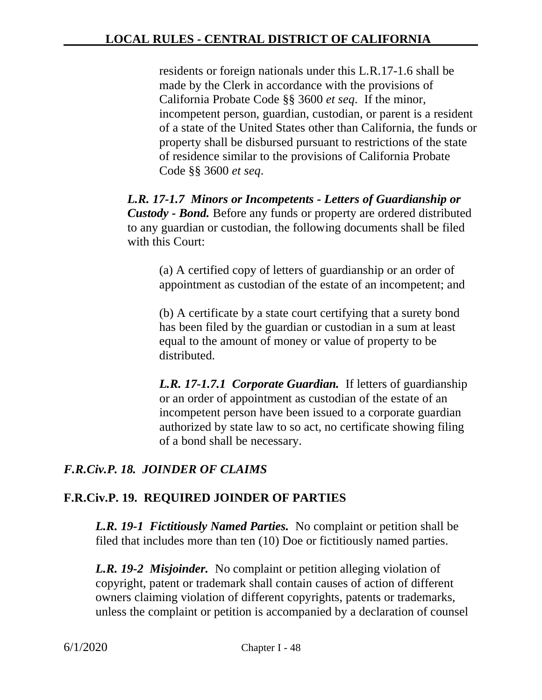residents or foreign nationals under this L.R.17-1.6 shall be made by the Clerk in accordance with the provisions of California Probate Code §§ 3600 *et seq*. If the minor, incompetent person, guardian, custodian, or parent is a resident of a state of the United States other than California, the funds or property shall be disbursed pursuant to restrictions of the state of residence similar to the provisions of California Probate Code §§ 3600 *et seq*.

*L.R. 17-1.7 Minors or Incompetents - Letters of Guardianship or Custody - Bond.* Before any funds or property are ordered distributed to any guardian or custodian, the following documents shall be filed with this Court:

(a) A certified copy of letters of guardianship or an order of appointment as custodian of the estate of an incompetent; and

(b) A certificate by a state court certifying that a surety bond has been filed by the guardian or custodian in a sum at least equal to the amount of money or value of property to be distributed.

*L.R. 17-1.7.1 Corporate Guardian.* If letters of guardianship or an order of appointment as custodian of the estate of an incompetent person have been issued to a corporate guardian authorized by state law to so act, no certificate showing filing of a bond shall be necessary.

# *F.R.Civ.P. 18. JOINDER OF CLAIMS*

# **F.R.Civ.P. 19. REQUIRED JOINDER OF PARTIES**

*L.R. 19-1 Fictitiously Named Parties.* No complaint or petition shall be filed that includes more than ten (10) Doe or fictitiously named parties.

*L.R. 19-2 Misjoinder.* No complaint or petition alleging violation of copyright, patent or trademark shall contain causes of action of different owners claiming violation of different copyrights, patents or trademarks, unless the complaint or petition is accompanied by a declaration of counsel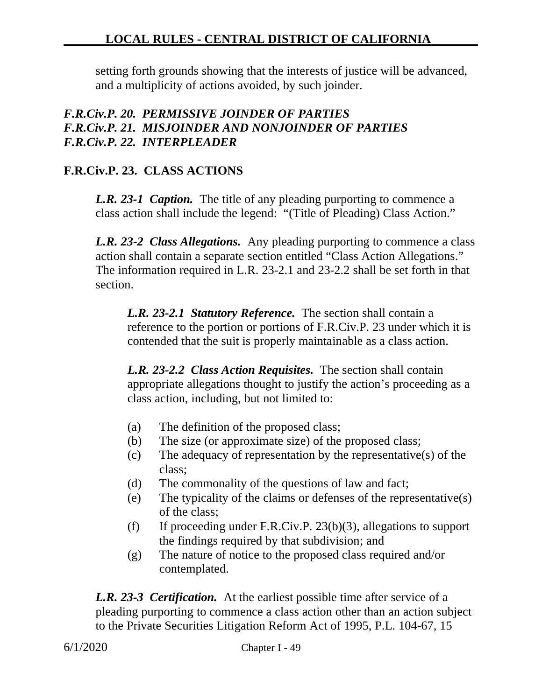setting forth grounds showing that the interests of justice will be advanced, and a multiplicity of actions avoided, by such joinder.

#### *F.R.Civ.P. 20. PERMISSIVE JOINDER OF PARTIES F.R.Civ.P. 21. MISJOINDER AND NONJOINDER OF PARTIES F.R.Civ.P. 22. INTERPLEADER*

### **F.R.Civ.P. 23. CLASS ACTIONS**

*L.R. 23-1 Caption.* The title of any pleading purporting to commence a class action shall include the legend: "(Title of Pleading) Class Action."

*L.R. 23-2 Class Allegations.* Any pleading purporting to commence a class action shall contain a separate section entitled "Class Action Allegations." The information required in L.R. 23-2.1 and 23-2.2 shall be set forth in that section.

*L.R. 23-2.1 Statutory Reference.* The section shall contain a reference to the portion or portions of F.R.Civ.P. 23 under which it is contended that the suit is properly maintainable as a class action.

*L.R. 23-2.2 Class Action Requisites.* The section shall contain appropriate allegations thought to justify the action's proceeding as a class action, including, but not limited to:

- (a) The definition of the proposed class;
- (b) The size (or approximate size) of the proposed class;
- (c) The adequacy of representation by the representative(s) of the class;
- (d) The commonality of the questions of law and fact;
- (e) The typicality of the claims or defenses of the representative(s) of the class;
- (f) If proceeding under F.R.Civ.P. 23(b)(3), allegations to support the findings required by that subdivision; and
- (g) The nature of notice to the proposed class required and/or contemplated.

*L.R. 23-3 Certification.* At the earliest possible time after service of a pleading purporting to commence a class action other than an action subject to the Private Securities Litigation Reform Act of 1995, P.L. 104-67, 15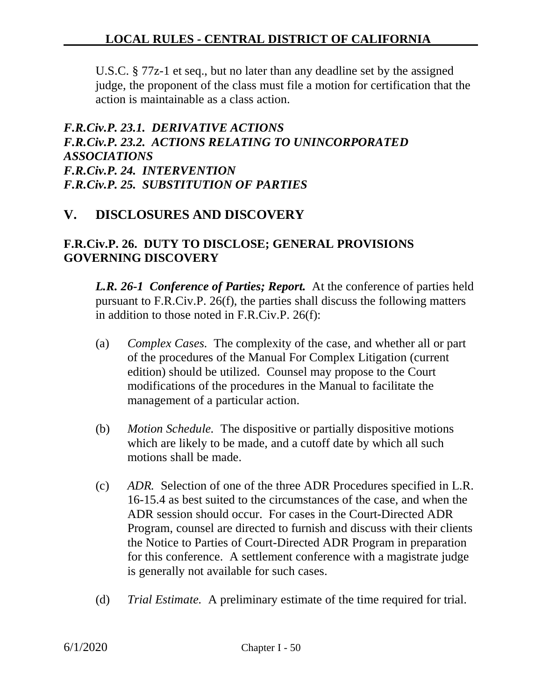U.S.C. § 77z-1 et seq., but no later than any deadline set by the assigned judge, the proponent of the class must file a motion for certification that the action is maintainable as a class action.

#### *F.R.Civ.P. 23.1. DERIVATIVE ACTIONS F.R.Civ.P. 23.2. ACTIONS RELATING TO UNINCORPORATED ASSOCIATIONS F.R.Civ.P. 24. INTERVENTION F.R.Civ.P. 25. SUBSTITUTION OF PARTIES*

# **V. DISCLOSURES AND DISCOVERY**

### **F.R.Civ.P. 26. DUTY TO DISCLOSE; GENERAL PROVISIONS GOVERNING DISCOVERY**

*L.R. 26-1 Conference of Parties; Report.* At the conference of parties held pursuant to F.R.Civ.P. 26(f), the parties shall discuss the following matters in addition to those noted in F.R.Civ.P. 26(f):

- (a) *Complex Cases.* The complexity of the case, and whether all or part of the procedures of the Manual For Complex Litigation (current edition) should be utilized. Counsel may propose to the Court modifications of the procedures in the Manual to facilitate the management of a particular action.
- (b) *Motion Schedule.* The dispositive or partially dispositive motions which are likely to be made, and a cutoff date by which all such motions shall be made.
- (c) *ADR.* Selection of one of the three ADR Procedures specified in L.R. 16-15.4 as best suited to the circumstances of the case, and when the ADR session should occur. For cases in the Court-Directed ADR Program, counsel are directed to furnish and discuss with their clients the Notice to Parties of Court-Directed ADR Program in preparation for this conference. A settlement conference with a magistrate judge is generally not available for such cases.
- (d) *Trial Estimate.* A preliminary estimate of the time required for trial.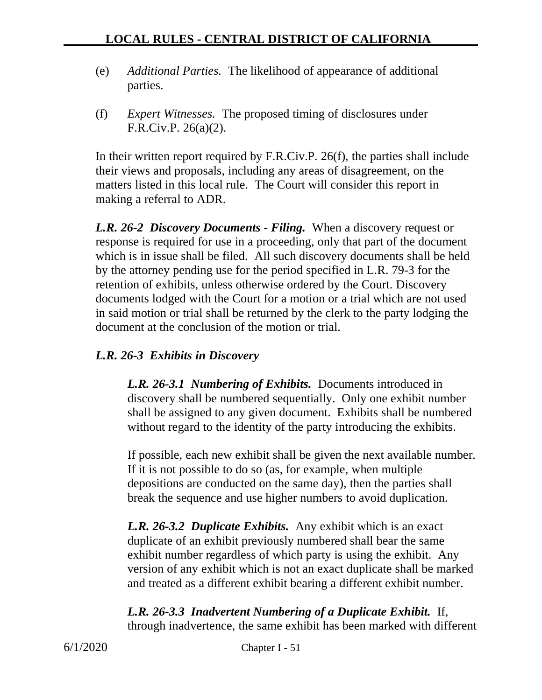- (e) *Additional Parties.* The likelihood of appearance of additional parties.
- (f) *Expert Witnesses.* The proposed timing of disclosures under F.R.Civ.P. 26(a)(2).

In their written report required by F.R.Civ.P. 26(f), the parties shall include their views and proposals, including any areas of disagreement, on the matters listed in this local rule. The Court will consider this report in making a referral to ADR.

*L.R. 26-2 Discovery Documents - Filing.* When a discovery request or response is required for use in a proceeding, only that part of the document which is in issue shall be filed. All such discovery documents shall be held by the attorney pending use for the period specified in L.R. 79-3 for the retention of exhibits, unless otherwise ordered by the Court. Discovery documents lodged with the Court for a motion or a trial which are not used in said motion or trial shall be returned by the clerk to the party lodging the document at the conclusion of the motion or trial.

### *L.R. 26-3 Exhibits in Discovery*

*L.R. 26-3.1 Numbering of Exhibits.* Documents introduced in discovery shall be numbered sequentially. Only one exhibit number shall be assigned to any given document. Exhibits shall be numbered without regard to the identity of the party introducing the exhibits.

If possible, each new exhibit shall be given the next available number. If it is not possible to do so (as, for example, when multiple depositions are conducted on the same day), then the parties shall break the sequence and use higher numbers to avoid duplication.

*L.R. 26-3.2 Duplicate Exhibits.* Any exhibit which is an exact duplicate of an exhibit previously numbered shall bear the same exhibit number regardless of which party is using the exhibit. Any version of any exhibit which is not an exact duplicate shall be marked and treated as a different exhibit bearing a different exhibit number.

*L.R. 26-3.3 Inadvertent Numbering of a Duplicate Exhibit.* If, through inadvertence, the same exhibit has been marked with different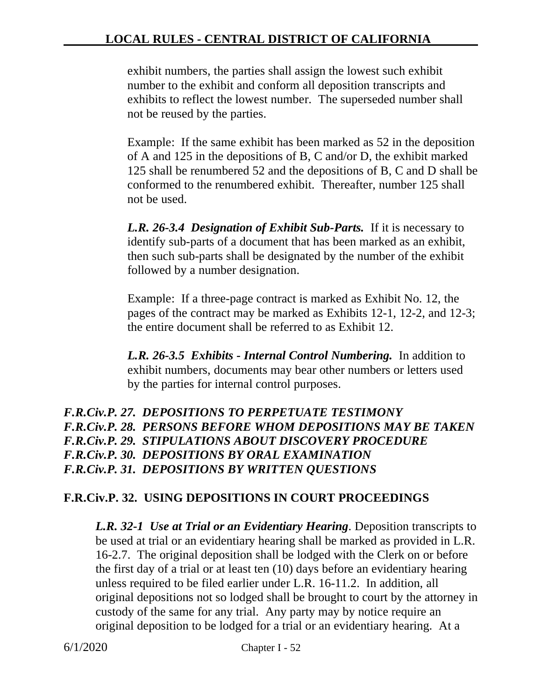exhibit numbers, the parties shall assign the lowest such exhibit number to the exhibit and conform all deposition transcripts and exhibits to reflect the lowest number. The superseded number shall not be reused by the parties.

Example: If the same exhibit has been marked as 52 in the deposition of A and 125 in the depositions of B, C and/or D, the exhibit marked 125 shall be renumbered 52 and the depositions of B, C and D shall be conformed to the renumbered exhibit. Thereafter, number 125 shall not be used.

*L.R. 26-3.4 Designation of Exhibit Sub-Parts.* If it is necessary to identify sub-parts of a document that has been marked as an exhibit, then such sub-parts shall be designated by the number of the exhibit followed by a number designation.

Example: If a three-page contract is marked as Exhibit No. 12, the pages of the contract may be marked as Exhibits 12-1, 12-2, and 12-3; the entire document shall be referred to as Exhibit 12.

*L.R. 26-3.5 Exhibits - Internal Control Numbering.* In addition to exhibit numbers, documents may bear other numbers or letters used by the parties for internal control purposes.

*F.R.Civ.P. 27. DEPOSITIONS TO PERPETUATE TESTIMONY F.R.Civ.P. 28. PERSONS BEFORE WHOM DEPOSITIONS MAY BE TAKEN F.R.Civ.P. 29. STIPULATIONS ABOUT DISCOVERY PROCEDURE F.R.Civ.P. 30. DEPOSITIONS BY ORAL EXAMINATION F.R.Civ.P. 31. DEPOSITIONS BY WRITTEN QUESTIONS*

# **F.R.Civ.P. 32. USING DEPOSITIONS IN COURT PROCEEDINGS**

*L.R. 32-1 Use at Trial or an Evidentiary Hearing*. Deposition transcripts to be used at trial or an evidentiary hearing shall be marked as provided in L.R. 16-2.7. The original deposition shall be lodged with the Clerk on or before the first day of a trial or at least ten (10) days before an evidentiary hearing unless required to be filed earlier under L.R. 16-11.2. In addition, all original depositions not so lodged shall be brought to court by the attorney in custody of the same for any trial. Any party may by notice require an original deposition to be lodged for a trial or an evidentiary hearing. At a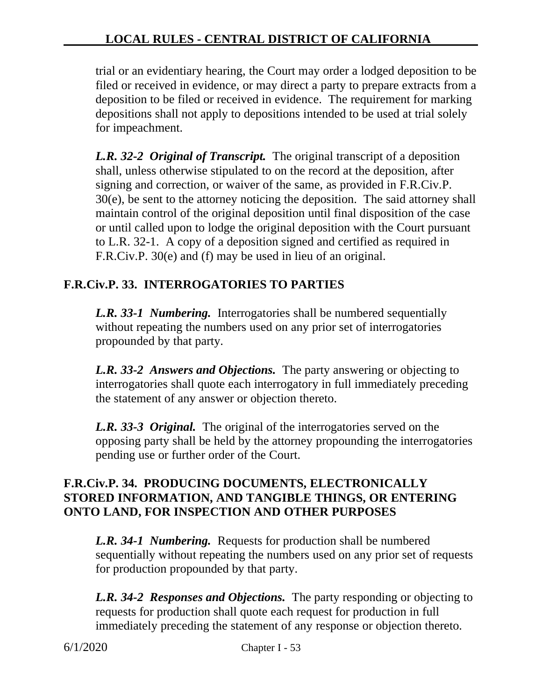trial or an evidentiary hearing, the Court may order a lodged deposition to be filed or received in evidence, or may direct a party to prepare extracts from a deposition to be filed or received in evidence. The requirement for marking depositions shall not apply to depositions intended to be used at trial solely for impeachment.

*L.R. 32-2 Original of Transcript.* The original transcript of a deposition shall, unless otherwise stipulated to on the record at the deposition, after signing and correction, or waiver of the same, as provided in F.R.Civ.P. 30(e), be sent to the attorney noticing the deposition. The said attorney shall maintain control of the original deposition until final disposition of the case or until called upon to lodge the original deposition with the Court pursuant to L.R. 32-1. A copy of a deposition signed and certified as required in F.R.Civ.P. 30(e) and (f) may be used in lieu of an original.

# **F.R.Civ.P. 33. INTERROGATORIES TO PARTIES**

*L.R. 33-1 Numbering.* Interrogatories shall be numbered sequentially without repeating the numbers used on any prior set of interrogatories propounded by that party.

*L.R. 33-2 Answers and Objections.* The party answering or objecting to interrogatories shall quote each interrogatory in full immediately preceding the statement of any answer or objection thereto.

*L.R. 33-3 Original.* The original of the interrogatories served on the opposing party shall be held by the attorney propounding the interrogatories pending use or further order of the Court.

#### **F.R.Civ.P. 34. PRODUCING DOCUMENTS, ELECTRONICALLY STORED INFORMATION, AND TANGIBLE THINGS, OR ENTERING ONTO LAND, FOR INSPECTION AND OTHER PURPOSES**

*L.R. 34-1 Numbering.* Requests for production shall be numbered sequentially without repeating the numbers used on any prior set of requests for production propounded by that party.

*L.R. 34-2 Responses and Objections.* The party responding or objecting to requests for production shall quote each request for production in full immediately preceding the statement of any response or objection thereto.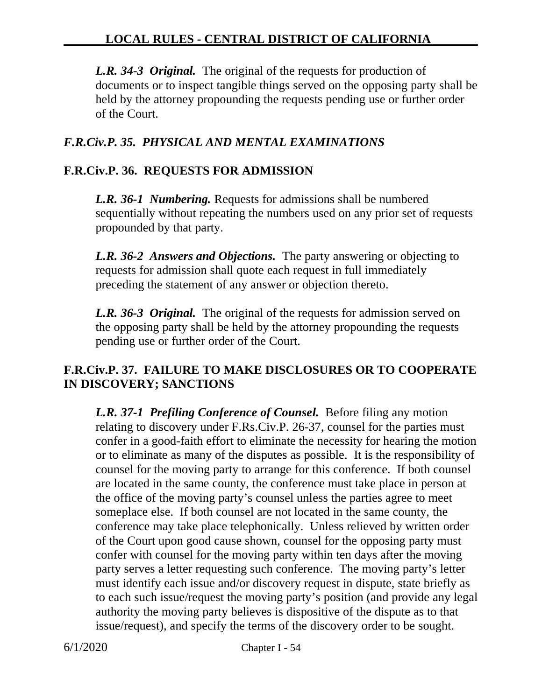*L.R. 34-3 Original.* The original of the requests for production of documents or to inspect tangible things served on the opposing party shall be held by the attorney propounding the requests pending use or further order of the Court.

## *F.R.Civ.P. 35. PHYSICAL AND MENTAL EXAMINATIONS*

### **F.R.Civ.P. 36. REQUESTS FOR ADMISSION**

*L.R. 36-1 Numbering.* Requests for admissions shall be numbered sequentially without repeating the numbers used on any prior set of requests propounded by that party.

*L.R. 36-2 Answers and Objections.* The party answering or objecting to requests for admission shall quote each request in full immediately preceding the statement of any answer or objection thereto.

*L.R. 36-3 Original.* The original of the requests for admission served on the opposing party shall be held by the attorney propounding the requests pending use or further order of the Court.

#### **F.R.Civ.P. 37. FAILURE TO MAKE DISCLOSURES OR TO COOPERATE IN DISCOVERY; SANCTIONS**

*L.R. 37-1 Prefiling Conference of Counsel.* Before filing any motion relating to discovery under F.Rs.Civ.P. 26-37, counsel for the parties must confer in a good-faith effort to eliminate the necessity for hearing the motion or to eliminate as many of the disputes as possible. It is the responsibility of counsel for the moving party to arrange for this conference. If both counsel are located in the same county, the conference must take place in person at the office of the moving party's counsel unless the parties agree to meet someplace else. If both counsel are not located in the same county, the conference may take place telephonically. Unless relieved by written order of the Court upon good cause shown, counsel for the opposing party must confer with counsel for the moving party within ten days after the moving party serves a letter requesting such conference. The moving party's letter must identify each issue and/or discovery request in dispute, state briefly as to each such issue/request the moving party's position (and provide any legal authority the moving party believes is dispositive of the dispute as to that issue/request), and specify the terms of the discovery order to be sought.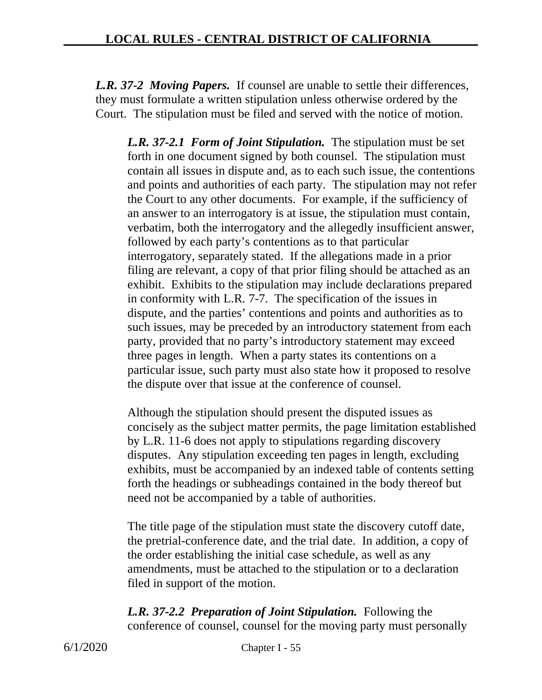*L.R. 37-2 Moving Papers.* If counsel are unable to settle their differences, they must formulate a written stipulation unless otherwise ordered by the Court. The stipulation must be filed and served with the notice of motion.

*L.R. 37-2.1 Form of Joint Stipulation.* The stipulation must be set forth in one document signed by both counsel. The stipulation must contain all issues in dispute and, as to each such issue, the contentions and points and authorities of each party. The stipulation may not refer the Court to any other documents. For example, if the sufficiency of an answer to an interrogatory is at issue, the stipulation must contain, verbatim, both the interrogatory and the allegedly insufficient answer, followed by each party's contentions as to that particular interrogatory, separately stated. If the allegations made in a prior filing are relevant, a copy of that prior filing should be attached as an exhibit. Exhibits to the stipulation may include declarations prepared in conformity with L.R. 7-7. The specification of the issues in dispute, and the parties' contentions and points and authorities as to such issues, may be preceded by an introductory statement from each party, provided that no party's introductory statement may exceed three pages in length. When a party states its contentions on a particular issue, such party must also state how it proposed to resolve the dispute over that issue at the conference of counsel.

Although the stipulation should present the disputed issues as concisely as the subject matter permits, the page limitation established by L.R. 11-6 does not apply to stipulations regarding discovery disputes. Any stipulation exceeding ten pages in length, excluding exhibits, must be accompanied by an indexed table of contents setting forth the headings or subheadings contained in the body thereof but need not be accompanied by a table of authorities.

The title page of the stipulation must state the discovery cutoff date, the pretrial-conference date, and the trial date. In addition, a copy of the order establishing the initial case schedule, as well as any amendments, must be attached to the stipulation or to a declaration filed in support of the motion.

*L.R. 37-2.2 Preparation of Joint Stipulation.* Following the conference of counsel, counsel for the moving party must personally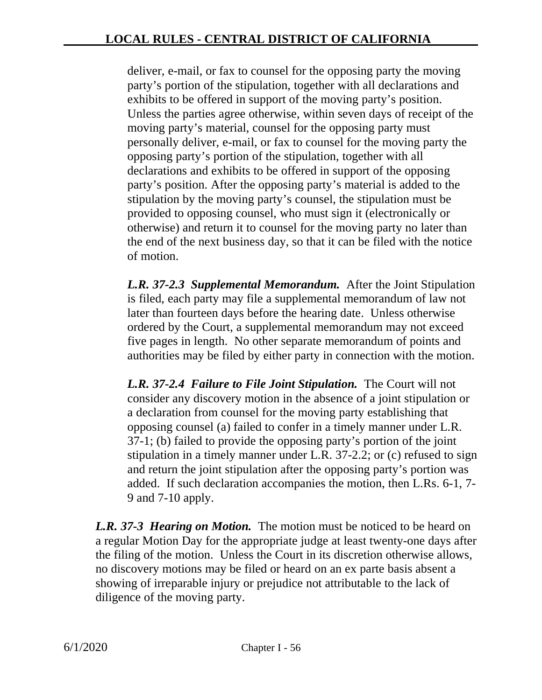deliver, e-mail, or fax to counsel for the opposing party the moving party's portion of the stipulation, together with all declarations and exhibits to be offered in support of the moving party's position. Unless the parties agree otherwise, within seven days of receipt of the moving party's material, counsel for the opposing party must personally deliver, e-mail, or fax to counsel for the moving party the opposing party's portion of the stipulation, together with all declarations and exhibits to be offered in support of the opposing party's position. After the opposing party's material is added to the stipulation by the moving party's counsel, the stipulation must be provided to opposing counsel, who must sign it (electronically or otherwise) and return it to counsel for the moving party no later than the end of the next business day, so that it can be filed with the notice of motion.

*L.R. 37-2.3 Supplemental Memorandum.* After the Joint Stipulation is filed, each party may file a supplemental memorandum of law not later than fourteen days before the hearing date. Unless otherwise ordered by the Court, a supplemental memorandum may not exceed five pages in length. No other separate memorandum of points and authorities may be filed by either party in connection with the motion.

*L.R. 37-2.4 Failure to File Joint Stipulation.* The Court will not consider any discovery motion in the absence of a joint stipulation or a declaration from counsel for the moving party establishing that opposing counsel (a) failed to confer in a timely manner under L.R. 37-1; (b) failed to provide the opposing party's portion of the joint stipulation in a timely manner under L.R. 37-2.2; or (c) refused to sign and return the joint stipulation after the opposing party's portion was added. If such declaration accompanies the motion, then L.Rs. 6-1, 7- 9 and 7-10 apply.

*L.R. 37-3 Hearing on Motion.* The motion must be noticed to be heard on a regular Motion Day for the appropriate judge at least twenty-one days after the filing of the motion. Unless the Court in its discretion otherwise allows, no discovery motions may be filed or heard on an ex parte basis absent a showing of irreparable injury or prejudice not attributable to the lack of diligence of the moving party.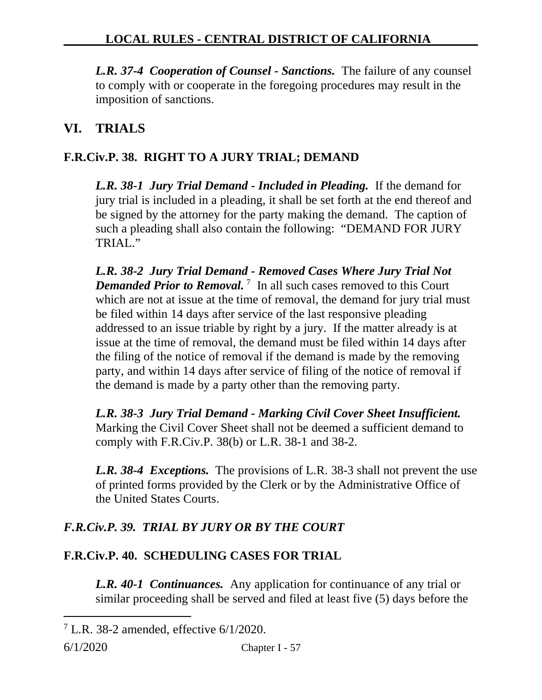*L.R. 37-4 Cooperation of Counsel - Sanctions.* The failure of any counsel to comply with or cooperate in the foregoing procedures may result in the imposition of sanctions.

# **VI. TRIALS**

# **F.R.Civ.P. 38. RIGHT TO A JURY TRIAL; DEMAND**

*L.R. 38-1 Jury Trial Demand - Included in Pleading.* If the demand for jury trial is included in a pleading, it shall be set forth at the end thereof and be signed by the attorney for the party making the demand. The caption of such a pleading shall also contain the following: "DEMAND FOR JURY TRIAL."

*L.R. 38-2 Jury Trial Demand - Removed Cases Where Jury Trial Not*  **Demanded Prior to Removal.** <sup>[7](#page-76-0)</sup> In all such cases removed to this Court which are not at issue at the time of removal, the demand for jury trial must be filed within 14 days after service of the last responsive pleading addressed to an issue triable by right by a jury. If the matter already is at issue at the time of removal, the demand must be filed within 14 days after the filing of the notice of removal if the demand is made by the removing party, and within 14 days after service of filing of the notice of removal if the demand is made by a party other than the removing party.

*L.R. 38-3 Jury Trial Demand - Marking Civil Cover Sheet Insufficient.* Marking the Civil Cover Sheet shall not be deemed a sufficient demand to comply with F.R.Civ.P. 38(b) or L.R. 38-1 and 38-2.

*L.R. 38-4 Exceptions.* The provisions of L.R. 38-3 shall not prevent the use of printed forms provided by the Clerk or by the Administrative Office of the United States Courts.

## *F.R.Civ.P. 39. TRIAL BY JURY OR BY THE COURT*

# **F.R.Civ.P. 40. SCHEDULING CASES FOR TRIAL**

*L.R. 40-1 Continuances.* Any application for continuance of any trial or similar proceeding shall be served and filed at least five (5) days before the

<span id="page-76-0"></span> $^7$  L.R. 38-2 amended, effective  $6/1/2020$ .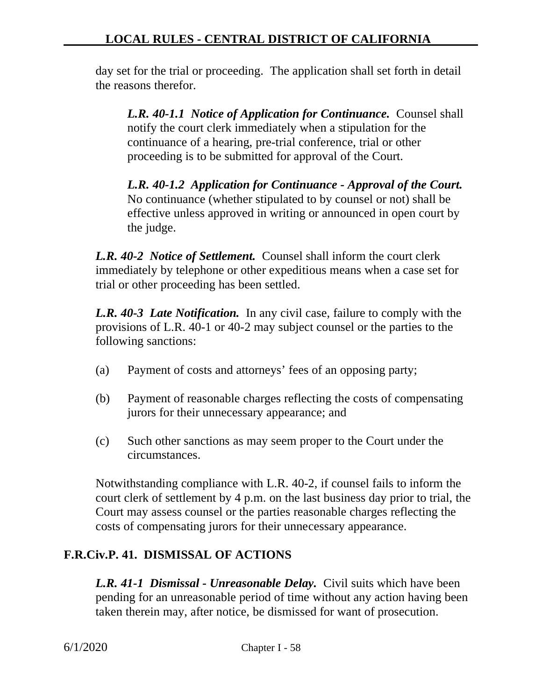day set for the trial or proceeding. The application shall set forth in detail the reasons therefor.

*L.R. 40-1.1 Notice of Application for Continuance.* Counsel shall notify the court clerk immediately when a stipulation for the continuance of a hearing, pre-trial conference, trial or other proceeding is to be submitted for approval of the Court.

*L.R. 40-1.2 Application for Continuance - Approval of the Court.* No continuance (whether stipulated to by counsel or not) shall be effective unless approved in writing or announced in open court by the judge.

*L.R. 40-2 Notice of Settlement.* Counsel shall inform the court clerk immediately by telephone or other expeditious means when a case set for trial or other proceeding has been settled.

*L.R. 40-3 Late Notification.* In any civil case, failure to comply with the provisions of L.R. 40-1 or 40-2 may subject counsel or the parties to the following sanctions:

- (a) Payment of costs and attorneys' fees of an opposing party;
- (b) Payment of reasonable charges reflecting the costs of compensating jurors for their unnecessary appearance; and
- (c) Such other sanctions as may seem proper to the Court under the circumstances.

Notwithstanding compliance with L.R. 40-2, if counsel fails to inform the court clerk of settlement by 4 p.m. on the last business day prior to trial, the Court may assess counsel or the parties reasonable charges reflecting the costs of compensating jurors for their unnecessary appearance.

# **F.R.Civ.P. 41. DISMISSAL OF ACTIONS**

*L.R. 41-1 Dismissal - Unreasonable Delay.* Civil suits which have been pending for an unreasonable period of time without any action having been taken therein may, after notice, be dismissed for want of prosecution.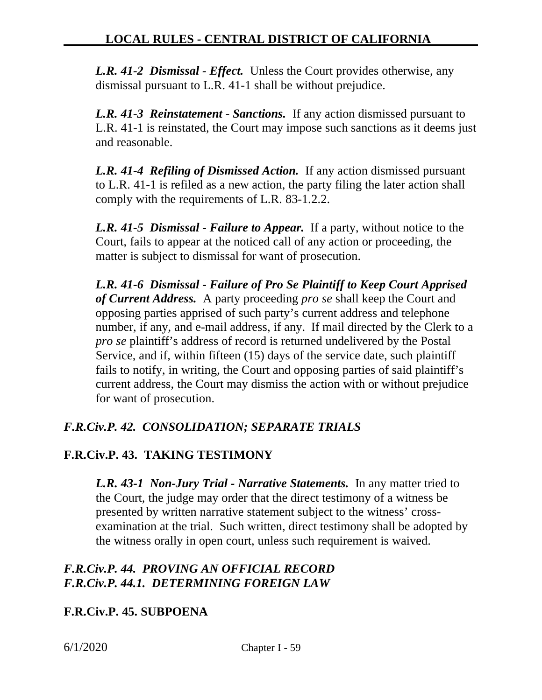*L.R. 41-2 Dismissal - Effect.* Unless the Court provides otherwise, any dismissal pursuant to L.R. 41-1 shall be without prejudice.

*L.R. 41-3 Reinstatement - Sanctions.* If any action dismissed pursuant to L.R. 41-1 is reinstated, the Court may impose such sanctions as it deems just and reasonable.

*L.R. 41-4 Refiling of Dismissed Action.* If any action dismissed pursuant to L.R. 41-1 is refiled as a new action, the party filing the later action shall comply with the requirements of L.R. 83-1.2.2.

*L.R. 41-5 Dismissal - Failure to Appear.* If a party, without notice to the Court, fails to appear at the noticed call of any action or proceeding, the matter is subject to dismissal for want of prosecution.

*L.R. 41-6 Dismissal - Failure of Pro Se Plaintiff to Keep Court Apprised of Current Address.* A party proceeding *pro se* shall keep the Court and opposing parties apprised of such party's current address and telephone number, if any, and e-mail address, if any. If mail directed by the Clerk to a *pro se* plaintiff's address of record is returned undelivered by the Postal Service, and if, within fifteen (15) days of the service date, such plaintiff fails to notify, in writing, the Court and opposing parties of said plaintiff's current address, the Court may dismiss the action with or without prejudice for want of prosecution.

## *F.R.Civ.P. 42. CONSOLIDATION; SEPARATE TRIALS*

### **F.R.Civ.P. 43. TAKING TESTIMONY**

*L.R. 43-1 Non-Jury Trial - Narrative Statements.* In any matter tried to the Court, the judge may order that the direct testimony of a witness be presented by written narrative statement subject to the witness' crossexamination at the trial. Such written, direct testimony shall be adopted by the witness orally in open court, unless such requirement is waived.

### *F.R.Civ.P. 44. PROVING AN OFFICIAL RECORD F.R.Civ.P. 44.1. DETERMINING FOREIGN LAW*

# **F.R.Civ.P. 45. SUBPOENA**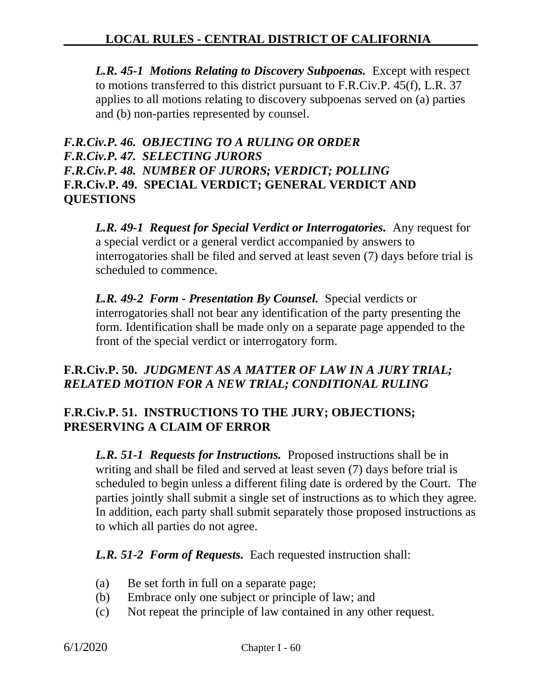*L.R. 45-1 Motions Relating to Discovery Subpoenas.* Except with respect to motions transferred to this district pursuant to F.R.Civ.P. 45(f), L.R. 37 applies to all motions relating to discovery subpoenas served on (a) parties and (b) non-parties represented by counsel.

#### *F.R.Civ.P. 46. OBJECTING TO A RULING OR ORDER F.R.Civ.P. 47. SELECTING JURORS F.R.Civ.P. 48. NUMBER OF JURORS; VERDICT; POLLING* **F.R.Civ.P. 49. SPECIAL VERDICT; GENERAL VERDICT AND QUESTIONS**

*L.R. 49-1 Request for Special Verdict or Interrogatories.* Any request for a special verdict or a general verdict accompanied by answers to interrogatories shall be filed and served at least seven (7) days before trial is scheduled to commence.

*L.R. 49-2 Form - Presentation By Counsel.* Special verdicts or interrogatories shall not bear any identification of the party presenting the form. Identification shall be made only on a separate page appended to the front of the special verdict or interrogatory form.

## **F.R.Civ.P. 50.** *JUDGMENT AS A MATTER OF LAW IN A JURY TRIAL; RELATED MOTION FOR A NEW TRIAL; CONDITIONAL RULING*

## **F.R.Civ.P. 51. INSTRUCTIONS TO THE JURY; OBJECTIONS; PRESERVING A CLAIM OF ERROR**

*L.R. 51-1 Requests for Instructions.* Proposed instructions shall be in writing and shall be filed and served at least seven (7) days before trial is scheduled to begin unless a different filing date is ordered by the Court. The parties jointly shall submit a single set of instructions as to which they agree. In addition, each party shall submit separately those proposed instructions as to which all parties do not agree.

*L.R. 51-2 Form of Requests.* Each requested instruction shall:

- (a) Be set forth in full on a separate page;
- (b) Embrace only one subject or principle of law; and
- (c) Not repeat the principle of law contained in any other request.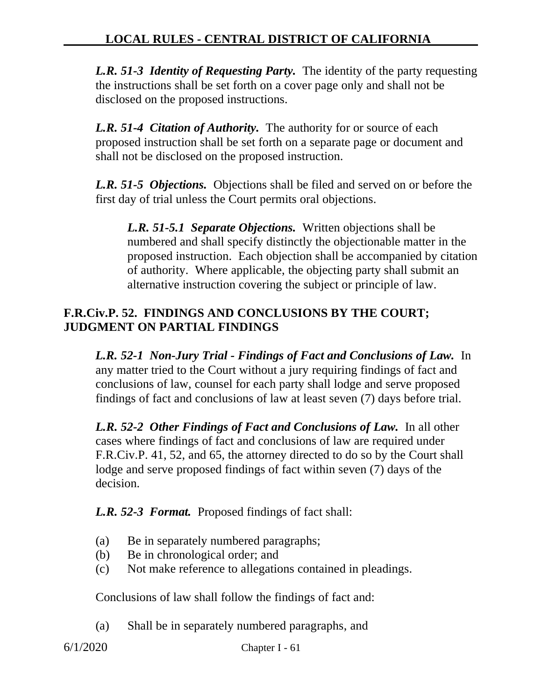*L.R. 51-3 Identity of Requesting Party.* The identity of the party requesting the instructions shall be set forth on a cover page only and shall not be disclosed on the proposed instructions.

*L.R. 51-4 Citation of Authority.* The authority for or source of each proposed instruction shall be set forth on a separate page or document and shall not be disclosed on the proposed instruction.

*L.R. 51-5 Objections.* Objections shall be filed and served on or before the first day of trial unless the Court permits oral objections.

*L.R. 51-5.1 Separate Objections.* Written objections shall be numbered and shall specify distinctly the objectionable matter in the proposed instruction. Each objection shall be accompanied by citation of authority. Where applicable, the objecting party shall submit an alternative instruction covering the subject or principle of law.

### **F.R.Civ.P. 52. FINDINGS AND CONCLUSIONS BY THE COURT; JUDGMENT ON PARTIAL FINDINGS**

*L.R. 52-1 Non-Jury Trial - Findings of Fact and Conclusions of Law.* In any matter tried to the Court without a jury requiring findings of fact and conclusions of law, counsel for each party shall lodge and serve proposed findings of fact and conclusions of law at least seven (7) days before trial.

*L.R. 52-2 Other Findings of Fact and Conclusions of Law.* In all other cases where findings of fact and conclusions of law are required under F.R.Civ.P. 41, 52, and 65, the attorney directed to do so by the Court shall lodge and serve proposed findings of fact within seven (7) days of the decision.

*L.R. 52-3 Format.* Proposed findings of fact shall:

- (a) Be in separately numbered paragraphs;
- (b) Be in chronological order; and
- (c) Not make reference to allegations contained in pleadings.

Conclusions of law shall follow the findings of fact and:

(a) Shall be in separately numbered paragraphs, and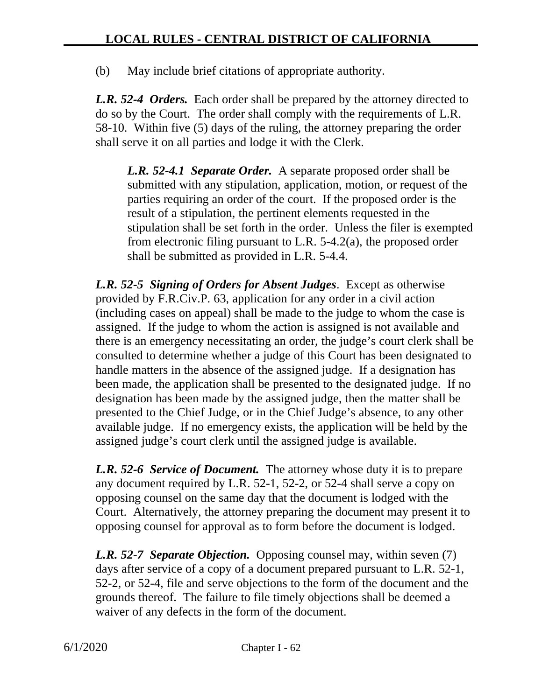(b) May include brief citations of appropriate authority.

*L.R. 52-4 Orders.* Each order shall be prepared by the attorney directed to do so by the Court. The order shall comply with the requirements of L.R. 58-10. Within five (5) days of the ruling, the attorney preparing the order shall serve it on all parties and lodge it with the Clerk.

*L.R. 52-4.1 Separate Order.* A separate proposed order shall be submitted with any stipulation, application, motion, or request of the parties requiring an order of the court. If the proposed order is the result of a stipulation, the pertinent elements requested in the stipulation shall be set forth in the order. Unless the filer is exempted from electronic filing pursuant to L.R. 5-4.2(a), the proposed order shall be submitted as provided in L.R. 5-4.4.

*L.R. 52-5 Signing of Orders for Absent Judges*. Except as otherwise provided by F.R.Civ.P. 63, application for any order in a civil action (including cases on appeal) shall be made to the judge to whom the case is assigned. If the judge to whom the action is assigned is not available and there is an emergency necessitating an order, the judge's court clerk shall be consulted to determine whether a judge of this Court has been designated to handle matters in the absence of the assigned judge. If a designation has been made, the application shall be presented to the designated judge. If no designation has been made by the assigned judge, then the matter shall be presented to the Chief Judge, or in the Chief Judge's absence, to any other available judge. If no emergency exists, the application will be held by the assigned judge's court clerk until the assigned judge is available.

*L.R. 52-6 Service of Document.* The attorney whose duty it is to prepare any document required by L.R. 52-1, 52-2, or 52-4 shall serve a copy on opposing counsel on the same day that the document is lodged with the Court. Alternatively, the attorney preparing the document may present it to opposing counsel for approval as to form before the document is lodged.

*L.R. 52-7 Separate Objection.* Opposing counsel may, within seven (7) days after service of a copy of a document prepared pursuant to L.R. 52-1, 52-2, or 52-4, file and serve objections to the form of the document and the grounds thereof. The failure to file timely objections shall be deemed a waiver of any defects in the form of the document.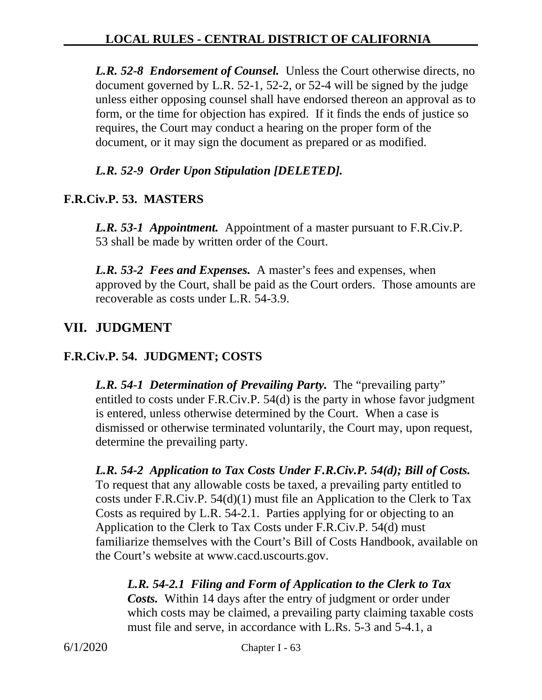*L.R. 52-8 Endorsement of Counsel.* Unless the Court otherwise directs, no document governed by L.R. 52-1, 52-2, or 52-4 will be signed by the judge unless either opposing counsel shall have endorsed thereon an approval as to form, or the time for objection has expired. If it finds the ends of justice so requires, the Court may conduct a hearing on the proper form of the document, or it may sign the document as prepared or as modified.

## *L.R. 52-9 Order Upon Stipulation [DELETED].*

# **F.R.Civ.P. 53. MASTERS**

*L.R. 53-1 Appointment.* Appointment of a master pursuant to F.R.Civ.P. 53 shall be made by written order of the Court.

*L.R. 53-2 Fees and Expenses.* A master's fees and expenses, when approved by the Court, shall be paid as the Court orders. Those amounts are recoverable as costs under L.R. 54-3.9.

# **VII. JUDGMENT**

# **F.R.Civ.P. 54. JUDGMENT; COSTS**

*L.R. 54-1 Determination of Prevailing Party.* The "prevailing party" entitled to costs under F.R.Civ.P. 54(d) is the party in whose favor judgment is entered, unless otherwise determined by the Court. When a case is dismissed or otherwise terminated voluntarily, the Court may, upon request, determine the prevailing party.

*L.R. 54-2 Application to Tax Costs Under F.R.Civ.P. 54(d); Bill of Costs.* To request that any allowable costs be taxed, a prevailing party entitled to costs under F.R.Civ.P. 54(d)(1) must file an Application to the Clerk to Tax Costs as required by L.R. 54-2.1. Parties applying for or objecting to an Application to the Clerk to Tax Costs under F.R.Civ.P. 54(d) must familiarize themselves with the Court's Bill of Costs Handbook, available on the Court's website at www.cacd.uscourts.gov.

*L.R. 54-2.1 Filing and Form of Application to the Clerk to Tax Costs.* Within 14 days after the entry of judgment or order under which costs may be claimed, a prevailing party claiming taxable costs must file and serve, in accordance with L.Rs. 5-3 and 5-4.1, a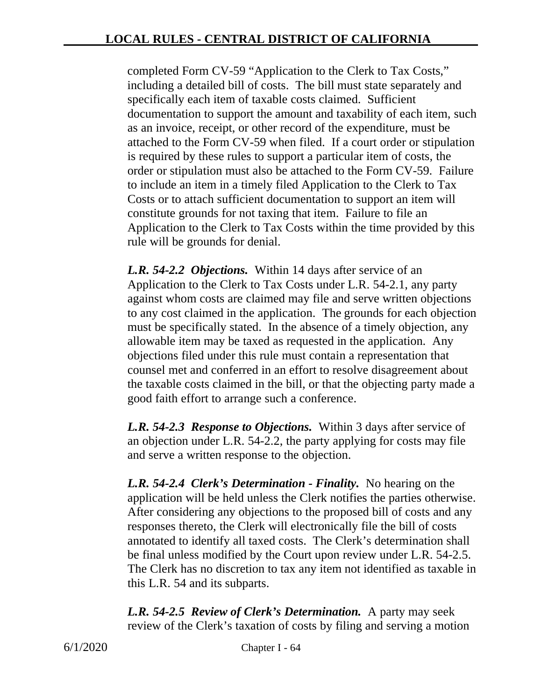completed Form CV-59 "Application to the Clerk to Tax Costs," including a detailed bill of costs. The bill must state separately and specifically each item of taxable costs claimed. Sufficient documentation to support the amount and taxability of each item, such as an invoice, receipt, or other record of the expenditure, must be attached to the Form CV-59 when filed. If a court order or stipulation is required by these rules to support a particular item of costs, the order or stipulation must also be attached to the Form CV-59. Failure to include an item in a timely filed Application to the Clerk to Tax Costs or to attach sufficient documentation to support an item will constitute grounds for not taxing that item. Failure to file an Application to the Clerk to Tax Costs within the time provided by this rule will be grounds for denial.

*L.R. 54-2.2 Objections.* Within 14 days after service of an Application to the Clerk to Tax Costs under L.R. 54-2.1, any party against whom costs are claimed may file and serve written objections to any cost claimed in the application. The grounds for each objection must be specifically stated. In the absence of a timely objection, any allowable item may be taxed as requested in the application. Any objections filed under this rule must contain a representation that counsel met and conferred in an effort to resolve disagreement about the taxable costs claimed in the bill, or that the objecting party made a good faith effort to arrange such a conference.

*L.R. 54-2.3 Response to Objections.* Within 3 days after service of an objection under L.R. 54-2.2, the party applying for costs may file and serve a written response to the objection.

*L.R. 54-2.4 Clerk's Determination - Finality.* No hearing on the application will be held unless the Clerk notifies the parties otherwise. After considering any objections to the proposed bill of costs and any responses thereto, the Clerk will electronically file the bill of costs annotated to identify all taxed costs. The Clerk's determination shall be final unless modified by the Court upon review under L.R. 54-2.5. The Clerk has no discretion to tax any item not identified as taxable in this L.R. 54 and its subparts.

*L.R. 54-2.5 Review of Clerk's Determination.* A party may seek review of the Clerk's taxation of costs by filing and serving a motion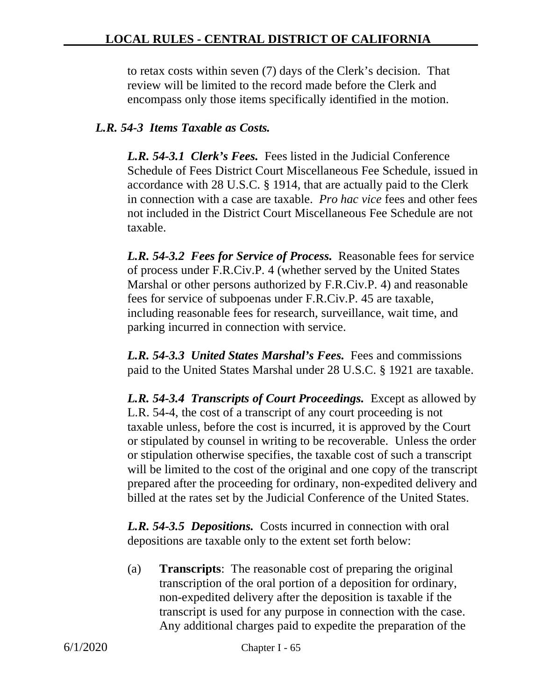to retax costs within seven (7) days of the Clerk's decision. That review will be limited to the record made before the Clerk and encompass only those items specifically identified in the motion.

## *L.R. 54-3 Items Taxable as Costs.*

*L.R. 54-3.1 Clerk's Fees.* Fees listed in the Judicial Conference Schedule of Fees District Court Miscellaneous Fee Schedule, issued in accordance with 28 U.S.C. § 1914, that are actually paid to the Clerk in connection with a case are taxable. *Pro hac vice* fees and other fees not included in the District Court Miscellaneous Fee Schedule are not taxable.

*L.R. 54-3.2 Fees for Service of Process.* Reasonable fees for service of process under F.R.Civ.P. 4 (whether served by the United States Marshal or other persons authorized by F.R.Civ.P. 4) and reasonable fees for service of subpoenas under F.R.Civ.P. 45 are taxable, including reasonable fees for research, surveillance, wait time, and parking incurred in connection with service.

*L.R. 54-3.3 United States Marshal's Fees.* Fees and commissions paid to the United States Marshal under 28 U.S.C. § 1921 are taxable.

*L.R. 54-3.4 Transcripts of Court Proceedings.* Except as allowed by L.R. 54-4, the cost of a transcript of any court proceeding is not taxable unless, before the cost is incurred, it is approved by the Court or stipulated by counsel in writing to be recoverable. Unless the order or stipulation otherwise specifies, the taxable cost of such a transcript will be limited to the cost of the original and one copy of the transcript prepared after the proceeding for ordinary, non-expedited delivery and billed at the rates set by the Judicial Conference of the United States.

*L.R. 54-3.5 Depositions.* Costs incurred in connection with oral depositions are taxable only to the extent set forth below:

(a) **Transcripts**: The reasonable cost of preparing the original transcription of the oral portion of a deposition for ordinary, non-expedited delivery after the deposition is taxable if the transcript is used for any purpose in connection with the case. Any additional charges paid to expedite the preparation of the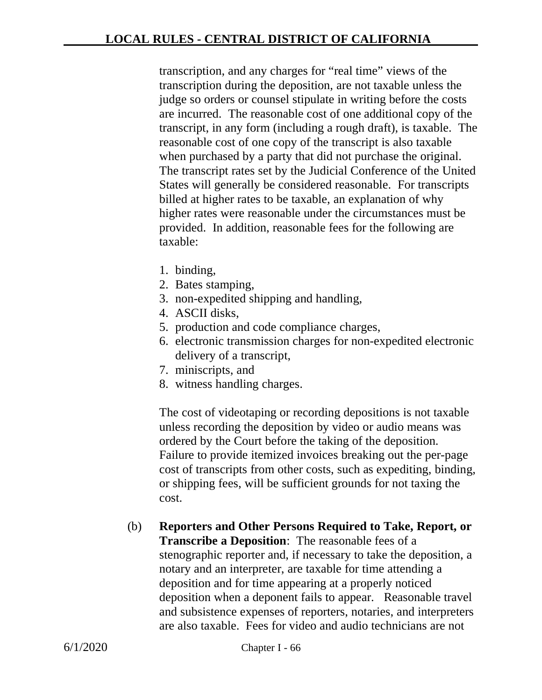transcription, and any charges for "real time" views of the transcription during the deposition, are not taxable unless the judge so orders or counsel stipulate in writing before the costs are incurred. The reasonable cost of one additional copy of the transcript, in any form (including a rough draft), is taxable. The reasonable cost of one copy of the transcript is also taxable when purchased by a party that did not purchase the original. The transcript rates set by the Judicial Conference of the United States will generally be considered reasonable. For transcripts billed at higher rates to be taxable, an explanation of why higher rates were reasonable under the circumstances must be provided. In addition, reasonable fees for the following are taxable:

- 1. binding,
- 2. Bates stamping,
- 3. non-expedited shipping and handling,
- 4. ASCII disks,
- 5. production and code compliance charges,
- 6. electronic transmission charges for non-expedited electronic delivery of a transcript,
- 7. miniscripts, and
- 8. witness handling charges.

The cost of videotaping or recording depositions is not taxable unless recording the deposition by video or audio means was ordered by the Court before the taking of the deposition. Failure to provide itemized invoices breaking out the per-page cost of transcripts from other costs, such as expediting, binding, or shipping fees, will be sufficient grounds for not taxing the cost.

(b) **Reporters and Other Persons Required to Take, Report, or Transcribe a Deposition**: The reasonable fees of a stenographic reporter and, if necessary to take the deposition, a notary and an interpreter, are taxable for time attending a deposition and for time appearing at a properly noticed deposition when a deponent fails to appear. Reasonable travel and subsistence expenses of reporters, notaries, and interpreters are also taxable. Fees for video and audio technicians are not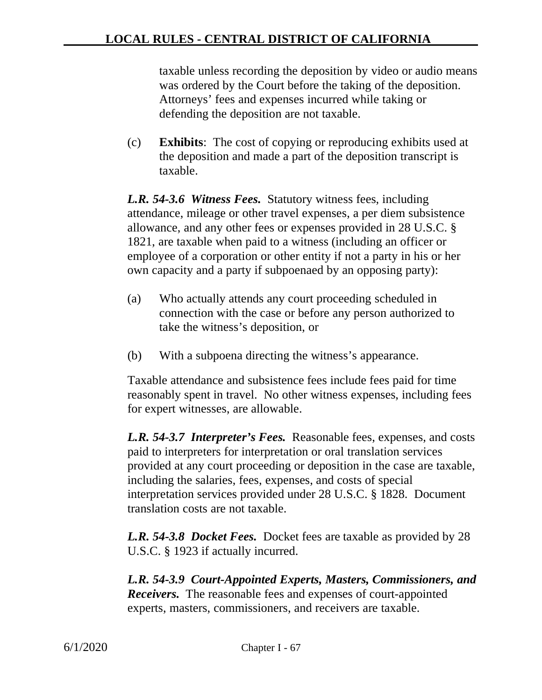taxable unless recording the deposition by video or audio means was ordered by the Court before the taking of the deposition. Attorneys' fees and expenses incurred while taking or defending the deposition are not taxable.

(c) **Exhibits**: The cost of copying or reproducing exhibits used at the deposition and made a part of the deposition transcript is taxable.

*L.R. 54-3.6 Witness Fees.* Statutory witness fees, including attendance, mileage or other travel expenses, a per diem subsistence allowance, and any other fees or expenses provided in 28 U.S.C. § 1821, are taxable when paid to a witness (including an officer or employee of a corporation or other entity if not a party in his or her own capacity and a party if subpoenaed by an opposing party):

- (a) Who actually attends any court proceeding scheduled in connection with the case or before any person authorized to take the witness's deposition, or
- (b) With a subpoena directing the witness's appearance.

Taxable attendance and subsistence fees include fees paid for time reasonably spent in travel. No other witness expenses, including fees for expert witnesses, are allowable.

*L.R. 54-3.7 Interpreter's Fees.* Reasonable fees, expenses, and costs paid to interpreters for interpretation or oral translation services provided at any court proceeding or deposition in the case are taxable, including the salaries, fees, expenses, and costs of special interpretation services provided under 28 U.S.C. § 1828. Document translation costs are not taxable.

*L.R. 54-3.8 Docket Fees.* Docket fees are taxable as provided by 28 U.S.C. § 1923 if actually incurred.

*L.R. 54-3.9 Court-Appointed Experts, Masters, Commissioners, and Receivers.* The reasonable fees and expenses of court-appointed experts, masters, commissioners, and receivers are taxable.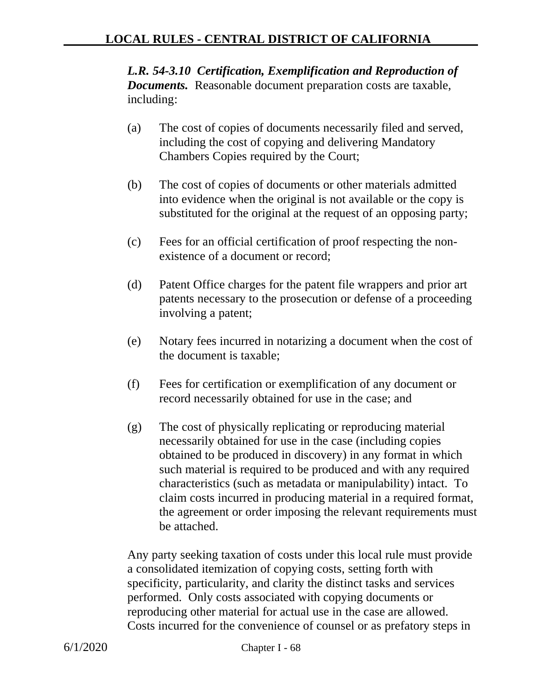*L.R. 54-3.10 Certification, Exemplification and Reproduction of Documents.* Reasonable document preparation costs are taxable, including:

- (a) The cost of copies of documents necessarily filed and served, including the cost of copying and delivering Mandatory Chambers Copies required by the Court;
- (b) The cost of copies of documents or other materials admitted into evidence when the original is not available or the copy is substituted for the original at the request of an opposing party;
- (c) Fees for an official certification of proof respecting the nonexistence of a document or record;
- (d) Patent Office charges for the patent file wrappers and prior art patents necessary to the prosecution or defense of a proceeding involving a patent;
- (e) Notary fees incurred in notarizing a document when the cost of the document is taxable;
- (f) Fees for certification or exemplification of any document or record necessarily obtained for use in the case; and
- (g) The cost of physically replicating or reproducing material necessarily obtained for use in the case (including copies obtained to be produced in discovery) in any format in which such material is required to be produced and with any required characteristics (such as metadata or manipulability) intact. To claim costs incurred in producing material in a required format, the agreement or order imposing the relevant requirements must be attached.

Any party seeking taxation of costs under this local rule must provide a consolidated itemization of copying costs, setting forth with specificity, particularity, and clarity the distinct tasks and services performed. Only costs associated with copying documents or reproducing other material for actual use in the case are allowed. Costs incurred for the convenience of counsel or as prefatory steps in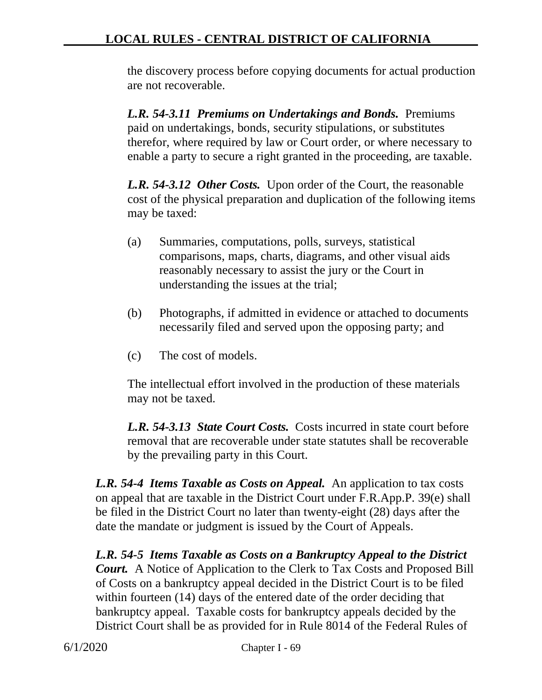the discovery process before copying documents for actual production are not recoverable.

*L.R. 54-3.11 Premiums on Undertakings and Bonds.* Premiums paid on undertakings, bonds, security stipulations, or substitutes therefor, where required by law or Court order, or where necessary to enable a party to secure a right granted in the proceeding, are taxable.

*L.R. 54-3.12 Other Costs.* Upon order of the Court, the reasonable cost of the physical preparation and duplication of the following items may be taxed:

- (a) Summaries, computations, polls, surveys, statistical comparisons, maps, charts, diagrams, and other visual aids reasonably necessary to assist the jury or the Court in understanding the issues at the trial;
- (b) Photographs, if admitted in evidence or attached to documents necessarily filed and served upon the opposing party; and
- (c) The cost of models.

The intellectual effort involved in the production of these materials may not be taxed.

*L.R. 54-3.13 State Court Costs.* Costs incurred in state court before removal that are recoverable under state statutes shall be recoverable by the prevailing party in this Court.

*L.R. 54-4 Items Taxable as Costs on Appeal.* An application to tax costs on appeal that are taxable in the District Court under F.R.App.P. 39(e) shall be filed in the District Court no later than twenty-eight (28) days after the date the mandate or judgment is issued by the Court of Appeals.

*L.R. 54-5 Items Taxable as Costs on a Bankruptcy Appeal to the District Court.* A Notice of Application to the Clerk to Tax Costs and Proposed Bill of Costs on a bankruptcy appeal decided in the District Court is to be filed within fourteen (14) days of the entered date of the order deciding that bankruptcy appeal. Taxable costs for bankruptcy appeals decided by the District Court shall be as provided for in Rule 8014 of the Federal Rules of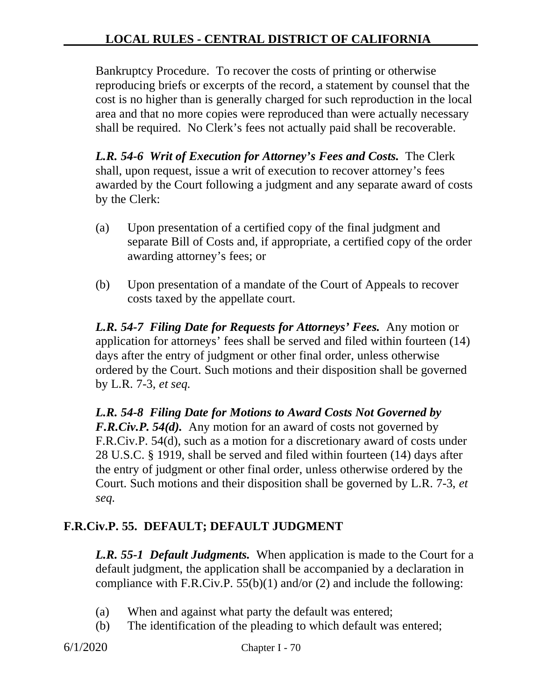Bankruptcy Procedure. To recover the costs of printing or otherwise reproducing briefs or excerpts of the record, a statement by counsel that the cost is no higher than is generally charged for such reproduction in the local area and that no more copies were reproduced than were actually necessary shall be required. No Clerk's fees not actually paid shall be recoverable.

*L.R. 54-6 Writ of Execution for Attorney's Fees and Costs.* The Clerk shall, upon request, issue a writ of execution to recover attorney's fees awarded by the Court following a judgment and any separate award of costs by the Clerk:

- (a) Upon presentation of a certified copy of the final judgment and separate Bill of Costs and, if appropriate, a certified copy of the order awarding attorney's fees; or
- (b) Upon presentation of a mandate of the Court of Appeals to recover costs taxed by the appellate court.

*L.R. 54-7 Filing Date for Requests for Attorneys' Fees.* Any motion or application for attorneys' fees shall be served and filed within fourteen (14) days after the entry of judgment or other final order, unless otherwise ordered by the Court. Such motions and their disposition shall be governed by L.R. 7-3, *et seq.*

*L.R. 54-8 Filing Date for Motions to Award Costs Not Governed by F.R.Civ.P. 54(d).* Any motion for an award of costs not governed by F.R.Civ.P. 54(d), such as a motion for a discretionary award of costs under 28 U.S.C. § 1919, shall be served and filed within fourteen (14) days after the entry of judgment or other final order, unless otherwise ordered by the Court. Such motions and their disposition shall be governed by L.R. 7-3, *et seq.*

## **F.R.Civ.P. 55. DEFAULT; DEFAULT JUDGMENT**

*L.R. 55-1 Default Judgments.* When application is made to the Court for a default judgment, the application shall be accompanied by a declaration in compliance with F.R.Civ.P. 55(b)(1) and/or (2) and include the following:

- (a) When and against what party the default was entered;
- (b) The identification of the pleading to which default was entered;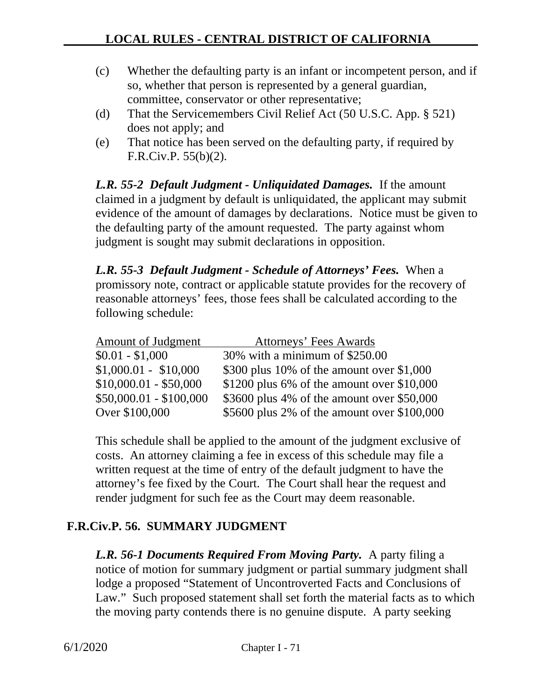- (c) Whether the defaulting party is an infant or incompetent person, and if so, whether that person is represented by a general guardian, committee, conservator or other representative;
- (d) That the Servicemembers Civil Relief Act (50 U.S.C. App. § 521) does not apply; and
- (e) That notice has been served on the defaulting party, if required by F.R.Civ.P. 55(b)(2).

*L.R. 55-2 Default Judgment - Unliquidated Damages.* If the amount claimed in a judgment by default is unliquidated, the applicant may submit evidence of the amount of damages by declarations. Notice must be given to the defaulting party of the amount requested. The party against whom judgment is sought may submit declarations in opposition.

*L.R. 55-3 Default Judgment - Schedule of Attorneys' Fees.* When a promissory note, contract or applicable statute provides for the recovery of reasonable attorneys' fees, those fees shall be calculated according to the following schedule:

| Amount of Judgment      | Attorneys' Fees Awards                      |
|-------------------------|---------------------------------------------|
| $$0.01 - $1,000$        | 30% with a minimum of \$250.00              |
| $$1,000.01 - $10,000$   | \$300 plus 10% of the amount over $$1,000$  |
| $$10,000.01 - $50,000$  | \$1200 plus 6% of the amount over $$10,000$ |
| $$50,000.01 - $100,000$ | \$3600 plus 4% of the amount over \$50,000  |
| Over \$100,000          | \$5600 plus 2% of the amount over \$100,000 |

This schedule shall be applied to the amount of the judgment exclusive of costs. An attorney claiming a fee in excess of this schedule may file a written request at the time of entry of the default judgment to have the attorney's fee fixed by the Court. The Court shall hear the request and render judgment for such fee as the Court may deem reasonable.

# **F.R.Civ.P. 56. SUMMARY JUDGMENT**

*L.R. 56-1 Documents Required From Moving Party.* A party filing a notice of motion for summary judgment or partial summary judgment shall lodge a proposed "Statement of Uncontroverted Facts and Conclusions of Law." Such proposed statement shall set forth the material facts as to which the moving party contends there is no genuine dispute. A party seeking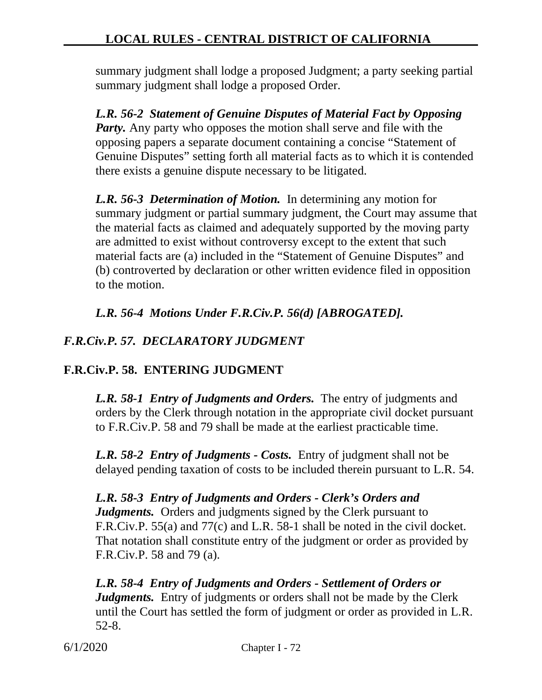summary judgment shall lodge a proposed Judgment; a party seeking partial summary judgment shall lodge a proposed Order.

*L.R. 56-2 Statement of Genuine Disputes of Material Fact by Opposing Party.* Any party who opposes the motion shall serve and file with the opposing papers a separate document containing a concise "Statement of Genuine Disputes" setting forth all material facts as to which it is contended there exists a genuine dispute necessary to be litigated.

*L.R. 56-3 Determination of Motion.* In determining any motion for summary judgment or partial summary judgment, the Court may assume that the material facts as claimed and adequately supported by the moving party are admitted to exist without controversy except to the extent that such material facts are (a) included in the "Statement of Genuine Disputes" and (b) controverted by declaration or other written evidence filed in opposition to the motion.

*L.R. 56-4 Motions Under F.R.Civ.P. 56(d) [ABROGATED].*

# *F.R.Civ.P. 57. DECLARATORY JUDGMENT*

# **F.R.Civ.P. 58. ENTERING JUDGMENT**

*L.R. 58-1 Entry of Judgments and Orders.* The entry of judgments and orders by the Clerk through notation in the appropriate civil docket pursuant to F.R.Civ.P. 58 and 79 shall be made at the earliest practicable time.

*L.R. 58-2 Entry of Judgments - Costs.* Entry of judgment shall not be delayed pending taxation of costs to be included therein pursuant to L.R. 54.

*L.R. 58-3 Entry of Judgments and Orders - Clerk's Orders and Judgments.* Orders and judgments signed by the Clerk pursuant to F.R.Civ.P. 55(a) and 77(c) and L.R. 58-1 shall be noted in the civil docket. That notation shall constitute entry of the judgment or order as provided by F.R.Civ.P. 58 and 79 (a).

*L.R. 58-4 Entry of Judgments and Orders - Settlement of Orders or Judgments.* Entry of judgments or orders shall not be made by the Clerk until the Court has settled the form of judgment or order as provided in L.R. 52-8.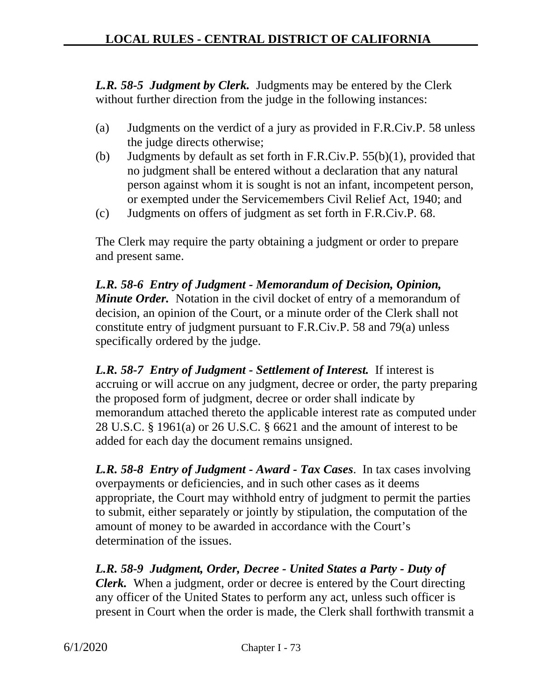*L.R. 58-5 Judgment by Clerk.* Judgments may be entered by the Clerk without further direction from the judge in the following instances:

- (a) Judgments on the verdict of a jury as provided in F.R.Civ.P. 58 unless the judge directs otherwise;
- (b) Judgments by default as set forth in F.R.Civ.P.  $55(b)(1)$ , provided that no judgment shall be entered without a declaration that any natural person against whom it is sought is not an infant, incompetent person, or exempted under the Servicemembers Civil Relief Act, 1940; and
- (c) Judgments on offers of judgment as set forth in F.R.Civ.P. 68.

The Clerk may require the party obtaining a judgment or order to prepare and present same.

*L.R. 58-6 Entry of Judgment - Memorandum of Decision, Opinion, Minute Order.* Notation in the civil docket of entry of a memorandum of decision, an opinion of the Court, or a minute order of the Clerk shall not constitute entry of judgment pursuant to F.R.Civ.P. 58 and 79(a) unless specifically ordered by the judge.

*L.R. 58-7 Entry of Judgment - Settlement of Interest.* If interest is accruing or will accrue on any judgment, decree or order, the party preparing the proposed form of judgment, decree or order shall indicate by memorandum attached thereto the applicable interest rate as computed under 28 U.S.C. § 1961(a) or 26 U.S.C. § 6621 and the amount of interest to be added for each day the document remains unsigned.

*L.R. 58-8 Entry of Judgment - Award - Tax Cases*. In tax cases involving overpayments or deficiencies, and in such other cases as it deems appropriate, the Court may withhold entry of judgment to permit the parties to submit, either separately or jointly by stipulation, the computation of the amount of money to be awarded in accordance with the Court's determination of the issues.

*L.R. 58-9 Judgment, Order, Decree - United States a Party - Duty of Clerk.* When a judgment, order or decree is entered by the Court directing any officer of the United States to perform any act, unless such officer is present in Court when the order is made, the Clerk shall forthwith transmit a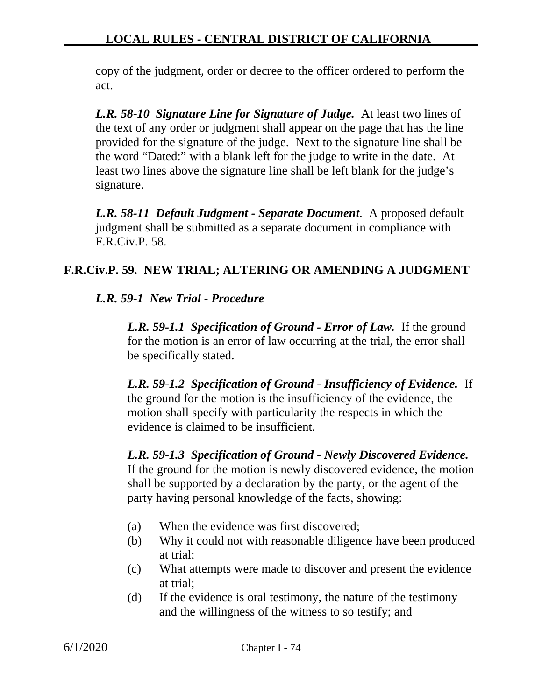copy of the judgment, order or decree to the officer ordered to perform the act.

*L.R. 58-10 Signature Line for Signature of Judge.* At least two lines of the text of any order or judgment shall appear on the page that has the line provided for the signature of the judge. Next to the signature line shall be the word "Dated:" with a blank left for the judge to write in the date. At least two lines above the signature line shall be left blank for the judge's signature.

*L.R. 58-11 Default Judgment - Separate Document*. A proposed default judgment shall be submitted as a separate document in compliance with F.R.Civ.P. 58.

## **F.R.Civ.P. 59. NEW TRIAL; ALTERING OR AMENDING A JUDGMENT**

### *L.R. 59-1 New Trial - Procedure*

*L.R. 59-1.1 Specification of Ground - Error of Law.* If the ground for the motion is an error of law occurring at the trial, the error shall be specifically stated.

*L.R. 59-1.2 Specification of Ground - Insufficiency of Evidence.* If the ground for the motion is the insufficiency of the evidence, the motion shall specify with particularity the respects in which the evidence is claimed to be insufficient.

### *L.R. 59-1.3 Specification of Ground - Newly Discovered Evidence.*

If the ground for the motion is newly discovered evidence, the motion shall be supported by a declaration by the party, or the agent of the party having personal knowledge of the facts, showing:

- (a) When the evidence was first discovered;
- (b) Why it could not with reasonable diligence have been produced at trial;
- (c) What attempts were made to discover and present the evidence at trial;
- (d) If the evidence is oral testimony, the nature of the testimony and the willingness of the witness to so testify; and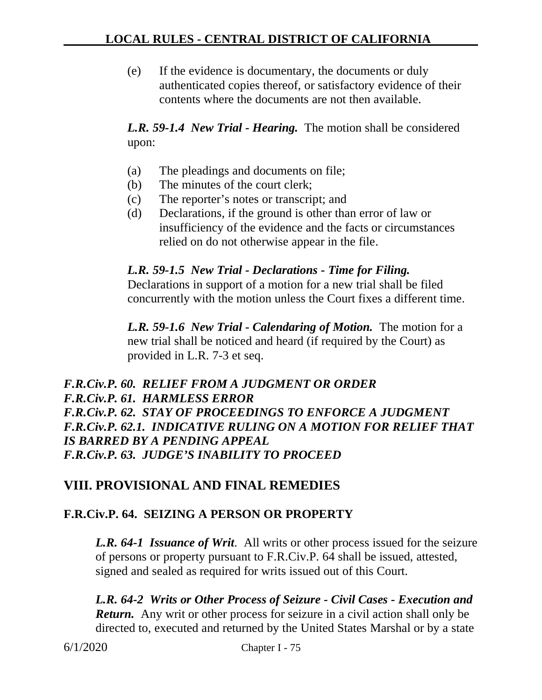(e) If the evidence is documentary, the documents or duly authenticated copies thereof, or satisfactory evidence of their contents where the documents are not then available.

### *L.R. 59-1.4 New Trial - Hearing.* The motion shall be considered upon:

- (a) The pleadings and documents on file;
- (b) The minutes of the court clerk;
- (c) The reporter's notes or transcript; and
- (d) Declarations, if the ground is other than error of law or insufficiency of the evidence and the facts or circumstances relied on do not otherwise appear in the file.

#### *L.R. 59-1.5 New Trial - Declarations - Time for Filing.*

Declarations in support of a motion for a new trial shall be filed concurrently with the motion unless the Court fixes a different time.

*L.R. 59-1.6 New Trial - Calendaring of Motion.* The motion for a new trial shall be noticed and heard (if required by the Court) as provided in L.R. 7-3 et seq.

*F.R.Civ.P. 60. RELIEF FROM A JUDGMENT OR ORDER F.R.Civ.P. 61. HARMLESS ERROR F.R.Civ.P. 62. STAY OF PROCEEDINGS TO ENFORCE A JUDGMENT F.R.Civ.P. 62.1. INDICATIVE RULING ON A MOTION FOR RELIEF THAT IS BARRED BY A PENDING APPEAL F.R.Civ.P. 63. JUDGE'S INABILITY TO PROCEED*

## **VIII. PROVISIONAL AND FINAL REMEDIES**

## **F.R.Civ.P. 64. SEIZING A PERSON OR PROPERTY**

*L.R. 64-1 Issuance of Writ*. All writs or other process issued for the seizure of persons or property pursuant to F.R.Civ.P. 64 shall be issued, attested, signed and sealed as required for writs issued out of this Court.

*L.R. 64-2 Writs or Other Process of Seizure - Civil Cases - Execution and Return.* Any writ or other process for seizure in a civil action shall only be directed to, executed and returned by the United States Marshal or by a state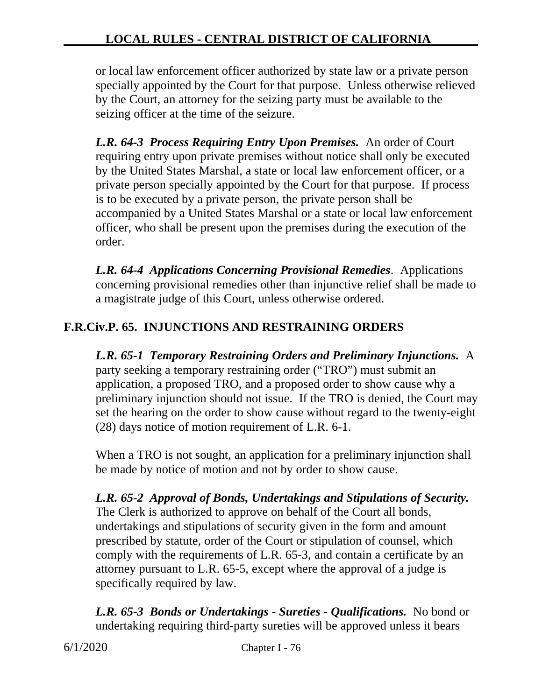or local law enforcement officer authorized by state law or a private person specially appointed by the Court for that purpose. Unless otherwise relieved by the Court, an attorney for the seizing party must be available to the seizing officer at the time of the seizure.

*L.R. 64-3 Process Requiring Entry Upon Premises.* An order of Court requiring entry upon private premises without notice shall only be executed by the United States Marshal, a state or local law enforcement officer, or a private person specially appointed by the Court for that purpose. If process is to be executed by a private person, the private person shall be accompanied by a United States Marshal or a state or local law enforcement officer, who shall be present upon the premises during the execution of the order.

*L.R. 64-4 Applications Concerning Provisional Remedies*. Applications concerning provisional remedies other than injunctive relief shall be made to a magistrate judge of this Court, unless otherwise ordered.

# **F.R.Civ.P. 65. INJUNCTIONS AND RESTRAINING ORDERS**

*L.R. 65-1 Temporary Restraining Orders and Preliminary Injunctions.* A party seeking a temporary restraining order ("TRO") must submit an application, a proposed TRO, and a proposed order to show cause why a preliminary injunction should not issue. If the TRO is denied, the Court may set the hearing on the order to show cause without regard to the twenty-eight (28) days notice of motion requirement of L.R. 6-1.

When a TRO is not sought, an application for a preliminary injunction shall be made by notice of motion and not by order to show cause.

*L.R. 65-2 Approval of Bonds, Undertakings and Stipulations of Security.* The Clerk is authorized to approve on behalf of the Court all bonds, undertakings and stipulations of security given in the form and amount prescribed by statute, order of the Court or stipulation of counsel, which comply with the requirements of L.R. 65-3, and contain a certificate by an attorney pursuant to L.R. 65-5, except where the approval of a judge is specifically required by law.

*L.R. 65-3 Bonds or Undertakings - Sureties - Qualifications.* No bond or undertaking requiring third-party sureties will be approved unless it bears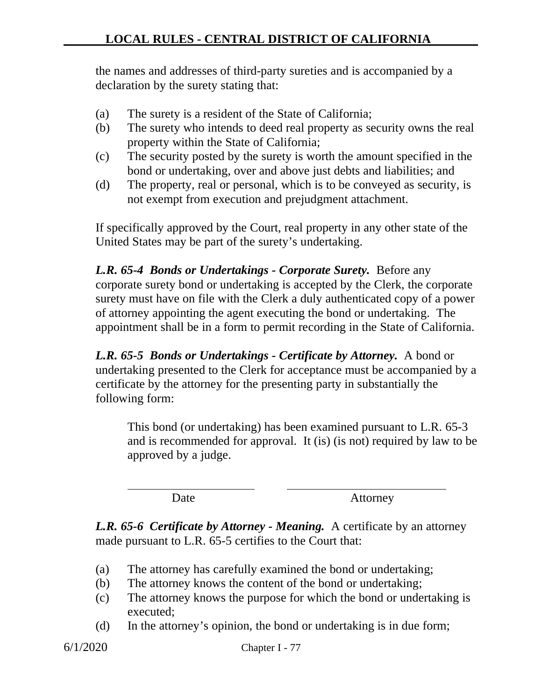the names and addresses of third-party sureties and is accompanied by a declaration by the surety stating that:

- (a) The surety is a resident of the State of California;
- (b) The surety who intends to deed real property as security owns the real property within the State of California;
- (c) The security posted by the surety is worth the amount specified in the bond or undertaking, over and above just debts and liabilities; and
- (d) The property, real or personal, which is to be conveyed as security, is not exempt from execution and prejudgment attachment.

If specifically approved by the Court, real property in any other state of the United States may be part of the surety's undertaking.

*L.R. 65-4 Bonds or Undertakings - Corporate Surety.* Before any corporate surety bond or undertaking is accepted by the Clerk, the corporate surety must have on file with the Clerk a duly authenticated copy of a power of attorney appointing the agent executing the bond or undertaking. The appointment shall be in a form to permit recording in the State of California.

*L.R. 65-5 Bonds or Undertakings - Certificate by Attorney.* A bond or undertaking presented to the Clerk for acceptance must be accompanied by a certificate by the attorney for the presenting party in substantially the following form:

This bond (or undertaking) has been examined pursuant to L.R. 65-3 and is recommended for approval. It (is) (is not) required by law to be approved by a judge.

Date Attorney

*L.R. 65-6 Certificate by Attorney - Meaning.* A certificate by an attorney made pursuant to L.R. 65-5 certifies to the Court that:

- (a) The attorney has carefully examined the bond or undertaking;
- (b) The attorney knows the content of the bond or undertaking;
- (c) The attorney knows the purpose for which the bond or undertaking is executed;
- (d) In the attorney's opinion, the bond or undertaking is in due form;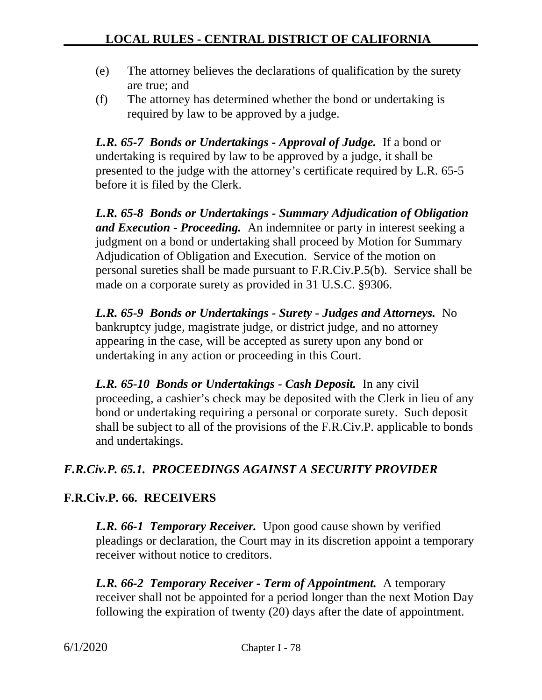- (e) The attorney believes the declarations of qualification by the surety are true; and
- (f) The attorney has determined whether the bond or undertaking is required by law to be approved by a judge.

*L.R. 65-7 Bonds or Undertakings - Approval of Judge.* If a bond or undertaking is required by law to be approved by a judge, it shall be presented to the judge with the attorney's certificate required by L.R. 65-5 before it is filed by the Clerk.

*L.R. 65-8 Bonds or Undertakings - Summary Adjudication of Obligation and Execution - Proceeding.* An indemnitee or party in interest seeking a judgment on a bond or undertaking shall proceed by Motion for Summary Adjudication of Obligation and Execution. Service of the motion on personal sureties shall be made pursuant to F.R.Civ.P.5(b). Service shall be made on a corporate surety as provided in 31 U.S.C. §9306.

*L.R. 65-9 Bonds or Undertakings - Surety - Judges and Attorneys.* No bankruptcy judge, magistrate judge, or district judge, and no attorney appearing in the case, will be accepted as surety upon any bond or undertaking in any action or proceeding in this Court.

*L.R. 65-10 Bonds or Undertakings - Cash Deposit.* In any civil proceeding, a cashier's check may be deposited with the Clerk in lieu of any bond or undertaking requiring a personal or corporate surety. Such deposit shall be subject to all of the provisions of the F.R.Civ.P. applicable to bonds and undertakings.

## *F.R.Civ.P. 65.1. PROCEEDINGS AGAINST A SECURITY PROVIDER*

# **F.R.Civ.P. 66. RECEIVERS**

*L.R. 66-1 Temporary Receiver.* Upon good cause shown by verified pleadings or declaration, the Court may in its discretion appoint a temporary receiver without notice to creditors.

*L.R. 66-2 Temporary Receiver - Term of Appointment.* A temporary receiver shall not be appointed for a period longer than the next Motion Day following the expiration of twenty (20) days after the date of appointment.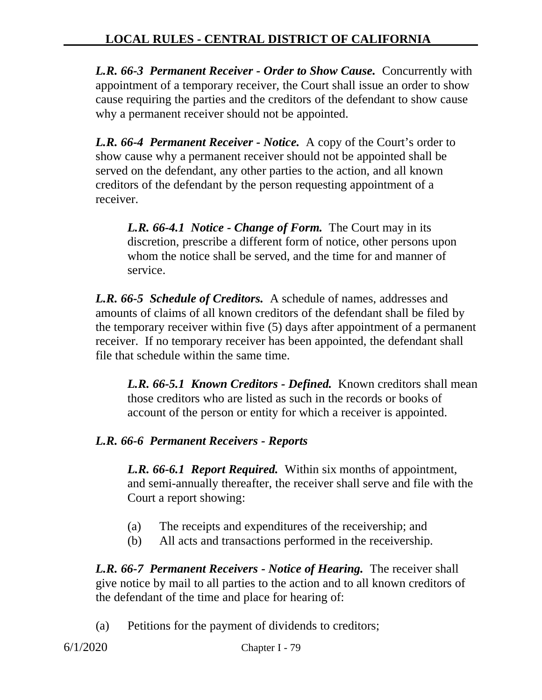*L.R. 66-3 Permanent Receiver - Order to Show Cause.* Concurrently with appointment of a temporary receiver, the Court shall issue an order to show cause requiring the parties and the creditors of the defendant to show cause why a permanent receiver should not be appointed.

*L.R. 66-4 Permanent Receiver - Notice.* A copy of the Court's order to show cause why a permanent receiver should not be appointed shall be served on the defendant, any other parties to the action, and all known creditors of the defendant by the person requesting appointment of a receiver.

*L.R. 66-4.1 Notice - Change of Form.* The Court may in its discretion, prescribe a different form of notice, other persons upon whom the notice shall be served, and the time for and manner of service.

*L.R. 66-5 Schedule of Creditors.* A schedule of names, addresses and amounts of claims of all known creditors of the defendant shall be filed by the temporary receiver within five (5) days after appointment of a permanent receiver. If no temporary receiver has been appointed, the defendant shall file that schedule within the same time.

*L.R. 66-5.1 Known Creditors - Defined.* Known creditors shall mean those creditors who are listed as such in the records or books of account of the person or entity for which a receiver is appointed.

## *L.R. 66-6 Permanent Receivers - Reports*

*L.R. 66-6.1 Report Required.* Within six months of appointment, and semi-annually thereafter, the receiver shall serve and file with the Court a report showing:

- (a) The receipts and expenditures of the receivership; and
- (b) All acts and transactions performed in the receivership.

*L.R. 66-7 Permanent Receivers - Notice of Hearing.* The receiver shall give notice by mail to all parties to the action and to all known creditors of the defendant of the time and place for hearing of:

(a) Petitions for the payment of dividends to creditors;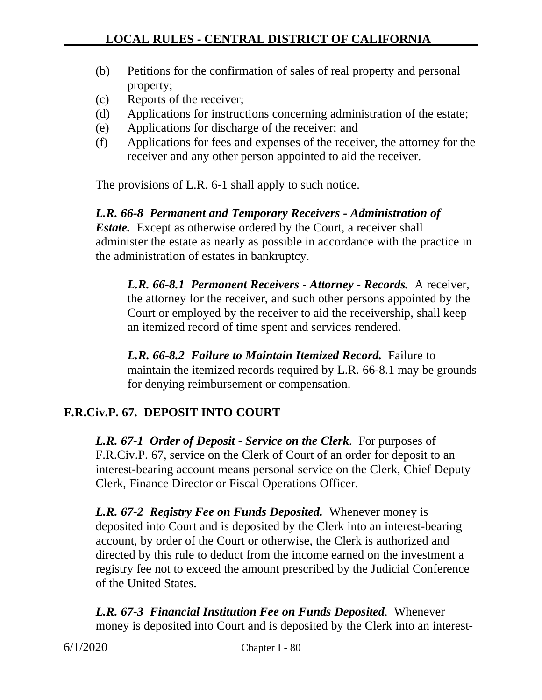- (b) Petitions for the confirmation of sales of real property and personal property;
- (c) Reports of the receiver;
- (d) Applications for instructions concerning administration of the estate;
- (e) Applications for discharge of the receiver; and
- (f) Applications for fees and expenses of the receiver, the attorney for the receiver and any other person appointed to aid the receiver.

The provisions of L.R. 6-1 shall apply to such notice.

## *L.R. 66-8 Permanent and Temporary Receivers - Administration of*

*Estate.* Except as otherwise ordered by the Court, a receiver shall administer the estate as nearly as possible in accordance with the practice in the administration of estates in bankruptcy.

*L.R. 66-8.1 Permanent Receivers - Attorney - Records.* A receiver, the attorney for the receiver, and such other persons appointed by the Court or employed by the receiver to aid the receivership, shall keep an itemized record of time spent and services rendered.

*L.R. 66-8.2 Failure to Maintain Itemized Record.* Failure to maintain the itemized records required by L.R. 66-8.1 may be grounds for denying reimbursement or compensation.

# **F.R.Civ.P. 67. DEPOSIT INTO COURT**

*L.R. 67-1 Order of Deposit - Service on the Clerk*. For purposes of F.R.Civ.P. 67, service on the Clerk of Court of an order for deposit to an interest-bearing account means personal service on the Clerk, Chief Deputy Clerk, Finance Director or Fiscal Operations Officer.

*L.R. 67-2 Registry Fee on Funds Deposited.* Whenever money is deposited into Court and is deposited by the Clerk into an interest-bearing account, by order of the Court or otherwise, the Clerk is authorized and directed by this rule to deduct from the income earned on the investment a registry fee not to exceed the amount prescribed by the Judicial Conference of the United States.

*L.R. 67-3 Financial Institution Fee on Funds Deposited*. Whenever money is deposited into Court and is deposited by the Clerk into an interest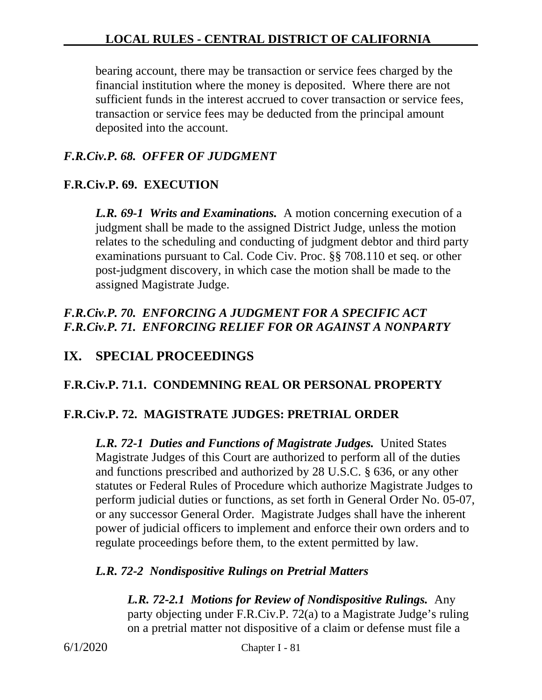bearing account, there may be transaction or service fees charged by the financial institution where the money is deposited. Where there are not sufficient funds in the interest accrued to cover transaction or service fees, transaction or service fees may be deducted from the principal amount deposited into the account.

## *F.R.Civ.P. 68. OFFER OF JUDGMENT*

## **F.R.Civ.P. 69. EXECUTION**

*L.R. 69-1 Writs and Examinations.* A motion concerning execution of a judgment shall be made to the assigned District Judge, unless the motion relates to the scheduling and conducting of judgment debtor and third party examinations pursuant to Cal. Code Civ. Proc. §§ 708.110 et seq. or other post-judgment discovery, in which case the motion shall be made to the assigned Magistrate Judge.

### *F.R.Civ.P. 70. ENFORCING A JUDGMENT FOR A SPECIFIC ACT F.R.Civ.P. 71. ENFORCING RELIEF FOR OR AGAINST A NONPARTY*

# **IX. SPECIAL PROCEEDINGS**

## **F.R.Civ.P. 71.1. CONDEMNING REAL OR PERSONAL PROPERTY**

### **F.R.Civ.P. 72. MAGISTRATE JUDGES: PRETRIAL ORDER**

*L.R. 72-1 Duties and Functions of Magistrate Judges.* United States Magistrate Judges of this Court are authorized to perform all of the duties and functions prescribed and authorized by 28 U.S.C. § 636, or any other statutes or Federal Rules of Procedure which authorize Magistrate Judges to perform judicial duties or functions, as set forth in General Order No. 05-07, or any successor General Order. Magistrate Judges shall have the inherent power of judicial officers to implement and enforce their own orders and to regulate proceedings before them, to the extent permitted by law.

### *L.R. 72-2 Nondispositive Rulings on Pretrial Matters*

*L.R. 72-2.1 Motions for Review of Nondispositive Rulings.* Any party objecting under F.R.Civ.P. 72(a) to a Magistrate Judge's ruling on a pretrial matter not dispositive of a claim or defense must file a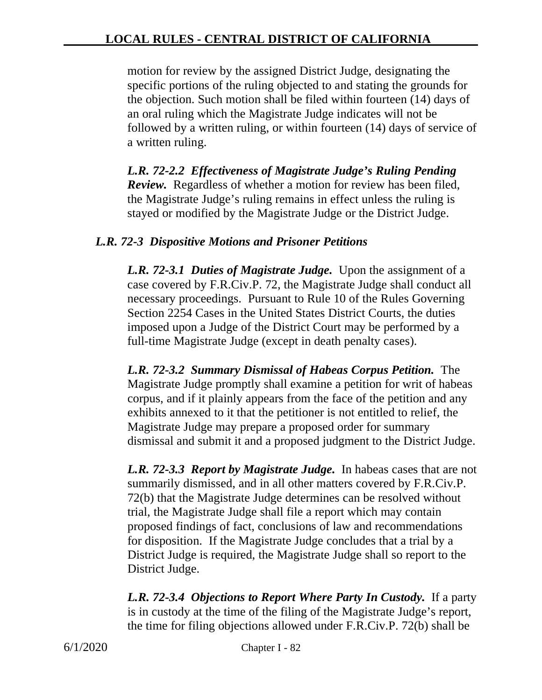motion for review by the assigned District Judge, designating the specific portions of the ruling objected to and stating the grounds for the objection. Such motion shall be filed within fourteen (14) days of an oral ruling which the Magistrate Judge indicates will not be followed by a written ruling, or within fourteen (14) days of service of a written ruling.

*L.R. 72-2.2 Effectiveness of Magistrate Judge's Ruling Pending Review.* Regardless of whether a motion for review has been filed, the Magistrate Judge's ruling remains in effect unless the ruling is stayed or modified by the Magistrate Judge or the District Judge.

### *L.R. 72-3 Dispositive Motions and Prisoner Petitions*

*L.R. 72-3.1 Duties of Magistrate Judge.* Upon the assignment of a case covered by F.R.Civ.P. 72, the Magistrate Judge shall conduct all necessary proceedings. Pursuant to Rule 10 of the Rules Governing Section 2254 Cases in the United States District Courts, the duties imposed upon a Judge of the District Court may be performed by a full-time Magistrate Judge (except in death penalty cases).

*L.R. 72-3.2 Summary Dismissal of Habeas Corpus Petition.* The Magistrate Judge promptly shall examine a petition for writ of habeas corpus, and if it plainly appears from the face of the petition and any exhibits annexed to it that the petitioner is not entitled to relief, the Magistrate Judge may prepare a proposed order for summary dismissal and submit it and a proposed judgment to the District Judge.

*L.R. 72-3.3 Report by Magistrate Judge.* In habeas cases that are not summarily dismissed, and in all other matters covered by F.R.Civ.P. 72(b) that the Magistrate Judge determines can be resolved without trial, the Magistrate Judge shall file a report which may contain proposed findings of fact, conclusions of law and recommendations for disposition. If the Magistrate Judge concludes that a trial by a District Judge is required, the Magistrate Judge shall so report to the District Judge.

*L.R. 72-3.4 Objections to Report Where Party In Custody.* If a party is in custody at the time of the filing of the Magistrate Judge's report, the time for filing objections allowed under F.R.Civ.P. 72(b) shall be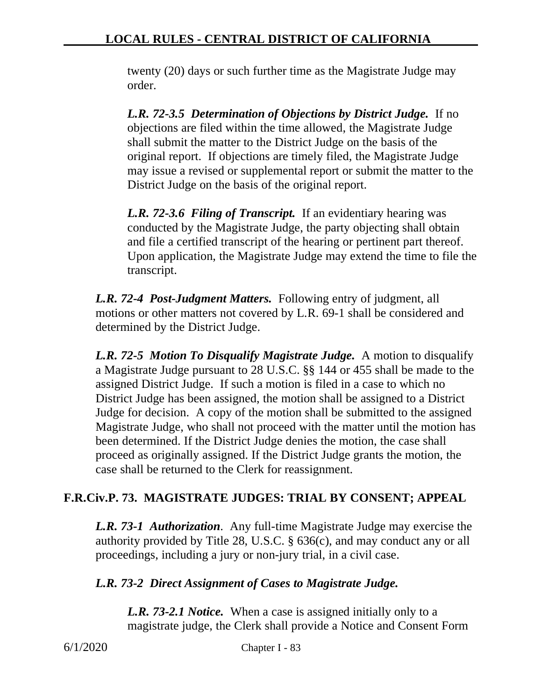twenty (20) days or such further time as the Magistrate Judge may order.

*L.R. 72-3.5 Determination of Objections by District Judge.* If no objections are filed within the time allowed, the Magistrate Judge shall submit the matter to the District Judge on the basis of the original report. If objections are timely filed, the Magistrate Judge may issue a revised or supplemental report or submit the matter to the District Judge on the basis of the original report.

*L.R. 72-3.6 Filing of Transcript.* If an evidentiary hearing was conducted by the Magistrate Judge, the party objecting shall obtain and file a certified transcript of the hearing or pertinent part thereof. Upon application, the Magistrate Judge may extend the time to file the transcript.

*L.R. 72-4 Post-Judgment Matters.* Following entry of judgment, all motions or other matters not covered by L.R. 69-1 shall be considered and determined by the District Judge.

*L.R. 72-5 Motion To Disqualify Magistrate Judge.* A motion to disqualify a Magistrate Judge pursuant to 28 U.S.C. §§ 144 or 455 shall be made to the assigned District Judge. If such a motion is filed in a case to which no District Judge has been assigned, the motion shall be assigned to a District Judge for decision. A copy of the motion shall be submitted to the assigned Magistrate Judge, who shall not proceed with the matter until the motion has been determined. If the District Judge denies the motion, the case shall proceed as originally assigned. If the District Judge grants the motion, the case shall be returned to the Clerk for reassignment.

## **F.R.Civ.P. 73. MAGISTRATE JUDGES: TRIAL BY CONSENT; APPEAL**

*L.R. 73-1 Authorization*. Any full-time Magistrate Judge may exercise the authority provided by Title 28, U.S.C. § 636(c), and may conduct any or all proceedings, including a jury or non-jury trial, in a civil case.

### *L.R. 73-2 Direct Assignment of Cases to Magistrate Judge.*

*L.R. 73-2.1 Notice.* When a case is assigned initially only to a magistrate judge, the Clerk shall provide a Notice and Consent Form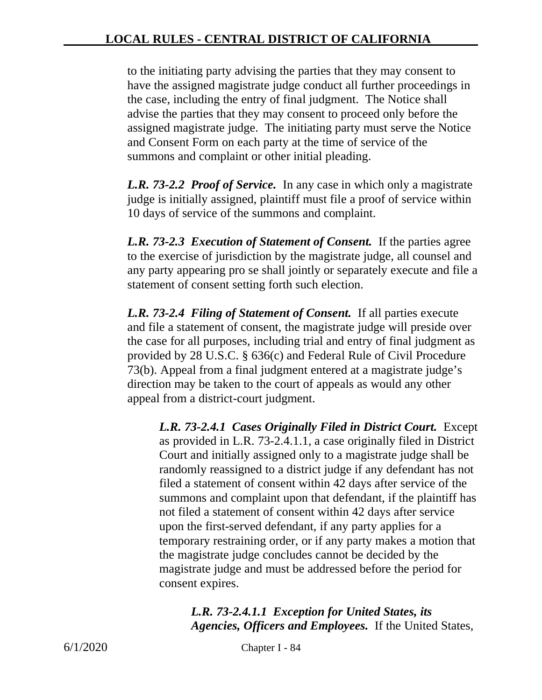to the initiating party advising the parties that they may consent to have the assigned magistrate judge conduct all further proceedings in the case, including the entry of final judgment. The Notice shall advise the parties that they may consent to proceed only before the assigned magistrate judge. The initiating party must serve the Notice and Consent Form on each party at the time of service of the summons and complaint or other initial pleading.

*L.R. 73-2.2 Proof of Service.* In any case in which only a magistrate judge is initially assigned, plaintiff must file a proof of service within 10 days of service of the summons and complaint.

*L.R. 73-2.3 Execution of Statement of Consent.* If the parties agree to the exercise of jurisdiction by the magistrate judge, all counsel and any party appearing pro se shall jointly or separately execute and file a statement of consent setting forth such election.

*L.R. 73-2.4 Filing of Statement of Consent.* If all parties execute and file a statement of consent, the magistrate judge will preside over the case for all purposes, including trial and entry of final judgment as provided by 28 U.S.C. § 636(c) and Federal Rule of Civil Procedure 73(b). Appeal from a final judgment entered at a magistrate judge's direction may be taken to the court of appeals as would any other appeal from a district-court judgment.

*L.R. 73-2.4.1 Cases Originally Filed in District Court.* Except as provided in L.R. 73-2.4.1.1, a case originally filed in District Court and initially assigned only to a magistrate judge shall be randomly reassigned to a district judge if any defendant has not filed a statement of consent within 42 days after service of the summons and complaint upon that defendant, if the plaintiff has not filed a statement of consent within 42 days after service upon the first-served defendant, if any party applies for a temporary restraining order, or if any party makes a motion that the magistrate judge concludes cannot be decided by the magistrate judge and must be addressed before the period for consent expires.

*L.R. 73-2.4.1.1 Exception for United States, its Agencies, Officers and Employees.* If the United States,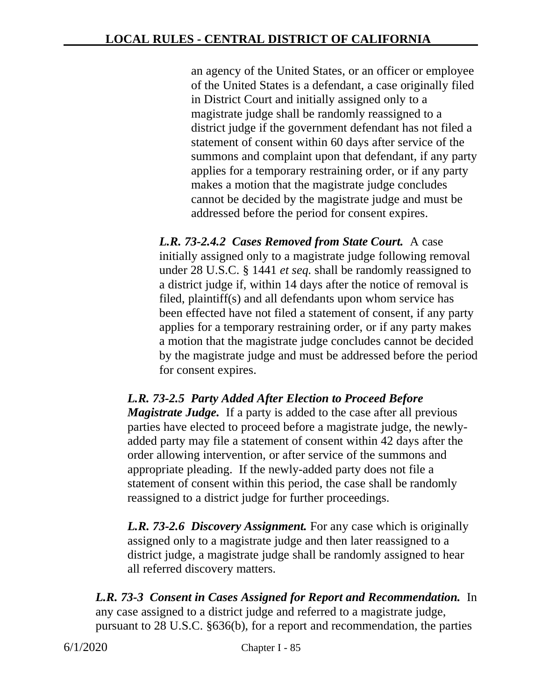an agency of the United States, or an officer or employee of the United States is a defendant, a case originally filed in District Court and initially assigned only to a magistrate judge shall be randomly reassigned to a district judge if the government defendant has not filed a statement of consent within 60 days after service of the summons and complaint upon that defendant, if any party applies for a temporary restraining order, or if any party makes a motion that the magistrate judge concludes cannot be decided by the magistrate judge and must be addressed before the period for consent expires.

*L.R. 73-2.4.2 Cases Removed from State Court.* A case initially assigned only to a magistrate judge following removal under 28 U.S.C. § 1441 *et seq.* shall be randomly reassigned to a district judge if, within 14 days after the notice of removal is filed, plaintiff(s) and all defendants upon whom service has been effected have not filed a statement of consent, if any party applies for a temporary restraining order, or if any party makes a motion that the magistrate judge concludes cannot be decided by the magistrate judge and must be addressed before the period for consent expires.

*L.R. 73-2.5 Party Added After Election to Proceed Before Magistrate Judge.* If a party is added to the case after all previous parties have elected to proceed before a magistrate judge, the newlyadded party may file a statement of consent within 42 days after the order allowing intervention, or after service of the summons and appropriate pleading. If the newly-added party does not file a statement of consent within this period, the case shall be randomly reassigned to a district judge for further proceedings.

*L.R. 73-2.6 Discovery Assignment.* For any case which is originally assigned only to a magistrate judge and then later reassigned to a district judge, a magistrate judge shall be randomly assigned to hear all referred discovery matters.

*L.R. 73-3 Consent in Cases Assigned for Report and Recommendation.* In any case assigned to a district judge and referred to a magistrate judge, pursuant to 28 U.S.C. §636(b), for a report and recommendation, the parties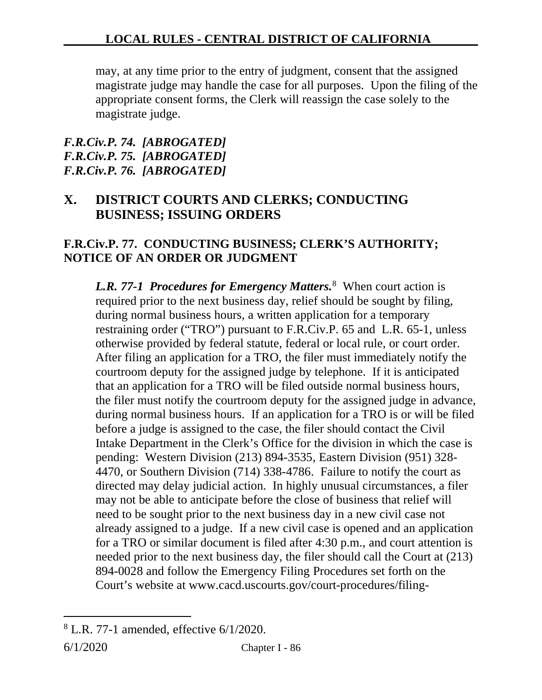may, at any time prior to the entry of judgment, consent that the assigned magistrate judge may handle the case for all purposes. Upon the filing of the appropriate consent forms, the Clerk will reassign the case solely to the magistrate judge.

#### *F.R.Civ.P. 74. [ABROGATED] F.R.Civ.P. 75. [ABROGATED] F.R.Civ.P. 76. [ABROGATED]*

## **X. DISTRICT COURTS AND CLERKS; CONDUCTING BUSINESS; ISSUING ORDERS**

### **F.R.Civ.P. 77. CONDUCTING BUSINESS; CLERK'S AUTHORITY; NOTICE OF AN ORDER OR JUDGMENT**

*L.R. 77-1 Procedures for Emergency Matters.*[8](#page-105-0) When court action is required prior to the next business day, relief should be sought by filing, during normal business hours, a written application for a temporary restraining order ("TRO") pursuant to F.R.Civ.P. 65 and L.R. 65-1, unless otherwise provided by federal statute, federal or local rule, or court order. After filing an application for a TRO, the filer must immediately notify the courtroom deputy for the assigned judge by telephone. If it is anticipated that an application for a TRO will be filed outside normal business hours, the filer must notify the courtroom deputy for the assigned judge in advance, during normal business hours. If an application for a TRO is or will be filed before a judge is assigned to the case, the filer should contact the Civil Intake Department in the Clerk's Office for the division in which the case is pending: Western Division (213) 894-3535, Eastern Division (951) 328- 4470, or Southern Division (714) 338-4786. Failure to notify the court as directed may delay judicial action. In highly unusual circumstances, a filer may not be able to anticipate before the close of business that relief will need to be sought prior to the next business day in a new civil case not already assigned to a judge. If a new civil case is opened and an application for a TRO or similar document is filed after 4:30 p.m., and court attention is needed prior to the next business day, the filer should call the Court at (213) 894-0028 and follow the Emergency Filing Procedures set forth on the Court's website at www.cacd.uscourts.gov/court-procedures/filing-

<span id="page-105-0"></span><sup>8</sup> L.R. 77-1 amended, effective 6/1/2020.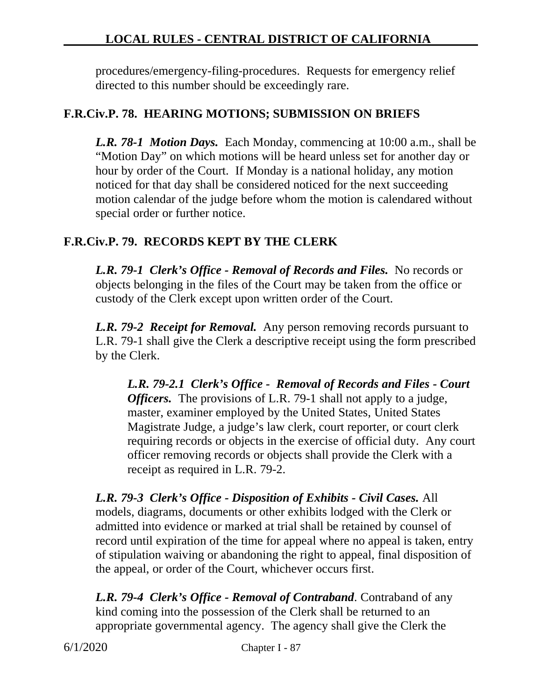procedures/emergency-filing-procedures. Requests for emergency relief directed to this number should be exceedingly rare.

## **F.R.Civ.P. 78. HEARING MOTIONS; SUBMISSION ON BRIEFS**

*L.R. 78-1 Motion Days.* Each Monday, commencing at 10:00 a.m., shall be "Motion Day" on which motions will be heard unless set for another day or hour by order of the Court. If Monday is a national holiday, any motion noticed for that day shall be considered noticed for the next succeeding motion calendar of the judge before whom the motion is calendared without special order or further notice.

# **F.R.Civ.P. 79. RECORDS KEPT BY THE CLERK**

*L.R. 79-1 Clerk's Office - Removal of Records and Files.* No records or objects belonging in the files of the Court may be taken from the office or custody of the Clerk except upon written order of the Court.

*L.R. 79-2 Receipt for Removal.* Any person removing records pursuant to L.R. 79-1 shall give the Clerk a descriptive receipt using the form prescribed by the Clerk.

*L.R. 79-2.1 Clerk's Office - Removal of Records and Files - Court Officers.* The provisions of L.R. 79-1 shall not apply to a judge, master, examiner employed by the United States, United States Magistrate Judge, a judge's law clerk, court reporter, or court clerk requiring records or objects in the exercise of official duty. Any court officer removing records or objects shall provide the Clerk with a receipt as required in L.R. 79-2.

*L.R. 79-3 Clerk's Office - Disposition of Exhibits - Civil Cases.* All models, diagrams, documents or other exhibits lodged with the Clerk or admitted into evidence or marked at trial shall be retained by counsel of record until expiration of the time for appeal where no appeal is taken, entry of stipulation waiving or abandoning the right to appeal, final disposition of the appeal, or order of the Court, whichever occurs first.

*L.R. 79-4 Clerk's Office - Removal of Contraband*. Contraband of any kind coming into the possession of the Clerk shall be returned to an appropriate governmental agency. The agency shall give the Clerk the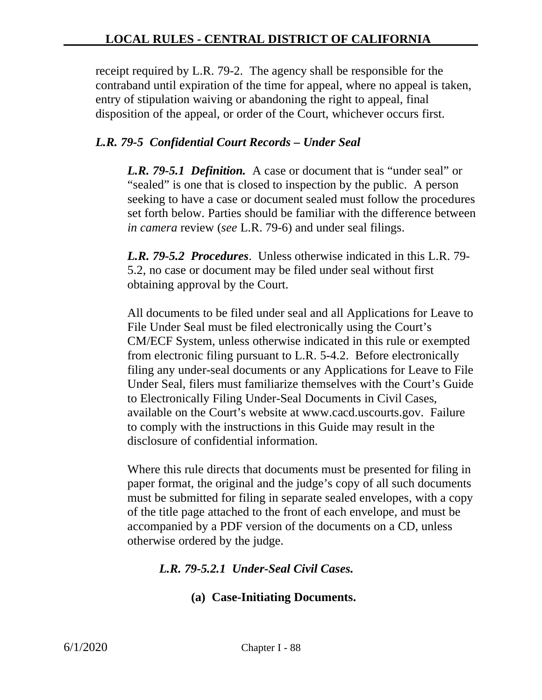receipt required by L.R. 79-2. The agency shall be responsible for the contraband until expiration of the time for appeal, where no appeal is taken, entry of stipulation waiving or abandoning the right to appeal, final disposition of the appeal, or order of the Court, whichever occurs first.

## *L.R. 79-5 Confidential Court Records – Under Seal*

*L.R. 79-5.1 Definition.* A case or document that is "under seal" or "sealed" is one that is closed to inspection by the public. A person seeking to have a case or document sealed must follow the procedures set forth below. Parties should be familiar with the difference between *in camera* review (*see* L.R. 79-6) and under seal filings.

*L.R. 79-5.2 Procedures*. Unless otherwise indicated in this L.R. 79- 5.2, no case or document may be filed under seal without first obtaining approval by the Court.

All documents to be filed under seal and all Applications for Leave to File Under Seal must be filed electronically using the Court's CM/ECF System, unless otherwise indicated in this rule or exempted from electronic filing pursuant to L.R. 5-4.2. Before electronically filing any under-seal documents or any Applications for Leave to File Under Seal, filers must familiarize themselves with the Court's Guide to Electronically Filing Under-Seal Documents in Civil Cases, available on the Court's website at www.cacd.uscourts.gov. Failure to comply with the instructions in this Guide may result in the disclosure of confidential information.

Where this rule directs that documents must be presented for filing in paper format, the original and the judge's copy of all such documents must be submitted for filing in separate sealed envelopes, with a copy of the title page attached to the front of each envelope, and must be accompanied by a PDF version of the documents on a CD, unless otherwise ordered by the judge.

### *L.R. 79-5.2.1 Under-Seal Civil Cases.*

### **(a) Case-Initiating Documents.**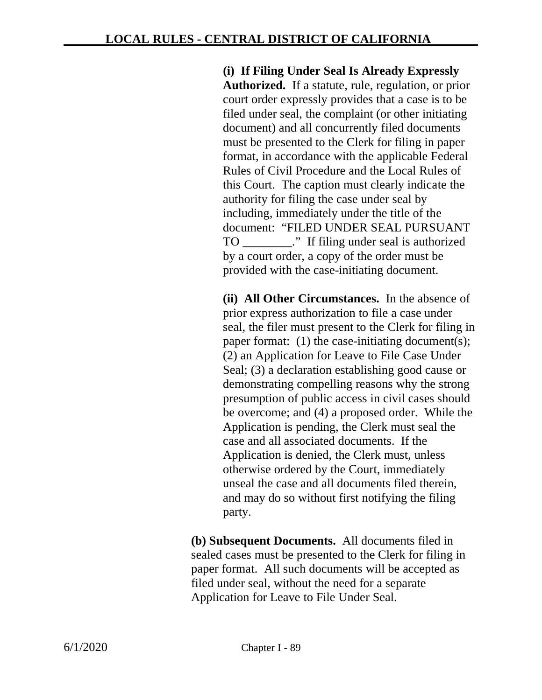**(i) If Filing Under Seal Is Already Expressly Authorized.** If a statute, rule, regulation, or prior court order expressly provides that a case is to be filed under seal, the complaint (or other initiating document) and all concurrently filed documents must be presented to the Clerk for filing in paper format, in accordance with the applicable Federal Rules of Civil Procedure and the Local Rules of this Court. The caption must clearly indicate the authority for filing the case under seal by including, immediately under the title of the document: "FILED UNDER SEAL PURSUANT TO \_\_\_\_\_\_\_\_." If filing under seal is authorized by a court order, a copy of the order must be provided with the case-initiating document.

**(ii) All Other Circumstances.** In the absence of prior express authorization to file a case under seal, the filer must present to the Clerk for filing in paper format:  $(1)$  the case-initiating document(s); (2) an Application for Leave to File Case Under Seal; (3) a declaration establishing good cause or demonstrating compelling reasons why the strong presumption of public access in civil cases should be overcome; and (4) a proposed order. While the Application is pending, the Clerk must seal the case and all associated documents. If the Application is denied, the Clerk must, unless otherwise ordered by the Court, immediately unseal the case and all documents filed therein, and may do so without first notifying the filing party.

**(b) Subsequent Documents.** All documents filed in sealed cases must be presented to the Clerk for filing in paper format. All such documents will be accepted as filed under seal, without the need for a separate Application for Leave to File Under Seal.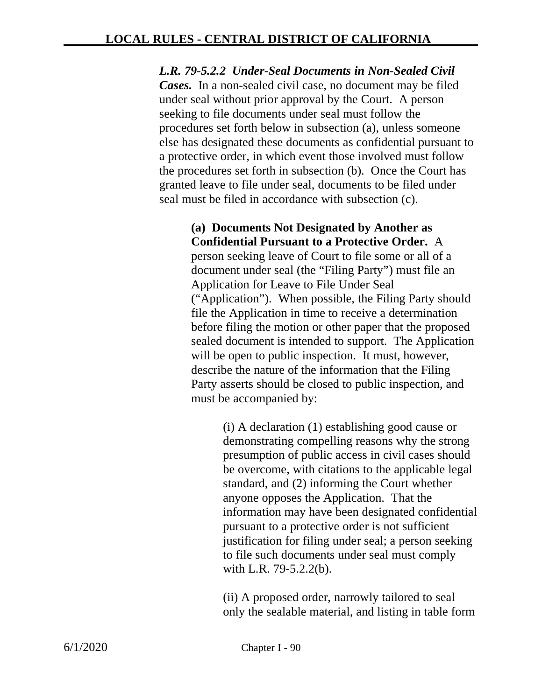*L.R. 79-5.2.2 Under-Seal Documents in Non-Sealed Civil Cases.* In a non-sealed civil case, no document may be filed under seal without prior approval by the Court. A person seeking to file documents under seal must follow the procedures set forth below in subsection (a), unless someone else has designated these documents as confidential pursuant to a protective order, in which event those involved must follow the procedures set forth in subsection (b). Once the Court has granted leave to file under seal, documents to be filed under seal must be filed in accordance with subsection (c).

> **(a) Documents Not Designated by Another as Confidential Pursuant to a Protective Order.** A person seeking leave of Court to file some or all of a document under seal (the "Filing Party") must file an Application for Leave to File Under Seal ("Application"). When possible, the Filing Party should file the Application in time to receive a determination before filing the motion or other paper that the proposed sealed document is intended to support. The Application will be open to public inspection. It must, however, describe the nature of the information that the Filing Party asserts should be closed to public inspection, and must be accompanied by:

> > (i) A declaration (1) establishing good cause or demonstrating compelling reasons why the strong presumption of public access in civil cases should be overcome, with citations to the applicable legal standard, and (2) informing the Court whether anyone opposes the Application. That the information may have been designated confidential pursuant to a protective order is not sufficient justification for filing under seal; a person seeking to file such documents under seal must comply with L.R. 79-5.2.2(b).

> > (ii) A proposed order, narrowly tailored to seal only the sealable material, and listing in table form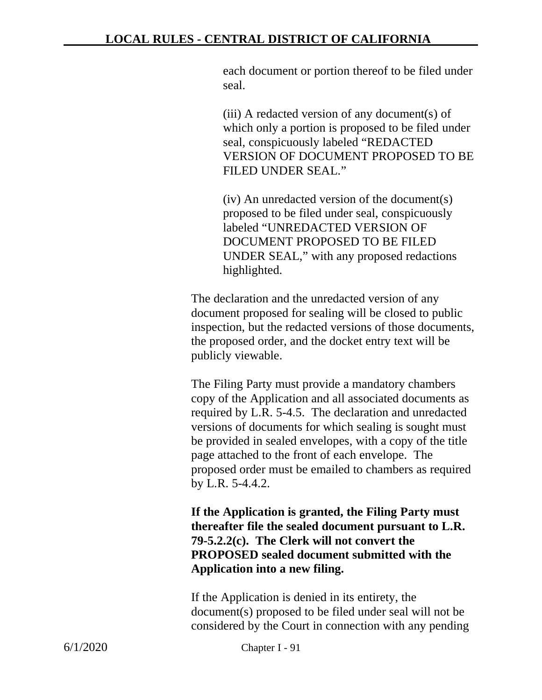each document or portion thereof to be filed under seal.

(iii) A redacted version of any document(s) of which only a portion is proposed to be filed under seal, conspicuously labeled "REDACTED VERSION OF DOCUMENT PROPOSED TO BE FILED UNDER SEAL."

(iv) An unredacted version of the document(s) proposed to be filed under seal, conspicuously labeled "UNREDACTED VERSION OF DOCUMENT PROPOSED TO BE FILED UNDER SEAL," with any proposed redactions highlighted.

The declaration and the unredacted version of any document proposed for sealing will be closed to public inspection, but the redacted versions of those documents, the proposed order, and the docket entry text will be publicly viewable.

The Filing Party must provide a mandatory chambers copy of the Application and all associated documents as required by L.R. 5-4.5. The declaration and unredacted versions of documents for which sealing is sought must be provided in sealed envelopes, with a copy of the title page attached to the front of each envelope. The proposed order must be emailed to chambers as required by L.R. 5-4.4.2.

**If the Application is granted, the Filing Party must thereafter file the sealed document pursuant to L.R. 79-5.2.2(c). The Clerk will not convert the PROPOSED sealed document submitted with the Application into a new filing.**

If the Application is denied in its entirety, the document(s) proposed to be filed under seal will not be considered by the Court in connection with any pending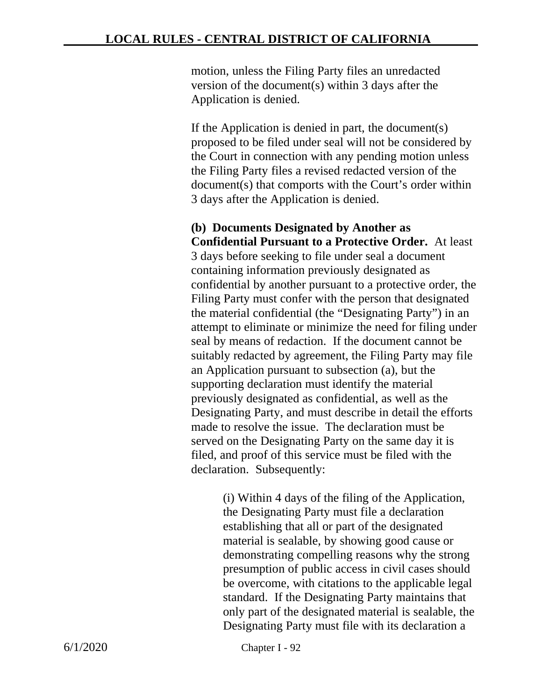motion, unless the Filing Party files an unredacted version of the document(s) within 3 days after the Application is denied.

If the Application is denied in part, the document(s) proposed to be filed under seal will not be considered by the Court in connection with any pending motion unless the Filing Party files a revised redacted version of the document(s) that comports with the Court's order within 3 days after the Application is denied.

**(b) Documents Designated by Another as Confidential Pursuant to a Protective Order.** At least 3 days before seeking to file under seal a document containing information previously designated as confidential by another pursuant to a protective order, the Filing Party must confer with the person that designated the material confidential (the "Designating Party") in an attempt to eliminate or minimize the need for filing under seal by means of redaction. If the document cannot be suitably redacted by agreement, the Filing Party may file an Application pursuant to subsection (a), but the supporting declaration must identify the material previously designated as confidential, as well as the Designating Party, and must describe in detail the efforts made to resolve the issue. The declaration must be served on the Designating Party on the same day it is filed, and proof of this service must be filed with the declaration. Subsequently:

> (i) Within 4 days of the filing of the Application, the Designating Party must file a declaration establishing that all or part of the designated material is sealable, by showing good cause or demonstrating compelling reasons why the strong presumption of public access in civil cases should be overcome, with citations to the applicable legal standard. If the Designating Party maintains that only part of the designated material is sealable, the Designating Party must file with its declaration a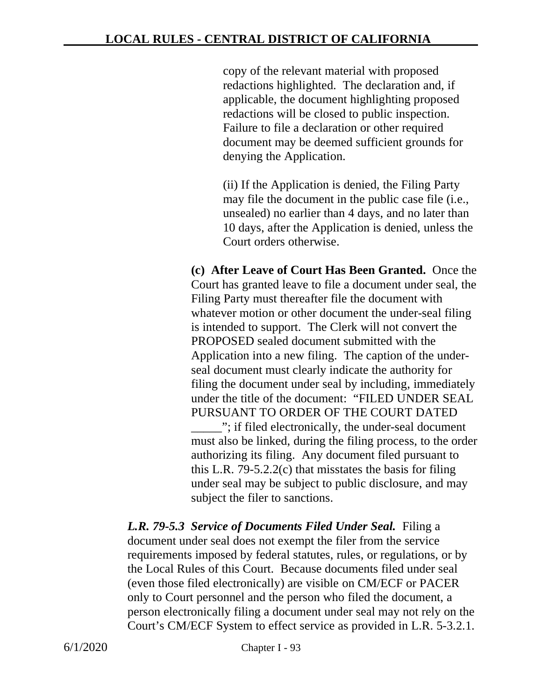copy of the relevant material with proposed redactions highlighted. The declaration and, if applicable, the document highlighting proposed redactions will be closed to public inspection. Failure to file a declaration or other required document may be deemed sufficient grounds for denying the Application.

(ii) If the Application is denied, the Filing Party may file the document in the public case file (i.e., unsealed) no earlier than 4 days, and no later than 10 days, after the Application is denied, unless the Court orders otherwise.

**(c) After Leave of Court Has Been Granted.** Once the Court has granted leave to file a document under seal, the Filing Party must thereafter file the document with whatever motion or other document the under-seal filing is intended to support. The Clerk will not convert the PROPOSED sealed document submitted with the Application into a new filing. The caption of the underseal document must clearly indicate the authority for filing the document under seal by including, immediately under the title of the document: "FILED UNDER SEAL PURSUANT TO ORDER OF THE COURT DATED

\_\_\_\_\_"; if filed electronically, the under-seal document must also be linked, during the filing process, to the order authorizing its filing. Any document filed pursuant to this L.R. 79-5.2.2(c) that misstates the basis for filing under seal may be subject to public disclosure, and may subject the filer to sanctions.

*L.R. 79-5.3 Service of Documents Filed Under Seal.* Filing a document under seal does not exempt the filer from the service requirements imposed by federal statutes, rules, or regulations, or by the Local Rules of this Court. Because documents filed under seal (even those filed electronically) are visible on CM/ECF or PACER only to Court personnel and the person who filed the document, a person electronically filing a document under seal may not rely on the Court's CM/ECF System to effect service as provided in L.R. 5-3.2.1.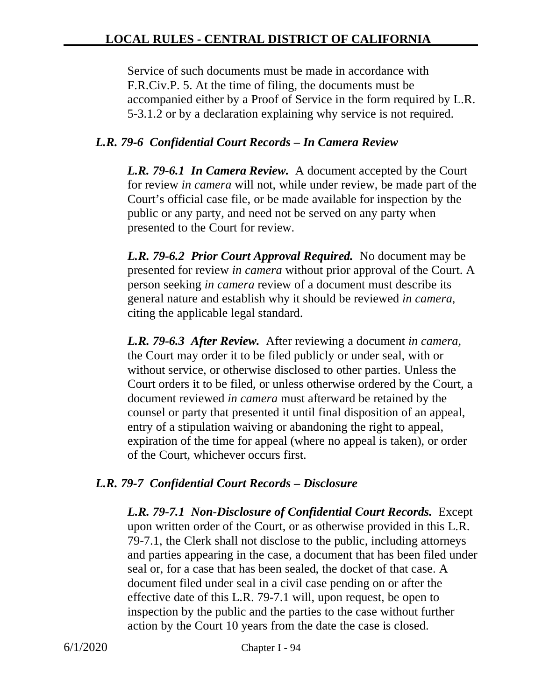Service of such documents must be made in accordance with F.R.Civ.P. 5. At the time of filing, the documents must be accompanied either by a Proof of Service in the form required by L.R. 5-3.1.2 or by a declaration explaining why service is not required.

## *L.R. 79-6 Confidential Court Records – In Camera Review*

*L.R. 79-6.1 In Camera Review.* A document accepted by the Court for review *in camera* will not, while under review, be made part of the Court's official case file, or be made available for inspection by the public or any party, and need not be served on any party when presented to the Court for review.

*L.R. 79-6.2 Prior Court Approval Required.* No document may be presented for review *in camera* without prior approval of the Court. A person seeking *in camera* review of a document must describe its general nature and establish why it should be reviewed *in camera*, citing the applicable legal standard.

*L.R. 79-6.3 After Review.* After reviewing a document *in camera*, the Court may order it to be filed publicly or under seal, with or without service, or otherwise disclosed to other parties. Unless the Court orders it to be filed, or unless otherwise ordered by the Court, a document reviewed *in camera* must afterward be retained by the counsel or party that presented it until final disposition of an appeal, entry of a stipulation waiving or abandoning the right to appeal, expiration of the time for appeal (where no appeal is taken), or order of the Court, whichever occurs first.

### *L.R. 79-7 Confidential Court Records – Disclosure*

*L.R. 79-7.1 Non-Disclosure of Confidential Court Records.* Except upon written order of the Court, or as otherwise provided in this L.R. 79-7.1, the Clerk shall not disclose to the public, including attorneys and parties appearing in the case, a document that has been filed under seal or, for a case that has been sealed, the docket of that case. A document filed under seal in a civil case pending on or after the effective date of this L.R. 79-7.1 will, upon request, be open to inspection by the public and the parties to the case without further action by the Court 10 years from the date the case is closed.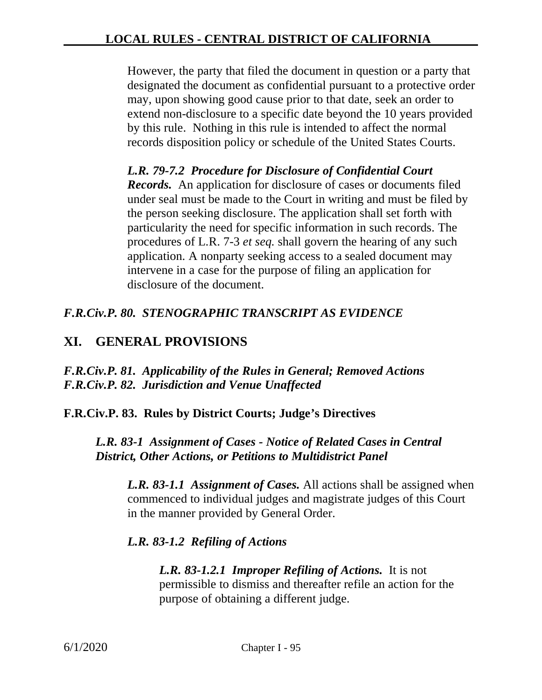However, the party that filed the document in question or a party that designated the document as confidential pursuant to a protective order may, upon showing good cause prior to that date, seek an order to extend non-disclosure to a specific date beyond the 10 years provided by this rule. Nothing in this rule is intended to affect the normal records disposition policy or schedule of the United States Courts.

*L.R. 79-7.2 Procedure for Disclosure of Confidential Court Records.* An application for disclosure of cases or documents filed under seal must be made to the Court in writing and must be filed by the person seeking disclosure. The application shall set forth with particularity the need for specific information in such records. The procedures of L.R. 7-3 *et seq.* shall govern the hearing of any such application. A nonparty seeking access to a sealed document may intervene in a case for the purpose of filing an application for disclosure of the document.

## *F.R.Civ.P. 80. STENOGRAPHIC TRANSCRIPT AS EVIDENCE*

# **XI. GENERAL PROVISIONS**

*F.R.Civ.P. 81. Applicability of the Rules in General; Removed Actions F.R.Civ.P. 82. Jurisdiction and Venue Unaffected*

## **F.R.Civ.P. 83. Rules by District Courts; Judge's Directives**

#### *L.R. 83-1 Assignment of Cases - Notice of Related Cases in Central District, Other Actions, or Petitions to Multidistrict Panel*

*L.R. 83-1.1 Assignment of Cases.* All actions shall be assigned when commenced to individual judges and magistrate judges of this Court in the manner provided by General Order.

## *L.R. 83-1.2 Refiling of Actions*

*L.R. 83-1.2.1 Improper Refiling of Actions.* It is not permissible to dismiss and thereafter refile an action for the purpose of obtaining a different judge.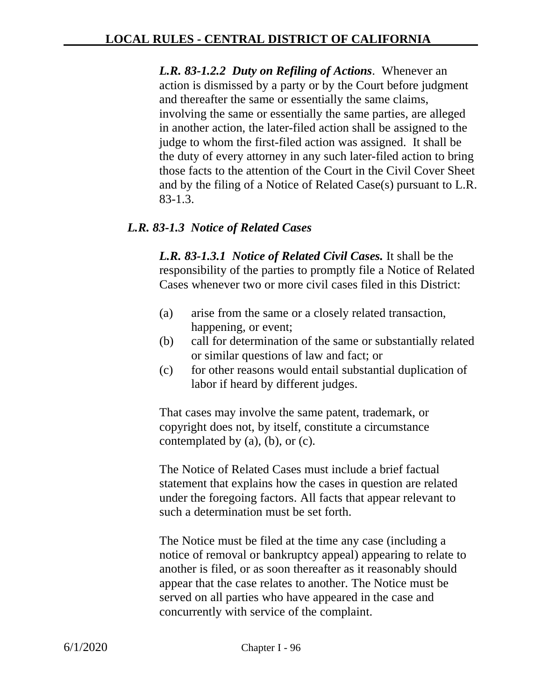*L.R. 83-1.2.2 Duty on Refiling of Actions*. Whenever an action is dismissed by a party or by the Court before judgment and thereafter the same or essentially the same claims, involving the same or essentially the same parties, are alleged in another action, the later-filed action shall be assigned to the judge to whom the first-filed action was assigned. It shall be the duty of every attorney in any such later-filed action to bring those facts to the attention of the Court in the Civil Cover Sheet and by the filing of a Notice of Related Case(s) pursuant to L.R. 83-1.3.

### *L.R. 83-1.3 Notice of Related Cases*

*L.R. 83-1.3.1 Notice of Related Civil Cases.* It shall be the responsibility of the parties to promptly file a Notice of Related Cases whenever two or more civil cases filed in this District:

- (a) arise from the same or a closely related transaction, happening, or event;
- (b) call for determination of the same or substantially related or similar questions of law and fact; or
- (c) for other reasons would entail substantial duplication of labor if heard by different judges.

That cases may involve the same patent, trademark, or copyright does not, by itself, constitute a circumstance contemplated by (a), (b), or (c).

The Notice of Related Cases must include a brief factual statement that explains how the cases in question are related under the foregoing factors. All facts that appear relevant to such a determination must be set forth.

The Notice must be filed at the time any case (including a notice of removal or bankruptcy appeal) appearing to relate to another is filed, or as soon thereafter as it reasonably should appear that the case relates to another. The Notice must be served on all parties who have appeared in the case and concurrently with service of the complaint.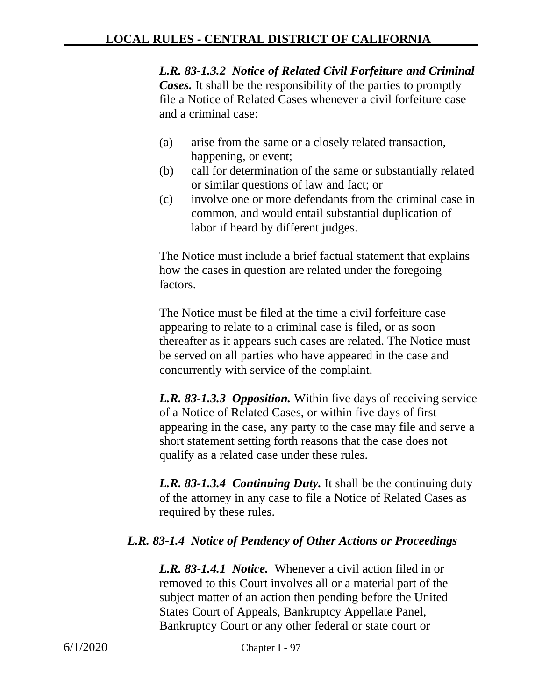*L.R. 83-1.3.2 Notice of Related Civil Forfeiture and Criminal Cases.* It shall be the responsibility of the parties to promptly file a Notice of Related Cases whenever a civil forfeiture case and a criminal case:

- (a) arise from the same or a closely related transaction, happening, or event;
- (b) call for determination of the same or substantially related or similar questions of law and fact; or
- (c) involve one or more defendants from the criminal case in common, and would entail substantial duplication of labor if heard by different judges.

The Notice must include a brief factual statement that explains how the cases in question are related under the foregoing factors.

The Notice must be filed at the time a civil forfeiture case appearing to relate to a criminal case is filed, or as soon thereafter as it appears such cases are related. The Notice must be served on all parties who have appeared in the case and concurrently with service of the complaint.

*L.R. 83-1.3.3 Opposition.* Within five days of receiving service of a Notice of Related Cases, or within five days of first appearing in the case, any party to the case may file and serve a short statement setting forth reasons that the case does not qualify as a related case under these rules.

*L.R. 83-1.3.4 Continuing Duty.* It shall be the continuing duty of the attorney in any case to file a Notice of Related Cases as required by these rules.

## *L.R. 83-1.4 Notice of Pendency of Other Actions or Proceedings*

*L.R. 83-1.4.1 Notice.* Whenever a civil action filed in or removed to this Court involves all or a material part of the subject matter of an action then pending before the United States Court of Appeals, Bankruptcy Appellate Panel, Bankruptcy Court or any other federal or state court or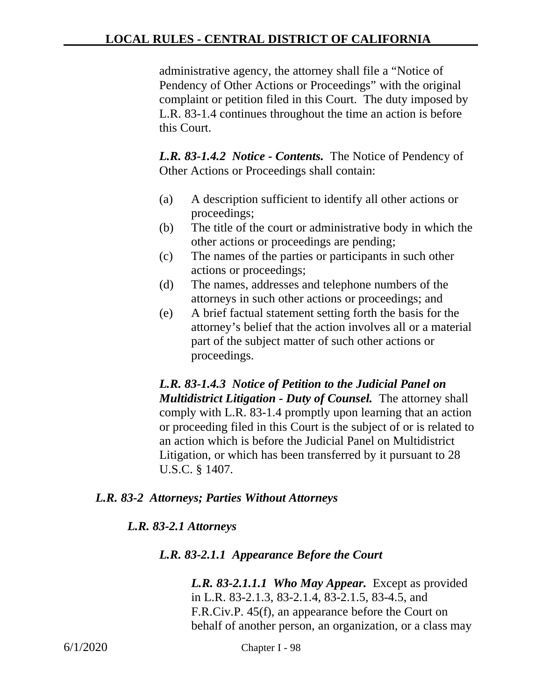administrative agency, the attorney shall file a "Notice of Pendency of Other Actions or Proceedings" with the original complaint or petition filed in this Court. The duty imposed by L.R. 83-1.4 continues throughout the time an action is before this Court.

*L.R. 83-1.4.2 Notice - Contents.* The Notice of Pendency of Other Actions or Proceedings shall contain:

- (a) A description sufficient to identify all other actions or proceedings;
- (b) The title of the court or administrative body in which the other actions or proceedings are pending;
- (c) The names of the parties or participants in such other actions or proceedings;
- (d) The names, addresses and telephone numbers of the attorneys in such other actions or proceedings; and
- (e) A brief factual statement setting forth the basis for the attorney's belief that the action involves all or a material part of the subject matter of such other actions or proceedings.

*L.R. 83-1.4.3 Notice of Petition to the Judicial Panel on Multidistrict Litigation - Duty of Counsel.* The attorney shall comply with L.R. 83-1.4 promptly upon learning that an action or proceeding filed in this Court is the subject of or is related to an action which is before the Judicial Panel on Multidistrict Litigation, or which has been transferred by it pursuant to 28 U.S.C. § 1407.

### *L.R. 83-2 Attorneys; Parties Without Attorneys*

## *L.R. 83-2.1 Attorneys*

### *L.R. 83-2.1.1 Appearance Before the Court*

*L.R. 83-2.1.1.1 Who May Appear.* Except as provided in L.R. 83-2.1.3, 83-2.1.4, 83-2.1.5, 83-4.5, and F.R.Civ.P. 45(f), an appearance before the Court on behalf of another person, an organization, or a class may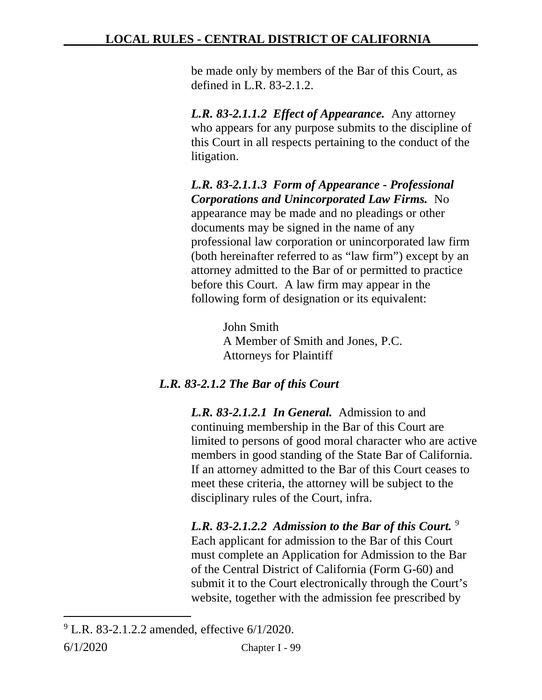be made only by members of the Bar of this Court, as defined in L.R. 83-2.1.2.

*L.R. 83-2.1.1.2 Effect of Appearance.* Any attorney who appears for any purpose submits to the discipline of this Court in all respects pertaining to the conduct of the litigation.

*L.R. 83-2.1.1.3 Form of Appearance - Professional Corporations and Unincorporated Law Firms.* No appearance may be made and no pleadings or other documents may be signed in the name of any professional law corporation or unincorporated law firm (both hereinafter referred to as "law firm") except by an attorney admitted to the Bar of or permitted to practice before this Court. A law firm may appear in the following form of designation or its equivalent:

> John Smith A Member of Smith and Jones, P.C. Attorneys for Plaintiff

## *L.R. 83-2.1.2 The Bar of this Court*

*L.R. 83-2.1.2.1 In General.* Admission to and continuing membership in the Bar of this Court are limited to persons of good moral character who are active members in good standing of the State Bar of California. If an attorney admitted to the Bar of this Court ceases to meet these criteria, the attorney will be subject to the disciplinary rules of the Court, infra.

*L.R. 83-2.1.2.2 Admission to the Bar of this Court.* [9](#page-118-0) Each applicant for admission to the Bar of this Court must complete an Application for Admission to the Bar of the Central District of California (Form G-60) and submit it to the Court electronically through the Court's website, together with the admission fee prescribed by

<span id="page-118-0"></span><sup>9</sup> L.R. 83-2.1.2.2 amended, effective 6/1/2020.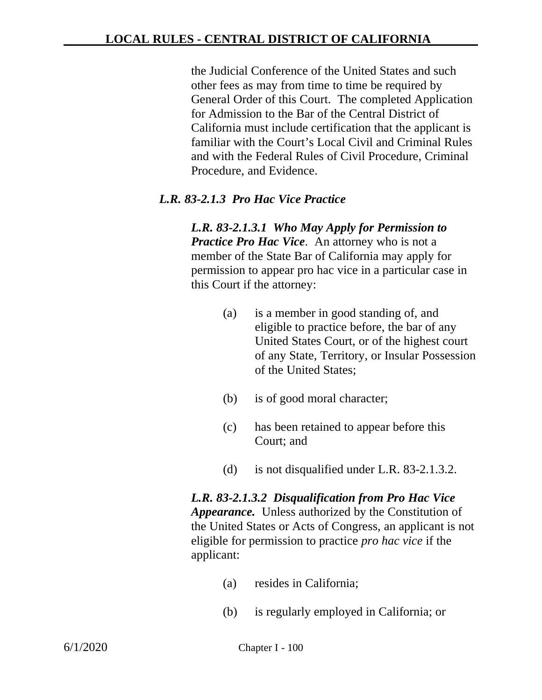the Judicial Conference of the United States and such other fees as may from time to time be required by General Order of this Court. The completed Application for Admission to the Bar of the Central District of California must include certification that the applicant is familiar with the Court's Local Civil and Criminal Rules and with the Federal Rules of Civil Procedure, Criminal Procedure, and Evidence.

#### *L.R. 83-2.1.3 Pro Hac Vice Practice*

*L.R. 83-2.1.3.1 Who May Apply for Permission to Practice Pro Hac Vice*. An attorney who is not a member of the State Bar of California may apply for permission to appear pro hac vice in a particular case in this Court if the attorney:

- (a) is a member in good standing of, and eligible to practice before, the bar of any United States Court, or of the highest court of any State, Territory, or Insular Possession of the United States;
- (b) is of good moral character;
- (c) has been retained to appear before this Court; and
- (d) is not disqualified under L.R. 83-2.1.3.2.

*L.R. 83-2.1.3.2 Disqualification from Pro Hac Vice Appearance.* Unless authorized by the Constitution of the United States or Acts of Congress, an applicant is not eligible for permission to practice *pro hac vice* if the applicant:

- (a) resides in California;
- (b) is regularly employed in California; or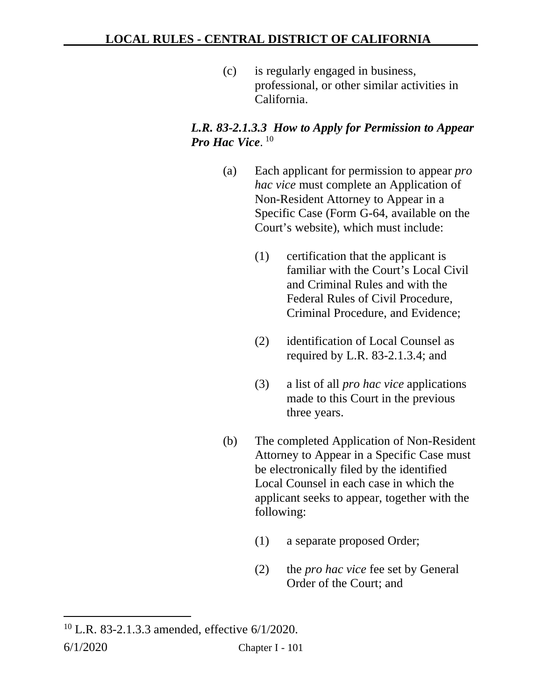(c) is regularly engaged in business, professional, or other similar activities in California.

#### *L.R. 83-2.1.3.3 How to Apply for Permission to Appear Pro Hac Vice.* [10](#page-120-0)

- (a) Each applicant for permission to appear *pro hac vice* must complete an Application of Non-Resident Attorney to Appear in a Specific Case (Form G-64, available on the Court's website), which must include:
	- (1) certification that the applicant is familiar with the Court's Local Civil and Criminal Rules and with the Federal Rules of Civil Procedure, Criminal Procedure, and Evidence;
	- (2) identification of Local Counsel as required by L.R. 83-2.1.3.4; and
	- (3) a list of all *pro hac vice* applications made to this Court in the previous three years.
- (b) The completed Application of Non-Resident Attorney to Appear in a Specific Case must be electronically filed by the identified Local Counsel in each case in which the applicant seeks to appear, together with the following:
	- (1) a separate proposed Order;
	- (2) the *pro hac vice* fee set by General Order of the Court; and

<span id="page-120-0"></span><sup>10</sup> L.R. 83-2.1.3.3 amended, effective 6/1/2020.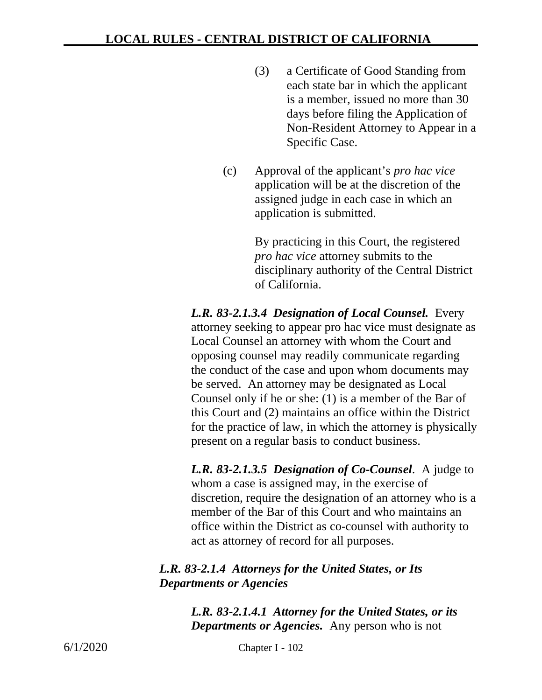- (3) a Certificate of Good Standing from each state bar in which the applicant is a member, issued no more than 30 days before filing the Application of Non-Resident Attorney to Appear in a Specific Case.
- (c) Approval of the applicant's *pro hac vice*  application will be at the discretion of the assigned judge in each case in which an application is submitted.

By practicing in this Court, the registered *pro hac vice* attorney submits to the disciplinary authority of the Central District of California.

*L.R. 83-2.1.3.4 Designation of Local Counsel.* Every attorney seeking to appear pro hac vice must designate as Local Counsel an attorney with whom the Court and opposing counsel may readily communicate regarding the conduct of the case and upon whom documents may be served. An attorney may be designated as Local Counsel only if he or she: (1) is a member of the Bar of this Court and (2) maintains an office within the District for the practice of law, in which the attorney is physically present on a regular basis to conduct business.

*L.R. 83-2.1.3.5 Designation of Co-Counsel*. A judge to whom a case is assigned may, in the exercise of discretion, require the designation of an attorney who is a member of the Bar of this Court and who maintains an office within the District as co-counsel with authority to act as attorney of record for all purposes.

#### *L.R. 83-2.1.4 Attorneys for the United States, or Its Departments or Agencies*

*L.R. 83-2.1.4.1 Attorney for the United States, or its Departments or Agencies.* Any person who is not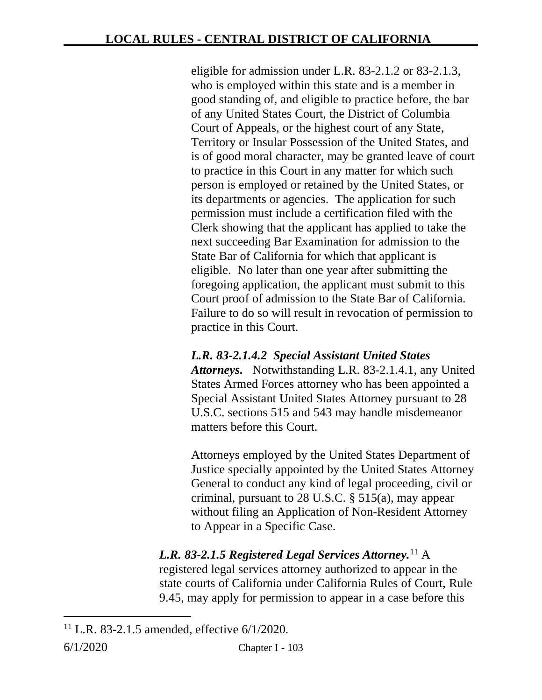eligible for admission under L.R. 83-2.1.2 or 83-2.1.3, who is employed within this state and is a member in good standing of, and eligible to practice before, the bar of any United States Court, the District of Columbia Court of Appeals, or the highest court of any State, Territory or Insular Possession of the United States, and is of good moral character, may be granted leave of court to practice in this Court in any matter for which such person is employed or retained by the United States, or its departments or agencies. The application for such permission must include a certification filed with the Clerk showing that the applicant has applied to take the next succeeding Bar Examination for admission to the State Bar of California for which that applicant is eligible. No later than one year after submitting the foregoing application, the applicant must submit to this Court proof of admission to the State Bar of California. Failure to do so will result in revocation of permission to practice in this Court.

#### *L.R. 83-2.1.4.2 Special Assistant United States*

*Attorneys.* Notwithstanding L.R. 83-2.1.4.1, any United States Armed Forces attorney who has been appointed a Special Assistant United States Attorney pursuant to 28 U.S.C. sections 515 and 543 may handle misdemeanor matters before this Court.

Attorneys employed by the United States Department of Justice specially appointed by the United States Attorney General to conduct any kind of legal proceeding, civil or criminal, pursuant to 28 U.S.C. § 515(a), may appear without filing an Application of Non-Resident Attorney to Appear in a Specific Case.

#### *L.R. 83-2.1.5 Registered Legal Services Attorney.*[11](#page-122-0) A registered legal services attorney authorized to appear in the state courts of California under California Rules of Court, Rule 9.45, may apply for permission to appear in a case before this

<span id="page-122-0"></span><sup>11</sup> L.R. 83-2.1.5 amended, effective 6/1/2020.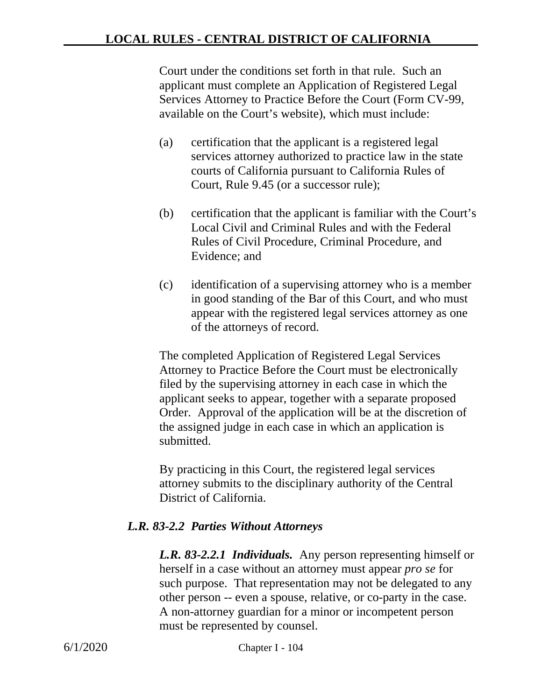Court under the conditions set forth in that rule. Such an applicant must complete an Application of Registered Legal Services Attorney to Practice Before the Court (Form CV-99, available on the Court's website), which must include:

- (a) certification that the applicant is a registered legal services attorney authorized to practice law in the state courts of California pursuant to California Rules of Court, Rule 9.45 (or a successor rule);
- (b) certification that the applicant is familiar with the Court's Local Civil and Criminal Rules and with the Federal Rules of Civil Procedure, Criminal Procedure, and Evidence; and
- (c) identification of a supervising attorney who is a member in good standing of the Bar of this Court, and who must appear with the registered legal services attorney as one of the attorneys of record.

The completed Application of Registered Legal Services Attorney to Practice Before the Court must be electronically filed by the supervising attorney in each case in which the applicant seeks to appear, together with a separate proposed Order. Approval of the application will be at the discretion of the assigned judge in each case in which an application is submitted.

By practicing in this Court, the registered legal services attorney submits to the disciplinary authority of the Central District of California.

## *L.R. 83-2.2 Parties Without Attorneys*

*L.R. 83-2.2.1 Individuals.* Any person representing himself or herself in a case without an attorney must appear *pro se* for such purpose. That representation may not be delegated to any other person -- even a spouse, relative, or co-party in the case. A non-attorney guardian for a minor or incompetent person must be represented by counsel.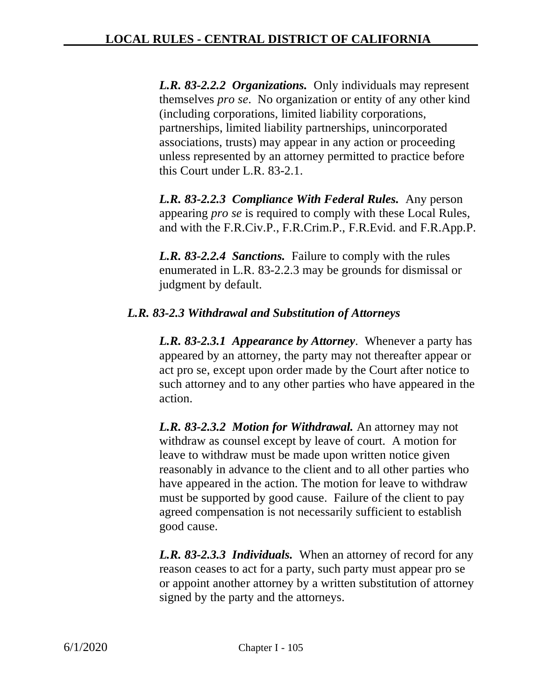*L.R. 83-2.2.2 Organizations.* Only individuals may represent themselves *pro se*. No organization or entity of any other kind (including corporations, limited liability corporations, partnerships, limited liability partnerships, unincorporated associations, trusts) may appear in any action or proceeding unless represented by an attorney permitted to practice before this Court under L.R. 83-2.1.

*L.R. 83-2.2.3 Compliance With Federal Rules.* Any person appearing *pro se* is required to comply with these Local Rules, and with the F.R.Civ.P., F.R.Crim.P., F.R.Evid. and F.R.App.P.

*L.R. 83-2.2.4 Sanctions.* Failure to comply with the rules enumerated in L.R. 83-2.2.3 may be grounds for dismissal or judgment by default.

### *L.R. 83-2.3 Withdrawal and Substitution of Attorneys*

*L.R. 83-2.3.1 Appearance by Attorney*. Whenever a party has appeared by an attorney, the party may not thereafter appear or act pro se, except upon order made by the Court after notice to such attorney and to any other parties who have appeared in the action.

*L.R. 83-2.3.2 Motion for Withdrawal.* An attorney may not withdraw as counsel except by leave of court. A motion for leave to withdraw must be made upon written notice given reasonably in advance to the client and to all other parties who have appeared in the action. The motion for leave to withdraw must be supported by good cause. Failure of the client to pay agreed compensation is not necessarily sufficient to establish good cause.

*L.R. 83-2.3.3 Individuals.* When an attorney of record for any reason ceases to act for a party, such party must appear pro se or appoint another attorney by a written substitution of attorney signed by the party and the attorneys.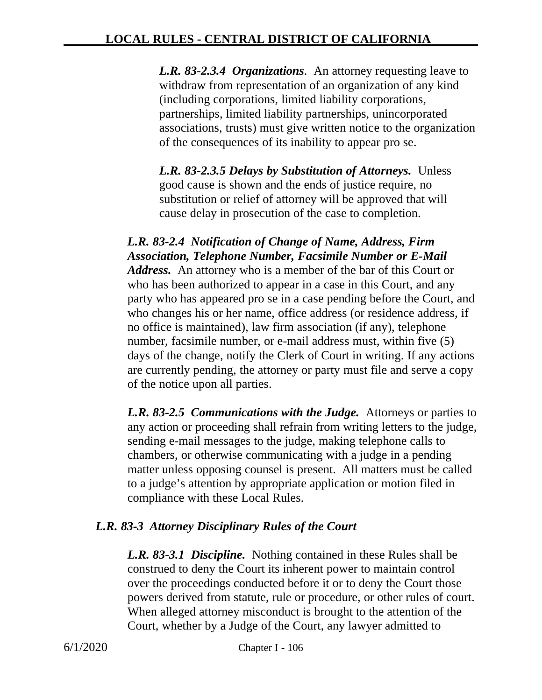*L.R. 83-2.3.4 Organizations*. An attorney requesting leave to withdraw from representation of an organization of any kind (including corporations, limited liability corporations, partnerships, limited liability partnerships, unincorporated associations, trusts) must give written notice to the organization of the consequences of its inability to appear pro se.

*L.R. 83-2.3.5 Delays by Substitution of Attorneys.* Unless good cause is shown and the ends of justice require, no substitution or relief of attorney will be approved that will cause delay in prosecution of the case to completion.

*L.R. 83-2.4 Notification of Change of Name, Address, Firm Association, Telephone Number, Facsimile Number or E-Mail Address.* An attorney who is a member of the bar of this Court or who has been authorized to appear in a case in this Court, and any party who has appeared pro se in a case pending before the Court, and who changes his or her name, office address (or residence address, if no office is maintained), law firm association (if any), telephone number, facsimile number, or e-mail address must, within five (5) days of the change, notify the Clerk of Court in writing. If any actions are currently pending, the attorney or party must file and serve a copy of the notice upon all parties.

*L.R. 83-2.5 Communications with the Judge.* Attorneys or parties to any action or proceeding shall refrain from writing letters to the judge, sending e-mail messages to the judge, making telephone calls to chambers, or otherwise communicating with a judge in a pending matter unless opposing counsel is present. All matters must be called to a judge's attention by appropriate application or motion filed in compliance with these Local Rules.

### *L.R. 83-3 Attorney Disciplinary Rules of the Court*

*L.R. 83-3.1 Discipline.* Nothing contained in these Rules shall be construed to deny the Court its inherent power to maintain control over the proceedings conducted before it or to deny the Court those powers derived from statute, rule or procedure, or other rules of court. When alleged attorney misconduct is brought to the attention of the Court, whether by a Judge of the Court, any lawyer admitted to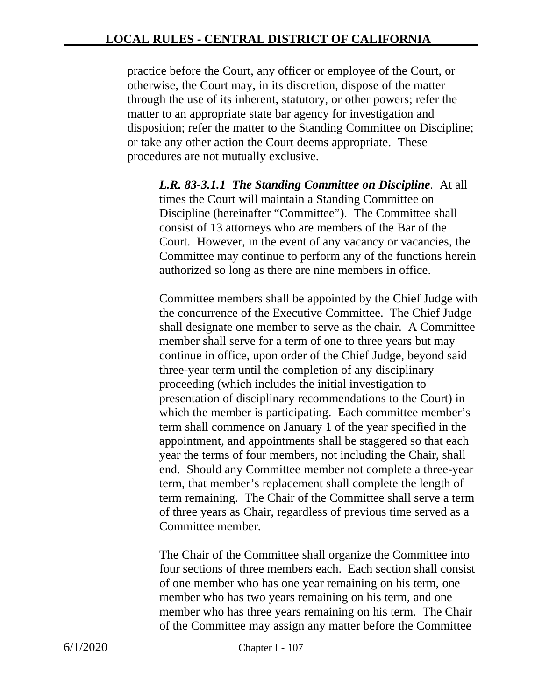practice before the Court, any officer or employee of the Court, or otherwise, the Court may, in its discretion, dispose of the matter through the use of its inherent, statutory, or other powers; refer the matter to an appropriate state bar agency for investigation and disposition; refer the matter to the Standing Committee on Discipline; or take any other action the Court deems appropriate. These procedures are not mutually exclusive.

*L.R. 83-3.1.1 The Standing Committee on Discipline*. At all times the Court will maintain a Standing Committee on Discipline (hereinafter "Committee"). The Committee shall consist of 13 attorneys who are members of the Bar of the Court. However, in the event of any vacancy or vacancies, the Committee may continue to perform any of the functions herein authorized so long as there are nine members in office.

Committee members shall be appointed by the Chief Judge with the concurrence of the Executive Committee. The Chief Judge shall designate one member to serve as the chair. A Committee member shall serve for a term of one to three years but may continue in office, upon order of the Chief Judge, beyond said three-year term until the completion of any disciplinary proceeding (which includes the initial investigation to presentation of disciplinary recommendations to the Court) in which the member is participating. Each committee member's term shall commence on January 1 of the year specified in the appointment, and appointments shall be staggered so that each year the terms of four members, not including the Chair, shall end. Should any Committee member not complete a three-year term, that member's replacement shall complete the length of term remaining. The Chair of the Committee shall serve a term of three years as Chair, regardless of previous time served as a Committee member.

The Chair of the Committee shall organize the Committee into four sections of three members each. Each section shall consist of one member who has one year remaining on his term, one member who has two years remaining on his term, and one member who has three years remaining on his term. The Chair of the Committee may assign any matter before the Committee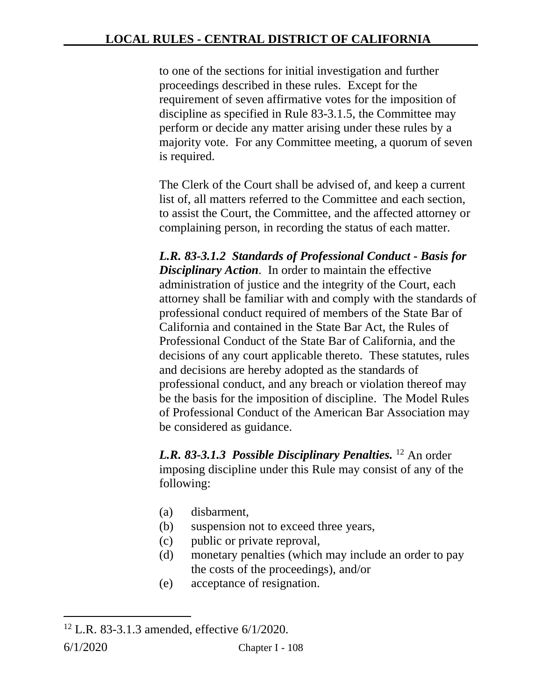to one of the sections for initial investigation and further proceedings described in these rules. Except for the requirement of seven affirmative votes for the imposition of discipline as specified in Rule 83-3.1.5, the Committee may perform or decide any matter arising under these rules by a majority vote. For any Committee meeting, a quorum of seven is required.

The Clerk of the Court shall be advised of, and keep a current list of, all matters referred to the Committee and each section, to assist the Court, the Committee, and the affected attorney or complaining person, in recording the status of each matter.

*L.R. 83-3.1.2 Standards of Professional Conduct - Basis for Disciplinary Action*. In order to maintain the effective administration of justice and the integrity of the Court, each attorney shall be familiar with and comply with the standards of professional conduct required of members of the State Bar of California and contained in the State Bar Act, the Rules of Professional Conduct of the State Bar of California, and the decisions of any court applicable thereto. These statutes, rules and decisions are hereby adopted as the standards of professional conduct, and any breach or violation thereof may be the basis for the imposition of discipline. The Model Rules of Professional Conduct of the American Bar Association may be considered as guidance.

*L.R. 83-3.1.3 Possible Disciplinary Penalties.* [12](#page-127-0) An order imposing discipline under this Rule may consist of any of the following:

- (a) disbarment,
- (b) suspension not to exceed three years,
- (c) public or private reproval,
- (d) monetary penalties (which may include an order to pay the costs of the proceedings), and/or
- (e) acceptance of resignation.

<span id="page-127-0"></span><sup>12</sup> L.R. 83-3.1.3 amended, effective 6/1/2020.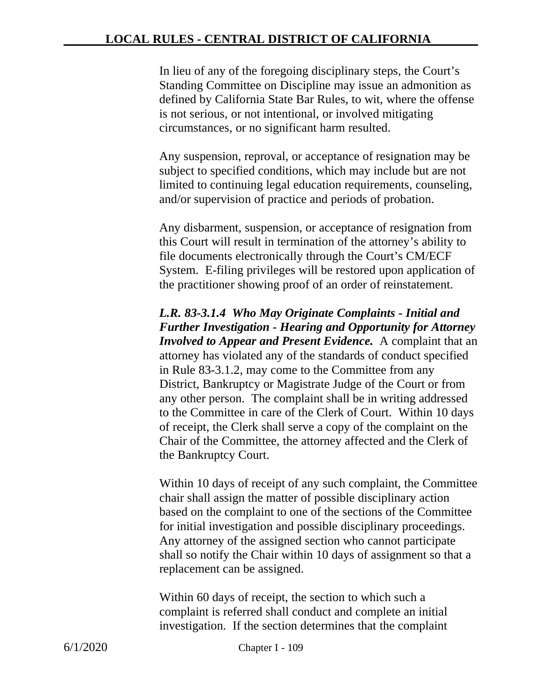In lieu of any of the foregoing disciplinary steps, the Court's Standing Committee on Discipline may issue an admonition as defined by California State Bar Rules, to wit, where the offense is not serious, or not intentional, or involved mitigating circumstances, or no significant harm resulted.

Any suspension, reproval, or acceptance of resignation may be subject to specified conditions, which may include but are not limited to continuing legal education requirements, counseling, and/or supervision of practice and periods of probation.

Any disbarment, suspension, or acceptance of resignation from this Court will result in termination of the attorney's ability to file documents electronically through the Court's CM/ECF System. E-filing privileges will be restored upon application of the practitioner showing proof of an order of reinstatement.

*L.R. 83-3.1.4 Who May Originate Complaints - Initial and Further Investigation - Hearing and Opportunity for Attorney Involved to Appear and Present Evidence.* A complaint that an attorney has violated any of the standards of conduct specified in Rule 83-3.1.2, may come to the Committee from any District, Bankruptcy or Magistrate Judge of the Court or from any other person. The complaint shall be in writing addressed to the Committee in care of the Clerk of Court. Within 10 days of receipt, the Clerk shall serve a copy of the complaint on the Chair of the Committee, the attorney affected and the Clerk of the Bankruptcy Court.

Within 10 days of receipt of any such complaint, the Committee chair shall assign the matter of possible disciplinary action based on the complaint to one of the sections of the Committee for initial investigation and possible disciplinary proceedings. Any attorney of the assigned section who cannot participate shall so notify the Chair within 10 days of assignment so that a replacement can be assigned.

Within 60 days of receipt, the section to which such a complaint is referred shall conduct and complete an initial investigation. If the section determines that the complaint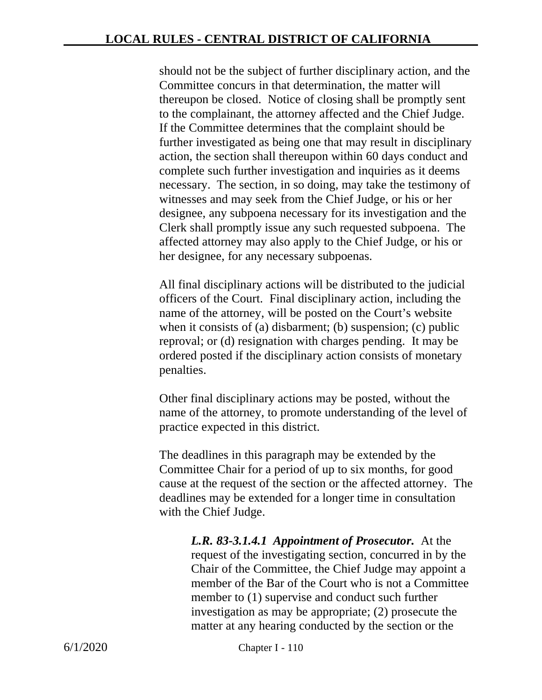should not be the subject of further disciplinary action, and the Committee concurs in that determination, the matter will thereupon be closed. Notice of closing shall be promptly sent to the complainant, the attorney affected and the Chief Judge. If the Committee determines that the complaint should be further investigated as being one that may result in disciplinary action, the section shall thereupon within 60 days conduct and complete such further investigation and inquiries as it deems necessary. The section, in so doing, may take the testimony of witnesses and may seek from the Chief Judge, or his or her designee, any subpoena necessary for its investigation and the Clerk shall promptly issue any such requested subpoena. The affected attorney may also apply to the Chief Judge, or his or her designee, for any necessary subpoenas.

All final disciplinary actions will be distributed to the judicial officers of the Court. Final disciplinary action, including the name of the attorney, will be posted on the Court's website when it consists of (a) disbarment; (b) suspension; (c) public reproval; or (d) resignation with charges pending. It may be ordered posted if the disciplinary action consists of monetary penalties.

Other final disciplinary actions may be posted, without the name of the attorney, to promote understanding of the level of practice expected in this district.

The deadlines in this paragraph may be extended by the Committee Chair for a period of up to six months, for good cause at the request of the section or the affected attorney. The deadlines may be extended for a longer time in consultation with the Chief Judge.

*L.R. 83-3.1.4.1 Appointment of Prosecutor.* At the request of the investigating section, concurred in by the Chair of the Committee, the Chief Judge may appoint a member of the Bar of the Court who is not a Committee member to (1) supervise and conduct such further investigation as may be appropriate; (2) prosecute the matter at any hearing conducted by the section or the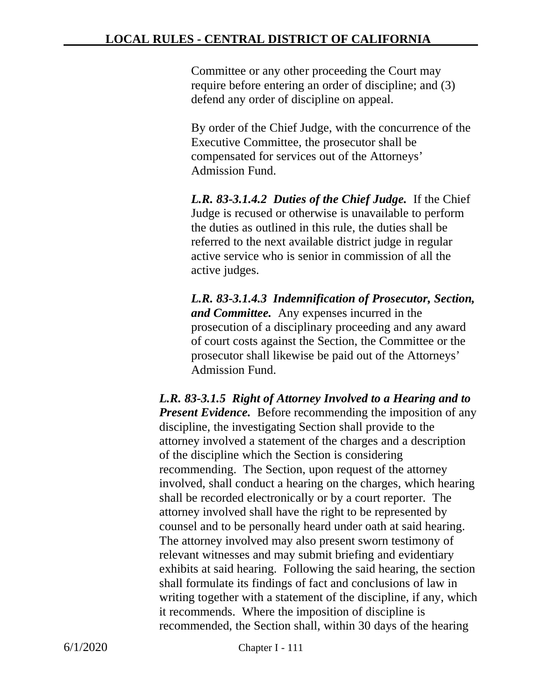Committee or any other proceeding the Court may require before entering an order of discipline; and (3) defend any order of discipline on appeal.

By order of the Chief Judge, with the concurrence of the Executive Committee, the prosecutor shall be compensated for services out of the Attorneys' Admission Fund.

*L.R. 83-3.1.4.2 Duties of the Chief Judge.* If the Chief Judge is recused or otherwise is unavailable to perform the duties as outlined in this rule, the duties shall be referred to the next available district judge in regular active service who is senior in commission of all the active judges.

*L.R. 83-3.1.4.3 Indemnification of Prosecutor, Section, and Committee.* Any expenses incurred in the prosecution of a disciplinary proceeding and any award of court costs against the Section, the Committee or the prosecutor shall likewise be paid out of the Attorneys' Admission Fund.

*L.R. 83-3.1.5 Right of Attorney Involved to a Hearing and to Present Evidence.* Before recommending the imposition of any discipline, the investigating Section shall provide to the attorney involved a statement of the charges and a description of the discipline which the Section is considering recommending. The Section, upon request of the attorney involved, shall conduct a hearing on the charges, which hearing shall be recorded electronically or by a court reporter. The attorney involved shall have the right to be represented by counsel and to be personally heard under oath at said hearing. The attorney involved may also present sworn testimony of relevant witnesses and may submit briefing and evidentiary exhibits at said hearing. Following the said hearing, the section shall formulate its findings of fact and conclusions of law in writing together with a statement of the discipline, if any, which it recommends. Where the imposition of discipline is recommended, the Section shall, within 30 days of the hearing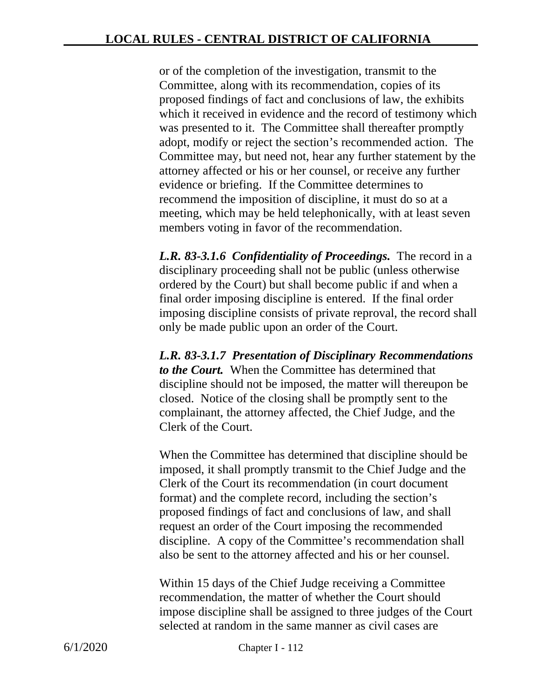or of the completion of the investigation, transmit to the Committee, along with its recommendation, copies of its proposed findings of fact and conclusions of law, the exhibits which it received in evidence and the record of testimony which was presented to it. The Committee shall thereafter promptly adopt, modify or reject the section's recommended action. The Committee may, but need not, hear any further statement by the attorney affected or his or her counsel, or receive any further evidence or briefing. If the Committee determines to recommend the imposition of discipline, it must do so at a meeting, which may be held telephonically, with at least seven members voting in favor of the recommendation.

*L.R. 83-3.1.6 Confidentiality of Proceedings.* The record in a disciplinary proceeding shall not be public (unless otherwise ordered by the Court) but shall become public if and when a final order imposing discipline is entered. If the final order imposing discipline consists of private reproval, the record shall only be made public upon an order of the Court.

*L.R. 83-3.1.7 Presentation of Disciplinary Recommendations to the Court.* When the Committee has determined that discipline should not be imposed, the matter will thereupon be closed. Notice of the closing shall be promptly sent to the complainant, the attorney affected, the Chief Judge, and the Clerk of the Court.

When the Committee has determined that discipline should be imposed, it shall promptly transmit to the Chief Judge and the Clerk of the Court its recommendation (in court document format) and the complete record, including the section's proposed findings of fact and conclusions of law, and shall request an order of the Court imposing the recommended discipline. A copy of the Committee's recommendation shall also be sent to the attorney affected and his or her counsel.

Within 15 days of the Chief Judge receiving a Committee recommendation, the matter of whether the Court should impose discipline shall be assigned to three judges of the Court selected at random in the same manner as civil cases are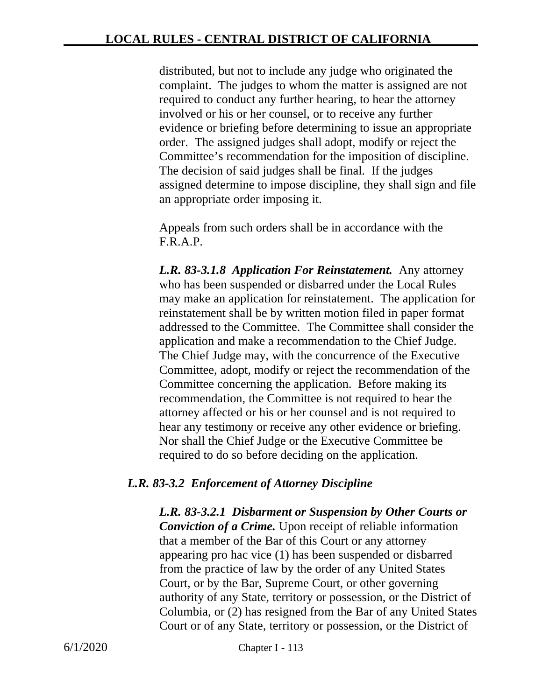distributed, but not to include any judge who originated the complaint. The judges to whom the matter is assigned are not required to conduct any further hearing, to hear the attorney involved or his or her counsel, or to receive any further evidence or briefing before determining to issue an appropriate order. The assigned judges shall adopt, modify or reject the Committee's recommendation for the imposition of discipline. The decision of said judges shall be final. If the judges assigned determine to impose discipline, they shall sign and file an appropriate order imposing it.

Appeals from such orders shall be in accordance with the F.R.A.P.

*L.R. 83-3.1.8 Application For Reinstatement.* Any attorney who has been suspended or disbarred under the Local Rules may make an application for reinstatement. The application for reinstatement shall be by written motion filed in paper format addressed to the Committee. The Committee shall consider the application and make a recommendation to the Chief Judge. The Chief Judge may, with the concurrence of the Executive Committee, adopt, modify or reject the recommendation of the Committee concerning the application. Before making its recommendation, the Committee is not required to hear the attorney affected or his or her counsel and is not required to hear any testimony or receive any other evidence or briefing. Nor shall the Chief Judge or the Executive Committee be required to do so before deciding on the application.

### *L.R. 83-3.2 Enforcement of Attorney Discipline*

*L.R. 83-3.2.1 Disbarment or Suspension by Other Courts or Conviction of a Crime.* Upon receipt of reliable information that a member of the Bar of this Court or any attorney appearing pro hac vice (1) has been suspended or disbarred from the practice of law by the order of any United States Court, or by the Bar, Supreme Court, or other governing authority of any State, territory or possession, or the District of Columbia, or (2) has resigned from the Bar of any United States Court or of any State, territory or possession, or the District of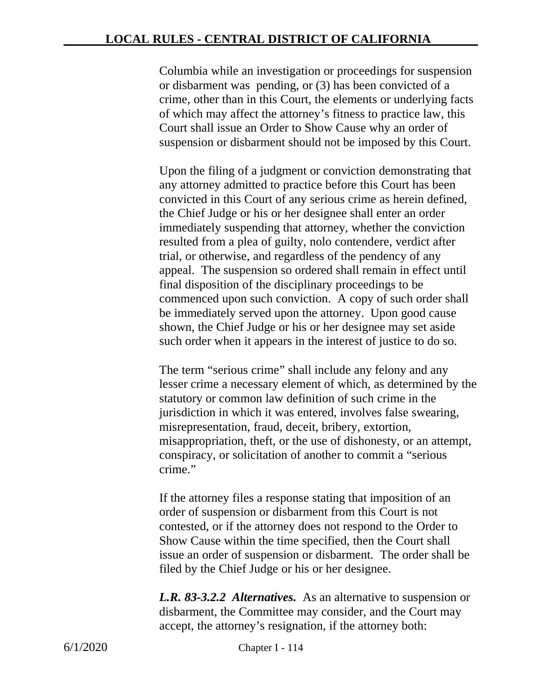Columbia while an investigation or proceedings for suspension or disbarment was pending, or (3) has been convicted of a crime, other than in this Court, the elements or underlying facts of which may affect the attorney's fitness to practice law, this Court shall issue an Order to Show Cause why an order of suspension or disbarment should not be imposed by this Court.

Upon the filing of a judgment or conviction demonstrating that any attorney admitted to practice before this Court has been convicted in this Court of any serious crime as herein defined, the Chief Judge or his or her designee shall enter an order immediately suspending that attorney, whether the conviction resulted from a plea of guilty, nolo contendere, verdict after trial, or otherwise, and regardless of the pendency of any appeal. The suspension so ordered shall remain in effect until final disposition of the disciplinary proceedings to be commenced upon such conviction. A copy of such order shall be immediately served upon the attorney. Upon good cause shown, the Chief Judge or his or her designee may set aside such order when it appears in the interest of justice to do so.

The term "serious crime" shall include any felony and any lesser crime a necessary element of which, as determined by the statutory or common law definition of such crime in the jurisdiction in which it was entered, involves false swearing, misrepresentation, fraud, deceit, bribery, extortion, misappropriation, theft, or the use of dishonesty, or an attempt, conspiracy, or solicitation of another to commit a "serious crime."

If the attorney files a response stating that imposition of an order of suspension or disbarment from this Court is not contested, or if the attorney does not respond to the Order to Show Cause within the time specified, then the Court shall issue an order of suspension or disbarment. The order shall be filed by the Chief Judge or his or her designee.

*L.R. 83-3.2.2 Alternatives.* As an alternative to suspension or disbarment, the Committee may consider, and the Court may accept, the attorney's resignation, if the attorney both: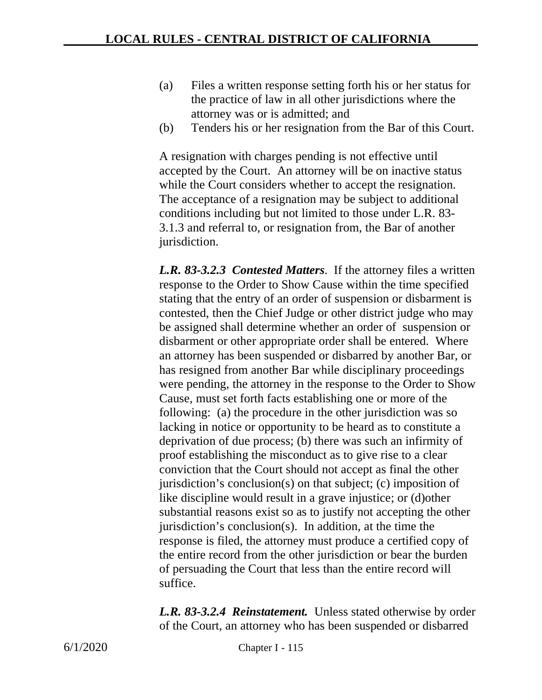- (a) Files a written response setting forth his or her status for the practice of law in all other jurisdictions where the attorney was or is admitted; and
- (b) Tenders his or her resignation from the Bar of this Court.

A resignation with charges pending is not effective until accepted by the Court. An attorney will be on inactive status while the Court considers whether to accept the resignation. The acceptance of a resignation may be subject to additional conditions including but not limited to those under L.R. 83- 3.1.3 and referral to, or resignation from, the Bar of another jurisdiction.

*L.R. 83-3.2.3 Contested Matters*. If the attorney files a written response to the Order to Show Cause within the time specified stating that the entry of an order of suspension or disbarment is contested, then the Chief Judge or other district judge who may be assigned shall determine whether an order of suspension or disbarment or other appropriate order shall be entered. Where an attorney has been suspended or disbarred by another Bar, or has resigned from another Bar while disciplinary proceedings were pending, the attorney in the response to the Order to Show Cause, must set forth facts establishing one or more of the following: (a) the procedure in the other jurisdiction was so lacking in notice or opportunity to be heard as to constitute a deprivation of due process; (b) there was such an infirmity of proof establishing the misconduct as to give rise to a clear conviction that the Court should not accept as final the other jurisdiction's conclusion(s) on that subject; (c) imposition of like discipline would result in a grave injustice; or (d)other substantial reasons exist so as to justify not accepting the other jurisdiction's conclusion(s). In addition, at the time the response is filed, the attorney must produce a certified copy of the entire record from the other jurisdiction or bear the burden of persuading the Court that less than the entire record will suffice.

*L.R. 83-3.2.4 Reinstatement.* Unless stated otherwise by order of the Court, an attorney who has been suspended or disbarred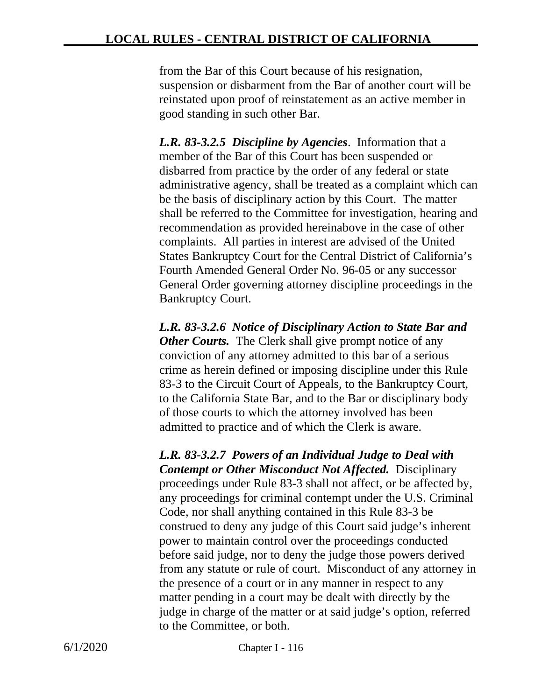from the Bar of this Court because of his resignation, suspension or disbarment from the Bar of another court will be reinstated upon proof of reinstatement as an active member in good standing in such other Bar.

*L.R. 83-3.2.5 Discipline by Agencies*. Information that a member of the Bar of this Court has been suspended or disbarred from practice by the order of any federal or state administrative agency, shall be treated as a complaint which can be the basis of disciplinary action by this Court. The matter shall be referred to the Committee for investigation, hearing and recommendation as provided hereinabove in the case of other complaints. All parties in interest are advised of the United States Bankruptcy Court for the Central District of California's Fourth Amended General Order No. 96-05 or any successor General Order governing attorney discipline proceedings in the Bankruptcy Court.

*L.R. 83-3.2.6 Notice of Disciplinary Action to State Bar and Other Courts.* The Clerk shall give prompt notice of any conviction of any attorney admitted to this bar of a serious crime as herein defined or imposing discipline under this Rule 83-3 to the Circuit Court of Appeals, to the Bankruptcy Court, to the California State Bar, and to the Bar or disciplinary body of those courts to which the attorney involved has been admitted to practice and of which the Clerk is aware.

*L.R. 83-3.2.7 Powers of an Individual Judge to Deal with Contempt or Other Misconduct Not Affected.* Disciplinary proceedings under Rule 83-3 shall not affect, or be affected by, any proceedings for criminal contempt under the U.S. Criminal Code, nor shall anything contained in this Rule 83-3 be construed to deny any judge of this Court said judge's inherent power to maintain control over the proceedings conducted before said judge, nor to deny the judge those powers derived from any statute or rule of court. Misconduct of any attorney in the presence of a court or in any manner in respect to any matter pending in a court may be dealt with directly by the judge in charge of the matter or at said judge's option, referred to the Committee, or both.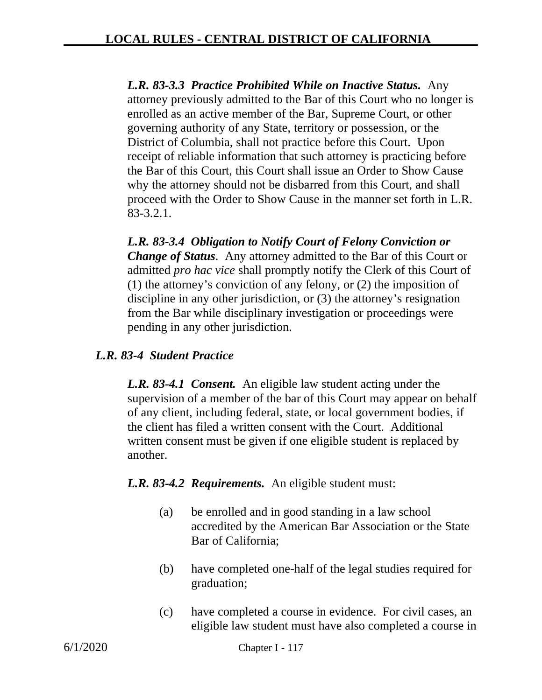*L.R. 83-3.3 Practice Prohibited While on Inactive Status.* Any attorney previously admitted to the Bar of this Court who no longer is enrolled as an active member of the Bar, Supreme Court, or other governing authority of any State, territory or possession, or the District of Columbia, shall not practice before this Court. Upon receipt of reliable information that such attorney is practicing before the Bar of this Court, this Court shall issue an Order to Show Cause why the attorney should not be disbarred from this Court, and shall proceed with the Order to Show Cause in the manner set forth in L.R. 83-3.2.1.

*L.R. 83-3.4 Obligation to Notify Court of Felony Conviction or Change of Status*. Any attorney admitted to the Bar of this Court or admitted *pro hac vice* shall promptly notify the Clerk of this Court of (1) the attorney's conviction of any felony, or (2) the imposition of discipline in any other jurisdiction, or (3) the attorney's resignation from the Bar while disciplinary investigation or proceedings were pending in any other jurisdiction.

#### *L.R. 83-4 Student Practice*

*L.R. 83-4.1 Consent.* An eligible law student acting under the supervision of a member of the bar of this Court may appear on behalf of any client, including federal, state, or local government bodies, if the client has filed a written consent with the Court. Additional written consent must be given if one eligible student is replaced by another.

*L.R. 83-4.2 Requirements.* An eligible student must:

- (a) be enrolled and in good standing in a law school accredited by the American Bar Association or the State Bar of California;
- (b) have completed one-half of the legal studies required for graduation;
- (c) have completed a course in evidence. For civil cases, an eligible law student must have also completed a course in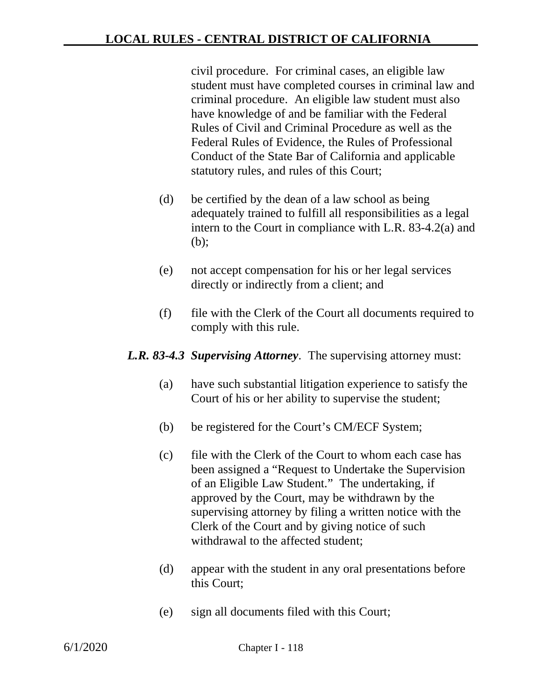civil procedure. For criminal cases, an eligible law student must have completed courses in criminal law and criminal procedure. An eligible law student must also have knowledge of and be familiar with the Federal Rules of Civil and Criminal Procedure as well as the Federal Rules of Evidence, the Rules of Professional Conduct of the State Bar of California and applicable statutory rules, and rules of this Court;

- (d) be certified by the dean of a law school as being adequately trained to fulfill all responsibilities as a legal intern to the Court in compliance with L.R. 83-4.2(a) and (b);
- (e) not accept compensation for his or her legal services directly or indirectly from a client; and
- (f) file with the Clerk of the Court all documents required to comply with this rule.

#### *L.R. 83-4.3 Supervising Attorney*. The supervising attorney must:

- (a) have such substantial litigation experience to satisfy the Court of his or her ability to supervise the student;
- (b) be registered for the Court's CM/ECF System;
- (c) file with the Clerk of the Court to whom each case has been assigned a "Request to Undertake the Supervision of an Eligible Law Student." The undertaking, if approved by the Court, may be withdrawn by the supervising attorney by filing a written notice with the Clerk of the Court and by giving notice of such withdrawal to the affected student;
- (d) appear with the student in any oral presentations before this Court;
- (e) sign all documents filed with this Court;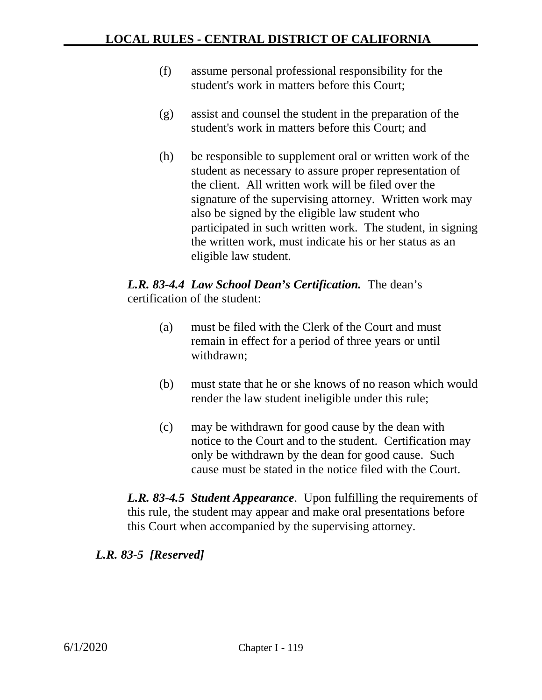- (f) assume personal professional responsibility for the student's work in matters before this Court;
- (g) assist and counsel the student in the preparation of the student's work in matters before this Court; and
- (h) be responsible to supplement oral or written work of the student as necessary to assure proper representation of the client. All written work will be filed over the signature of the supervising attorney. Written work may also be signed by the eligible law student who participated in such written work. The student, in signing the written work, must indicate his or her status as an eligible law student.

#### *L.R. 83-4.4 Law School Dean's Certification.* The dean's certification of the student:

- (a) must be filed with the Clerk of the Court and must remain in effect for a period of three years or until withdrawn;
- (b) must state that he or she knows of no reason which would render the law student ineligible under this rule;
- (c) may be withdrawn for good cause by the dean with notice to the Court and to the student. Certification may only be withdrawn by the dean for good cause. Such cause must be stated in the notice filed with the Court.

*L.R. 83-4.5 Student Appearance*. Upon fulfilling the requirements of this rule, the student may appear and make oral presentations before this Court when accompanied by the supervising attorney.

### *L.R. 83-5 [Reserved]*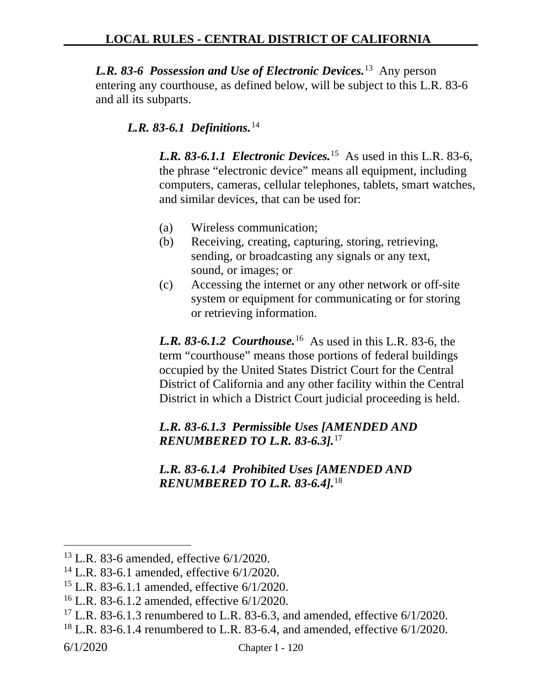*L.R. 83-6 Possession and Use of Electronic Devices.* [13](#page-139-0) Any person entering any courthouse, as defined below, will be subject to this L.R. 83-6 and all its subparts.

## *L.R. 83-6.1 Definitions.* [14](#page-139-1)

*L.R. 83-6.1.1 Electronic Devices.* [15](#page-139-2) As used in this L.R. 83-6, the phrase "electronic device" means all equipment, including computers, cameras, cellular telephones, tablets, smart watches, and similar devices, that can be used for:

- (a) Wireless communication;
- (b) Receiving, creating, capturing, storing, retrieving, sending, or broadcasting any signals or any text, sound, or images; or
- (c) Accessing the internet or any other network or off-site system or equipment for communicating or for storing or retrieving information.

*L.R. 83-6.1.2 Courthouse.* [16](#page-139-3) As used in this L.R. 83-6, the term "courthouse" means those portions of federal buildings occupied by the United States District Court for the Central District of California and any other facility within the Central District in which a District Court judicial proceeding is held.

### *L.R. 83-6.1.3 Permissible Uses [AMENDED AND RENUMBERED TO L.R. 83-6.3].* [17](#page-139-4)

### *L.R. 83-6.1.4 Prohibited Uses [AMENDED AND RENUMBERED TO L.R. 83-6.4].* [18](#page-139-5)

<span id="page-139-0"></span><sup>13</sup> L.R. 83-6 amended, effective 6/1/2020.

<span id="page-139-1"></span><sup>14</sup> L.R. 83-6.1 amended, effective 6/1/2020.

<span id="page-139-2"></span><sup>15</sup> L.R. 83-6.1.1 amended, effective 6/1/2020.

<span id="page-139-3"></span><sup>16</sup> L.R. 83-6.1.2 amended, effective 6/1/2020.

<span id="page-139-4"></span><sup>&</sup>lt;sup>17</sup> L.R. 83-6.1.3 renumbered to L.R. 83-6.3, and amended, effective  $6/1/2020$ .

<span id="page-139-5"></span><sup>&</sup>lt;sup>18</sup> L.R. 83-6.1.4 renumbered to L.R. 83-6.4, and amended, effective  $6/1/2020$ .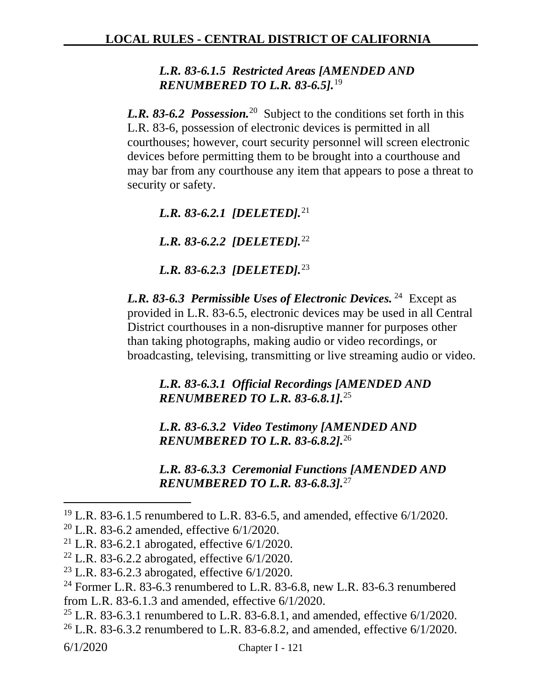*L.R. 83-6.1.5 Restricted Areas [AMENDED AND RENUMBERED TO L.R. 83-6.5].* [19](#page-140-0)

*L.R. 83-6.2 Possession.*[20](#page-140-1) Subject to the conditions set forth in this L.R. 83-6, possession of electronic devices is permitted in all courthouses; however, court security personnel will screen electronic devices before permitting them to be brought into a courthouse and may bar from any courthouse any item that appears to pose a threat to security or safety.

*L.R. 83-6.2.1 [DELETED].* [21](#page-140-2) *L.R. 83-6.2.2 [DELETED].* [22](#page-140-3)

*L.R. 83-6.2.3 [DELETED].* [23](#page-140-4) 

*L.R. 83-6.3 Permissible Uses of Electronic Devices.* [24](#page-140-5) Except as provided in L.R. 83-6.5, electronic devices may be used in all Central District courthouses in a non-disruptive manner for purposes other than taking photographs, making audio or video recordings, or broadcasting, televising, transmitting or live streaming audio or video.

*L.R. 83-6.3.1 Official Recordings [AMENDED AND RENUMBERED TO L.R. 83-6.8.1].* [25](#page-140-6)

*L.R. 83-6.3.2 Video Testimony [AMENDED AND RENUMBERED TO L.R. 83-6.8.2].* [26](#page-140-7)

*L.R. 83-6.3.3 Ceremonial Functions [AMENDED AND RENUMBERED TO L.R. 83-6.8.3].*[27](#page-140-0)

<span id="page-140-0"></span><sup>&</sup>lt;sup>19</sup> L.R. 83-6.1.5 renumbered to L.R. 83-6.5, and amended, effective  $6/1/2020$ .

<span id="page-140-1"></span> $20$  L.R. 83-6.2 amended, effective  $6/1/2020$ .

<span id="page-140-2"></span><sup>&</sup>lt;sup>21</sup> L.R. 83-6.2.1 abrogated, effective  $6/1/2020$ .

<span id="page-140-3"></span> $22$  L.R. 83-6.2.2 abrogated, effective  $6/1/2020$ .

<span id="page-140-4"></span><sup>23</sup> L.R. 83-6.2.3 abrogated, effective 6/1/2020.

<span id="page-140-5"></span><sup>&</sup>lt;sup>24</sup> Former L.R. 83-6.3 renumbered to L.R. 83-6.8, new L.R. 83-6.3 renumbered from L.R. 83-6.1.3 and amended, effective 6/1/2020.

<span id="page-140-7"></span><span id="page-140-6"></span><sup>&</sup>lt;sup>25</sup> L.R. 83-6.3.1 renumbered to L.R. 83-6.8.1, and amended, effective  $6/1/2020$ . <sup>26</sup> L.R. 83-6.3.2 renumbered to L.R. 83-6.8.2, and amended, effective  $6/1/2020$ .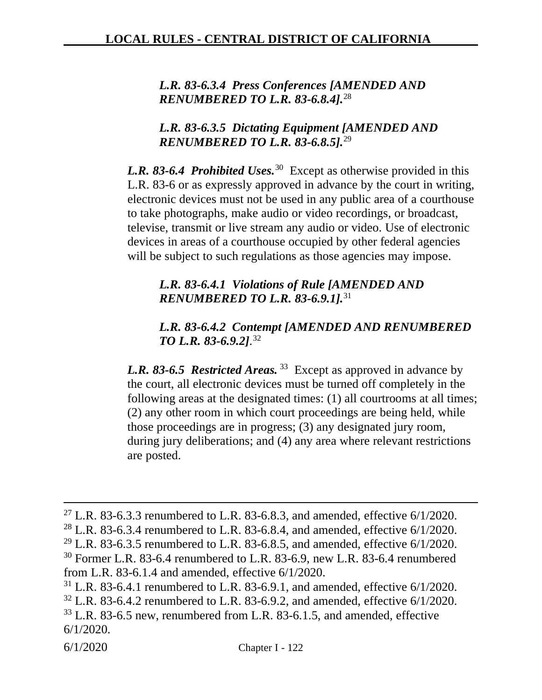#### *L.R. 83-6.3.4 Press Conferences [AMENDED AND RENUMBERED TO L.R. 83-6.8.4].* [28](#page-141-0)

#### *L.R. 83-6.3.5 Dictating Equipment [AMENDED AND RENUMBERED TO L.R. 83-6.8.5].* [29](#page-141-1)

*L.R. 83-6.4 Prohibited Uses.*[30](#page-141-2) Except as otherwise provided in this L.R. 83-6 or as expressly approved in advance by the court in writing, electronic devices must not be used in any public area of a courthouse to take photographs, make audio or video recordings, or broadcast, televise, transmit or live stream any audio or video. Use of electronic devices in areas of a courthouse occupied by other federal agencies will be subject to such regulations as those agencies may impose.

#### *L.R. 83-6.4.1 Violations of Rule [AMENDED AND RENUMBERED TO L.R. 83-6.9.1].* [31](#page-141-3)

#### *L.R. 83-6.4.2 Contempt [AMENDED AND RENUMBERED TO L.R. 83-6.9.2]*. [32](#page-141-4)

*L.R. 83-6.5 Restricted Areas.* [33](#page-141-5) Except as approved in advance by the court, all electronic devices must be turned off completely in the following areas at the designated times: (1) all courtrooms at all times; (2) any other room in which court proceedings are being held, while those proceedings are in progress; (3) any designated jury room, during jury deliberations; and (4) any area where relevant restrictions are posted.

<span id="page-141-1"></span><span id="page-141-0"></span><sup>&</sup>lt;sup>27</sup> L.R. 83-6.3.3 renumbered to L.R. 83-6.8.3, and amended, effective  $6/1/2020$ . <sup>28</sup> L.R. 83-6.3.4 renumbered to L.R. 83-6.8.4, and amended, effective  $6/1/2020$ . <sup>29</sup> L.R. 83-6.3.5 renumbered to L.R. 83-6.8.5, and amended, effective  $6/1/2020$ . <sup>30</sup> Former L.R. 83-6.4 renumbered to L.R. 83-6.9, new L.R. 83-6.4 renumbered from L.R. 83-6.1.4 and amended, effective 6/1/2020.

<span id="page-141-3"></span><span id="page-141-2"></span> $31$  L.R. 83-6.4.1 renumbered to L.R. 83-6.9.1, and amended, effective  $6/1/2020$ .

<span id="page-141-4"></span> $32$  L.R. 83-6.4.2 renumbered to L.R. 83-6.9.2, and amended, effective 6/1/2020.

<span id="page-141-5"></span><sup>&</sup>lt;sup>33</sup> L.R. 83-6.5 new, renumbered from L.R. 83-6.1.5, and amended, effective 6/1/2020.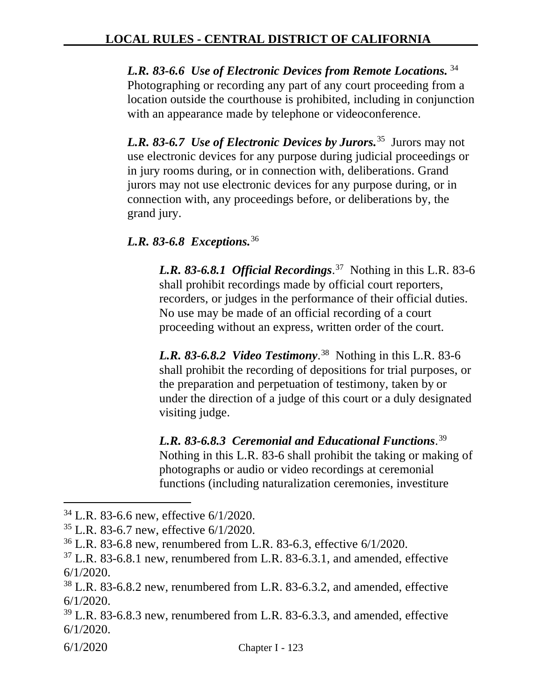*L.R. 83-6.6 Use of Electronic Devices from Remote Locations.* [34](#page-142-0) Photographing or recording any part of any court proceeding from a location outside the courthouse is prohibited, including in conjunction with an appearance made by telephone or videoconference.

*L.R. 83-6.7 Use of Electronic Devices by Jurors.* [35](#page-142-1) Jurors may not use electronic devices for any purpose during judicial proceedings or in jury rooms during, or in connection with, deliberations. Grand jurors may not use electronic devices for any purpose during, or in connection with, any proceedings before, or deliberations by, the grand jury.

## *L.R. 83-6.8 Exceptions.* [36](#page-142-2)

*L.R. 83-6.8.1 Official Recordings*. [37](#page-142-3) Nothing in this L.R. 83-6 shall prohibit recordings made by official court reporters, recorders, or judges in the performance of their official duties. No use may be made of an official recording of a court proceeding without an express, written order of the court.

**L.R. 83-6.8.2 Video Testimony.**<sup>[38](#page-142-4)</sup> Nothing in this L.R. 83-6 shall prohibit the recording of depositions for trial purposes, or the preparation and perpetuation of testimony, taken by or under the direction of a judge of this court or a duly designated visiting judge.

*L.R. 83-6.8.3 Ceremonial and Educational Functions*. [39](#page-142-5) Nothing in this L.R. 83-6 shall prohibit the taking or making of photographs or audio or video recordings at ceremonial functions (including naturalization ceremonies, investiture

<span id="page-142-0"></span><sup>34</sup> L.R. 83-6.6 new, effective 6/1/2020.

<span id="page-142-1"></span> $35$  L.R. 83-6.7 new, effective  $6/1/2020$ .

<span id="page-142-2"></span> $36$  L.R. 83-6.8 new, renumbered from L.R. 83-6.3, effective  $6/1/2020$ .

<span id="page-142-3"></span> $37$  L.R. 83-6.8.1 new, renumbered from L.R. 83-6.3.1, and amended, effective 6/1/2020.

<span id="page-142-4"></span><sup>38</sup> L.R. 83-6.8.2 new, renumbered from L.R. 83-6.3.2, and amended, effective 6/1/2020.

<span id="page-142-5"></span> $39$  L.R. 83-6.8.3 new, renumbered from L.R. 83-6.3.3, and amended, effective 6/1/2020.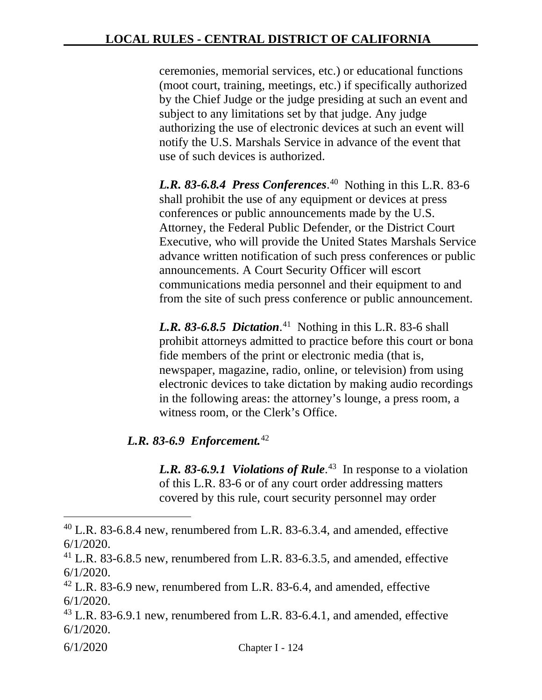ceremonies, memorial services, etc.) or educational functions (moot court, training, meetings, etc.) if specifically authorized by the Chief Judge or the judge presiding at such an event and subject to any limitations set by that judge. Any judge authorizing the use of electronic devices at such an event will notify the U.S. Marshals Service in advance of the event that use of such devices is authorized.

*L.R. 83-6.8.4 Press Conferences*. [40](#page-143-0) Nothing in this L.R. 83-6 shall prohibit the use of any equipment or devices at press conferences or public announcements made by the U.S. Attorney, the Federal Public Defender, or the District Court Executive, who will provide the United States Marshals Service advance written notification of such press conferences or public announcements. A Court Security Officer will escort communications media personnel and their equipment to and from the site of such press conference or public announcement.

*L.R. 83-6.8.5 Dictation*. [41](#page-143-1) Nothing in this L.R. 83-6 shall prohibit attorneys admitted to practice before this court or bona fide members of the print or electronic media (that is, newspaper, magazine, radio, online, or television) from using electronic devices to take dictation by making audio recordings in the following areas: the attorney's lounge, a press room, a witness room, or the Clerk's Office.

## *L.R. 83-6.9 Enforcement.* [42](#page-143-2)

*L.R. 83-6.9.1 Violations of Rule*. [43](#page-143-3) In response to a violation of this L.R. 83-6 or of any court order addressing matters covered by this rule, court security personnel may order

<span id="page-143-0"></span><sup>&</sup>lt;sup>40</sup> L.R. 83-6.8.4 new, renumbered from L.R. 83-6.3.4, and amended, effective 6/1/2020.

<span id="page-143-1"></span><sup>&</sup>lt;sup>41</sup> L.R. 83-6.8.5 new, renumbered from L.R. 83-6.3.5, and amended, effective 6/1/2020.

<span id="page-143-2"></span><sup>&</sup>lt;sup>42</sup> L.R. 83-6.9 new, renumbered from L.R. 83-6.4, and amended, effective 6/1/2020.

<span id="page-143-3"></span> $^{43}$  L.R. 83-6.9.1 new, renumbered from L.R. 83-6.4.1, and amended, effective 6/1/2020.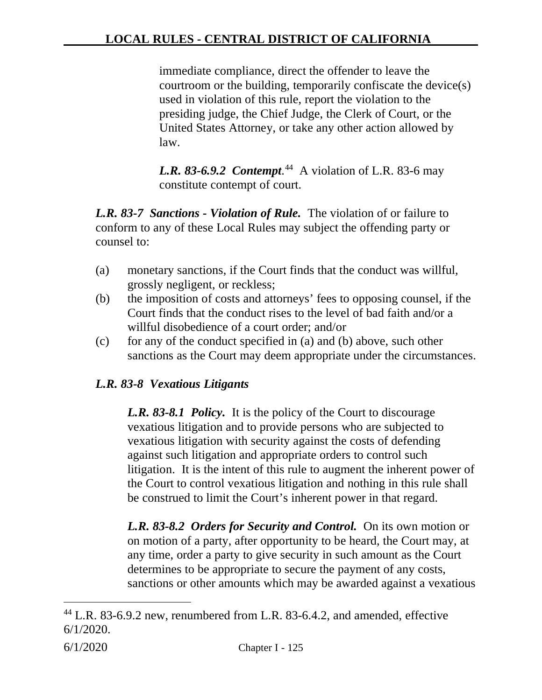immediate compliance, direct the offender to leave the courtroom or the building, temporarily confiscate the device(s) used in violation of this rule, report the violation to the presiding judge, the Chief Judge, the Clerk of Court, or the United States Attorney, or take any other action allowed by law.

*L.R. 83-6.9.2 Contempt*. [44](#page-144-0) A violation of L.R. 83-6 may constitute contempt of court.

*L.R. 83-7 Sanctions - Violation of Rule.* The violation of or failure to conform to any of these Local Rules may subject the offending party or counsel to:

- (a) monetary sanctions, if the Court finds that the conduct was willful, grossly negligent, or reckless;
- (b) the imposition of costs and attorneys' fees to opposing counsel, if the Court finds that the conduct rises to the level of bad faith and/or a willful disobedience of a court order; and/or
- (c) for any of the conduct specified in (a) and (b) above, such other sanctions as the Court may deem appropriate under the circumstances.

#### *L.R. 83-8 Vexatious Litigants*

*L.R. 83-8.1 Policy.* It is the policy of the Court to discourage vexatious litigation and to provide persons who are subjected to vexatious litigation with security against the costs of defending against such litigation and appropriate orders to control such litigation. It is the intent of this rule to augment the inherent power of the Court to control vexatious litigation and nothing in this rule shall be construed to limit the Court's inherent power in that regard.

*L.R. 83-8.2 Orders for Security and Control.* On its own motion or on motion of a party, after opportunity to be heard, the Court may, at any time, order a party to give security in such amount as the Court determines to be appropriate to secure the payment of any costs, sanctions or other amounts which may be awarded against a vexatious

<span id="page-144-0"></span><sup>&</sup>lt;sup>44</sup> L.R. 83-6.9.2 new, renumbered from L.R. 83-6.4.2, and amended, effective 6/1/2020.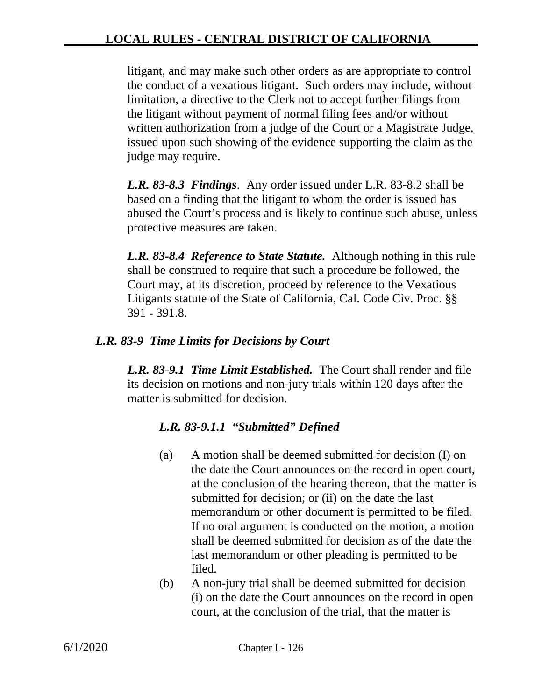litigant, and may make such other orders as are appropriate to control the conduct of a vexatious litigant. Such orders may include, without limitation, a directive to the Clerk not to accept further filings from the litigant without payment of normal filing fees and/or without written authorization from a judge of the Court or a Magistrate Judge, issued upon such showing of the evidence supporting the claim as the judge may require.

*L.R. 83-8.3 Findings*. Any order issued under L.R. 83-8.2 shall be based on a finding that the litigant to whom the order is issued has abused the Court's process and is likely to continue such abuse, unless protective measures are taken.

*L.R. 83-8.4 Reference to State Statute.* Although nothing in this rule shall be construed to require that such a procedure be followed, the Court may, at its discretion, proceed by reference to the Vexatious Litigants statute of the State of California, Cal. Code Civ. Proc. §§ 391 - 391.8.

## *L.R. 83-9 Time Limits for Decisions by Court*

*L.R. 83-9.1 Time Limit Established.* The Court shall render and file its decision on motions and non-jury trials within 120 days after the matter is submitted for decision.

## *L.R. 83-9.1.1 "Submitted" Defined*

- (a) A motion shall be deemed submitted for decision (I) on the date the Court announces on the record in open court, at the conclusion of the hearing thereon, that the matter is submitted for decision; or (ii) on the date the last memorandum or other document is permitted to be filed. If no oral argument is conducted on the motion, a motion shall be deemed submitted for decision as of the date the last memorandum or other pleading is permitted to be filed.
- (b) A non-jury trial shall be deemed submitted for decision (i) on the date the Court announces on the record in open court, at the conclusion of the trial, that the matter is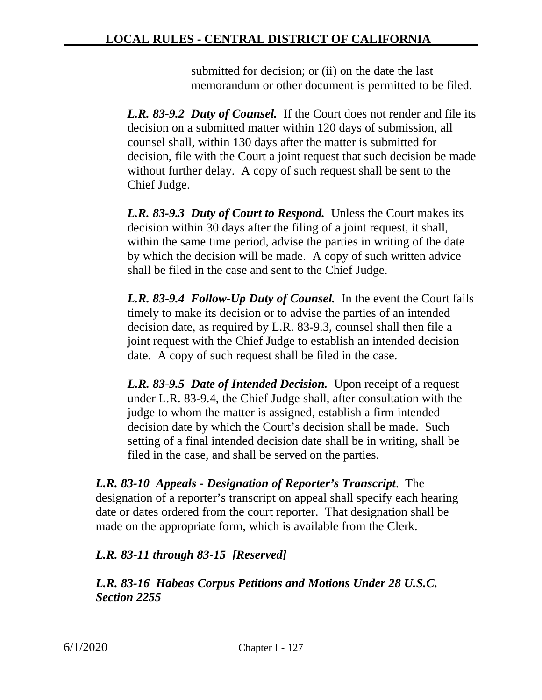submitted for decision; or (ii) on the date the last memorandum or other document is permitted to be filed.

*L.R. 83-9.2 Duty of Counsel.* If the Court does not render and file its decision on a submitted matter within 120 days of submission, all counsel shall, within 130 days after the matter is submitted for decision, file with the Court a joint request that such decision be made without further delay. A copy of such request shall be sent to the Chief Judge.

*L.R. 83-9.3 Duty of Court to Respond.* Unless the Court makes its decision within 30 days after the filing of a joint request, it shall, within the same time period, advise the parties in writing of the date by which the decision will be made. A copy of such written advice shall be filed in the case and sent to the Chief Judge.

*L.R. 83-9.4 Follow-Up Duty of Counsel.* In the event the Court fails timely to make its decision or to advise the parties of an intended decision date, as required by L.R. 83-9.3, counsel shall then file a joint request with the Chief Judge to establish an intended decision date. A copy of such request shall be filed in the case.

*L.R. 83-9.5 Date of Intended Decision.* Upon receipt of a request under L.R. 83-9.4, the Chief Judge shall, after consultation with the judge to whom the matter is assigned, establish a firm intended decision date by which the Court's decision shall be made. Such setting of a final intended decision date shall be in writing, shall be filed in the case, and shall be served on the parties.

*L.R. 83-10 Appeals - Designation of Reporter's Transcript*. The designation of a reporter's transcript on appeal shall specify each hearing date or dates ordered from the court reporter. That designation shall be made on the appropriate form, which is available from the Clerk.

## *L.R. 83-11 through 83-15 [Reserved]*

*L.R. 83-16 Habeas Corpus Petitions and Motions Under 28 U.S.C. Section 2255*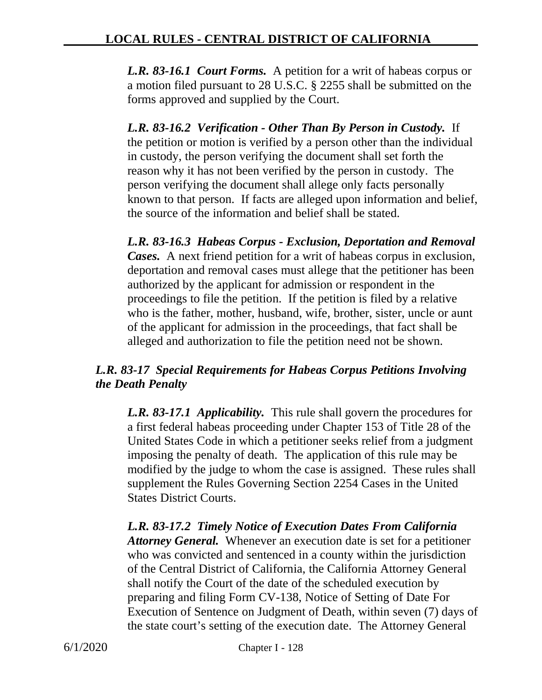*L.R. 83-16.1 Court Forms.* A petition for a writ of habeas corpus or a motion filed pursuant to 28 U.S.C. § 2255 shall be submitted on the forms approved and supplied by the Court.

*L.R. 83-16.2 Verification - Other Than By Person in Custody.* If the petition or motion is verified by a person other than the individual in custody, the person verifying the document shall set forth the reason why it has not been verified by the person in custody. The person verifying the document shall allege only facts personally known to that person. If facts are alleged upon information and belief, the source of the information and belief shall be stated.

*L.R. 83-16.3 Habeas Corpus - Exclusion, Deportation and Removal Cases.* A next friend petition for a writ of habeas corpus in exclusion, deportation and removal cases must allege that the petitioner has been authorized by the applicant for admission or respondent in the proceedings to file the petition. If the petition is filed by a relative who is the father, mother, husband, wife, brother, sister, uncle or aunt of the applicant for admission in the proceedings, that fact shall be alleged and authorization to file the petition need not be shown.

## *L.R. 83-17 Special Requirements for Habeas Corpus Petitions Involving the Death Penalty*

*L.R. 83-17.1 Applicability.* This rule shall govern the procedures for a first federal habeas proceeding under Chapter 153 of Title 28 of the United States Code in which a petitioner seeks relief from a judgment imposing the penalty of death. The application of this rule may be modified by the judge to whom the case is assigned. These rules shall supplement the Rules Governing Section 2254 Cases in the United States District Courts.

*L.R. 83-17.2 Timely Notice of Execution Dates From California Attorney General.* Whenever an execution date is set for a petitioner who was convicted and sentenced in a county within the jurisdiction of the Central District of California, the California Attorney General shall notify the Court of the date of the scheduled execution by preparing and filing Form CV-138, Notice of Setting of Date For Execution of Sentence on Judgment of Death, within seven (7) days of the state court's setting of the execution date. The Attorney General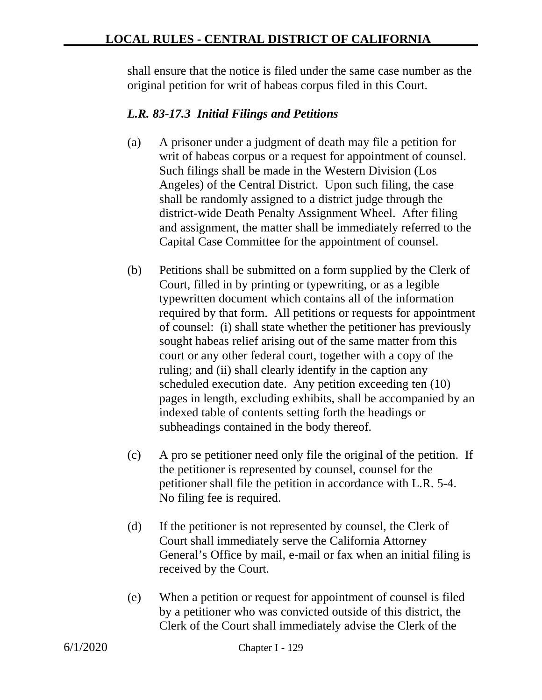shall ensure that the notice is filed under the same case number as the original petition for writ of habeas corpus filed in this Court.

#### *L.R. 83-17.3 Initial Filings and Petitions*

- (a) A prisoner under a judgment of death may file a petition for writ of habeas corpus or a request for appointment of counsel. Such filings shall be made in the Western Division (Los Angeles) of the Central District. Upon such filing, the case shall be randomly assigned to a district judge through the district-wide Death Penalty Assignment Wheel. After filing and assignment, the matter shall be immediately referred to the Capital Case Committee for the appointment of counsel.
- (b) Petitions shall be submitted on a form supplied by the Clerk of Court, filled in by printing or typewriting, or as a legible typewritten document which contains all of the information required by that form. All petitions or requests for appointment of counsel: (i) shall state whether the petitioner has previously sought habeas relief arising out of the same matter from this court or any other federal court, together with a copy of the ruling; and (ii) shall clearly identify in the caption any scheduled execution date. Any petition exceeding ten (10) pages in length, excluding exhibits, shall be accompanied by an indexed table of contents setting forth the headings or subheadings contained in the body thereof.
- (c) A pro se petitioner need only file the original of the petition. If the petitioner is represented by counsel, counsel for the petitioner shall file the petition in accordance with L.R. 5-4. No filing fee is required.
- (d) If the petitioner is not represented by counsel, the Clerk of Court shall immediately serve the California Attorney General's Office by mail, e-mail or fax when an initial filing is received by the Court.
- (e) When a petition or request for appointment of counsel is filed by a petitioner who was convicted outside of this district, the Clerk of the Court shall immediately advise the Clerk of the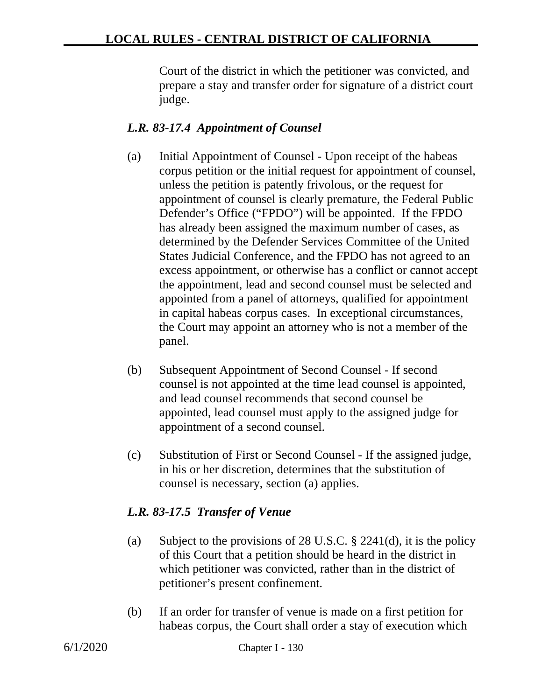Court of the district in which the petitioner was convicted, and prepare a stay and transfer order for signature of a district court judge.

## *L.R. 83-17.4 Appointment of Counsel*

- (a) Initial Appointment of Counsel Upon receipt of the habeas corpus petition or the initial request for appointment of counsel, unless the petition is patently frivolous, or the request for appointment of counsel is clearly premature, the Federal Public Defender's Office ("FPDO") will be appointed. If the FPDO has already been assigned the maximum number of cases, as determined by the Defender Services Committee of the United States Judicial Conference, and the FPDO has not agreed to an excess appointment, or otherwise has a conflict or cannot accept the appointment, lead and second counsel must be selected and appointed from a panel of attorneys, qualified for appointment in capital habeas corpus cases. In exceptional circumstances, the Court may appoint an attorney who is not a member of the panel.
- (b) Subsequent Appointment of Second Counsel If second counsel is not appointed at the time lead counsel is appointed, and lead counsel recommends that second counsel be appointed, lead counsel must apply to the assigned judge for appointment of a second counsel.
- (c) Substitution of First or Second Counsel If the assigned judge, in his or her discretion, determines that the substitution of counsel is necessary, section (a) applies.

## *L.R. 83-17.5 Transfer of Venue*

- (a) Subject to the provisions of 28 U.S.C.  $\S$  2241(d), it is the policy of this Court that a petition should be heard in the district in which petitioner was convicted, rather than in the district of petitioner's present confinement.
- (b) If an order for transfer of venue is made on a first petition for habeas corpus, the Court shall order a stay of execution which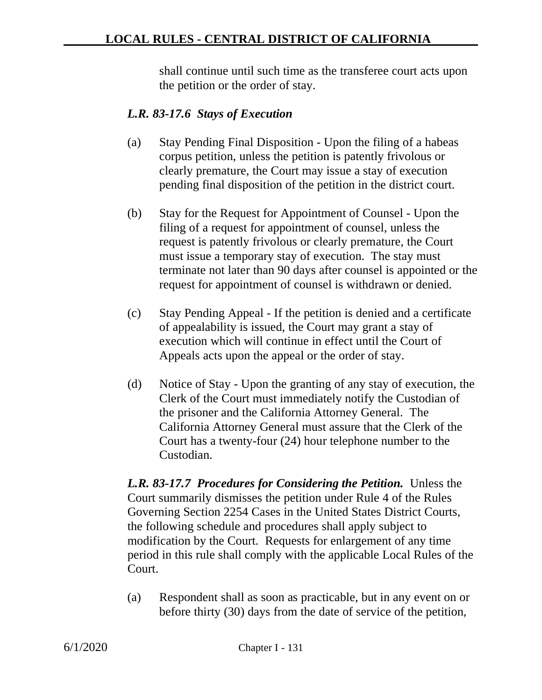shall continue until such time as the transferee court acts upon the petition or the order of stay.

### *L.R. 83-17.6 Stays of Execution*

- (a) Stay Pending Final Disposition Upon the filing of a habeas corpus petition, unless the petition is patently frivolous or clearly premature, the Court may issue a stay of execution pending final disposition of the petition in the district court.
- (b) Stay for the Request for Appointment of Counsel Upon the filing of a request for appointment of counsel, unless the request is patently frivolous or clearly premature, the Court must issue a temporary stay of execution. The stay must terminate not later than 90 days after counsel is appointed or the request for appointment of counsel is withdrawn or denied.
- (c) Stay Pending Appeal If the petition is denied and a certificate of appealability is issued, the Court may grant a stay of execution which will continue in effect until the Court of Appeals acts upon the appeal or the order of stay.
- (d) Notice of Stay Upon the granting of any stay of execution, the Clerk of the Court must immediately notify the Custodian of the prisoner and the California Attorney General. The California Attorney General must assure that the Clerk of the Court has a twenty-four (24) hour telephone number to the Custodian.

*L.R. 83-17.7 Procedures for Considering the Petition.* Unless the Court summarily dismisses the petition under Rule 4 of the Rules Governing Section 2254 Cases in the United States District Courts, the following schedule and procedures shall apply subject to modification by the Court. Requests for enlargement of any time period in this rule shall comply with the applicable Local Rules of the Court.

(a) Respondent shall as soon as practicable, but in any event on or before thirty (30) days from the date of service of the petition,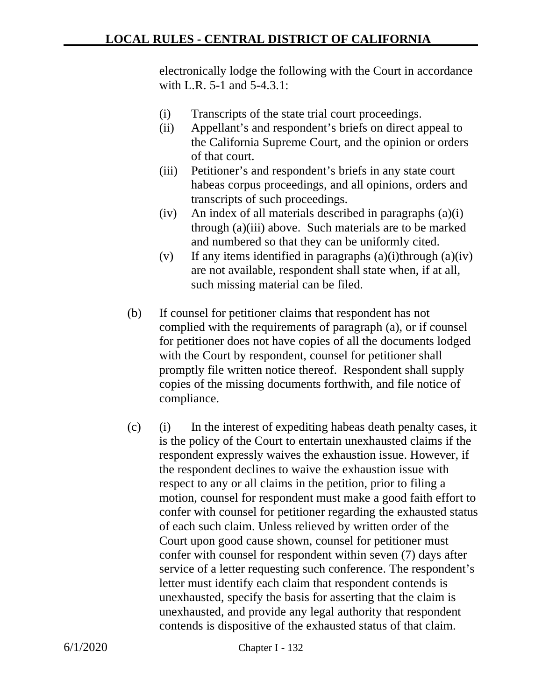electronically lodge the following with the Court in accordance with L.R. 5-1 and 5-4.3.1:

- (i) Transcripts of the state trial court proceedings.
- (ii) Appellant's and respondent's briefs on direct appeal to the California Supreme Court, and the opinion or orders of that court.
- (iii) Petitioner's and respondent's briefs in any state court habeas corpus proceedings, and all opinions, orders and transcripts of such proceedings.
- (iv) An index of all materials described in paragraphs (a)(i) through (a)(iii) above. Such materials are to be marked and numbered so that they can be uniformly cited.
- (v) If any items identified in paragraphs (a)(i)through (a)(iv) are not available, respondent shall state when, if at all, such missing material can be filed.
- (b) If counsel for petitioner claims that respondent has not complied with the requirements of paragraph (a), or if counsel for petitioner does not have copies of all the documents lodged with the Court by respondent, counsel for petitioner shall promptly file written notice thereof. Respondent shall supply copies of the missing documents forthwith, and file notice of compliance.
- (c) (i) In the interest of expediting habeas death penalty cases, it is the policy of the Court to entertain unexhausted claims if the respondent expressly waives the exhaustion issue. However, if the respondent declines to waive the exhaustion issue with respect to any or all claims in the petition, prior to filing a motion, counsel for respondent must make a good faith effort to confer with counsel for petitioner regarding the exhausted status of each such claim. Unless relieved by written order of the Court upon good cause shown, counsel for petitioner must confer with counsel for respondent within seven (7) days after service of a letter requesting such conference. The respondent's letter must identify each claim that respondent contends is unexhausted, specify the basis for asserting that the claim is unexhausted, and provide any legal authority that respondent contends is dispositive of the exhausted status of that claim.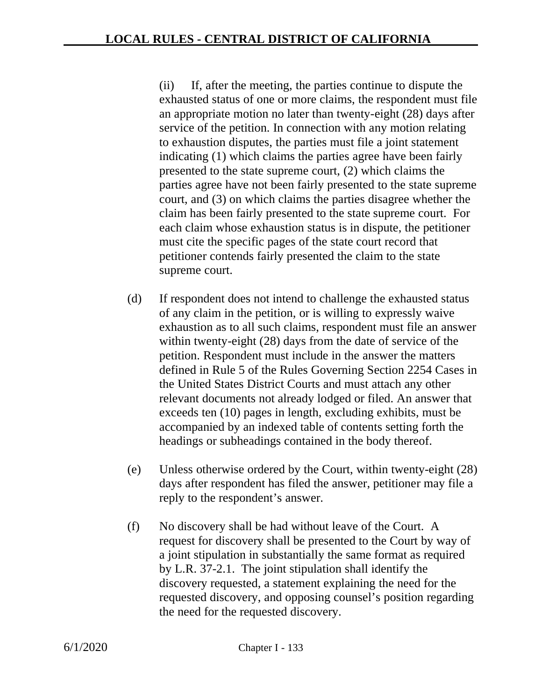(ii) If, after the meeting, the parties continue to dispute the exhausted status of one or more claims, the respondent must file an appropriate motion no later than twenty-eight (28) days after service of the petition. In connection with any motion relating to exhaustion disputes, the parties must file a joint statement indicating (1) which claims the parties agree have been fairly presented to the state supreme court, (2) which claims the parties agree have not been fairly presented to the state supreme court, and (3) on which claims the parties disagree whether the claim has been fairly presented to the state supreme court. For each claim whose exhaustion status is in dispute, the petitioner must cite the specific pages of the state court record that petitioner contends fairly presented the claim to the state supreme court.

- (d) If respondent does not intend to challenge the exhausted status of any claim in the petition, or is willing to expressly waive exhaustion as to all such claims, respondent must file an answer within twenty-eight (28) days from the date of service of the petition. Respondent must include in the answer the matters defined in Rule 5 of the Rules Governing Section 2254 Cases in the United States District Courts and must attach any other relevant documents not already lodged or filed. An answer that exceeds ten (10) pages in length, excluding exhibits, must be accompanied by an indexed table of contents setting forth the headings or subheadings contained in the body thereof.
- (e) Unless otherwise ordered by the Court, within twenty-eight (28) days after respondent has filed the answer, petitioner may file a reply to the respondent's answer.
- (f) No discovery shall be had without leave of the Court. A request for discovery shall be presented to the Court by way of a joint stipulation in substantially the same format as required by L.R. 37-2.1. The joint stipulation shall identify the discovery requested, a statement explaining the need for the requested discovery, and opposing counsel's position regarding the need for the requested discovery.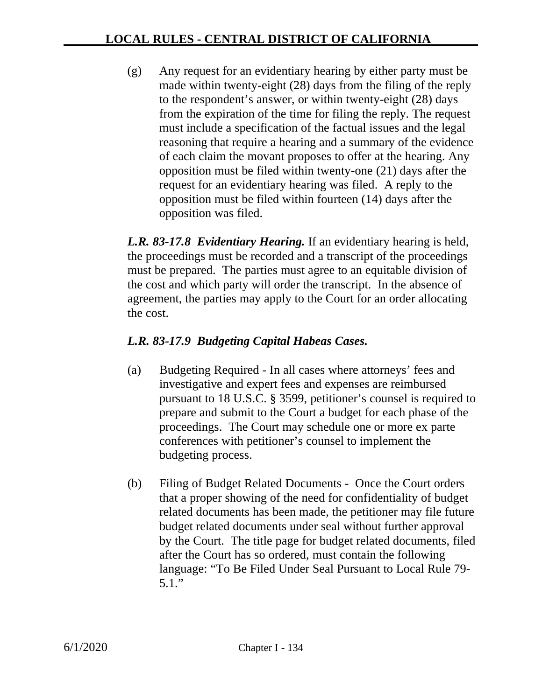(g) Any request for an evidentiary hearing by either party must be made within twenty-eight (28) days from the filing of the reply to the respondent's answer, or within twenty-eight (28) days from the expiration of the time for filing the reply. The request must include a specification of the factual issues and the legal reasoning that require a hearing and a summary of the evidence of each claim the movant proposes to offer at the hearing. Any opposition must be filed within twenty-one (21) days after the request for an evidentiary hearing was filed. A reply to the opposition must be filed within fourteen (14) days after the opposition was filed.

*L.R. 83-17.8 Evidentiary Hearing.* If an evidentiary hearing is held, the proceedings must be recorded and a transcript of the proceedings must be prepared. The parties must agree to an equitable division of the cost and which party will order the transcript. In the absence of agreement, the parties may apply to the Court for an order allocating the cost.

## *L.R. 83-17.9 Budgeting Capital Habeas Cases.*

- (a) Budgeting Required In all cases where attorneys' fees and investigative and expert fees and expenses are reimbursed pursuant to 18 U.S.C. § 3599, petitioner's counsel is required to prepare and submit to the Court a budget for each phase of the proceedings. The Court may schedule one or more ex parte conferences with petitioner's counsel to implement the budgeting process.
- (b) Filing of Budget Related Documents Once the Court orders that a proper showing of the need for confidentiality of budget related documents has been made, the petitioner may file future budget related documents under seal without further approval by the Court. The title page for budget related documents, filed after the Court has so ordered, must contain the following language: "To Be Filed Under Seal Pursuant to Local Rule 79- 5.1."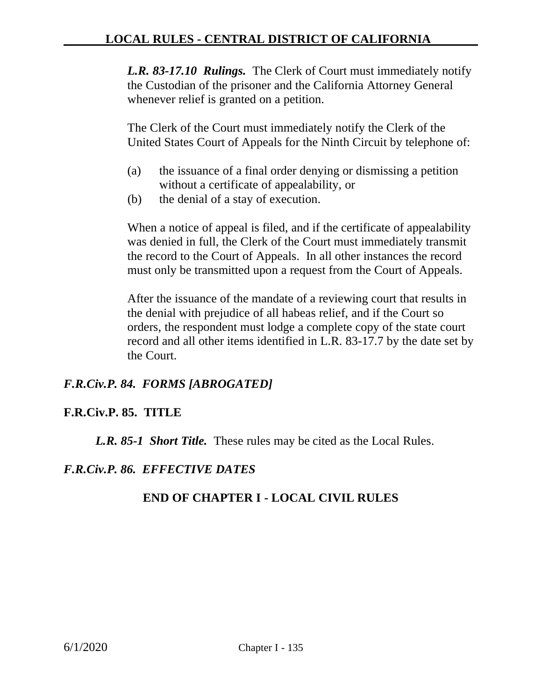*L.R. 83-17.10 Rulings.* The Clerk of Court must immediately notify the Custodian of the prisoner and the California Attorney General whenever relief is granted on a petition.

The Clerk of the Court must immediately notify the Clerk of the United States Court of Appeals for the Ninth Circuit by telephone of:

- (a) the issuance of a final order denying or dismissing a petition without a certificate of appealability, or
- (b) the denial of a stay of execution.

When a notice of appeal is filed, and if the certificate of appealability was denied in full, the Clerk of the Court must immediately transmit the record to the Court of Appeals. In all other instances the record must only be transmitted upon a request from the Court of Appeals.

After the issuance of the mandate of a reviewing court that results in the denial with prejudice of all habeas relief, and if the Court so orders, the respondent must lodge a complete copy of the state court record and all other items identified in L.R. 83-17.7 by the date set by the Court.

#### *F.R.Civ.P. 84. FORMS [ABROGATED]*

#### **F.R.Civ.P. 85. TITLE**

*L.R. 85-1 Short Title.* These rules may be cited as the Local Rules.

#### *F.R.Civ.P. 86. EFFECTIVE DATES*

#### **END OF CHAPTER I - LOCAL CIVIL RULES**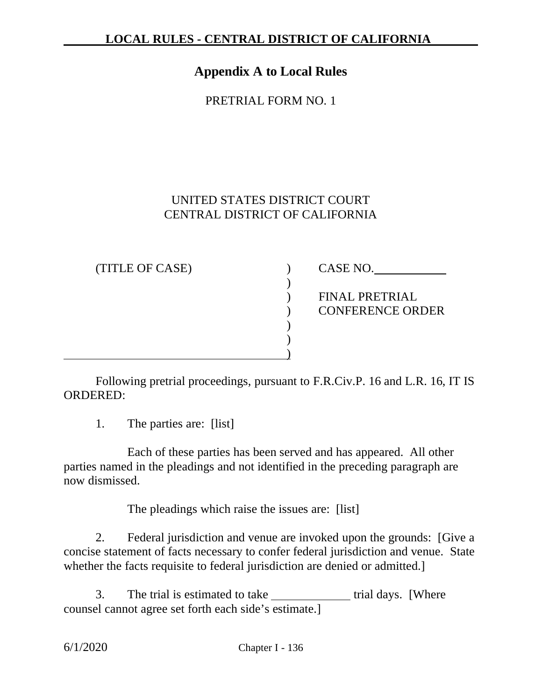# **Appendix A to Local Rules**

PRETRIAL FORM NO. 1

## UNITED STATES DISTRICT COURT CENTRAL DISTRICT OF CALIFORNIA

| (TITLE OF CASE) | CASE NO.                                         |
|-----------------|--------------------------------------------------|
|                 | <b>FINAL PRETRIAL</b><br><b>CONFERENCE ORDER</b> |
|                 |                                                  |
|                 |                                                  |
|                 |                                                  |

Following pretrial proceedings, pursuant to F.R.Civ.P. 16 and L.R. 16, IT IS ORDERED:

1. The parties are: [list]

Each of these parties has been served and has appeared. All other parties named in the pleadings and not identified in the preceding paragraph are now dismissed.

The pleadings which raise the issues are: [list]

2. Federal jurisdiction and venue are invoked upon the grounds: [Give a concise statement of facts necessary to confer federal jurisdiction and venue. State whether the facts requisite to federal jurisdiction are denied or admitted.

3. The trial is estimated to take trial days. [Where counsel cannot agree set forth each side's estimate.]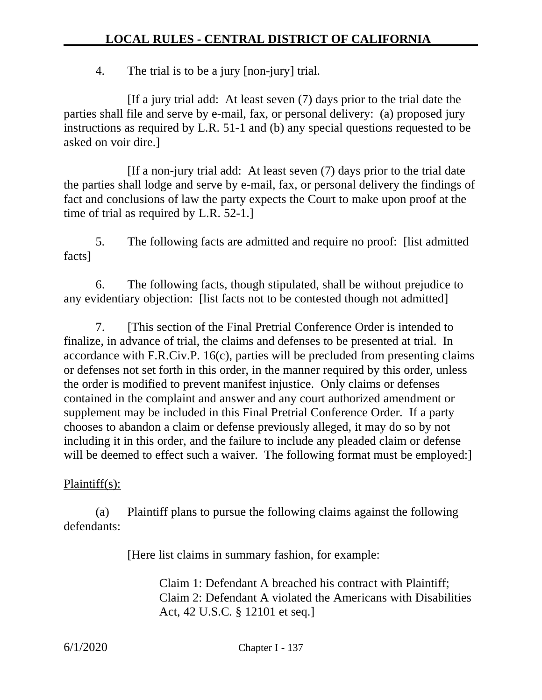4. The trial is to be a jury [non-jury] trial.

[If a jury trial add: At least seven (7) days prior to the trial date the parties shall file and serve by e-mail, fax, or personal delivery: (a) proposed jury instructions as required by L.R. 51-1 and (b) any special questions requested to be asked on voir dire.]

[If a non-jury trial add: At least seven (7) days prior to the trial date the parties shall lodge and serve by e-mail, fax, or personal delivery the findings of fact and conclusions of law the party expects the Court to make upon proof at the time of trial as required by L.R. 52-1.]

5. The following facts are admitted and require no proof: [list admitted facts]

6. The following facts, though stipulated, shall be without prejudice to any evidentiary objection: [list facts not to be contested though not admitted]

7. [This section of the Final Pretrial Conference Order is intended to finalize, in advance of trial, the claims and defenses to be presented at trial. In accordance with F.R.Civ.P. 16(c), parties will be precluded from presenting claims or defenses not set forth in this order, in the manner required by this order, unless the order is modified to prevent manifest injustice. Only claims or defenses contained in the complaint and answer and any court authorized amendment or supplement may be included in this Final Pretrial Conference Order. If a party chooses to abandon a claim or defense previously alleged, it may do so by not including it in this order, and the failure to include any pleaded claim or defense will be deemed to effect such a waiver. The following format must be employed:

## Plaintiff(s):

(a) Plaintiff plans to pursue the following claims against the following defendants:

[Here list claims in summary fashion, for example:

Claim 1: Defendant A breached his contract with Plaintiff; Claim 2: Defendant A violated the Americans with Disabilities Act, 42 U.S.C. § 12101 et seq.]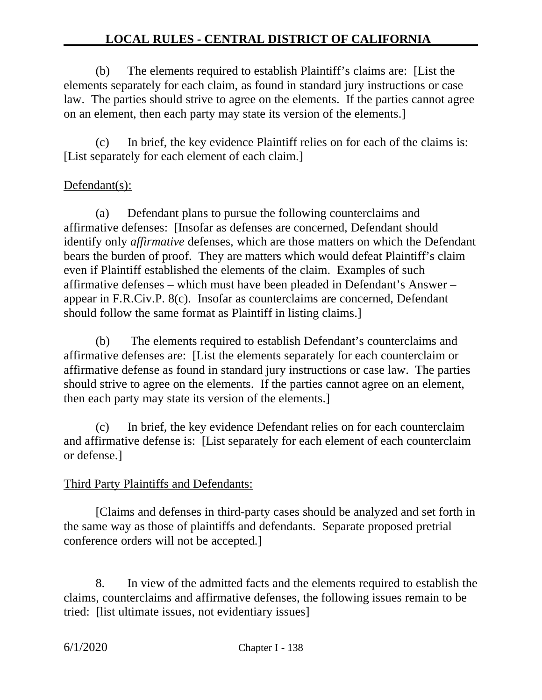(b) The elements required to establish Plaintiff's claims are: [List the elements separately for each claim, as found in standard jury instructions or case law. The parties should strive to agree on the elements. If the parties cannot agree on an element, then each party may state its version of the elements.]

(c) In brief, the key evidence Plaintiff relies on for each of the claims is: [List separately for each element of each claim.]

## Defendant(s):

(a) Defendant plans to pursue the following counterclaims and affirmative defenses: [Insofar as defenses are concerned, Defendant should identify only *affirmative* defenses, which are those matters on which the Defendant bears the burden of proof. They are matters which would defeat Plaintiff's claim even if Plaintiff established the elements of the claim. Examples of such affirmative defenses – which must have been pleaded in Defendant's Answer – appear in F.R.Civ.P. 8(c). Insofar as counterclaims are concerned, Defendant should follow the same format as Plaintiff in listing claims.]

(b) The elements required to establish Defendant's counterclaims and affirmative defenses are: [List the elements separately for each counterclaim or affirmative defense as found in standard jury instructions or case law. The parties should strive to agree on the elements. If the parties cannot agree on an element, then each party may state its version of the elements.]

(c) In brief, the key evidence Defendant relies on for each counterclaim and affirmative defense is: [List separately for each element of each counterclaim or defense.]

# Third Party Plaintiffs and Defendants:

[Claims and defenses in third-party cases should be analyzed and set forth in the same way as those of plaintiffs and defendants. Separate proposed pretrial conference orders will not be accepted.]

8. In view of the admitted facts and the elements required to establish the claims, counterclaims and affirmative defenses, the following issues remain to be tried: [list ultimate issues, not evidentiary issues]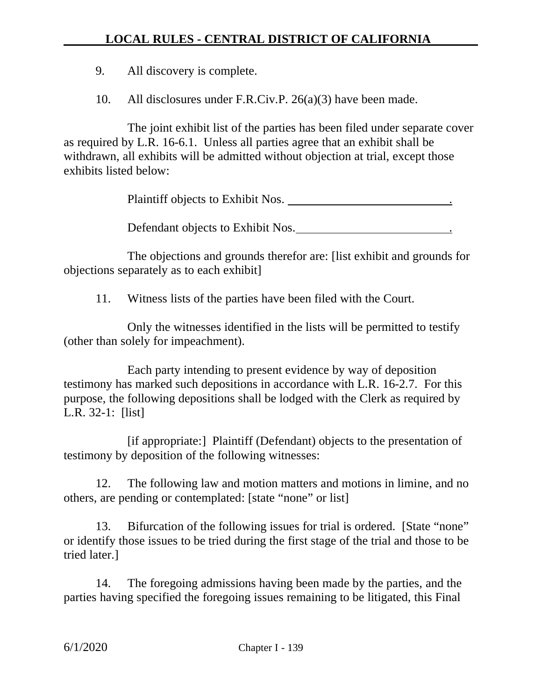9. All discovery is complete.

10. All disclosures under F.R.Civ.P. 26(a)(3) have been made.

The joint exhibit list of the parties has been filed under separate cover as required by L.R. 16-6.1. Unless all parties agree that an exhibit shall be withdrawn, all exhibits will be admitted without objection at trial, except those exhibits listed below:

Plaintiff objects to Exhibit Nos.

Defendant objects to Exhibit Nos.

The objections and grounds therefor are: [list exhibit and grounds for objections separately as to each exhibit]

11. Witness lists of the parties have been filed with the Court.

Only the witnesses identified in the lists will be permitted to testify (other than solely for impeachment).

Each party intending to present evidence by way of deposition testimony has marked such depositions in accordance with L.R. 16-2.7. For this purpose, the following depositions shall be lodged with the Clerk as required by L.R. 32-1: [list]

[if appropriate:] Plaintiff (Defendant) objects to the presentation of testimony by deposition of the following witnesses:

12. The following law and motion matters and motions in limine, and no others, are pending or contemplated: [state "none" or list]

13. Bifurcation of the following issues for trial is ordered. [State "none" or identify those issues to be tried during the first stage of the trial and those to be tried later.]

14. The foregoing admissions having been made by the parties, and the parties having specified the foregoing issues remaining to be litigated, this Final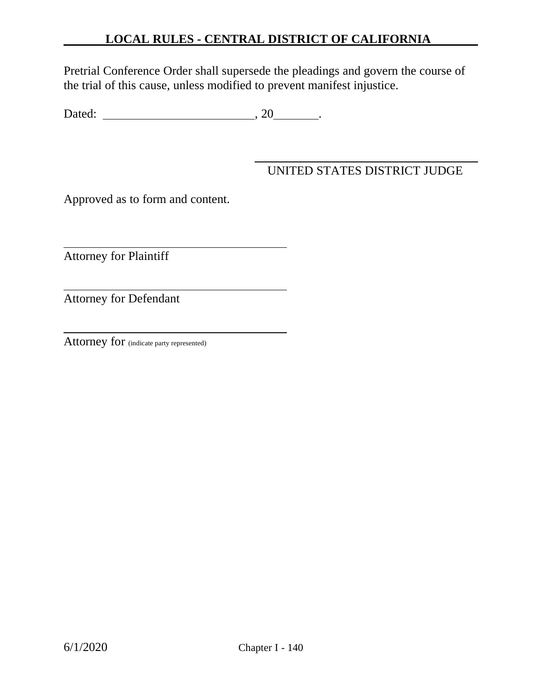Pretrial Conference Order shall supersede the pleadings and govern the course of the trial of this cause, unless modified to prevent manifest injustice.

Dated: , 20 .

## UNITED STATES DISTRICT JUDGE

Approved as to form and content.

Attorney for Plaintiff

Attorney for Defendant

Attorney for (indicate party represented)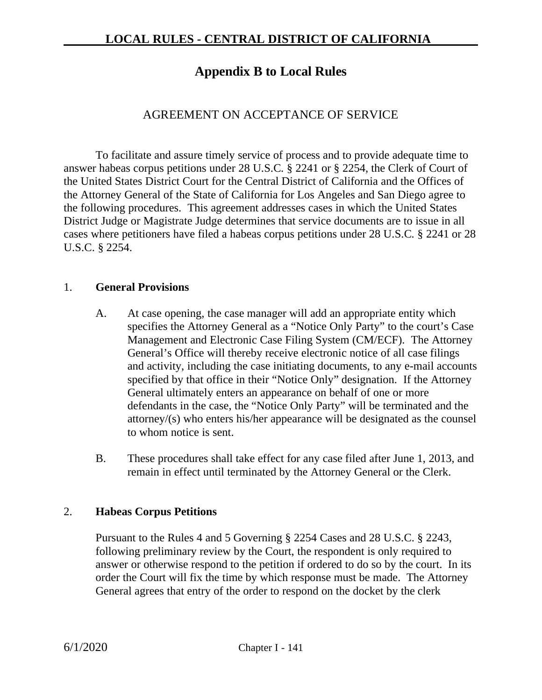# **Appendix B to Local Rules**

#### AGREEMENT ON ACCEPTANCE OF SERVICE

To facilitate and assure timely service of process and to provide adequate time to answer habeas corpus petitions under 28 U.S.C. § 2241 or § 2254, the Clerk of Court of the United States District Court for the Central District of California and the Offices of the Attorney General of the State of California for Los Angeles and San Diego agree to the following procedures. This agreement addresses cases in which the United States District Judge or Magistrate Judge determines that service documents are to issue in all cases where petitioners have filed a habeas corpus petitions under 28 U.S.C. § 2241 or 28 U.S.C. § 2254.

#### 1. **General Provisions**

- A. At case opening, the case manager will add an appropriate entity which specifies the Attorney General as a "Notice Only Party" to the court's Case Management and Electronic Case Filing System (CM/ECF). The Attorney General's Office will thereby receive electronic notice of all case filings and activity, including the case initiating documents, to any e-mail accounts specified by that office in their "Notice Only" designation. If the Attorney General ultimately enters an appearance on behalf of one or more defendants in the case, the "Notice Only Party" will be terminated and the attorney/(s) who enters his/her appearance will be designated as the counsel to whom notice is sent.
- B. These procedures shall take effect for any case filed after June 1, 2013, and remain in effect until terminated by the Attorney General or the Clerk.

#### 2. **Habeas Corpus Petitions**

Pursuant to the Rules 4 and 5 Governing § 2254 Cases and 28 U.S.C. § 2243, following preliminary review by the Court, the respondent is only required to answer or otherwise respond to the petition if ordered to do so by the court. In its order the Court will fix the time by which response must be made. The Attorney General agrees that entry of the order to respond on the docket by the clerk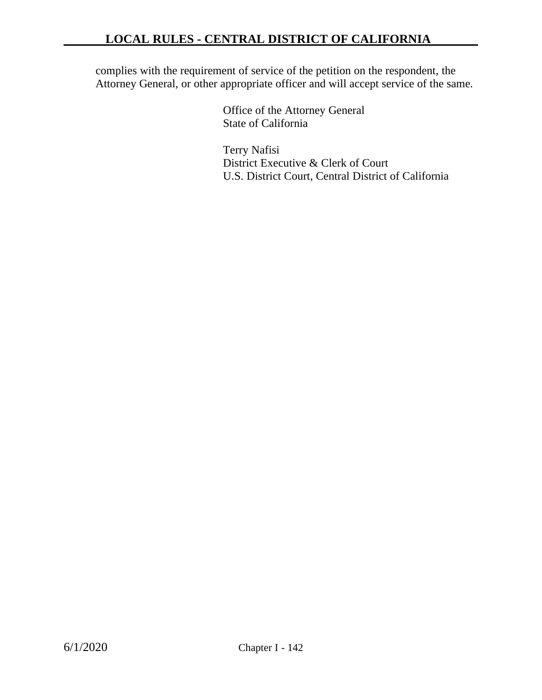complies with the requirement of service of the petition on the respondent, the Attorney General, or other appropriate officer and will accept service of the same.

> Office of the Attorney General State of California

Terry Nafisi District Executive & Clerk of Court U.S. District Court, Central District of California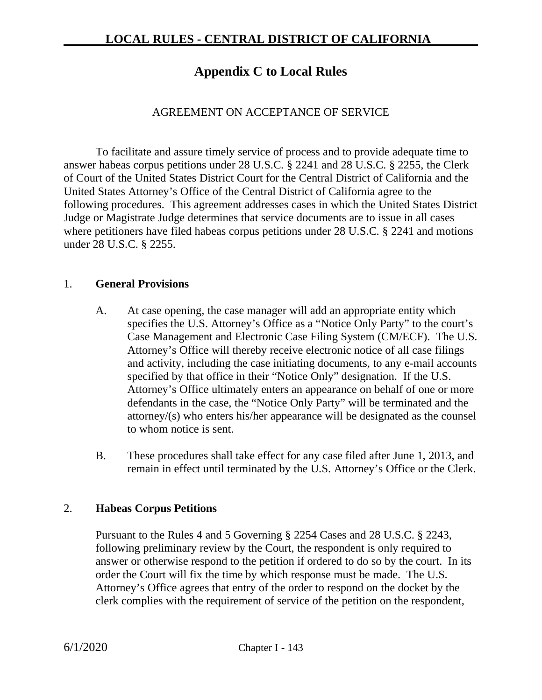# **Appendix C to Local Rules**

#### AGREEMENT ON ACCEPTANCE OF SERVICE

To facilitate and assure timely service of process and to provide adequate time to answer habeas corpus petitions under 28 U.S.C. § 2241 and 28 U.S.C. § 2255, the Clerk of Court of the United States District Court for the Central District of California and the United States Attorney's Office of the Central District of California agree to the following procedures. This agreement addresses cases in which the United States District Judge or Magistrate Judge determines that service documents are to issue in all cases where petitioners have filed habeas corpus petitions under 28 U.S.C. § 2241 and motions under 28 U.S.C. § 2255.

#### 1. **General Provisions**

- A. At case opening, the case manager will add an appropriate entity which specifies the U.S. Attorney's Office as a "Notice Only Party" to the court's Case Management and Electronic Case Filing System (CM/ECF). The U.S. Attorney's Office will thereby receive electronic notice of all case filings and activity, including the case initiating documents, to any e-mail accounts specified by that office in their "Notice Only" designation. If the U.S. Attorney's Office ultimately enters an appearance on behalf of one or more defendants in the case, the "Notice Only Party" will be terminated and the attorney/(s) who enters his/her appearance will be designated as the counsel to whom notice is sent.
- B. These procedures shall take effect for any case filed after June 1, 2013, and remain in effect until terminated by the U.S. Attorney's Office or the Clerk.

#### 2. **Habeas Corpus Petitions**

Pursuant to the Rules 4 and 5 Governing § 2254 Cases and 28 U.S.C. § 2243, following preliminary review by the Court, the respondent is only required to answer or otherwise respond to the petition if ordered to do so by the court. In its order the Court will fix the time by which response must be made. The U.S. Attorney's Office agrees that entry of the order to respond on the docket by the clerk complies with the requirement of service of the petition on the respondent,